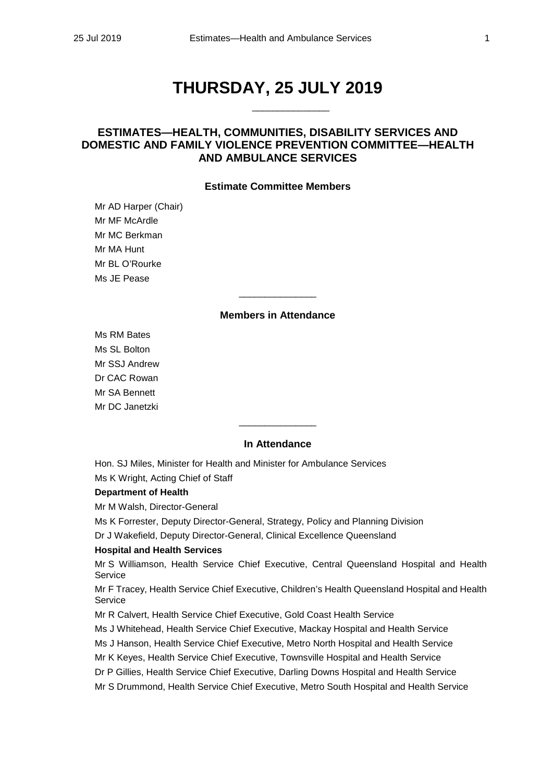# **THURSDAY, 25 JULY 2019**

\_\_\_\_\_\_\_\_\_\_\_\_\_\_\_

# **ESTIMATES—HEALTH, COMMUNITIES, DISABILITY SERVICES AND DOMESTIC AND FAMILY VIOLENCE PREVENTION COMMITTEE—HEALTH AND AMBULANCE SERVICES**

### **Estimate Committee Members**

Mr AD Harper (Chair) Mr MF McArdle Mr MC Berkman Mr MA Hunt Mr BL O'Rourke Ms JE Pease

#### **Members in Attendance**

\_\_\_\_\_\_\_\_\_\_\_\_\_\_\_

Ms RM Bates Ms SL Bolton Mr SSJ Andrew Dr CAC Rowan Mr SA Bennett Mr DC Janetzki

## **In Attendance**

\_\_\_\_\_\_\_\_\_\_\_\_\_\_\_

Hon. SJ Miles, Minister for Health and Minister for Ambulance Services Ms K Wright, Acting Chief of Staff

### **Department of Health**

Mr M Walsh, Director-General

Ms K Forrester, Deputy Director-General, Strategy, Policy and Planning Division

Dr J Wakefield, Deputy Director-General, Clinical Excellence Queensland

#### **Hospital and Health Services**

Mr S Williamson, Health Service Chief Executive, Central Queensland Hospital and Health Service

Mr F Tracey, Health Service Chief Executive, Children's Health Queensland Hospital and Health Service

Mr R Calvert, Health Service Chief Executive, Gold Coast Health Service

Ms J Whitehead, Health Service Chief Executive, Mackay Hospital and Health Service

Ms J Hanson, Health Service Chief Executive, Metro North Hospital and Health Service

Mr K Keyes, Health Service Chief Executive, Townsville Hospital and Health Service

Dr P Gillies, Health Service Chief Executive, Darling Downs Hospital and Health Service

Mr S Drummond, Health Service Chief Executive, Metro South Hospital and Health Service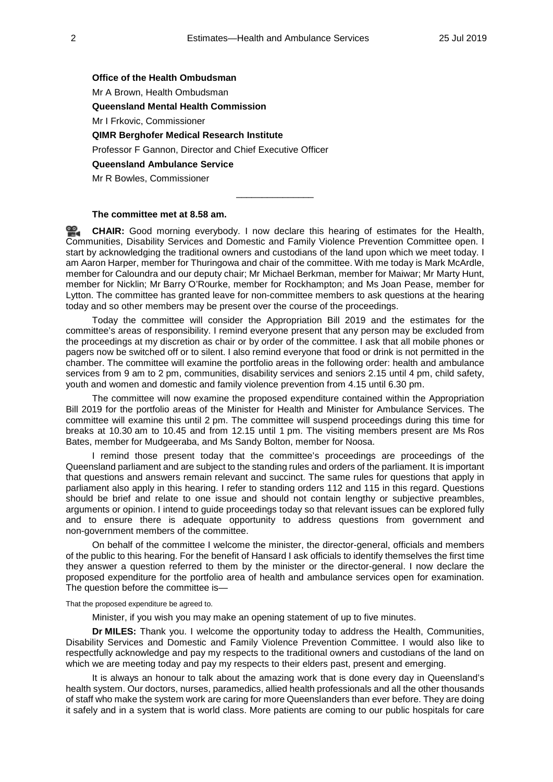**Office of the Health Ombudsman** Mr A Brown, Health Ombudsman **Queensland Mental Health Commission** Mr I Frkovic, Commissioner **QIMR Berghofer Medical Research Institute** Professor F Gannon, Director and Chief Executive Officer **Queensland Ambulance Service** Mr R Bowles, Commissioner

### **The committee met at 8.58 am.**

**[CHAIR:](http://www.parliament.qld.gov.au/docs/find.aspx?id=0Mba20190725_090000)** Good morning everybody. I now declare this hearing of estimates for the Health, Communities, Disability Services and Domestic and Family Violence Prevention Committee open. I start by acknowledging the traditional owners and custodians of the land upon which we meet today. I am Aaron Harper, member for Thuringowa and chair of the committee. With me today is Mark McArdle, member for Caloundra and our deputy chair; Mr Michael Berkman, member for Maiwar; Mr Marty Hunt, member for Nicklin; Mr Barry O'Rourke, member for Rockhampton; and Ms Joan Pease, member for Lytton. The committee has granted leave for non-committee members to ask questions at the hearing today and so other members may be present over the course of the proceedings.

\_\_\_\_\_\_\_\_\_\_\_\_\_\_\_

Today the committee will consider the Appropriation Bill 2019 and the estimates for the committee's areas of responsibility. I remind everyone present that any person may be excluded from the proceedings at my discretion as chair or by order of the committee. I ask that all mobile phones or pagers now be switched off or to silent. I also remind everyone that food or drink is not permitted in the chamber. The committee will examine the portfolio areas in the following order: health and ambulance services from 9 am to 2 pm, communities, disability services and seniors 2.15 until 4 pm, child safety, youth and women and domestic and family violence prevention from 4.15 until 6.30 pm.

The committee will now examine the proposed expenditure contained within the Appropriation Bill 2019 for the portfolio areas of the Minister for Health and Minister for Ambulance Services. The committee will examine this until 2 pm. The committee will suspend proceedings during this time for breaks at 10.30 am to 10.45 and from 12.15 until 1 pm. The visiting members present are Ms Ros Bates, member for Mudgeeraba, and Ms Sandy Bolton, member for Noosa.

I remind those present today that the committee's proceedings are proceedings of the Queensland parliament and are subject to the standing rules and orders of the parliament. It is important that questions and answers remain relevant and succinct. The same rules for questions that apply in parliament also apply in this hearing. I refer to standing orders 112 and 115 in this regard. Questions should be brief and relate to one issue and should not contain lengthy or subjective preambles, arguments or opinion. I intend to guide proceedings today so that relevant issues can be explored fully and to ensure there is adequate opportunity to address questions from government and non-government members of the committee.

On behalf of the committee I welcome the minister, the director-general, officials and members of the public to this hearing. For the benefit of Hansard I ask officials to identify themselves the first time they answer a question referred to them by the minister or the director-general. I now declare the proposed expenditure for the portfolio area of health and ambulance services open for examination. The question before the committee is—

That the proposed expenditure be agreed to.

Minister, if you wish you may make an opening statement of up to five minutes.

**Dr MILES:** Thank you. I welcome the opportunity today to address the Health, Communities, Disability Services and Domestic and Family Violence Prevention Committee. I would also like to respectfully acknowledge and pay my respects to the traditional owners and custodians of the land on which we are meeting today and pay my respects to their elders past, present and emerging.

It is always an honour to talk about the amazing work that is done every day in Queensland's health system. Our doctors, nurses, paramedics, allied health professionals and all the other thousands of staff who make the system work are caring for more Queenslanders than ever before. They are doing it safely and in a system that is world class. More patients are coming to our public hospitals for care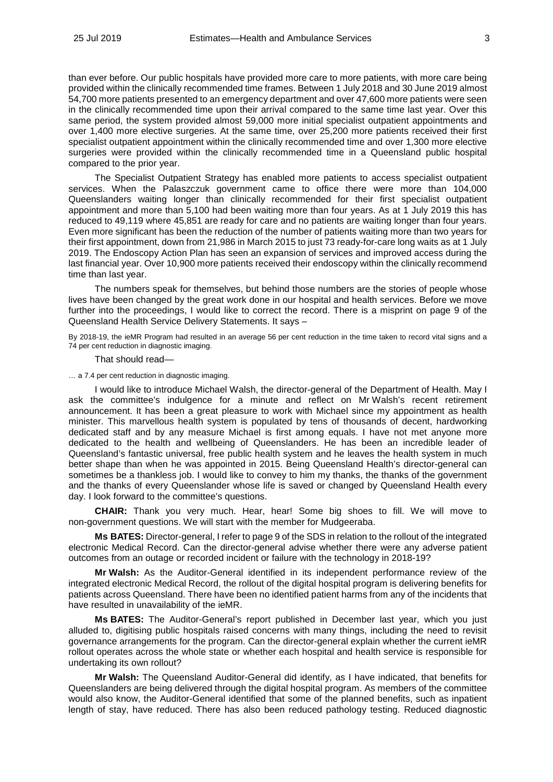than ever before. Our public hospitals have provided more care to more patients, with more care being provided within the clinically recommended time frames. Between 1 July 2018 and 30 June 2019 almost 54,700 more patients presented to an emergency department and over 47,600 more patients were seen in the clinically recommended time upon their arrival compared to the same time last year. Over this same period, the system provided almost 59,000 more initial specialist outpatient appointments and over 1,400 more elective surgeries. At the same time, over 25,200 more patients received their first specialist outpatient appointment within the clinically recommended time and over 1,300 more elective surgeries were provided within the clinically recommended time in a Queensland public hospital compared to the prior year.

The Specialist Outpatient Strategy has enabled more patients to access specialist outpatient services. When the Palaszczuk government came to office there were more than 104,000 Queenslanders waiting longer than clinically recommended for their first specialist outpatient appointment and more than 5,100 had been waiting more than four years. As at 1 July 2019 this has reduced to 49,119 where 45,851 are ready for care and no patients are waiting longer than four years. Even more significant has been the reduction of the number of patients waiting more than two years for their first appointment, down from 21,986 in March 2015 to just 73 ready-for-care long waits as at 1 July 2019. The Endoscopy Action Plan has seen an expansion of services and improved access during the last financial year. Over 10,900 more patients received their endoscopy within the clinically recommend time than last year.

The numbers speak for themselves, but behind those numbers are the stories of people whose lives have been changed by the great work done in our hospital and health services. Before we move further into the proceedings, I would like to correct the record. There is a misprint on page 9 of the Queensland Health Service Delivery Statements. It says –

By 2018-19, the ieMR Program had resulted in an average 56 per cent reduction in the time taken to record vital signs and a 74 per cent reduction in diagnostic imaging.

That should read—

… a 7.4 per cent reduction in diagnostic imaging.

I would like to introduce Michael Walsh, the director-general of the Department of Health. May I ask the committee's indulgence for a minute and reflect on Mr Walsh's recent retirement announcement. It has been a great pleasure to work with Michael since my appointment as health minister. This marvellous health system is populated by tens of thousands of decent, hardworking dedicated staff and by any measure Michael is first among equals. I have not met anyone more dedicated to the health and wellbeing of Queenslanders. He has been an incredible leader of Queensland's fantastic universal, free public health system and he leaves the health system in much better shape than when he was appointed in 2015. Being Queensland Health's director-general can sometimes be a thankless job. I would like to convey to him my thanks, the thanks of the government and the thanks of every Queenslander whose life is saved or changed by Queensland Health every day. I look forward to the committee's questions.

**CHAIR:** Thank you very much. Hear, hear! Some big shoes to fill. We will move to non-government questions. We will start with the member for Mudgeeraba.

**Ms BATES:** Director-general, I refer to page 9 of the SDS in relation to the rollout of the integrated electronic Medical Record. Can the director-general advise whether there were any adverse patient outcomes from an outage or recorded incident or failure with the technology in 2018-19?

**Mr Walsh:** As the Auditor-General identified in its independent performance review of the integrated electronic Medical Record, the rollout of the digital hospital program is delivering benefits for patients across Queensland. There have been no identified patient harms from any of the incidents that have resulted in unavailability of the ieMR.

**Ms BATES:** The Auditor-General's report published in December last year, which you just alluded to, digitising public hospitals raised concerns with many things, including the need to revisit governance arrangements for the program. Can the director-general explain whether the current ieMR rollout operates across the whole state or whether each hospital and health service is responsible for undertaking its own rollout?

**Mr Walsh:** The Queensland Auditor-General did identify, as I have indicated, that benefits for Queenslanders are being delivered through the digital hospital program. As members of the committee would also know, the Auditor-General identified that some of the planned benefits, such as inpatient length of stay, have reduced. There has also been reduced pathology testing. Reduced diagnostic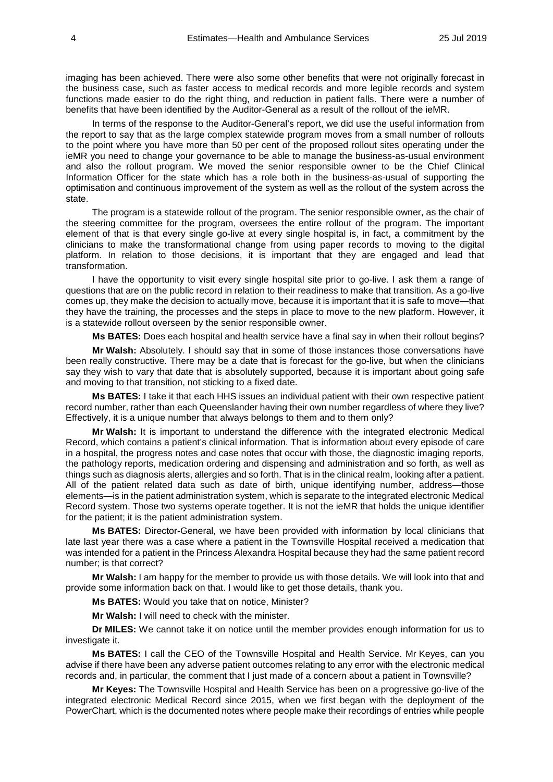imaging has been achieved. There were also some other benefits that were not originally forecast in the business case, such as faster access to medical records and more legible records and system functions made easier to do the right thing, and reduction in patient falls. There were a number of benefits that have been identified by the Auditor-General as a result of the rollout of the ieMR.

In terms of the response to the Auditor-General's report, we did use the useful information from the report to say that as the large complex statewide program moves from a small number of rollouts to the point where you have more than 50 per cent of the proposed rollout sites operating under the ieMR you need to change your governance to be able to manage the business-as-usual environment and also the rollout program. We moved the senior responsible owner to be the Chief Clinical Information Officer for the state which has a role both in the business-as-usual of supporting the optimisation and continuous improvement of the system as well as the rollout of the system across the state.

The program is a statewide rollout of the program. The senior responsible owner, as the chair of the steering committee for the program, oversees the entire rollout of the program. The important element of that is that every single go-live at every single hospital is, in fact, a commitment by the clinicians to make the transformational change from using paper records to moving to the digital platform. In relation to those decisions, it is important that they are engaged and lead that transformation.

I have the opportunity to visit every single hospital site prior to go-live. I ask them a range of questions that are on the public record in relation to their readiness to make that transition. As a go-live comes up, they make the decision to actually move, because it is important that it is safe to move—that they have the training, the processes and the steps in place to move to the new platform. However, it is a statewide rollout overseen by the senior responsible owner.

**Ms BATES:** Does each hospital and health service have a final say in when their rollout begins?

**Mr Walsh:** Absolutely. I should say that in some of those instances those conversations have been really constructive. There may be a date that is forecast for the go-live, but when the clinicians say they wish to vary that date that is absolutely supported, because it is important about going safe and moving to that transition, not sticking to a fixed date.

**Ms BATES:** I take it that each HHS issues an individual patient with their own respective patient record number, rather than each Queenslander having their own number regardless of where they live? Effectively, it is a unique number that always belongs to them and to them only?

**Mr Walsh:** It is important to understand the difference with the integrated electronic Medical Record, which contains a patient's clinical information. That is information about every episode of care in a hospital, the progress notes and case notes that occur with those, the diagnostic imaging reports, the pathology reports, medication ordering and dispensing and administration and so forth, as well as things such as diagnosis alerts, allergies and so forth. That is in the clinical realm, looking after a patient. All of the patient related data such as date of birth, unique identifying number, address—those elements—is in the patient administration system, which is separate to the integrated electronic Medical Record system. Those two systems operate together. It is not the ieMR that holds the unique identifier for the patient; it is the patient administration system.

**Ms BATES:** Director-General, we have been provided with information by local clinicians that late last year there was a case where a patient in the Townsville Hospital received a medication that was intended for a patient in the Princess Alexandra Hospital because they had the same patient record number; is that correct?

**Mr Walsh:** I am happy for the member to provide us with those details. We will look into that and provide some information back on that. I would like to get those details, thank you.

**Ms BATES:** Would you take that on notice, Minister?

**Mr Walsh:** I will need to check with the minister.

**Dr MILES:** We cannot take it on notice until the member provides enough information for us to investigate it.

**Ms BATES:** I call the CEO of the Townsville Hospital and Health Service. Mr Keyes, can you advise if there have been any adverse patient outcomes relating to any error with the electronic medical records and, in particular, the comment that I just made of a concern about a patient in Townsville?

**Mr Keyes:** The Townsville Hospital and Health Service has been on a progressive go-live of the integrated electronic Medical Record since 2015, when we first began with the deployment of the PowerChart, which is the documented notes where people make their recordings of entries while people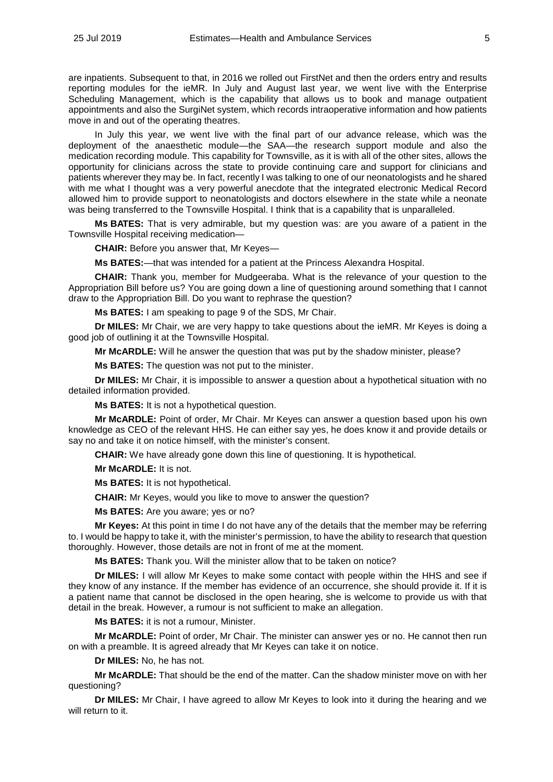are inpatients. Subsequent to that, in 2016 we rolled out FirstNet and then the orders entry and results reporting modules for the ieMR. In July and August last year, we went live with the Enterprise Scheduling Management, which is the capability that allows us to book and manage outpatient appointments and also the SurgiNet system, which records intraoperative information and how patients move in and out of the operating theatres.

In July this year, we went live with the final part of our advance release, which was the deployment of the anaesthetic module—the SAA—the research support module and also the medication recording module. This capability for Townsville, as it is with all of the other sites, allows the opportunity for clinicians across the state to provide continuing care and support for clinicians and patients wherever they may be. In fact, recently I was talking to one of our neonatologists and he shared with me what I thought was a very powerful anecdote that the integrated electronic Medical Record allowed him to provide support to neonatologists and doctors elsewhere in the state while a neonate was being transferred to the Townsville Hospital. I think that is a capability that is unparalleled.

**Ms BATES:** That is very admirable, but my question was: are you aware of a patient in the Townsville Hospital receiving medication—

**CHAIR:** Before you answer that, Mr Keyes—

**Ms BATES:**—that was intended for a patient at the Princess Alexandra Hospital.

**CHAIR:** Thank you, member for Mudgeeraba. What is the relevance of your question to the Appropriation Bill before us? You are going down a line of questioning around something that I cannot draw to the Appropriation Bill. Do you want to rephrase the question?

**Ms BATES:** I am speaking to page 9 of the SDS, Mr Chair.

**Dr MILES:** Mr Chair, we are very happy to take questions about the ieMR. Mr Keyes is doing a good job of outlining it at the Townsville Hospital.

**Mr McARDLE:** Will he answer the question that was put by the shadow minister, please?

**Ms BATES:** The question was not put to the minister.

**Dr MILES:** Mr Chair, it is impossible to answer a question about a hypothetical situation with no detailed information provided.

**Ms BATES:** It is not a hypothetical question.

**Mr McARDLE:** Point of order, Mr Chair. Mr Keyes can answer a question based upon his own knowledge as CEO of the relevant HHS. He can either say yes, he does know it and provide details or say no and take it on notice himself, with the minister's consent.

**CHAIR:** We have already gone down this line of questioning. It is hypothetical.

**Mr McARDLE:** It is not.

**Ms BATES:** It is not hypothetical.

**CHAIR:** Mr Keyes, would you like to move to answer the question?

**Ms BATES:** Are you aware; yes or no?

**Mr Keyes:** At this point in time I do not have any of the details that the member may be referring to. I would be happy to take it, with the minister's permission, to have the ability to research that question thoroughly. However, those details are not in front of me at the moment.

**Ms BATES:** Thank you. Will the minister allow that to be taken on notice?

**Dr MILES:** I will allow Mr Keyes to make some contact with people within the HHS and see if they know of any instance. If the member has evidence of an occurrence, she should provide it. If it is a patient name that cannot be disclosed in the open hearing, she is welcome to provide us with that detail in the break. However, a rumour is not sufficient to make an allegation.

**Ms BATES:** it is not a rumour, Minister.

**Mr McARDLE:** Point of order, Mr Chair. The minister can answer yes or no. He cannot then run on with a preamble. It is agreed already that Mr Keyes can take it on notice.

**Dr MILES:** No, he has not.

**Mr McARDLE:** That should be the end of the matter. Can the shadow minister move on with her questioning?

**Dr MILES:** Mr Chair, I have agreed to allow Mr Keyes to look into it during the hearing and we will return to it.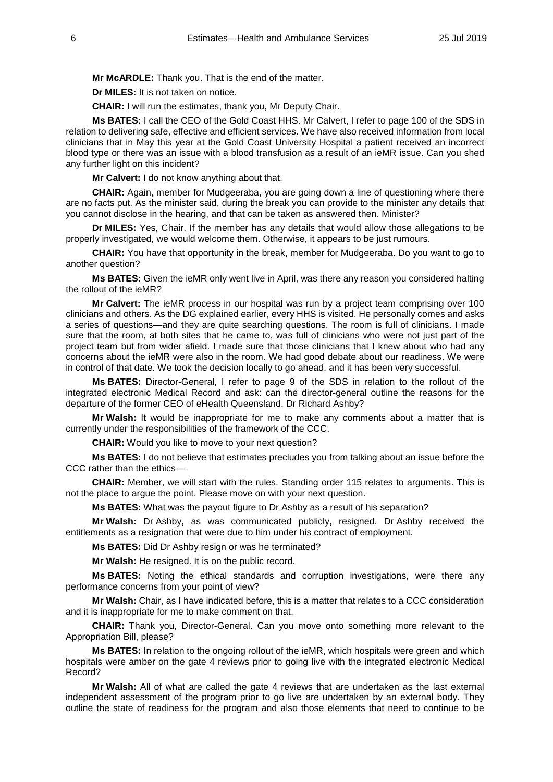**Mr McARDLE:** Thank you. That is the end of the matter.

**Dr MILES:** It is not taken on notice.

**CHAIR:** I will run the estimates, thank you, Mr Deputy Chair.

**Ms BATES:** I call the CEO of the Gold Coast HHS. Mr Calvert, I refer to page 100 of the SDS in relation to delivering safe, effective and efficient services. We have also received information from local clinicians that in May this year at the Gold Coast University Hospital a patient received an incorrect blood type or there was an issue with a blood transfusion as a result of an ieMR issue. Can you shed any further light on this incident?

**Mr Calvert:** I do not know anything about that.

**CHAIR:** Again, member for Mudgeeraba, you are going down a line of questioning where there are no facts put. As the minister said, during the break you can provide to the minister any details that you cannot disclose in the hearing, and that can be taken as answered then. Minister?

**Dr MILES:** Yes, Chair. If the member has any details that would allow those allegations to be properly investigated, we would welcome them. Otherwise, it appears to be just rumours.

**CHAIR:** You have that opportunity in the break, member for Mudgeeraba. Do you want to go to another question?

**Ms BATES:** Given the ieMR only went live in April, was there any reason you considered halting the rollout of the ieMR?

**Mr Calvert:** The ieMR process in our hospital was run by a project team comprising over 100 clinicians and others. As the DG explained earlier, every HHS is visited. He personally comes and asks a series of questions—and they are quite searching questions. The room is full of clinicians. I made sure that the room, at both sites that he came to, was full of clinicians who were not just part of the project team but from wider afield. I made sure that those clinicians that I knew about who had any concerns about the ieMR were also in the room. We had good debate about our readiness. We were in control of that date. We took the decision locally to go ahead, and it has been very successful.

**Ms BATES:** Director-General, I refer to page 9 of the SDS in relation to the rollout of the integrated electronic Medical Record and ask: can the director-general outline the reasons for the departure of the former CEO of eHealth Queensland, Dr Richard Ashby?

**Mr Walsh:** It would be inappropriate for me to make any comments about a matter that is currently under the responsibilities of the framework of the CCC.

**CHAIR:** Would you like to move to your next question?

**Ms BATES:** I do not believe that estimates precludes you from talking about an issue before the CCC rather than the ethics-

**CHAIR:** Member, we will start with the rules. Standing order 115 relates to arguments. This is not the place to argue the point. Please move on with your next question.

**Ms BATES:** What was the payout figure to Dr Ashby as a result of his separation?

**Mr Walsh:** Dr Ashby, as was communicated publicly, resigned. Dr Ashby received the entitlements as a resignation that were due to him under his contract of employment.

**Ms BATES:** Did Dr Ashby resign or was he terminated?

**Mr Walsh:** He resigned. It is on the public record.

**Ms BATES:** Noting the ethical standards and corruption investigations, were there any performance concerns from your point of view?

**Mr Walsh:** Chair, as I have indicated before, this is a matter that relates to a CCC consideration and it is inappropriate for me to make comment on that.

**CHAIR:** Thank you, Director-General. Can you move onto something more relevant to the Appropriation Bill, please?

**Ms BATES:** In relation to the ongoing rollout of the ieMR, which hospitals were green and which hospitals were amber on the gate 4 reviews prior to going live with the integrated electronic Medical Record?

**Mr Walsh:** All of what are called the gate 4 reviews that are undertaken as the last external independent assessment of the program prior to go live are undertaken by an external body. They outline the state of readiness for the program and also those elements that need to continue to be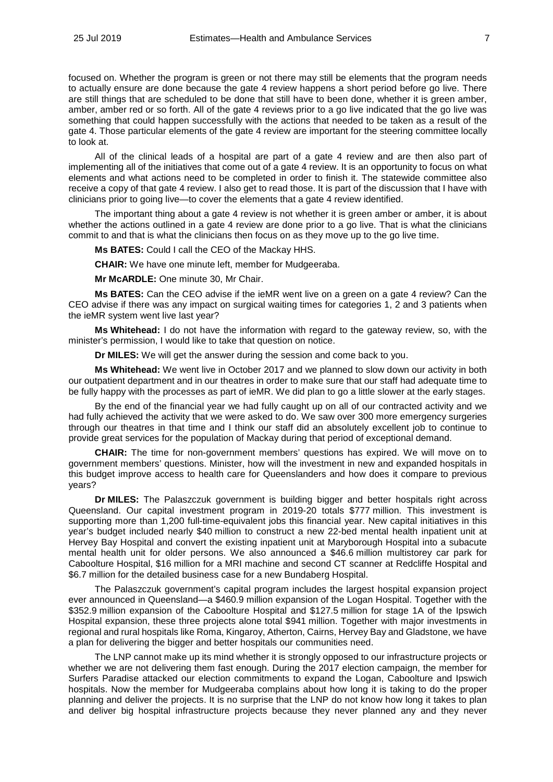focused on. Whether the program is green or not there may still be elements that the program needs to actually ensure are done because the gate 4 review happens a short period before go live. There are still things that are scheduled to be done that still have to been done, whether it is green amber, amber, amber red or so forth. All of the gate 4 reviews prior to a go live indicated that the go live was something that could happen successfully with the actions that needed to be taken as a result of the gate 4. Those particular elements of the gate 4 review are important for the steering committee locally to look at.

All of the clinical leads of a hospital are part of a gate 4 review and are then also part of implementing all of the initiatives that come out of a gate 4 review. It is an opportunity to focus on what elements and what actions need to be completed in order to finish it. The statewide committee also receive a copy of that gate 4 review. I also get to read those. It is part of the discussion that I have with clinicians prior to going live—to cover the elements that a gate 4 review identified.

The important thing about a gate 4 review is not whether it is green amber or amber, it is about whether the actions outlined in a gate 4 review are done prior to a go live. That is what the clinicians commit to and that is what the clinicians then focus on as they move up to the go live time.

**Ms BATES:** Could I call the CEO of the Mackay HHS.

**CHAIR:** We have one minute left, member for Mudgeeraba.

**Mr McARDLE:** One minute 30, Mr Chair.

**Ms BATES:** Can the CEO advise if the ieMR went live on a green on a gate 4 review? Can the CEO advise if there was any impact on surgical waiting times for categories 1, 2 and 3 patients when the ieMR system went live last year?

**Ms Whitehead:** I do not have the information with regard to the gateway review, so, with the minister's permission, I would like to take that question on notice.

**Dr MILES:** We will get the answer during the session and come back to you.

**Ms Whitehead:** We went live in October 2017 and we planned to slow down our activity in both our outpatient department and in our theatres in order to make sure that our staff had adequate time to be fully happy with the processes as part of ieMR. We did plan to go a little slower at the early stages.

By the end of the financial year we had fully caught up on all of our contracted activity and we had fully achieved the activity that we were asked to do. We saw over 300 more emergency surgeries through our theatres in that time and I think our staff did an absolutely excellent job to continue to provide great services for the population of Mackay during that period of exceptional demand.

**CHAIR:** The time for non-government members' questions has expired. We will move on to government members' questions. Minister, how will the investment in new and expanded hospitals in this budget improve access to health care for Queenslanders and how does it compare to previous years?

**Dr MILES:** The Palaszczuk government is building bigger and better hospitals right across Queensland. Our capital investment program in 2019-20 totals \$777 million. This investment is supporting more than 1,200 full-time-equivalent jobs this financial year. New capital initiatives in this year's budget included nearly \$40 million to construct a new 22-bed mental health inpatient unit at Hervey Bay Hospital and convert the existing inpatient unit at Maryborough Hospital into a subacute mental health unit for older persons. We also announced a \$46.6 million multistorey car park for Caboolture Hospital, \$16 million for a MRI machine and second CT scanner at Redcliffe Hospital and \$6.7 million for the detailed business case for a new Bundaberg Hospital.

The Palaszczuk government's capital program includes the largest hospital expansion project ever announced in Queensland—a \$460.9 million expansion of the Logan Hospital. Together with the \$352.9 million expansion of the Caboolture Hospital and \$127.5 million for stage 1A of the Ipswich Hospital expansion, these three projects alone total \$941 million. Together with major investments in regional and rural hospitals like Roma, Kingaroy, Atherton, Cairns, Hervey Bay and Gladstone, we have a plan for delivering the bigger and better hospitals our communities need.

The LNP cannot make up its mind whether it is strongly opposed to our infrastructure projects or whether we are not delivering them fast enough. During the 2017 election campaign, the member for Surfers Paradise attacked our election commitments to expand the Logan, Caboolture and Ipswich hospitals. Now the member for Mudgeeraba complains about how long it is taking to do the proper planning and deliver the projects. It is no surprise that the LNP do not know how long it takes to plan and deliver big hospital infrastructure projects because they never planned any and they never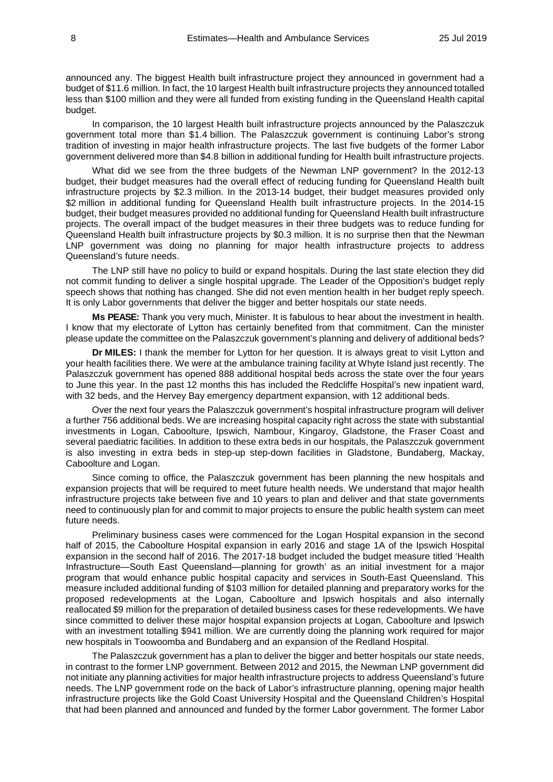announced any. The biggest Health built infrastructure project they announced in government had a budget of \$11.6 million. In fact, the 10 largest Health built infrastructure projects they announced totalled less than \$100 million and they were all funded from existing funding in the Queensland Health capital budget.

In comparison, the 10 largest Health built infrastructure projects announced by the Palaszczuk government total more than \$1.4 billion. The Palaszczuk government is continuing Labor's strong tradition of investing in major health infrastructure projects. The last five budgets of the former Labor government delivered more than \$4.8 billion in additional funding for Health built infrastructure projects.

What did we see from the three budgets of the Newman LNP government? In the 2012-13 budget, their budget measures had the overall effect of reducing funding for Queensland Health built infrastructure projects by \$2.3 million. In the 2013-14 budget, their budget measures provided only \$2 million in additional funding for Queensland Health built infrastructure projects. In the 2014-15 budget, their budget measures provided no additional funding for Queensland Health built infrastructure projects. The overall impact of the budget measures in their three budgets was to reduce funding for Queensland Health built infrastructure projects by \$0.3 million. It is no surprise then that the Newman LNP government was doing no planning for major health infrastructure projects to address Queensland's future needs.

The LNP still have no policy to build or expand hospitals. During the last state election they did not commit funding to deliver a single hospital upgrade. The Leader of the Opposition's budget reply speech shows that nothing has changed. She did not even mention health in her budget reply speech. It is only Labor governments that deliver the bigger and better hospitals our state needs.

**Ms PEASE:** Thank you very much, Minister. It is fabulous to hear about the investment in health. I know that my electorate of Lytton has certainly benefited from that commitment. Can the minister please update the committee on the Palaszczuk government's planning and delivery of additional beds?

**Dr MILES:** I thank the member for Lytton for her question. It is always great to visit Lytton and your health facilities there. We were at the ambulance training facility at Whyte Island just recently. The Palaszczuk government has opened 888 additional hospital beds across the state over the four years to June this year. In the past 12 months this has included the Redcliffe Hospital's new inpatient ward, with 32 beds, and the Hervey Bay emergency department expansion, with 12 additional beds.

Over the next four years the Palaszczuk government's hospital infrastructure program will deliver a further 756 additional beds. We are increasing hospital capacity right across the state with substantial investments in Logan, Caboolture, Ipswich, Nambour, Kingaroy, Gladstone, the Fraser Coast and several paediatric facilities. In addition to these extra beds in our hospitals, the Palaszczuk government is also investing in extra beds in step-up step-down facilities in Gladstone, Bundaberg, Mackay, Caboolture and Logan.

Since coming to office, the Palaszczuk government has been planning the new hospitals and expansion projects that will be required to meet future health needs. We understand that major health infrastructure projects take between five and 10 years to plan and deliver and that state governments need to continuously plan for and commit to major projects to ensure the public health system can meet future needs.

Preliminary business cases were commenced for the Logan Hospital expansion in the second half of 2015, the Caboolture Hospital expansion in early 2016 and stage 1A of the Ipswich Hospital expansion in the second half of 2016. The 2017-18 budget included the budget measure titled 'Health Infrastructure—South East Queensland—planning for growth' as an initial investment for a major program that would enhance public hospital capacity and services in South-East Queensland. This measure included additional funding of \$103 million for detailed planning and preparatory works for the proposed redevelopments at the Logan, Caboolture and Ipswich hospitals and also internally reallocated \$9 million for the preparation of detailed business cases for these redevelopments. We have since committed to deliver these major hospital expansion projects at Logan, Caboolture and Ipswich with an investment totalling \$941 million. We are currently doing the planning work required for major new hospitals in Toowoomba and Bundaberg and an expansion of the Redland Hospital.

The Palaszczuk government has a plan to deliver the bigger and better hospitals our state needs, in contrast to the former LNP government. Between 2012 and 2015, the Newman LNP government did not initiate any planning activities for major health infrastructure projects to address Queensland's future needs. The LNP government rode on the back of Labor's infrastructure planning, opening major health infrastructure projects like the Gold Coast University Hospital and the Queensland Children's Hospital that had been planned and announced and funded by the former Labor government. The former Labor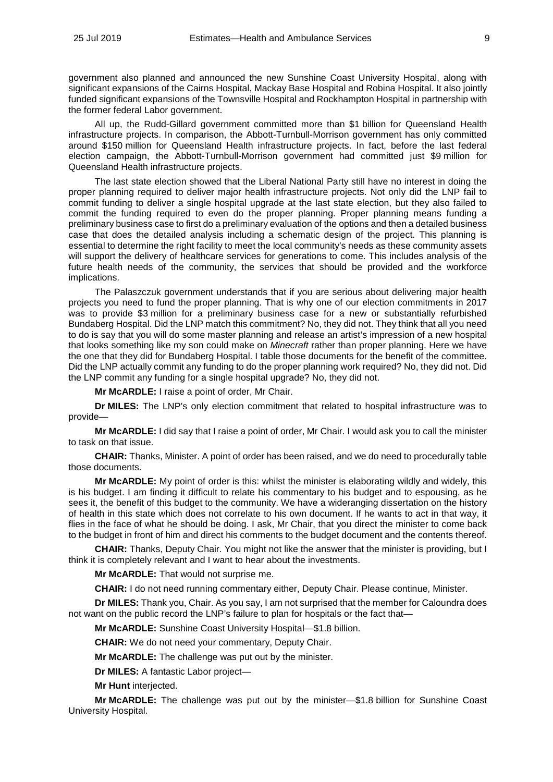government also planned and announced the new Sunshine Coast University Hospital, along with significant expansions of the Cairns Hospital, Mackay Base Hospital and Robina Hospital. It also jointly funded significant expansions of the Townsville Hospital and Rockhampton Hospital in partnership with the former federal Labor government.

All up, the Rudd-Gillard government committed more than \$1 billion for Queensland Health infrastructure projects. In comparison, the Abbott-Turnbull-Morrison government has only committed around \$150 million for Queensland Health infrastructure projects. In fact, before the last federal election campaign, the Abbott-Turnbull-Morrison government had committed just \$9 million for Queensland Health infrastructure projects.

The last state election showed that the Liberal National Party still have no interest in doing the proper planning required to deliver major health infrastructure projects. Not only did the LNP fail to commit funding to deliver a single hospital upgrade at the last state election, but they also failed to commit the funding required to even do the proper planning. Proper planning means funding a preliminary business case to first do a preliminary evaluation of the options and then a detailed business case that does the detailed analysis including a schematic design of the project. This planning is essential to determine the right facility to meet the local community's needs as these community assets will support the delivery of healthcare services for generations to come. This includes analysis of the future health needs of the community, the services that should be provided and the workforce implications.

The Palaszczuk government understands that if you are serious about delivering major health projects you need to fund the proper planning. That is why one of our election commitments in 2017 was to provide \$3 million for a preliminary business case for a new or substantially refurbished Bundaberg Hospital. Did the LNP match this commitment? No, they did not. They think that all you need to do is say that you will do some master planning and release an artist's impression of a new hospital that looks something like my son could make on *Minecraft* rather than proper planning. Here we have the one that they did for Bundaberg Hospital. I table those documents for the benefit of the committee. Did the LNP actually commit any funding to do the proper planning work required? No, they did not. Did the LNP commit any funding for a single hospital upgrade? No, they did not.

**Mr McARDLE:** I raise a point of order, Mr Chair.

**Dr MILES:** The LNP's only election commitment that related to hospital infrastructure was to provide—

**Mr McARDLE:** I did say that I raise a point of order, Mr Chair. I would ask you to call the minister to task on that issue.

**CHAIR:** Thanks, Minister. A point of order has been raised, and we do need to procedurally table those documents.

**Mr McARDLE:** My point of order is this: whilst the minister is elaborating wildly and widely, this is his budget. I am finding it difficult to relate his commentary to his budget and to espousing, as he sees it, the benefit of this budget to the community. We have a wideranging dissertation on the history of health in this state which does not correlate to his own document. If he wants to act in that way, it flies in the face of what he should be doing. I ask, Mr Chair, that you direct the minister to come back to the budget in front of him and direct his comments to the budget document and the contents thereof.

**CHAIR:** Thanks, Deputy Chair. You might not like the answer that the minister is providing, but I think it is completely relevant and I want to hear about the investments.

**Mr McARDLE:** That would not surprise me.

**CHAIR:** I do not need running commentary either, Deputy Chair. Please continue, Minister.

**Dr MILES:** Thank you, Chair. As you say, I am not surprised that the member for Caloundra does not want on the public record the LNP's failure to plan for hospitals or the fact that—

**Mr McARDLE:** Sunshine Coast University Hospital—\$1.8 billion.

**CHAIR:** We do not need your commentary, Deputy Chair.

**Mr McARDLE:** The challenge was put out by the minister.

**Dr MILES:** A fantastic Labor project—

**Mr Hunt** interjected.

**Mr McARDLE:** The challenge was put out by the minister—\$1.8 billion for Sunshine Coast University Hospital.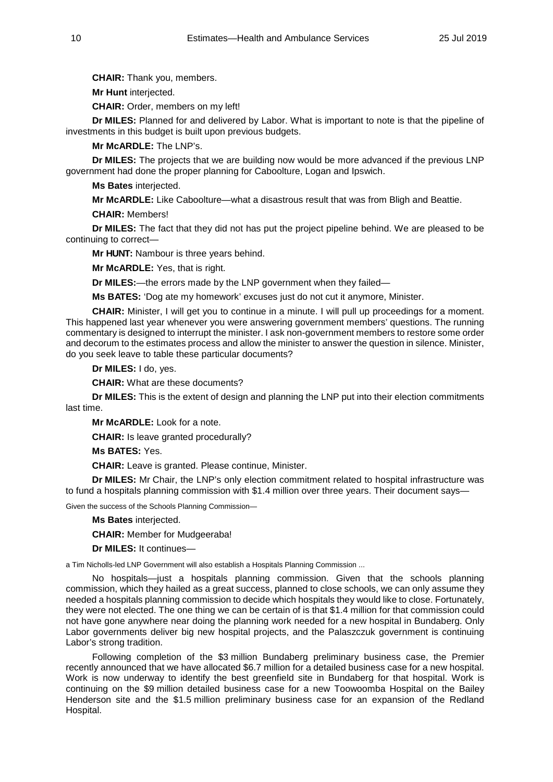**CHAIR:** Thank you, members.

**Mr Hunt** interjected.

**CHAIR:** Order, members on my left!

**Dr MILES:** Planned for and delivered by Labor. What is important to note is that the pipeline of investments in this budget is built upon previous budgets.

**Mr McARDLE:** The LNP's.

**Dr MILES:** The projects that we are building now would be more advanced if the previous LNP government had done the proper planning for Caboolture, Logan and Ipswich.

**Ms Bates** interjected.

**Mr McARDLE:** Like Caboolture—what a disastrous result that was from Bligh and Beattie.

**CHAIR:** Members!

**Dr MILES:** The fact that they did not has put the project pipeline behind. We are pleased to be continuing to correct—

**Mr HUNT:** Nambour is three years behind.

**Mr McARDLE:** Yes, that is right.

**Dr MILES:**—the errors made by the LNP government when they failed—

**Ms BATES:** 'Dog ate my homework' excuses just do not cut it anymore, Minister.

**CHAIR:** Minister, I will get you to continue in a minute. I will pull up proceedings for a moment. This happened last year whenever you were answering government members' questions. The running commentary is designed to interrupt the minister. I ask non-government members to restore some order and decorum to the estimates process and allow the minister to answer the question in silence. Minister, do you seek leave to table these particular documents?

**Dr MILES:** I do, yes.

**CHAIR:** What are these documents?

**Dr MILES:** This is the extent of design and planning the LNP put into their election commitments last time.

**Mr McARDLE:** Look for a note.

**CHAIR:** Is leave granted procedurally?

**Ms BATES:** Yes.

**CHAIR:** Leave is granted. Please continue, Minister.

**Dr MILES:** Mr Chair, the LNP's only election commitment related to hospital infrastructure was to fund a hospitals planning commission with \$1.4 million over three years. Their document says—

Given the success of the Schools Planning Commission—

**Ms Bates** interjected.

**CHAIR:** Member for Mudgeeraba!

**Dr MILES:** It continues—

a Tim Nicholls-led LNP Government will also establish a Hospitals Planning Commission ...

No hospitals—just a hospitals planning commission. Given that the schools planning commission, which they hailed as a great success, planned to close schools, we can only assume they needed a hospitals planning commission to decide which hospitals they would like to close. Fortunately, they were not elected. The one thing we can be certain of is that \$1.4 million for that commission could not have gone anywhere near doing the planning work needed for a new hospital in Bundaberg. Only Labor governments deliver big new hospital projects, and the Palaszczuk government is continuing Labor's strong tradition.

Following completion of the \$3 million Bundaberg preliminary business case, the Premier recently announced that we have allocated \$6.7 million for a detailed business case for a new hospital. Work is now underway to identify the best greenfield site in Bundaberg for that hospital. Work is continuing on the \$9 million detailed business case for a new Toowoomba Hospital on the Bailey Henderson site and the \$1.5 million preliminary business case for an expansion of the Redland Hospital.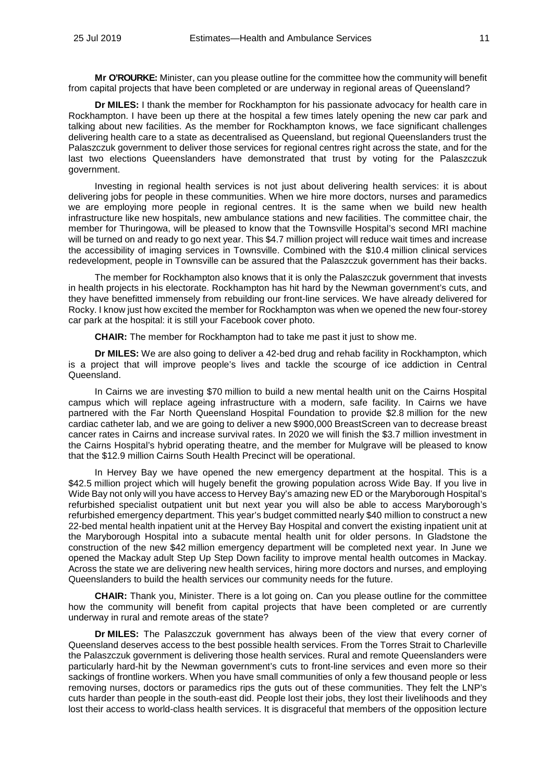**Mr O'ROURKE:** Minister, can you please outline for the committee how the community will benefit from capital projects that have been completed or are underway in regional areas of Queensland?

**Dr MILES:** I thank the member for Rockhampton for his passionate advocacy for health care in Rockhampton. I have been up there at the hospital a few times lately opening the new car park and talking about new facilities. As the member for Rockhampton knows, we face significant challenges delivering health care to a state as decentralised as Queensland, but regional Queenslanders trust the Palaszczuk government to deliver those services for regional centres right across the state, and for the last two elections Queenslanders have demonstrated that trust by voting for the Palaszczuk government.

Investing in regional health services is not just about delivering health services: it is about delivering jobs for people in these communities. When we hire more doctors, nurses and paramedics we are employing more people in regional centres. It is the same when we build new health infrastructure like new hospitals, new ambulance stations and new facilities. The committee chair, the member for Thuringowa, will be pleased to know that the Townsville Hospital's second MRI machine will be turned on and ready to go next year. This \$4.7 million project will reduce wait times and increase the accessibility of imaging services in Townsville. Combined with the \$10.4 million clinical services redevelopment, people in Townsville can be assured that the Palaszczuk government has their backs.

The member for Rockhampton also knows that it is only the Palaszczuk government that invests in health projects in his electorate. Rockhampton has hit hard by the Newman government's cuts, and they have benefitted immensely from rebuilding our front-line services. We have already delivered for Rocky. I know just how excited the member for Rockhampton was when we opened the new four-storey car park at the hospital: it is still your Facebook cover photo.

**CHAIR:** The member for Rockhampton had to take me past it just to show me.

**Dr MILES:** We are also going to deliver a 42-bed drug and rehab facility in Rockhampton, which is a project that will improve people's lives and tackle the scourge of ice addiction in Central Queensland.

In Cairns we are investing \$70 million to build a new mental health unit on the Cairns Hospital campus which will replace ageing infrastructure with a modern, safe facility. In Cairns we have partnered with the Far North Queensland Hospital Foundation to provide \$2.8 million for the new cardiac catheter lab, and we are going to deliver a new \$900,000 BreastScreen van to decrease breast cancer rates in Cairns and increase survival rates. In 2020 we will finish the \$3.7 million investment in the Cairns Hospital's hybrid operating theatre, and the member for Mulgrave will be pleased to know that the \$12.9 million Cairns South Health Precinct will be operational.

In Hervey Bay we have opened the new emergency department at the hospital. This is a \$42.5 million project which will hugely benefit the growing population across Wide Bay. If you live in Wide Bay not only will you have access to Hervey Bay's amazing new ED or the Maryborough Hospital's refurbished specialist outpatient unit but next year you will also be able to access Maryborough's refurbished emergency department. This year's budget committed nearly \$40 million to construct a new 22-bed mental health inpatient unit at the Hervey Bay Hospital and convert the existing inpatient unit at the Maryborough Hospital into a subacute mental health unit for older persons. In Gladstone the construction of the new \$42 million emergency department will be completed next year. In June we opened the Mackay adult Step Up Step Down facility to improve mental health outcomes in Mackay. Across the state we are delivering new health services, hiring more doctors and nurses, and employing Queenslanders to build the health services our community needs for the future.

**CHAIR:** Thank you, Minister. There is a lot going on. Can you please outline for the committee how the community will benefit from capital projects that have been completed or are currently underway in rural and remote areas of the state?

**Dr MILES:** The Palaszczuk government has always been of the view that every corner of Queensland deserves access to the best possible health services. From the Torres Strait to Charleville the Palaszczuk government is delivering those health services. Rural and remote Queenslanders were particularly hard-hit by the Newman government's cuts to front-line services and even more so their sackings of frontline workers. When you have small communities of only a few thousand people or less removing nurses, doctors or paramedics rips the guts out of these communities. They felt the LNP's cuts harder than people in the south-east did. People lost their jobs, they lost their livelihoods and they lost their access to world-class health services. It is disgraceful that members of the opposition lecture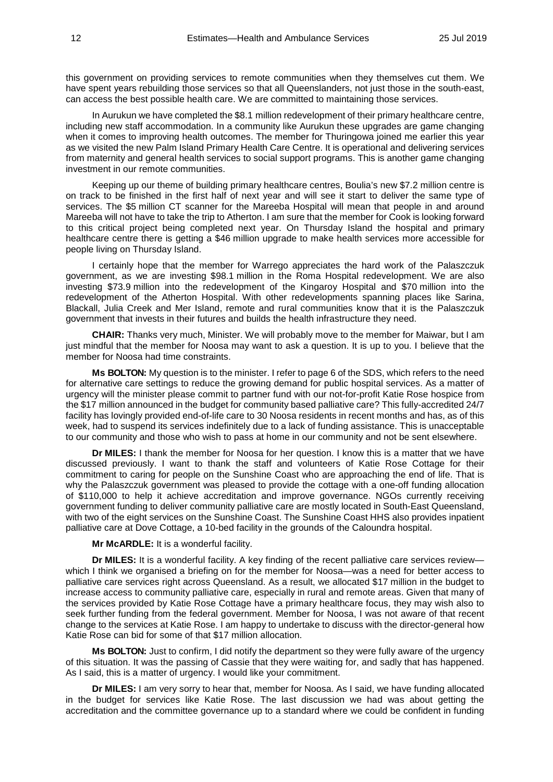this government on providing services to remote communities when they themselves cut them. We have spent years rebuilding those services so that all Queenslanders, not just those in the south-east, can access the best possible health care. We are committed to maintaining those services.

In Aurukun we have completed the \$8.1 million redevelopment of their primary healthcare centre, including new staff accommodation. In a community like Aurukun these upgrades are game changing when it comes to improving health outcomes. The member for Thuringowa joined me earlier this year as we visited the new Palm Island Primary Health Care Centre. It is operational and delivering services from maternity and general health services to social support programs. This is another game changing investment in our remote communities.

Keeping up our theme of building primary healthcare centres, Boulia's new \$7.2 million centre is on track to be finished in the first half of next year and will see it start to deliver the same type of services. The \$5 million CT scanner for the Mareeba Hospital will mean that people in and around Mareeba will not have to take the trip to Atherton. I am sure that the member for Cook is looking forward to this critical project being completed next year. On Thursday Island the hospital and primary healthcare centre there is getting a \$46 million upgrade to make health services more accessible for people living on Thursday Island.

I certainly hope that the member for Warrego appreciates the hard work of the Palaszczuk government, as we are investing \$98.1 million in the Roma Hospital redevelopment. We are also investing \$73.9 million into the redevelopment of the Kingaroy Hospital and \$70 million into the redevelopment of the Atherton Hospital. With other redevelopments spanning places like Sarina, Blackall, Julia Creek and Mer Island, remote and rural communities know that it is the Palaszczuk government that invests in their futures and builds the health infrastructure they need.

**CHAIR:** Thanks very much, Minister. We will probably move to the member for Maiwar, but I am just mindful that the member for Noosa may want to ask a question. It is up to you. I believe that the member for Noosa had time constraints.

**Ms BOLTON:** My question is to the minister. I refer to page 6 of the SDS, which refers to the need for alternative care settings to reduce the growing demand for public hospital services. As a matter of urgency will the minister please commit to partner fund with our not-for-profit Katie Rose hospice from the \$17 million announced in the budget for community based palliative care? This fully-accredited 24/7 facility has lovingly provided end-of-life care to 30 Noosa residents in recent months and has, as of this week, had to suspend its services indefinitely due to a lack of funding assistance. This is unacceptable to our community and those who wish to pass at home in our community and not be sent elsewhere.

**Dr MILES:** I thank the member for Noosa for her question. I know this is a matter that we have discussed previously. I want to thank the staff and volunteers of Katie Rose Cottage for their commitment to caring for people on the Sunshine Coast who are approaching the end of life. That is why the Palaszczuk government was pleased to provide the cottage with a one-off funding allocation of \$110,000 to help it achieve accreditation and improve governance. NGOs currently receiving government funding to deliver community palliative care are mostly located in South-East Queensland, with two of the eight services on the Sunshine Coast. The Sunshine Coast HHS also provides inpatient palliative care at Dove Cottage, a 10-bed facility in the grounds of the Caloundra hospital.

**Mr McARDLE:** It is a wonderful facility.

**Dr MILES:** It is a wonderful facility. A key finding of the recent palliative care services review which I think we organised a briefing on for the member for Noosa—was a need for better access to palliative care services right across Queensland. As a result, we allocated \$17 million in the budget to increase access to community palliative care, especially in rural and remote areas. Given that many of the services provided by Katie Rose Cottage have a primary healthcare focus, they may wish also to seek further funding from the federal government. Member for Noosa, I was not aware of that recent change to the services at Katie Rose. I am happy to undertake to discuss with the director-general how Katie Rose can bid for some of that \$17 million allocation.

**Ms BOLTON:** Just to confirm, I did notify the department so they were fully aware of the urgency of this situation. It was the passing of Cassie that they were waiting for, and sadly that has happened. As I said, this is a matter of urgency. I would like your commitment.

**Dr MILES:** I am very sorry to hear that, member for Noosa. As I said, we have funding allocated in the budget for services like Katie Rose. The last discussion we had was about getting the accreditation and the committee governance up to a standard where we could be confident in funding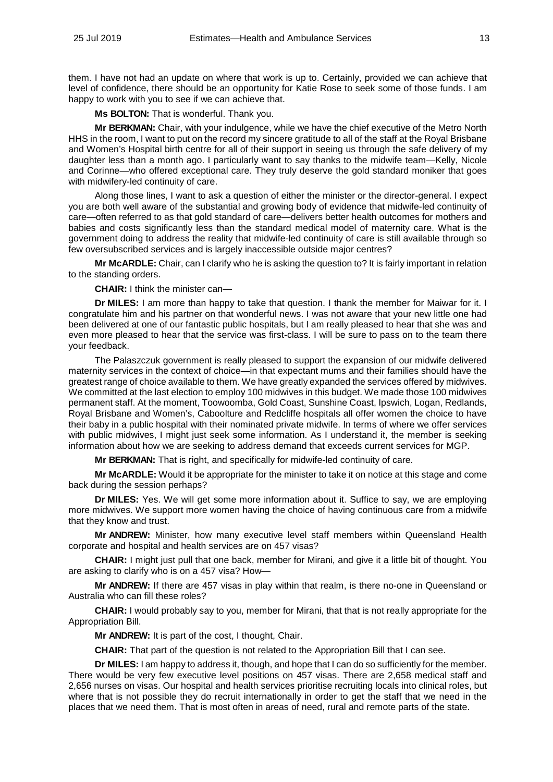them. I have not had an update on where that work is up to. Certainly, provided we can achieve that level of confidence, there should be an opportunity for Katie Rose to seek some of those funds. I am happy to work with you to see if we can achieve that.

**Ms BOLTON:** That is wonderful. Thank you.

**Mr BERKMAN:** Chair, with your indulgence, while we have the chief executive of the Metro North HHS in the room, I want to put on the record my sincere gratitude to all of the staff at the Royal Brisbane and Women's Hospital birth centre for all of their support in seeing us through the safe delivery of my daughter less than a month ago. I particularly want to say thanks to the midwife team—Kelly, Nicole and Corinne—who offered exceptional care. They truly deserve the gold standard moniker that goes with midwifery-led continuity of care.

Along those lines, I want to ask a question of either the minister or the director-general. I expect you are both well aware of the substantial and growing body of evidence that midwife-led continuity of care—often referred to as that gold standard of care—delivers better health outcomes for mothers and babies and costs significantly less than the standard medical model of maternity care. What is the government doing to address the reality that midwife-led continuity of care is still available through so few oversubscribed services and is largely inaccessible outside major centres?

**Mr McARDLE:** Chair, can I clarify who he is asking the question to? It is fairly important in relation to the standing orders.

**CHAIR:** I think the minister can—

**Dr MILES:** I am more than happy to take that question. I thank the member for Maiwar for it. I congratulate him and his partner on that wonderful news. I was not aware that your new little one had been delivered at one of our fantastic public hospitals, but I am really pleased to hear that she was and even more pleased to hear that the service was first-class. I will be sure to pass on to the team there your feedback.

The Palaszczuk government is really pleased to support the expansion of our midwife delivered maternity services in the context of choice—in that expectant mums and their families should have the greatest range of choice available to them. We have greatly expanded the services offered by midwives. We committed at the last election to employ 100 midwives in this budget. We made those 100 midwives permanent staff. At the moment, Toowoomba, Gold Coast, Sunshine Coast, Ipswich, Logan, Redlands, Royal Brisbane and Women's, Caboolture and Redcliffe hospitals all offer women the choice to have their baby in a public hospital with their nominated private midwife. In terms of where we offer services with public midwives. I might just seek some information. As I understand it, the member is seeking information about how we are seeking to address demand that exceeds current services for MGP.

**Mr BERKMAN:** That is right, and specifically for midwife-led continuity of care.

**Mr McARDLE:** Would it be appropriate for the minister to take it on notice at this stage and come back during the session perhaps?

**Dr MILES:** Yes. We will get some more information about it. Suffice to say, we are employing more midwives. We support more women having the choice of having continuous care from a midwife that they know and trust.

**Mr ANDREW:** Minister, how many executive level staff members within Queensland Health corporate and hospital and health services are on 457 visas?

**CHAIR:** I might just pull that one back, member for Mirani, and give it a little bit of thought. You are asking to clarify who is on a 457 visa? How—

**Mr ANDREW:** If there are 457 visas in play within that realm, is there no-one in Queensland or Australia who can fill these roles?

**CHAIR:** I would probably say to you, member for Mirani, that that is not really appropriate for the Appropriation Bill.

**Mr ANDREW:** It is part of the cost, I thought, Chair.

**CHAIR:** That part of the question is not related to the Appropriation Bill that I can see.

**Dr MILES:** I am happy to address it, though, and hope that I can do so sufficiently for the member. There would be very few executive level positions on 457 visas. There are 2,658 medical staff and 2,656 nurses on visas. Our hospital and health services prioritise recruiting locals into clinical roles, but where that is not possible they do recruit internationally in order to get the staff that we need in the places that we need them. That is most often in areas of need, rural and remote parts of the state.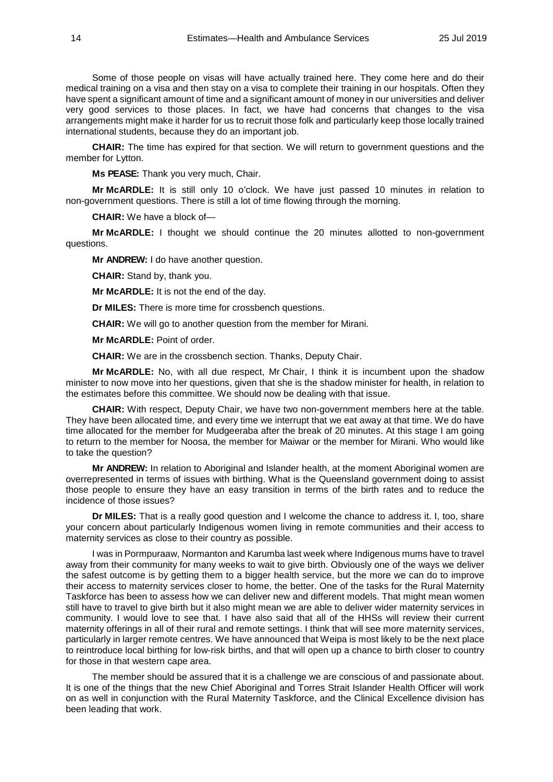Some of those people on visas will have actually trained here. They come here and do their medical training on a visa and then stay on a visa to complete their training in our hospitals. Often they have spent a significant amount of time and a significant amount of money in our universities and deliver very good services to those places. In fact, we have had concerns that changes to the visa arrangements might make it harder for us to recruit those folk and particularly keep those locally trained international students, because they do an important job.

**CHAIR:** The time has expired for that section. We will return to government questions and the member for Lytton.

**Ms PEASE:** Thank you very much, Chair.

**Mr McARDLE:** It is still only 10 o'clock. We have just passed 10 minutes in relation to non-government questions. There is still a lot of time flowing through the morning.

**CHAIR:** We have a block of—

**Mr McARDLE:** I thought we should continue the 20 minutes allotted to non-government questions.

**Mr ANDREW:** I do have another question.

**CHAIR:** Stand by, thank you.

**Mr McARDLE:** It is not the end of the day.

**Dr MILES:** There is more time for crossbench questions.

**CHAIR:** We will go to another question from the member for Mirani.

**Mr McARDLE:** Point of order.

**CHAIR:** We are in the crossbench section. Thanks, Deputy Chair.

**Mr McARDLE:** No, with all due respect, Mr Chair, I think it is incumbent upon the shadow minister to now move into her questions, given that she is the shadow minister for health, in relation to the estimates before this committee. We should now be dealing with that issue.

**CHAIR:** With respect, Deputy Chair, we have two non-government members here at the table. They have been allocated time, and every time we interrupt that we eat away at that time. We do have time allocated for the member for Mudgeeraba after the break of 20 minutes. At this stage I am going to return to the member for Noosa, the member for Maiwar or the member for Mirani. Who would like to take the question?

**Mr ANDREW:** In relation to Aboriginal and Islander health, at the moment Aboriginal women are overrepresented in terms of issues with birthing. What is the Queensland government doing to assist those people to ensure they have an easy transition in terms of the birth rates and to reduce the incidence of those issues?

**Dr MILES:** That is a really good question and I welcome the chance to address it. I, too, share your concern about particularly Indigenous women living in remote communities and their access to maternity services as close to their country as possible.

I was in Pormpuraaw, Normanton and Karumba last week where Indigenous mums have to travel away from their community for many weeks to wait to give birth. Obviously one of the ways we deliver the safest outcome is by getting them to a bigger health service, but the more we can do to improve their access to maternity services closer to home, the better. One of the tasks for the Rural Maternity Taskforce has been to assess how we can deliver new and different models. That might mean women still have to travel to give birth but it also might mean we are able to deliver wider maternity services in community. I would love to see that. I have also said that all of the HHSs will review their current maternity offerings in all of their rural and remote settings. I think that will see more maternity services, particularly in larger remote centres. We have announced that Weipa is most likely to be the next place to reintroduce local birthing for low-risk births, and that will open up a chance to birth closer to country for those in that western cape area.

The member should be assured that it is a challenge we are conscious of and passionate about. It is one of the things that the new Chief Aboriginal and Torres Strait Islander Health Officer will work on as well in conjunction with the Rural Maternity Taskforce, and the Clinical Excellence division has been leading that work.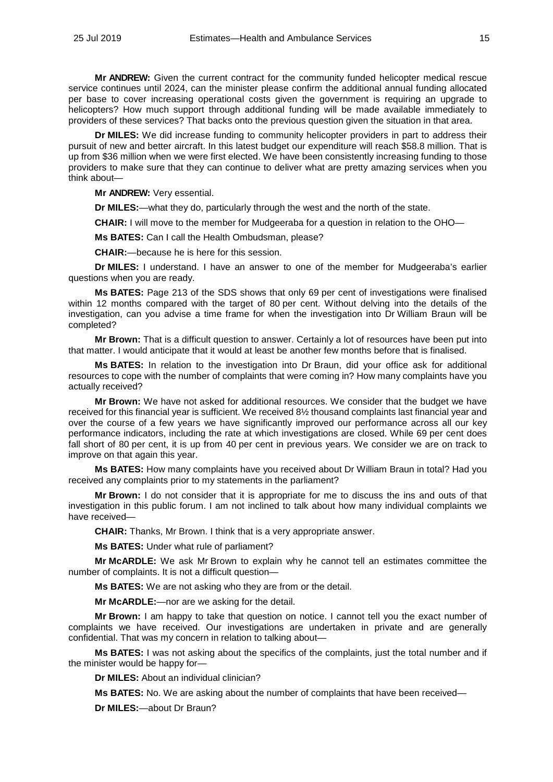**Mr ANDREW:** Given the current contract for the community funded helicopter medical rescue service continues until 2024, can the minister please confirm the additional annual funding allocated per base to cover increasing operational costs given the government is requiring an upgrade to helicopters? How much support through additional funding will be made available immediately to providers of these services? That backs onto the previous question given the situation in that area.

**Dr MILES:** We did increase funding to community helicopter providers in part to address their pursuit of new and better aircraft. In this latest budget our expenditure will reach \$58.8 million. That is up from \$36 million when we were first elected. We have been consistently increasing funding to those providers to make sure that they can continue to deliver what are pretty amazing services when you think about—

**Mr ANDREW:** Very essential.

**Dr MILES:**—what they do, particularly through the west and the north of the state.

**CHAIR:** I will move to the member for Mudgeeraba for a question in relation to the OHO—

**Ms BATES:** Can I call the Health Ombudsman, please?

**CHAIR:**—because he is here for this session.

**Dr MILES:** I understand. I have an answer to one of the member for Mudgeeraba's earlier questions when you are ready.

**Ms BATES:** Page 213 of the SDS shows that only 69 per cent of investigations were finalised within 12 months compared with the target of 80 per cent. Without delving into the details of the investigation, can you advise a time frame for when the investigation into Dr William Braun will be completed?

**Mr Brown:** That is a difficult question to answer. Certainly a lot of resources have been put into that matter. I would anticipate that it would at least be another few months before that is finalised.

**Ms BATES:** In relation to the investigation into Dr Braun, did your office ask for additional resources to cope with the number of complaints that were coming in? How many complaints have you actually received?

**Mr Brown:** We have not asked for additional resources. We consider that the budget we have received for this financial year is sufficient. We received 8½ thousand complaints last financial year and over the course of a few years we have significantly improved our performance across all our key performance indicators, including the rate at which investigations are closed. While 69 per cent does fall short of 80 per cent, it is up from 40 per cent in previous years. We consider we are on track to improve on that again this year.

**Ms BATES:** How many complaints have you received about Dr William Braun in total? Had you received any complaints prior to my statements in the parliament?

**Mr Brown:** I do not consider that it is appropriate for me to discuss the ins and outs of that investigation in this public forum. I am not inclined to talk about how many individual complaints we have received—

**CHAIR:** Thanks, Mr Brown. I think that is a very appropriate answer.

**Ms BATES:** Under what rule of parliament?

**Mr McARDLE:** We ask Mr Brown to explain why he cannot tell an estimates committee the number of complaints. It is not a difficult question—

**Ms BATES:** We are not asking who they are from or the detail.

**Mr McARDLE:**—nor are we asking for the detail.

**Mr Brown:** I am happy to take that question on notice. I cannot tell you the exact number of complaints we have received. Our investigations are undertaken in private and are generally confidential. That was my concern in relation to talking about—

**Ms BATES:** I was not asking about the specifics of the complaints, just the total number and if the minister would be happy for—

**Dr MILES:** About an individual clinician?

**Ms BATES:** No. We are asking about the number of complaints that have been received—

**Dr MILES:**—about Dr Braun?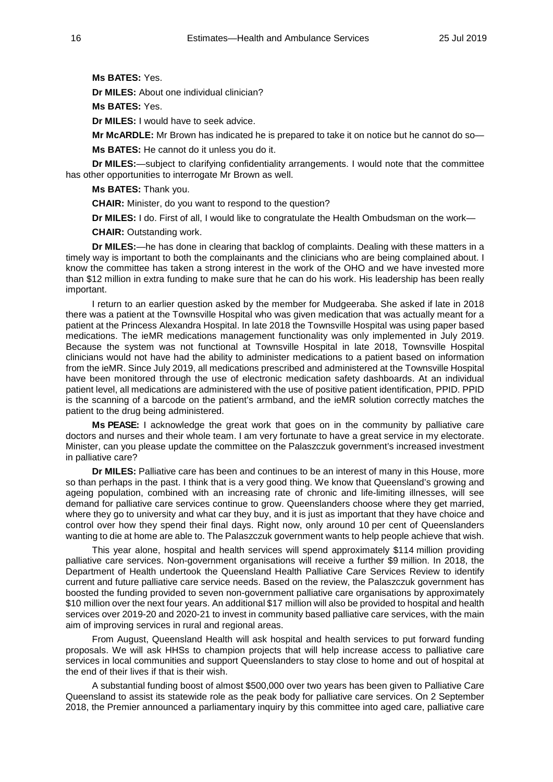**Ms BATES:** Yes.

**Dr MILES:** About one individual clinician?

**Ms BATES:** Yes.

**Dr MILES:** I would have to seek advice.

**Mr McARDLE:** Mr Brown has indicated he is prepared to take it on notice but he cannot do so—

**Ms BATES:** He cannot do it unless you do it.

**Dr MILES:**—subject to clarifying confidentiality arrangements. I would note that the committee has other opportunities to interrogate Mr Brown as well.

**Ms BATES:** Thank you.

**CHAIR:** Minister, do you want to respond to the question?

**Dr MILES:** I do. First of all, I would like to congratulate the Health Ombudsman on the work—

**CHAIR:** Outstanding work.

**Dr MILES:**—he has done in clearing that backlog of complaints. Dealing with these matters in a timely way is important to both the complainants and the clinicians who are being complained about. I know the committee has taken a strong interest in the work of the OHO and we have invested more than \$12 million in extra funding to make sure that he can do his work. His leadership has been really important.

I return to an earlier question asked by the member for Mudgeeraba. She asked if late in 2018 there was a patient at the Townsville Hospital who was given medication that was actually meant for a patient at the Princess Alexandra Hospital. In late 2018 the Townsville Hospital was using paper based medications. The ieMR medications management functionality was only implemented in July 2019. Because the system was not functional at Townsville Hospital in late 2018, Townsville Hospital clinicians would not have had the ability to administer medications to a patient based on information from the ieMR. Since July 2019, all medications prescribed and administered at the Townsville Hospital have been monitored through the use of electronic medication safety dashboards. At an individual patient level, all medications are administered with the use of positive patient identification, PPID. PPID is the scanning of a barcode on the patient's armband, and the ieMR solution correctly matches the patient to the drug being administered.

**Ms PEASE:** I acknowledge the great work that goes on in the community by palliative care doctors and nurses and their whole team. I am very fortunate to have a great service in my electorate. Minister, can you please update the committee on the Palaszczuk government's increased investment in palliative care?

**Dr MILES:** Palliative care has been and continues to be an interest of many in this House, more so than perhaps in the past. I think that is a very good thing. We know that Queensland's growing and ageing population, combined with an increasing rate of chronic and life-limiting illnesses, will see demand for palliative care services continue to grow. Queenslanders choose where they get married, where they go to university and what car they buy, and it is just as important that they have choice and control over how they spend their final days. Right now, only around 10 per cent of Queenslanders wanting to die at home are able to. The Palaszczuk government wants to help people achieve that wish.

This year alone, hospital and health services will spend approximately \$114 million providing palliative care services. Non-government organisations will receive a further \$9 million. In 2018, the Department of Health undertook the Queensland Health Palliative Care Services Review to identify current and future palliative care service needs. Based on the review, the Palaszczuk government has boosted the funding provided to seven non-government palliative care organisations by approximately \$10 million over the next four years. An additional \$17 million will also be provided to hospital and health services over 2019-20 and 2020-21 to invest in community based palliative care services, with the main aim of improving services in rural and regional areas.

From August, Queensland Health will ask hospital and health services to put forward funding proposals. We will ask HHSs to champion projects that will help increase access to palliative care services in local communities and support Queenslanders to stay close to home and out of hospital at the end of their lives if that is their wish.

A substantial funding boost of almost \$500,000 over two years has been given to Palliative Care Queensland to assist its statewide role as the peak body for palliative care services. On 2 September 2018, the Premier announced a parliamentary inquiry by this committee into aged care, palliative care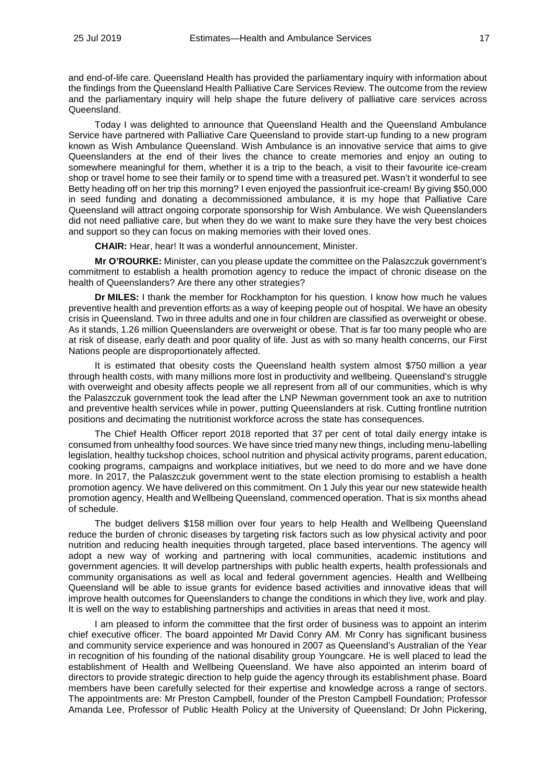and end-of-life care. Queensland Health has provided the parliamentary inquiry with information about the findings from the Queensland Health Palliative Care Services Review. The outcome from the review and the parliamentary inquiry will help shape the future delivery of palliative care services across Queensland.

Today I was delighted to announce that Queensland Health and the Queensland Ambulance Service have partnered with Palliative Care Queensland to provide start-up funding to a new program known as Wish Ambulance Queensland. Wish Ambulance is an innovative service that aims to give Queenslanders at the end of their lives the chance to create memories and enjoy an outing to somewhere meaningful for them, whether it is a trip to the beach, a visit to their favourite ice-cream shop or travel home to see their family or to spend time with a treasured pet. Wasn't it wonderful to see Betty heading off on her trip this morning? I even enjoyed the passionfruit ice-cream! By giving \$50,000 in seed funding and donating a decommissioned ambulance, it is my hope that Palliative Care Queensland will attract ongoing corporate sponsorship for Wish Ambulance. We wish Queenslanders did not need palliative care, but when they do we want to make sure they have the very best choices and support so they can focus on making memories with their loved ones.

**CHAIR:** Hear, hear! It was a wonderful announcement, Minister.

**Mr O'ROURKE:** Minister, can you please update the committee on the Palaszczuk government's commitment to establish a health promotion agency to reduce the impact of chronic disease on the health of Queenslanders? Are there any other strategies?

**Dr MILES:** I thank the member for Rockhampton for his question. I know how much he values preventive health and prevention efforts as a way of keeping people out of hospital. We have an obesity crisis in Queensland. Two in three adults and one in four children are classified as overweight or obese. As it stands, 1.26 million Queenslanders are overweight or obese. That is far too many people who are at risk of disease, early death and poor quality of life. Just as with so many health concerns, our First Nations people are disproportionately affected.

It is estimated that obesity costs the Queensland health system almost \$750 million a year through health costs, with many millions more lost in productivity and wellbeing. Queensland's struggle with overweight and obesity affects people we all represent from all of our communities, which is why the Palaszczuk government took the lead after the LNP Newman government took an axe to nutrition and preventive health services while in power, putting Queenslanders at risk. Cutting frontline nutrition positions and decimating the nutritionist workforce across the state has consequences.

The Chief Health Officer report 2018 reported that 37 per cent of total daily energy intake is consumed from unhealthy food sources. We have since tried many new things, including menu-labelling legislation, healthy tuckshop choices, school nutrition and physical activity programs, parent education, cooking programs, campaigns and workplace initiatives, but we need to do more and we have done more. In 2017, the Palaszczuk government went to the state election promising to establish a health promotion agency. We have delivered on this commitment. On 1 July this year our new statewide health promotion agency, Health and Wellbeing Queensland, commenced operation. That is six months ahead of schedule.

The budget delivers \$158 million over four years to help Health and Wellbeing Queensland reduce the burden of chronic diseases by targeting risk factors such as low physical activity and poor nutrition and reducing health inequities through targeted, place based interventions. The agency will adopt a new way of working and partnering with local communities, academic institutions and government agencies. It will develop partnerships with public health experts, health professionals and community organisations as well as local and federal government agencies. Health and Wellbeing Queensland will be able to issue grants for evidence based activities and innovative ideas that will improve health outcomes for Queenslanders to change the conditions in which they live, work and play. It is well on the way to establishing partnerships and activities in areas that need it most.

I am pleased to inform the committee that the first order of business was to appoint an interim chief executive officer. The board appointed Mr David Conry AM. Mr Conry has significant business and community service experience and was honoured in 2007 as Queensland's Australian of the Year in recognition of his founding of the national disability group Youngcare. He is well placed to lead the establishment of Health and Wellbeing Queensland. We have also appointed an interim board of directors to provide strategic direction to help guide the agency through its establishment phase. Board members have been carefully selected for their expertise and knowledge across a range of sectors. The appointments are: Mr Preston Campbell, founder of the Preston Campbell Foundation; Professor Amanda Lee, Professor of Public Health Policy at the University of Queensland; Dr John Pickering,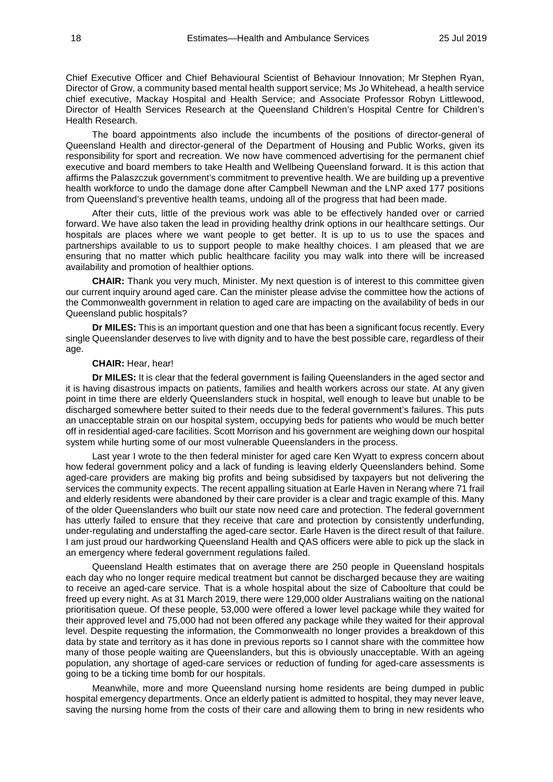Chief Executive Officer and Chief Behavioural Scientist of Behaviour Innovation; Mr Stephen Ryan, Director of Grow, a community based mental health support service; Ms Jo Whitehead, a health service chief executive, Mackay Hospital and Health Service; and Associate Professor Robyn Littlewood, Director of Health Services Research at the Queensland Children's Hospital Centre for Children's Health Research.

The board appointments also include the incumbents of the positions of director-general of Queensland Health and director-general of the Department of Housing and Public Works, given its responsibility for sport and recreation. We now have commenced advertising for the permanent chief executive and board members to take Health and Wellbeing Queensland forward. It is this action that affirms the Palaszczuk government's commitment to preventive health. We are building up a preventive health workforce to undo the damage done after Campbell Newman and the LNP axed 177 positions from Queensland's preventive health teams, undoing all of the progress that had been made.

After their cuts, little of the previous work was able to be effectively handed over or carried forward. We have also taken the lead in providing healthy drink options in our healthcare settings. Our hospitals are places where we want people to get better. It is up to us to use the spaces and partnerships available to us to support people to make healthy choices. I am pleased that we are ensuring that no matter which public healthcare facility you may walk into there will be increased availability and promotion of healthier options.

**CHAIR:** Thank you very much, Minister. My next question is of interest to this committee given our current inquiry around aged care. Can the minister please advise the committee how the actions of the Commonwealth government in relation to aged care are impacting on the availability of beds in our Queensland public hospitals?

**Dr MILES:** This is an important question and one that has been a significant focus recently. Every single Queenslander deserves to live with dignity and to have the best possible care, regardless of their age.

### **CHAIR:** Hear, hear!

**Dr MILES:** It is clear that the federal government is failing Queenslanders in the aged sector and it is having disastrous impacts on patients, families and health workers across our state. At any given point in time there are elderly Queenslanders stuck in hospital, well enough to leave but unable to be discharged somewhere better suited to their needs due to the federal government's failures. This puts an unacceptable strain on our hospital system, occupying beds for patients who would be much better off in residential aged-care facilities. Scott Morrison and his government are weighing down our hospital system while hurting some of our most vulnerable Queenslanders in the process.

Last year I wrote to the then federal minister for aged care Ken Wyatt to express concern about how federal government policy and a lack of funding is leaving elderly Queenslanders behind. Some aged-care providers are making big profits and being subsidised by taxpayers but not delivering the services the community expects. The recent appalling situation at Earle Haven in Nerang where 71 frail and elderly residents were abandoned by their care provider is a clear and tragic example of this. Many of the older Queenslanders who built our state now need care and protection. The federal government has utterly failed to ensure that they receive that care and protection by consistently underfunding, under-regulating and understaffing the aged-care sector. Earle Haven is the direct result of that failure. I am just proud our hardworking Queensland Health and QAS officers were able to pick up the slack in an emergency where federal government regulations failed.

Queensland Health estimates that on average there are 250 people in Queensland hospitals each day who no longer require medical treatment but cannot be discharged because they are waiting to receive an aged-care service. That is a whole hospital about the size of Caboolture that could be freed up every night. As at 31 March 2019, there were 129,000 older Australians waiting on the national prioritisation queue. Of these people, 53,000 were offered a lower level package while they waited for their approved level and 75,000 had not been offered any package while they waited for their approval level. Despite requesting the information, the Commonwealth no longer provides a breakdown of this data by state and territory as it has done in previous reports so I cannot share with the committee how many of those people waiting are Queenslanders, but this is obviously unacceptable. With an ageing population, any shortage of aged-care services or reduction of funding for aged-care assessments is going to be a ticking time bomb for our hospitals.

Meanwhile, more and more Queensland nursing home residents are being dumped in public hospital emergency departments. Once an elderly patient is admitted to hospital, they may never leave, saving the nursing home from the costs of their care and allowing them to bring in new residents who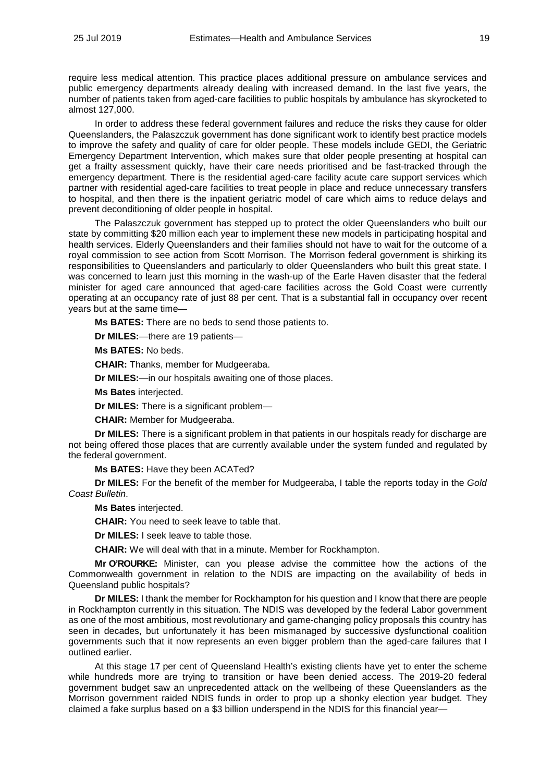require less medical attention. This practice places additional pressure on ambulance services and public emergency departments already dealing with increased demand. In the last five years, the number of patients taken from aged-care facilities to public hospitals by ambulance has skyrocketed to almost 127,000.

In order to address these federal government failures and reduce the risks they cause for older Queenslanders, the Palaszczuk government has done significant work to identify best practice models to improve the safety and quality of care for older people. These models include GEDI, the Geriatric Emergency Department Intervention, which makes sure that older people presenting at hospital can get a frailty assessment quickly, have their care needs prioritised and be fast-tracked through the emergency department. There is the residential aged-care facility acute care support services which partner with residential aged-care facilities to treat people in place and reduce unnecessary transfers to hospital, and then there is the inpatient geriatric model of care which aims to reduce delays and prevent deconditioning of older people in hospital.

The Palaszczuk government has stepped up to protect the older Queenslanders who built our state by committing \$20 million each year to implement these new models in participating hospital and health services. Elderly Queenslanders and their families should not have to wait for the outcome of a royal commission to see action from Scott Morrison. The Morrison federal government is shirking its responsibilities to Queenslanders and particularly to older Queenslanders who built this great state. I was concerned to learn just this morning in the wash-up of the Earle Haven disaster that the federal minister for aged care announced that aged-care facilities across the Gold Coast were currently operating at an occupancy rate of just 88 per cent. That is a substantial fall in occupancy over recent years but at the same time—

**Ms BATES:** There are no beds to send those patients to.

**Dr MILES:**—there are 19 patients—

**Ms BATES:** No beds.

**CHAIR:** Thanks, member for Mudgeeraba.

**Dr MILES:**—in our hospitals awaiting one of those places.

**Ms Bates** interjected.

**Dr MILES:** There is a significant problem—

**CHAIR:** Member for Mudgeeraba.

**Dr MILES:** There is a significant problem in that patients in our hospitals ready for discharge are not being offered those places that are currently available under the system funded and regulated by the federal government.

**Ms BATES:** Have they been ACATed?

**Dr MILES:** For the benefit of the member for Mudgeeraba, I table the reports today in the *Gold Coast Bulletin*.

**Ms Bates** interjected.

**CHAIR:** You need to seek leave to table that.

**Dr MILES:** I seek leave to table those.

**CHAIR:** We will deal with that in a minute. Member for Rockhampton.

**Mr O'ROURKE:** Minister, can you please advise the committee how the actions of the Commonwealth government in relation to the NDIS are impacting on the availability of beds in Queensland public hospitals?

**Dr MILES:** I thank the member for Rockhampton for his question and I know that there are people in Rockhampton currently in this situation. The NDIS was developed by the federal Labor government as one of the most ambitious, most revolutionary and game-changing policy proposals this country has seen in decades, but unfortunately it has been mismanaged by successive dysfunctional coalition governments such that it now represents an even bigger problem than the aged-care failures that I outlined earlier.

At this stage 17 per cent of Queensland Health's existing clients have yet to enter the scheme while hundreds more are trying to transition or have been denied access. The 2019-20 federal government budget saw an unprecedented attack on the wellbeing of these Queenslanders as the Morrison government raided NDIS funds in order to prop up a shonky election year budget. They claimed a fake surplus based on a \$3 billion underspend in the NDIS for this financial year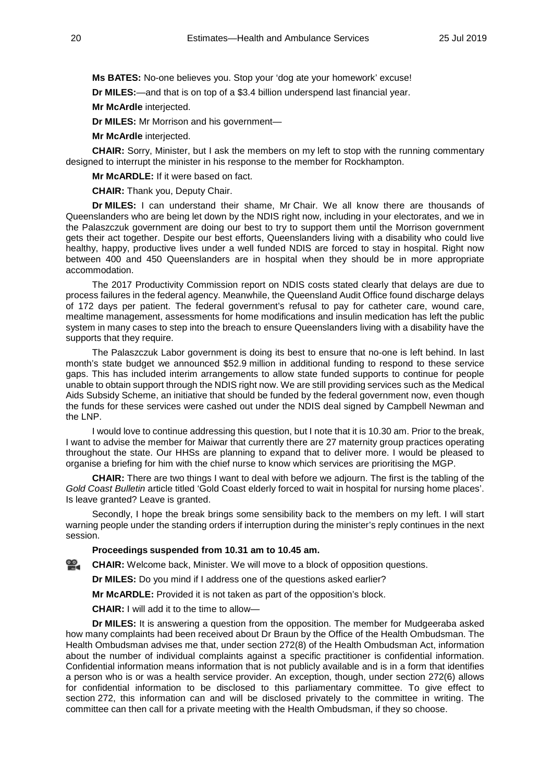**Ms BATES:** No-one believes you. Stop your 'dog ate your homework' excuse!

**Dr MILES:**—and that is on top of a \$3.4 billion underspend last financial year.

**Mr McArdle** interjected.

**Dr MILES:** Mr Morrison and his government—

**Mr McArdle** interjected.

**CHAIR:** Sorry, Minister, but I ask the members on my left to stop with the running commentary designed to interrupt the minister in his response to the member for Rockhampton.

**Mr McARDLE:** If it were based on fact.

**CHAIR:** Thank you, Deputy Chair.

**Dr MILES:** I can understand their shame, Mr Chair. We all know there are thousands of Queenslanders who are being let down by the NDIS right now, including in your electorates, and we in the Palaszczuk government are doing our best to try to support them until the Morrison government gets their act together. Despite our best efforts, Queenslanders living with a disability who could live healthy, happy, productive lives under a well funded NDIS are forced to stay in hospital. Right now between 400 and 450 Queenslanders are in hospital when they should be in more appropriate accommodation.

The 2017 Productivity Commission report on NDIS costs stated clearly that delays are due to process failures in the federal agency. Meanwhile, the Queensland Audit Office found discharge delays of 172 days per patient. The federal government's refusal to pay for catheter care, wound care, mealtime management, assessments for home modifications and insulin medication has left the public system in many cases to step into the breach to ensure Queenslanders living with a disability have the supports that they require.

The Palaszczuk Labor government is doing its best to ensure that no-one is left behind. In last month's state budget we announced \$52.9 million in additional funding to respond to these service gaps. This has included interim arrangements to allow state funded supports to continue for people unable to obtain support through the NDIS right now. We are still providing services such as the Medical Aids Subsidy Scheme, an initiative that should be funded by the federal government now, even though the funds for these services were cashed out under the NDIS deal signed by Campbell Newman and the LNP.

I would love to continue addressing this question, but I note that it is 10.30 am. Prior to the break, I want to advise the member for Maiwar that currently there are 27 maternity group practices operating throughout the state. Our HHSs are planning to expand that to deliver more. I would be pleased to organise a briefing for him with the chief nurse to know which services are prioritising the MGP.

**CHAIR:** There are two things I want to deal with before we adjourn. The first is the tabling of the *Gold Coast Bulletin* article titled 'Gold Coast elderly forced to wait in hospital for nursing home places'. Is leave granted? Leave is granted.

Secondly, I hope the break brings some sensibility back to the members on my left. I will start warning people under the standing orders if interruption during the minister's reply continues in the next session.

**Proceedings suspended from 10.31 am to 10.45 am.** 

**[CHAIR:](http://www.parliament.qld.gov.au/docs/find.aspx?id=0Mba20190725_104537)** Welcome back, Minister. We will move to a block of opposition questions.

**Dr MILES:** Do you mind if I address one of the questions asked earlier?

**Mr McARDLE:** Provided it is not taken as part of the opposition's block.

**CHAIR:** I will add it to the time to allow—

**Dr MILES:** It is answering a question from the opposition. The member for Mudgeeraba asked how many complaints had been received about Dr Braun by the Office of the Health Ombudsman. The Health Ombudsman advises me that, under section 272(8) of the Health Ombudsman Act, information about the number of individual complaints against a specific practitioner is confidential information. Confidential information means information that is not publicly available and is in a form that identifies a person who is or was a health service provider. An exception, though, under section 272(6) allows for confidential information to be disclosed to this parliamentary committee. To give effect to section 272, this information can and will be disclosed privately to the committee in writing. The committee can then call for a private meeting with the Health Ombudsman, if they so choose.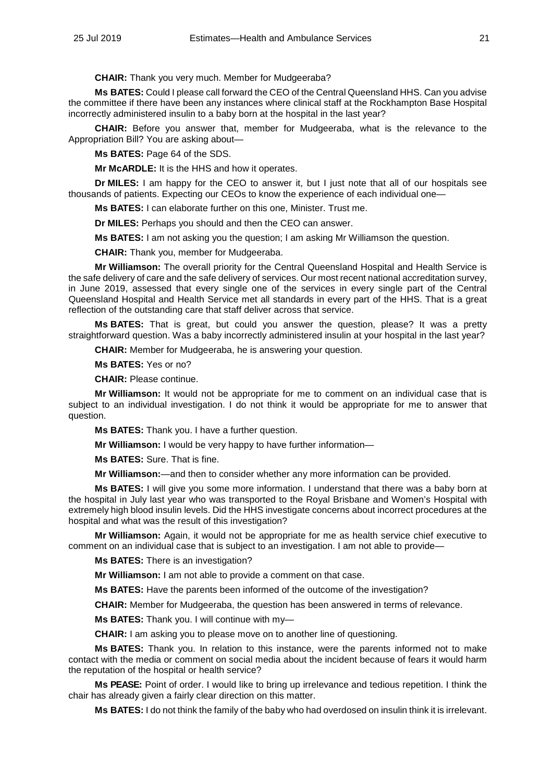**CHAIR:** Thank you very much. Member for Mudgeeraba?

**Ms BATES:** Could I please call forward the CEO of the Central Queensland HHS. Can you advise the committee if there have been any instances where clinical staff at the Rockhampton Base Hospital incorrectly administered insulin to a baby born at the hospital in the last year?

**CHAIR:** Before you answer that, member for Mudgeeraba, what is the relevance to the Appropriation Bill? You are asking about—

**Ms BATES:** Page 64 of the SDS.

**Mr McARDLE:** It is the HHS and how it operates.

**Dr MILES:** I am happy for the CEO to answer it, but I just note that all of our hospitals see thousands of patients. Expecting our CEOs to know the experience of each individual one—

**Ms BATES:** I can elaborate further on this one, Minister. Trust me.

**Dr MILES:** Perhaps you should and then the CEO can answer.

**Ms BATES:** I am not asking you the question; I am asking Mr Williamson the question.

**CHAIR:** Thank you, member for Mudgeeraba.

**Mr Williamson:** The overall priority for the Central Queensland Hospital and Health Service is the safe delivery of care and the safe delivery of services. Our most recent national accreditation survey, in June 2019, assessed that every single one of the services in every single part of the Central Queensland Hospital and Health Service met all standards in every part of the HHS. That is a great reflection of the outstanding care that staff deliver across that service.

**Ms BATES:** That is great, but could you answer the question, please? It was a pretty straightforward question. Was a baby incorrectly administered insulin at your hospital in the last year?

**CHAIR:** Member for Mudgeeraba, he is answering your question.

**Ms BATES:** Yes or no?

**CHAIR:** Please continue.

**Mr Williamson:** It would not be appropriate for me to comment on an individual case that is subject to an individual investigation. I do not think it would be appropriate for me to answer that question.

**Ms BATES:** Thank you. I have a further question.

**Mr Williamson:** I would be very happy to have further information—

**Ms BATES:** Sure. That is fine.

**Mr Williamson:**—and then to consider whether any more information can be provided.

**Ms BATES:** I will give you some more information. I understand that there was a baby born at the hospital in July last year who was transported to the Royal Brisbane and Women's Hospital with extremely high blood insulin levels. Did the HHS investigate concerns about incorrect procedures at the hospital and what was the result of this investigation?

**Mr Williamson:** Again, it would not be appropriate for me as health service chief executive to comment on an individual case that is subject to an investigation. I am not able to provide—

**Ms BATES:** There is an investigation?

**Mr Williamson:** I am not able to provide a comment on that case.

**Ms BATES:** Have the parents been informed of the outcome of the investigation?

**CHAIR:** Member for Mudgeeraba, the question has been answered in terms of relevance.

**Ms BATES:** Thank you. I will continue with my—

**CHAIR:** I am asking you to please move on to another line of questioning.

**Ms BATES:** Thank you. In relation to this instance, were the parents informed not to make contact with the media or comment on social media about the incident because of fears it would harm the reputation of the hospital or health service?

**Ms PEASE:** Point of order. I would like to bring up irrelevance and tedious repetition. I think the chair has already given a fairly clear direction on this matter.

**Ms BATES:** I do not think the family of the baby who had overdosed on insulin think it is irrelevant.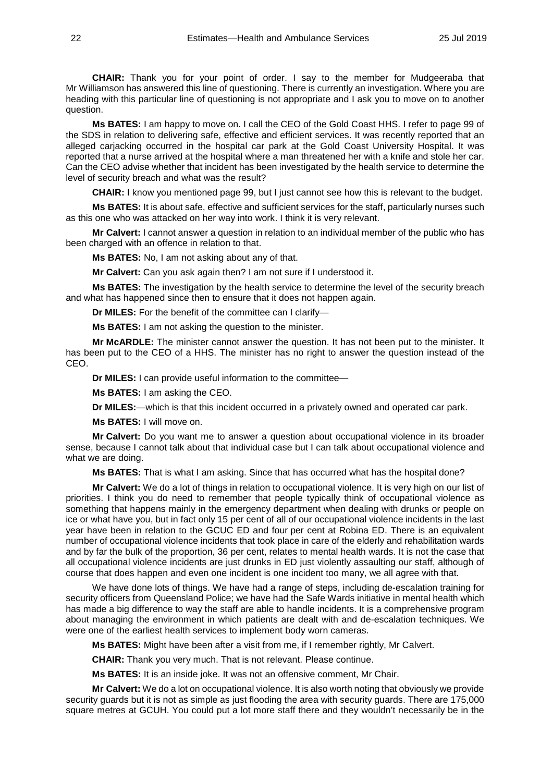**CHAIR:** Thank you for your point of order. I say to the member for Mudgeeraba that Mr Williamson has answered this line of questioning. There is currently an investigation. Where you are heading with this particular line of questioning is not appropriate and I ask you to move on to another question.

**Ms BATES:** I am happy to move on. I call the CEO of the Gold Coast HHS. I refer to page 99 of the SDS in relation to delivering safe, effective and efficient services. It was recently reported that an alleged carjacking occurred in the hospital car park at the Gold Coast University Hospital. It was reported that a nurse arrived at the hospital where a man threatened her with a knife and stole her car. Can the CEO advise whether that incident has been investigated by the health service to determine the level of security breach and what was the result?

**CHAIR:** I know you mentioned page 99, but I just cannot see how this is relevant to the budget.

**Ms BATES:** It is about safe, effective and sufficient services for the staff, particularly nurses such as this one who was attacked on her way into work. I think it is very relevant.

**Mr Calvert:** I cannot answer a question in relation to an individual member of the public who has been charged with an offence in relation to that.

**Ms BATES:** No, I am not asking about any of that.

**Mr Calvert:** Can you ask again then? I am not sure if I understood it.

**Ms BATES:** The investigation by the health service to determine the level of the security breach and what has happened since then to ensure that it does not happen again.

**Dr MILES:** For the benefit of the committee can I clarify—

**Ms BATES:** I am not asking the question to the minister.

**Mr McARDLE:** The minister cannot answer the question. It has not been put to the minister. It has been put to the CEO of a HHS. The minister has no right to answer the question instead of the CEO.

**Dr MILES:** I can provide useful information to the committee—

**Ms BATES:** I am asking the CEO.

**Dr MILES:**—which is that this incident occurred in a privately owned and operated car park.

**Ms BATES:** I will move on.

**Mr Calvert:** Do you want me to answer a question about occupational violence in its broader sense, because I cannot talk about that individual case but I can talk about occupational violence and what we are doing.

**Ms BATES:** That is what I am asking. Since that has occurred what has the hospital done?

**Mr Calvert:** We do a lot of things in relation to occupational violence. It is very high on our list of priorities. I think you do need to remember that people typically think of occupational violence as something that happens mainly in the emergency department when dealing with drunks or people on ice or what have you, but in fact only 15 per cent of all of our occupational violence incidents in the last year have been in relation to the GCUC ED and four per cent at Robina ED. There is an equivalent number of occupational violence incidents that took place in care of the elderly and rehabilitation wards and by far the bulk of the proportion, 36 per cent, relates to mental health wards. It is not the case that all occupational violence incidents are just drunks in ED just violently assaulting our staff, although of course that does happen and even one incident is one incident too many, we all agree with that.

We have done lots of things. We have had a range of steps, including de-escalation training for security officers from Queensland Police; we have had the Safe Wards initiative in mental health which has made a big difference to way the staff are able to handle incidents. It is a comprehensive program about managing the environment in which patients are dealt with and de-escalation techniques. We were one of the earliest health services to implement body worn cameras.

**Ms BATES:** Might have been after a visit from me, if I remember rightly, Mr Calvert.

**CHAIR:** Thank you very much. That is not relevant. Please continue.

**Ms BATES:** It is an inside joke. It was not an offensive comment, Mr Chair.

**Mr Calvert:** We do a lot on occupational violence. It is also worth noting that obviously we provide security guards but it is not as simple as just flooding the area with security guards. There are 175,000 square metres at GCUH. You could put a lot more staff there and they wouldn't necessarily be in the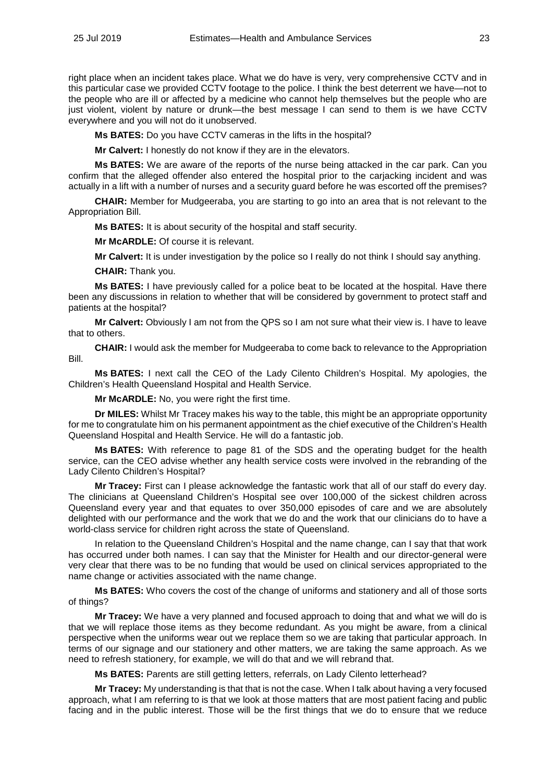right place when an incident takes place. What we do have is very, very comprehensive CCTV and in this particular case we provided CCTV footage to the police. I think the best deterrent we have—not to the people who are ill or affected by a medicine who cannot help themselves but the people who are just violent, violent by nature or drunk—the best message I can send to them is we have CCTV everywhere and you will not do it unobserved.

**Ms BATES:** Do you have CCTV cameras in the lifts in the hospital?

**Mr Calvert:** I honestly do not know if they are in the elevators.

**Ms BATES:** We are aware of the reports of the nurse being attacked in the car park. Can you confirm that the alleged offender also entered the hospital prior to the carjacking incident and was actually in a lift with a number of nurses and a security guard before he was escorted off the premises?

**CHAIR:** Member for Mudgeeraba, you are starting to go into an area that is not relevant to the Appropriation Bill.

**Ms BATES:** It is about security of the hospital and staff security.

**Mr McARDLE:** Of course it is relevant.

**Mr Calvert:** It is under investigation by the police so I really do not think I should say anything.

**CHAIR:** Thank you.

**Ms BATES:** I have previously called for a police beat to be located at the hospital. Have there been any discussions in relation to whether that will be considered by government to protect staff and patients at the hospital?

**Mr Calvert:** Obviously I am not from the QPS so I am not sure what their view is. I have to leave that to others.

**CHAIR:** I would ask the member for Mudgeeraba to come back to relevance to the Appropriation Bill.

**Ms BATES:** I next call the CEO of the Lady Cilento Children's Hospital. My apologies, the Children's Health Queensland Hospital and Health Service.

**Mr McARDLE:** No, you were right the first time.

**Dr MILES:** Whilst Mr Tracey makes his way to the table, this might be an appropriate opportunity for me to congratulate him on his permanent appointment as the chief executive of the Children's Health Queensland Hospital and Health Service. He will do a fantastic job.

**Ms BATES:** With reference to page 81 of the SDS and the operating budget for the health service, can the CEO advise whether any health service costs were involved in the rebranding of the Lady Cilento Children's Hospital?

**Mr Tracey:** First can I please acknowledge the fantastic work that all of our staff do every day. The clinicians at Queensland Children's Hospital see over 100,000 of the sickest children across Queensland every year and that equates to over 350,000 episodes of care and we are absolutely delighted with our performance and the work that we do and the work that our clinicians do to have a world-class service for children right across the state of Queensland.

In relation to the Queensland Children's Hospital and the name change, can I say that that work has occurred under both names. I can say that the Minister for Health and our director-general were very clear that there was to be no funding that would be used on clinical services appropriated to the name change or activities associated with the name change.

**Ms BATES:** Who covers the cost of the change of uniforms and stationery and all of those sorts of things?

**Mr Tracey:** We have a very planned and focused approach to doing that and what we will do is that we will replace those items as they become redundant. As you might be aware, from a clinical perspective when the uniforms wear out we replace them so we are taking that particular approach. In terms of our signage and our stationery and other matters, we are taking the same approach. As we need to refresh stationery, for example, we will do that and we will rebrand that.

**Ms BATES:** Parents are still getting letters, referrals, on Lady Cilento letterhead?

**Mr Tracey:** My understanding is that that is not the case. When I talk about having a very focused approach, what I am referring to is that we look at those matters that are most patient facing and public facing and in the public interest. Those will be the first things that we do to ensure that we reduce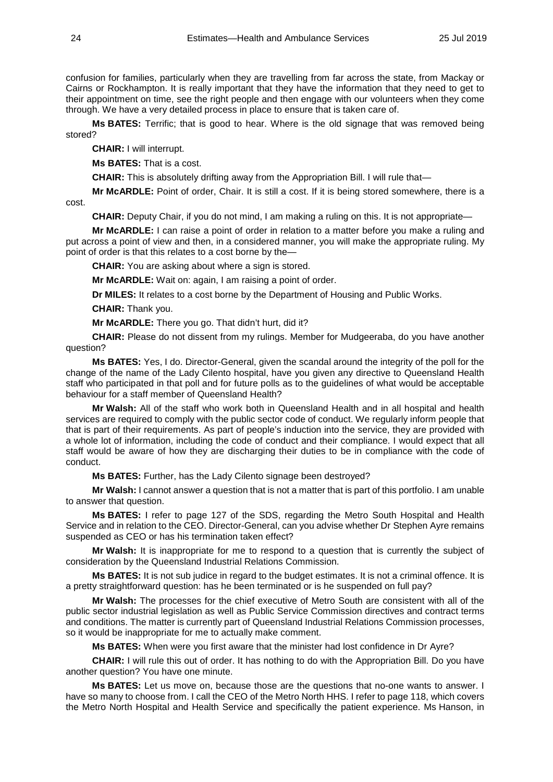confusion for families, particularly when they are travelling from far across the state, from Mackay or Cairns or Rockhampton. It is really important that they have the information that they need to get to their appointment on time, see the right people and then engage with our volunteers when they come through. We have a very detailed process in place to ensure that is taken care of.

**Ms BATES:** Terrific; that is good to hear. Where is the old signage that was removed being stored?

**CHAIR:** I will interrupt.

**Ms BATES:** That is a cost.

**CHAIR:** This is absolutely drifting away from the Appropriation Bill. I will rule that—

**Mr McARDLE:** Point of order, Chair. It is still a cost. If it is being stored somewhere, there is a cost.

**CHAIR:** Deputy Chair, if you do not mind, I am making a ruling on this. It is not appropriate—

**Mr McARDLE:** I can raise a point of order in relation to a matter before you make a ruling and put across a point of view and then, in a considered manner, you will make the appropriate ruling. My point of order is that this relates to a cost borne by the—

**CHAIR:** You are asking about where a sign is stored.

**Mr McARDLE:** Wait on: again, I am raising a point of order.

**Dr MILES:** It relates to a cost borne by the Department of Housing and Public Works.

**CHAIR:** Thank you.

**Mr McARDLE:** There you go. That didn't hurt, did it?

**CHAIR:** Please do not dissent from my rulings. Member for Mudgeeraba, do you have another question?

**Ms BATES:** Yes, I do. Director-General, given the scandal around the integrity of the poll for the change of the name of the Lady Cilento hospital, have you given any directive to Queensland Health staff who participated in that poll and for future polls as to the guidelines of what would be acceptable behaviour for a staff member of Queensland Health?

**Mr Walsh:** All of the staff who work both in Queensland Health and in all hospital and health services are required to comply with the public sector code of conduct. We regularly inform people that that is part of their requirements. As part of people's induction into the service, they are provided with a whole lot of information, including the code of conduct and their compliance. I would expect that all staff would be aware of how they are discharging their duties to be in compliance with the code of conduct.

**Ms BATES:** Further, has the Lady Cilento signage been destroyed?

**Mr Walsh:** I cannot answer a question that is not a matter that is part of this portfolio. I am unable to answer that question.

**Ms BATES:** I refer to page 127 of the SDS, regarding the Metro South Hospital and Health Service and in relation to the CEO. Director-General, can you advise whether Dr Stephen Ayre remains suspended as CEO or has his termination taken effect?

**Mr Walsh:** It is inappropriate for me to respond to a question that is currently the subject of consideration by the Queensland Industrial Relations Commission.

**Ms BATES:** It is not sub judice in regard to the budget estimates. It is not a criminal offence. It is a pretty straightforward question: has he been terminated or is he suspended on full pay?

**Mr Walsh:** The processes for the chief executive of Metro South are consistent with all of the public sector industrial legislation as well as Public Service Commission directives and contract terms and conditions. The matter is currently part of Queensland Industrial Relations Commission processes, so it would be inappropriate for me to actually make comment.

**Ms BATES:** When were you first aware that the minister had lost confidence in Dr Ayre?

**CHAIR:** I will rule this out of order. It has nothing to do with the Appropriation Bill. Do you have another question? You have one minute.

**Ms BATES:** Let us move on, because those are the questions that no-one wants to answer. I have so many to choose from. I call the CEO of the Metro North HHS. I refer to page 118, which covers the Metro North Hospital and Health Service and specifically the patient experience. Ms Hanson, in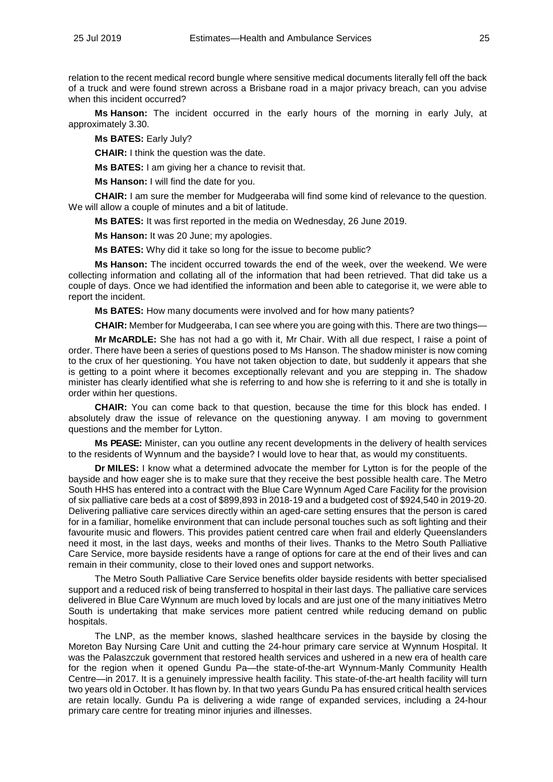relation to the recent medical record bungle where sensitive medical documents literally fell off the back of a truck and were found strewn across a Brisbane road in a major privacy breach, can you advise when this incident occurred?

**Ms Hanson:** The incident occurred in the early hours of the morning in early July, at approximately 3.30.

**Ms BATES:** Early July?

**CHAIR:** I think the question was the date.

**Ms BATES:** I am giving her a chance to revisit that.

**Ms Hanson:** I will find the date for you.

**CHAIR:** I am sure the member for Mudgeeraba will find some kind of relevance to the question. We will allow a couple of minutes and a bit of latitude.

**Ms BATES:** It was first reported in the media on Wednesday, 26 June 2019.

**Ms Hanson:** It was 20 June; my apologies.

**Ms BATES:** Why did it take so long for the issue to become public?

**Ms Hanson:** The incident occurred towards the end of the week, over the weekend. We were collecting information and collating all of the information that had been retrieved. That did take us a couple of days. Once we had identified the information and been able to categorise it, we were able to report the incident.

**Ms BATES:** How many documents were involved and for how many patients?

**CHAIR:** Member for Mudgeeraba, I can see where you are going with this. There are two things—

**Mr McARDLE:** She has not had a go with it, Mr Chair. With all due respect, I raise a point of order. There have been a series of questions posed to Ms Hanson. The shadow minister is now coming to the crux of her questioning. You have not taken objection to date, but suddenly it appears that she is getting to a point where it becomes exceptionally relevant and you are stepping in. The shadow minister has clearly identified what she is referring to and how she is referring to it and she is totally in order within her questions.

**CHAIR:** You can come back to that question, because the time for this block has ended. I absolutely draw the issue of relevance on the questioning anyway. I am moving to government questions and the member for Lytton.

**Ms PEASE:** Minister, can you outline any recent developments in the delivery of health services to the residents of Wynnum and the bayside? I would love to hear that, as would my constituents.

**Dr MILES:** I know what a determined advocate the member for Lytton is for the people of the bayside and how eager she is to make sure that they receive the best possible health care. The Metro South HHS has entered into a contract with the Blue Care Wynnum Aged Care Facility for the provision of six palliative care beds at a cost of \$899,893 in 2018-19 and a budgeted cost of \$924,540 in 2019-20. Delivering palliative care services directly within an aged-care setting ensures that the person is cared for in a familiar, homelike environment that can include personal touches such as soft lighting and their favourite music and flowers. This provides patient centred care when frail and elderly Queenslanders need it most, in the last days, weeks and months of their lives. Thanks to the Metro South Palliative Care Service, more bayside residents have a range of options for care at the end of their lives and can remain in their community, close to their loved ones and support networks.

The Metro South Palliative Care Service benefits older bayside residents with better specialised support and a reduced risk of being transferred to hospital in their last days. The palliative care services delivered in Blue Care Wynnum are much loved by locals and are just one of the many initiatives Metro South is undertaking that make services more patient centred while reducing demand on public hospitals.

The LNP, as the member knows, slashed healthcare services in the bayside by closing the Moreton Bay Nursing Care Unit and cutting the 24-hour primary care service at Wynnum Hospital. It was the Palaszczuk government that restored health services and ushered in a new era of health care for the region when it opened Gundu Pa—the state-of-the-art Wynnum-Manly Community Health Centre—in 2017. It is a genuinely impressive health facility. This state-of-the-art health facility will turn two years old in October. It has flown by. In that two years Gundu Pa has ensured critical health services are retain locally. Gundu Pa is delivering a wide range of expanded services, including a 24-hour primary care centre for treating minor injuries and illnesses.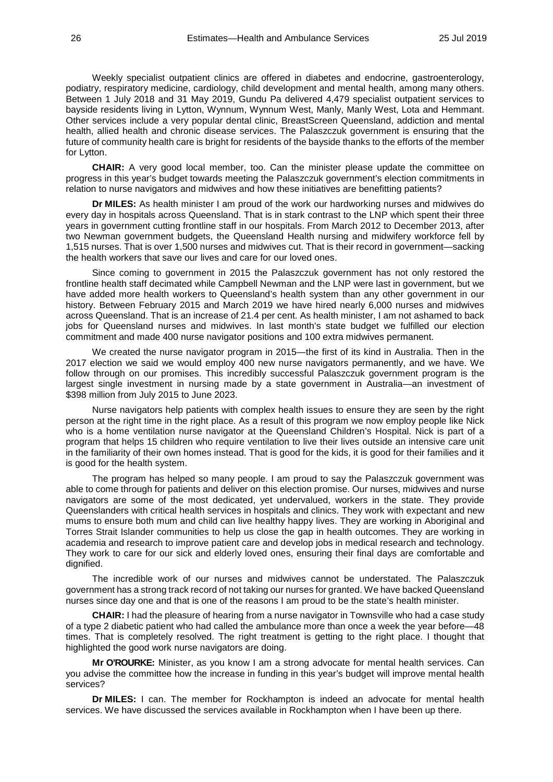Weekly specialist outpatient clinics are offered in diabetes and endocrine, gastroenterology, podiatry, respiratory medicine, cardiology, child development and mental health, among many others. Between 1 July 2018 and 31 May 2019, Gundu Pa delivered 4,479 specialist outpatient services to bayside residents living in Lytton, Wynnum, Wynnum West, Manly, Manly West, Lota and Hemmant. Other services include a very popular dental clinic, BreastScreen Queensland, addiction and mental health, allied health and chronic disease services. The Palaszczuk government is ensuring that the future of community health care is bright for residents of the bayside thanks to the efforts of the member for Lytton.

**CHAIR:** A very good local member, too. Can the minister please update the committee on progress in this year's budget towards meeting the Palaszczuk government's election commitments in relation to nurse navigators and midwives and how these initiatives are benefitting patients?

**Dr MILES:** As health minister I am proud of the work our hardworking nurses and midwives do every day in hospitals across Queensland. That is in stark contrast to the LNP which spent their three years in government cutting frontline staff in our hospitals. From March 2012 to December 2013, after two Newman government budgets, the Queensland Health nursing and midwifery workforce fell by 1,515 nurses. That is over 1,500 nurses and midwives cut. That is their record in government—sacking the health workers that save our lives and care for our loved ones.

Since coming to government in 2015 the Palaszczuk government has not only restored the frontline health staff decimated while Campbell Newman and the LNP were last in government, but we have added more health workers to Queensland's health system than any other government in our history. Between February 2015 and March 2019 we have hired nearly 6,000 nurses and midwives across Queensland. That is an increase of 21.4 per cent. As health minister, I am not ashamed to back jobs for Queensland nurses and midwives. In last month's state budget we fulfilled our election commitment and made 400 nurse navigator positions and 100 extra midwives permanent.

We created the nurse navigator program in 2015—the first of its kind in Australia. Then in the 2017 election we said we would employ 400 new nurse navigators permanently, and we have. We follow through on our promises. This incredibly successful Palaszczuk government program is the largest single investment in nursing made by a state government in Australia—an investment of \$398 million from July 2015 to June 2023.

Nurse navigators help patients with complex health issues to ensure they are seen by the right person at the right time in the right place. As a result of this program we now employ people like Nick who is a home ventilation nurse navigator at the Queensland Children's Hospital. Nick is part of a program that helps 15 children who require ventilation to live their lives outside an intensive care unit in the familiarity of their own homes instead. That is good for the kids, it is good for their families and it is good for the health system.

The program has helped so many people. I am proud to say the Palaszczuk government was able to come through for patients and deliver on this election promise. Our nurses, midwives and nurse navigators are some of the most dedicated, yet undervalued, workers in the state. They provide Queenslanders with critical health services in hospitals and clinics. They work with expectant and new mums to ensure both mum and child can live healthy happy lives. They are working in Aboriginal and Torres Strait Islander communities to help us close the gap in health outcomes. They are working in academia and research to improve patient care and develop jobs in medical research and technology. They work to care for our sick and elderly loved ones, ensuring their final days are comfortable and dignified.

The incredible work of our nurses and midwives cannot be understated. The Palaszczuk government has a strong track record of not taking our nurses for granted. We have backed Queensland nurses since day one and that is one of the reasons I am proud to be the state's health minister.

**CHAIR:** I had the pleasure of hearing from a nurse navigator in Townsville who had a case study of a type 2 diabetic patient who had called the ambulance more than once a week the year before—48 times. That is completely resolved. The right treatment is getting to the right place. I thought that highlighted the good work nurse navigators are doing.

**Mr O'ROURKE:** Minister, as you know I am a strong advocate for mental health services. Can you advise the committee how the increase in funding in this year's budget will improve mental health services?

**Dr MILES:** I can. The member for Rockhampton is indeed an advocate for mental health services. We have discussed the services available in Rockhampton when I have been up there.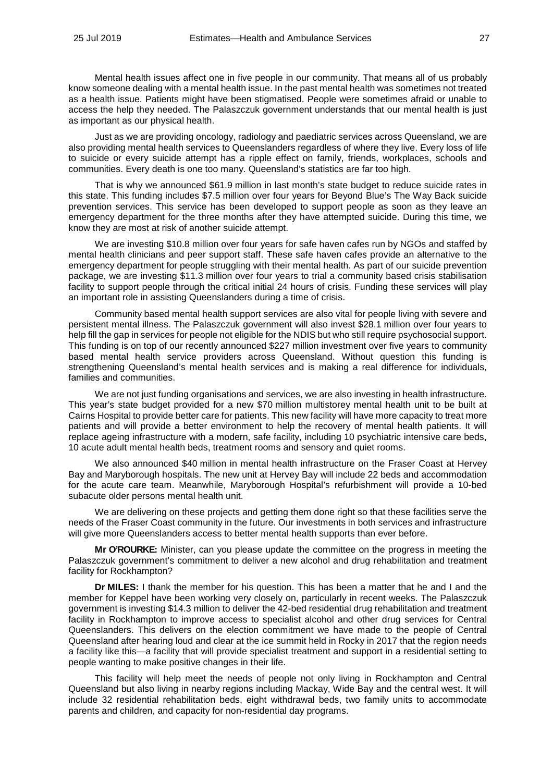Mental health issues affect one in five people in our community. That means all of us probably know someone dealing with a mental health issue. In the past mental health was sometimes not treated as a health issue. Patients might have been stigmatised. People were sometimes afraid or unable to access the help they needed. The Palaszczuk government understands that our mental health is just as important as our physical health.

Just as we are providing oncology, radiology and paediatric services across Queensland, we are also providing mental health services to Queenslanders regardless of where they live. Every loss of life to suicide or every suicide attempt has a ripple effect on family, friends, workplaces, schools and communities. Every death is one too many. Queensland's statistics are far too high.

That is why we announced \$61.9 million in last month's state budget to reduce suicide rates in this state. This funding includes \$7.5 million over four years for Beyond Blue's The Way Back suicide prevention services. This service has been developed to support people as soon as they leave an emergency department for the three months after they have attempted suicide. During this time, we know they are most at risk of another suicide attempt.

We are investing \$10.8 million over four years for safe haven cafes run by NGOs and staffed by mental health clinicians and peer support staff. These safe haven cafes provide an alternative to the emergency department for people struggling with their mental health. As part of our suicide prevention package, we are investing \$11.3 million over four years to trial a community based crisis stabilisation facility to support people through the critical initial 24 hours of crisis. Funding these services will play an important role in assisting Queenslanders during a time of crisis.

Community based mental health support services are also vital for people living with severe and persistent mental illness. The Palaszczuk government will also invest \$28.1 million over four years to help fill the gap in services for people not eligible for the NDIS but who still require psychosocial support. This funding is on top of our recently announced \$227 million investment over five years to community based mental health service providers across Queensland. Without question this funding is strengthening Queensland's mental health services and is making a real difference for individuals, families and communities.

We are not just funding organisations and services, we are also investing in health infrastructure. This year's state budget provided for a new \$70 million multistorey mental health unit to be built at Cairns Hospital to provide better care for patients. This new facility will have more capacity to treat more patients and will provide a better environment to help the recovery of mental health patients. It will replace ageing infrastructure with a modern, safe facility, including 10 psychiatric intensive care beds, 10 acute adult mental health beds, treatment rooms and sensory and quiet rooms.

We also announced \$40 million in mental health infrastructure on the Fraser Coast at Hervey Bay and Maryborough hospitals. The new unit at Hervey Bay will include 22 beds and accommodation for the acute care team. Meanwhile, Maryborough Hospital's refurbishment will provide a 10-bed subacute older persons mental health unit.

We are delivering on these projects and getting them done right so that these facilities serve the needs of the Fraser Coast community in the future. Our investments in both services and infrastructure will give more Queenslanders access to better mental health supports than ever before.

**Mr O'ROURKE:** Minister, can you please update the committee on the progress in meeting the Palaszczuk government's commitment to deliver a new alcohol and drug rehabilitation and treatment facility for Rockhampton?

**Dr MILES:** I thank the member for his question. This has been a matter that he and I and the member for Keppel have been working very closely on, particularly in recent weeks. The Palaszczuk government is investing \$14.3 million to deliver the 42-bed residential drug rehabilitation and treatment facility in Rockhampton to improve access to specialist alcohol and other drug services for Central Queenslanders. This delivers on the election commitment we have made to the people of Central Queensland after hearing loud and clear at the ice summit held in Rocky in 2017 that the region needs a facility like this—a facility that will provide specialist treatment and support in a residential setting to people wanting to make positive changes in their life.

This facility will help meet the needs of people not only living in Rockhampton and Central Queensland but also living in nearby regions including Mackay, Wide Bay and the central west. It will include 32 residential rehabilitation beds, eight withdrawal beds, two family units to accommodate parents and children, and capacity for non-residential day programs.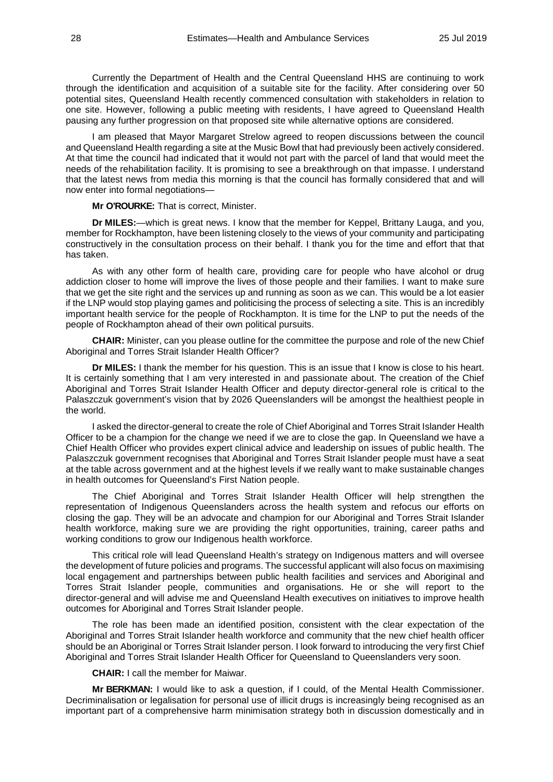Currently the Department of Health and the Central Queensland HHS are continuing to work through the identification and acquisition of a suitable site for the facility. After considering over 50 potential sites, Queensland Health recently commenced consultation with stakeholders in relation to one site. However, following a public meeting with residents, I have agreed to Queensland Health pausing any further progression on that proposed site while alternative options are considered.

I am pleased that Mayor Margaret Strelow agreed to reopen discussions between the council and Queensland Health regarding a site at the Music Bowl that had previously been actively considered. At that time the council had indicated that it would not part with the parcel of land that would meet the needs of the rehabilitation facility. It is promising to see a breakthrough on that impasse. I understand that the latest news from media this morning is that the council has formally considered that and will now enter into formal negotiations—

**Mr O'ROURKE:** That is correct, Minister.

**Dr MILES:**—which is great news. I know that the member for Keppel, Brittany Lauga, and you, member for Rockhampton, have been listening closely to the views of your community and participating constructively in the consultation process on their behalf. I thank you for the time and effort that that has taken.

As with any other form of health care, providing care for people who have alcohol or drug addiction closer to home will improve the lives of those people and their families. I want to make sure that we get the site right and the services up and running as soon as we can. This would be a lot easier if the LNP would stop playing games and politicising the process of selecting a site. This is an incredibly important health service for the people of Rockhampton. It is time for the LNP to put the needs of the people of Rockhampton ahead of their own political pursuits.

**CHAIR:** Minister, can you please outline for the committee the purpose and role of the new Chief Aboriginal and Torres Strait Islander Health Officer?

**Dr MILES:** I thank the member for his question. This is an issue that I know is close to his heart. It is certainly something that I am very interested in and passionate about. The creation of the Chief Aboriginal and Torres Strait Islander Health Officer and deputy director-general role is critical to the Palaszczuk government's vision that by 2026 Queenslanders will be amongst the healthiest people in the world.

I asked the director-general to create the role of Chief Aboriginal and Torres Strait Islander Health Officer to be a champion for the change we need if we are to close the gap. In Queensland we have a Chief Health Officer who provides expert clinical advice and leadership on issues of public health. The Palaszczuk government recognises that Aboriginal and Torres Strait Islander people must have a seat at the table across government and at the highest levels if we really want to make sustainable changes in health outcomes for Queensland's First Nation people.

The Chief Aboriginal and Torres Strait Islander Health Officer will help strengthen the representation of Indigenous Queenslanders across the health system and refocus our efforts on closing the gap. They will be an advocate and champion for our Aboriginal and Torres Strait Islander health workforce, making sure we are providing the right opportunities, training, career paths and working conditions to grow our Indigenous health workforce.

This critical role will lead Queensland Health's strategy on Indigenous matters and will oversee the development of future policies and programs. The successful applicant will also focus on maximising local engagement and partnerships between public health facilities and services and Aboriginal and Torres Strait Islander people, communities and organisations. He or she will report to the director-general and will advise me and Queensland Health executives on initiatives to improve health outcomes for Aboriginal and Torres Strait Islander people.

The role has been made an identified position, consistent with the clear expectation of the Aboriginal and Torres Strait Islander health workforce and community that the new chief health officer should be an Aboriginal or Torres Strait Islander person. I look forward to introducing the very first Chief Aboriginal and Torres Strait Islander Health Officer for Queensland to Queenslanders very soon.

**CHAIR:** I call the member for Maiwar.

**Mr BERKMAN:** I would like to ask a question, if I could, of the Mental Health Commissioner. Decriminalisation or legalisation for personal use of illicit drugs is increasingly being recognised as an important part of a comprehensive harm minimisation strategy both in discussion domestically and in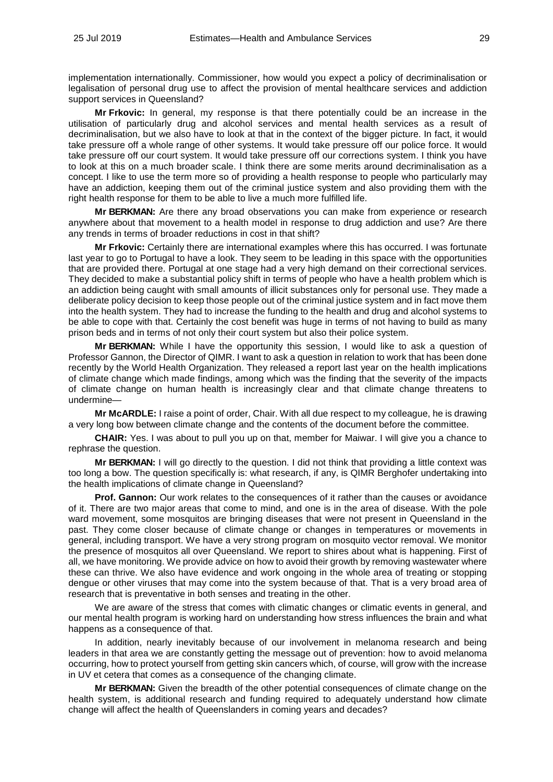implementation internationally. Commissioner, how would you expect a policy of decriminalisation or legalisation of personal drug use to affect the provision of mental healthcare services and addiction support services in Queensland?

**Mr Frkovic:** In general, my response is that there potentially could be an increase in the utilisation of particularly drug and alcohol services and mental health services as a result of decriminalisation, but we also have to look at that in the context of the bigger picture. In fact, it would take pressure off a whole range of other systems. It would take pressure off our police force. It would take pressure off our court system. It would take pressure off our corrections system. I think you have to look at this on a much broader scale. I think there are some merits around decriminalisation as a concept. I like to use the term more so of providing a health response to people who particularly may have an addiction, keeping them out of the criminal justice system and also providing them with the right health response for them to be able to live a much more fulfilled life.

**Mr BERKMAN:** Are there any broad observations you can make from experience or research anywhere about that movement to a health model in response to drug addiction and use? Are there any trends in terms of broader reductions in cost in that shift?

**Mr Frkovic:** Certainly there are international examples where this has occurred. I was fortunate last year to go to Portugal to have a look. They seem to be leading in this space with the opportunities that are provided there. Portugal at one stage had a very high demand on their correctional services. They decided to make a substantial policy shift in terms of people who have a health problem which is an addiction being caught with small amounts of illicit substances only for personal use. They made a deliberate policy decision to keep those people out of the criminal justice system and in fact move them into the health system. They had to increase the funding to the health and drug and alcohol systems to be able to cope with that. Certainly the cost benefit was huge in terms of not having to build as many prison beds and in terms of not only their court system but also their police system.

**Mr BERKMAN:** While I have the opportunity this session, I would like to ask a question of Professor Gannon, the Director of QIMR. I want to ask a question in relation to work that has been done recently by the World Health Organization. They released a report last year on the health implications of climate change which made findings, among which was the finding that the severity of the impacts of climate change on human health is increasingly clear and that climate change threatens to undermine—

**Mr McARDLE:** I raise a point of order, Chair. With all due respect to my colleague, he is drawing a very long bow between climate change and the contents of the document before the committee.

**CHAIR:** Yes. I was about to pull you up on that, member for Maiwar. I will give you a chance to rephrase the question.

**Mr BERKMAN:** I will go directly to the question. I did not think that providing a little context was too long a bow. The question specifically is: what research, if any, is QIMR Berghofer undertaking into the health implications of climate change in Queensland?

**Prof. Gannon:** Our work relates to the consequences of it rather than the causes or avoidance of it. There are two major areas that come to mind, and one is in the area of disease. With the pole ward movement, some mosquitos are bringing diseases that were not present in Queensland in the past. They come closer because of climate change or changes in temperatures or movements in general, including transport. We have a very strong program on mosquito vector removal. We monitor the presence of mosquitos all over Queensland. We report to shires about what is happening. First of all, we have monitoring. We provide advice on how to avoid their growth by removing wastewater where these can thrive. We also have evidence and work ongoing in the whole area of treating or stopping dengue or other viruses that may come into the system because of that. That is a very broad area of research that is preventative in both senses and treating in the other.

We are aware of the stress that comes with climatic changes or climatic events in general, and our mental health program is working hard on understanding how stress influences the brain and what happens as a consequence of that.

In addition, nearly inevitably because of our involvement in melanoma research and being leaders in that area we are constantly getting the message out of prevention: how to avoid melanoma occurring, how to protect yourself from getting skin cancers which, of course, will grow with the increase in UV et cetera that comes as a consequence of the changing climate.

**Mr BERKMAN:** Given the breadth of the other potential consequences of climate change on the health system, is additional research and funding required to adequately understand how climate change will affect the health of Queenslanders in coming years and decades?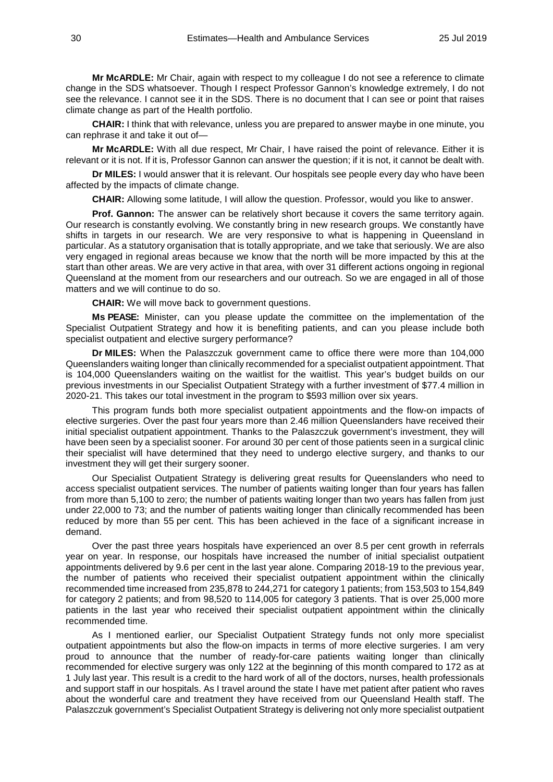**Mr McARDLE:** Mr Chair, again with respect to my colleague I do not see a reference to climate change in the SDS whatsoever. Though I respect Professor Gannon's knowledge extremely, I do not see the relevance. I cannot see it in the SDS. There is no document that I can see or point that raises climate change as part of the Health portfolio.

**CHAIR:** I think that with relevance, unless you are prepared to answer maybe in one minute, you can rephrase it and take it out of—

**Mr McARDLE:** With all due respect, Mr Chair, I have raised the point of relevance. Either it is relevant or it is not. If it is, Professor Gannon can answer the question; if it is not, it cannot be dealt with.

**Dr MILES:** I would answer that it is relevant. Our hospitals see people every day who have been affected by the impacts of climate change.

**CHAIR:** Allowing some latitude, I will allow the question. Professor, would you like to answer.

**Prof. Gannon:** The answer can be relatively short because it covers the same territory again. Our research is constantly evolving. We constantly bring in new research groups. We constantly have shifts in targets in our research. We are very responsive to what is happening in Queensland in particular. As a statutory organisation that is totally appropriate, and we take that seriously. We are also very engaged in regional areas because we know that the north will be more impacted by this at the start than other areas. We are very active in that area, with over 31 different actions ongoing in regional Queensland at the moment from our researchers and our outreach. So we are engaged in all of those matters and we will continue to do so.

**CHAIR:** We will move back to government questions.

**Ms PEASE:** Minister, can you please update the committee on the implementation of the Specialist Outpatient Strategy and how it is benefiting patients, and can you please include both specialist outpatient and elective surgery performance?

**Dr MILES:** When the Palaszczuk government came to office there were more than 104,000 Queenslanders waiting longer than clinically recommended for a specialist outpatient appointment. That is 104,000 Queenslanders waiting on the waitlist for the waitlist. This year's budget builds on our previous investments in our Specialist Outpatient Strategy with a further investment of \$77.4 million in 2020-21. This takes our total investment in the program to \$593 million over six years.

This program funds both more specialist outpatient appointments and the flow-on impacts of elective surgeries. Over the past four years more than 2.46 million Queenslanders have received their initial specialist outpatient appointment. Thanks to the Palaszczuk government's investment, they will have been seen by a specialist sooner. For around 30 per cent of those patients seen in a surgical clinic their specialist will have determined that they need to undergo elective surgery, and thanks to our investment they will get their surgery sooner.

Our Specialist Outpatient Strategy is delivering great results for Queenslanders who need to access specialist outpatient services. The number of patients waiting longer than four years has fallen from more than 5,100 to zero; the number of patients waiting longer than two years has fallen from just under 22,000 to 73; and the number of patients waiting longer than clinically recommended has been reduced by more than 55 per cent. This has been achieved in the face of a significant increase in demand.

Over the past three years hospitals have experienced an over 8.5 per cent growth in referrals year on year. In response, our hospitals have increased the number of initial specialist outpatient appointments delivered by 9.6 per cent in the last year alone. Comparing 2018-19 to the previous year, the number of patients who received their specialist outpatient appointment within the clinically recommended time increased from 235,878 to 244,271 for category 1 patients; from 153,503 to 154,849 for category 2 patients; and from 98,520 to 114,005 for category 3 patients. That is over 25,000 more patients in the last year who received their specialist outpatient appointment within the clinically recommended time.

As I mentioned earlier, our Specialist Outpatient Strategy funds not only more specialist outpatient appointments but also the flow-on impacts in terms of more elective surgeries. I am very proud to announce that the number of ready-for-care patients waiting longer than clinically recommended for elective surgery was only 122 at the beginning of this month compared to 172 as at 1 July last year. This result is a credit to the hard work of all of the doctors, nurses, health professionals and support staff in our hospitals. As I travel around the state I have met patient after patient who raves about the wonderful care and treatment they have received from our Queensland Health staff. The Palaszczuk government's Specialist Outpatient Strategy is delivering not only more specialist outpatient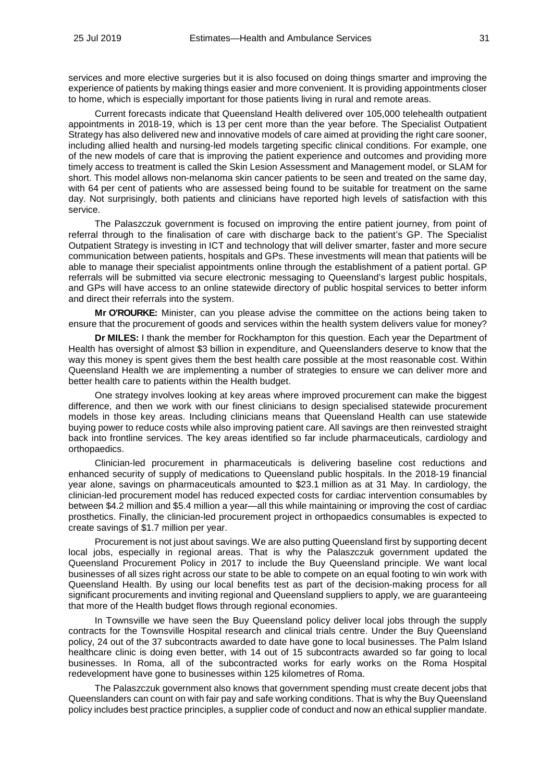services and more elective surgeries but it is also focused on doing things smarter and improving the experience of patients by making things easier and more convenient. It is providing appointments closer to home, which is especially important for those patients living in rural and remote areas.

Current forecasts indicate that Queensland Health delivered over 105,000 telehealth outpatient appointments in 2018-19, which is 13 per cent more than the year before. The Specialist Outpatient Strategy has also delivered new and innovative models of care aimed at providing the right care sooner, including allied health and nursing-led models targeting specific clinical conditions. For example, one of the new models of care that is improving the patient experience and outcomes and providing more timely access to treatment is called the Skin Lesion Assessment and Management model, or SLAM for short. This model allows non-melanoma skin cancer patients to be seen and treated on the same day, with 64 per cent of patients who are assessed being found to be suitable for treatment on the same day. Not surprisingly, both patients and clinicians have reported high levels of satisfaction with this service.

The Palaszczuk government is focused on improving the entire patient journey, from point of referral through to the finalisation of care with discharge back to the patient's GP. The Specialist Outpatient Strategy is investing in ICT and technology that will deliver smarter, faster and more secure communication between patients, hospitals and GPs. These investments will mean that patients will be able to manage their specialist appointments online through the establishment of a patient portal. GP referrals will be submitted via secure electronic messaging to Queensland's largest public hospitals, and GPs will have access to an online statewide directory of public hospital services to better inform and direct their referrals into the system.

**Mr O'ROURKE:** Minister, can you please advise the committee on the actions being taken to ensure that the procurement of goods and services within the health system delivers value for money?

**Dr MILES:** I thank the member for Rockhampton for this question. Each year the Department of Health has oversight of almost \$3 billion in expenditure, and Queenslanders deserve to know that the way this money is spent gives them the best health care possible at the most reasonable cost. Within Queensland Health we are implementing a number of strategies to ensure we can deliver more and better health care to patients within the Health budget.

One strategy involves looking at key areas where improved procurement can make the biggest difference, and then we work with our finest clinicians to design specialised statewide procurement models in those key areas. Including clinicians means that Queensland Health can use statewide buying power to reduce costs while also improving patient care. All savings are then reinvested straight back into frontline services. The key areas identified so far include pharmaceuticals, cardiology and orthopaedics.

Clinician-led procurement in pharmaceuticals is delivering baseline cost reductions and enhanced security of supply of medications to Queensland public hospitals. In the 2018-19 financial year alone, savings on pharmaceuticals amounted to \$23.1 million as at 31 May. In cardiology, the clinician-led procurement model has reduced expected costs for cardiac intervention consumables by between \$4.2 million and \$5.4 million a year—all this while maintaining or improving the cost of cardiac prosthetics. Finally, the clinician-led procurement project in orthopaedics consumables is expected to create savings of \$1.7 million per year.

Procurement is not just about savings. We are also putting Queensland first by supporting decent local jobs, especially in regional areas. That is why the Palaszczuk government updated the Queensland Procurement Policy in 2017 to include the Buy Queensland principle. We want local businesses of all sizes right across our state to be able to compete on an equal footing to win work with Queensland Health. By using our local benefits test as part of the decision-making process for all significant procurements and inviting regional and Queensland suppliers to apply, we are guaranteeing that more of the Health budget flows through regional economies.

In Townsville we have seen the Buy Queensland policy deliver local jobs through the supply contracts for the Townsville Hospital research and clinical trials centre. Under the Buy Queensland policy, 24 out of the 37 subcontracts awarded to date have gone to local businesses. The Palm Island healthcare clinic is doing even better, with 14 out of 15 subcontracts awarded so far going to local businesses. In Roma, all of the subcontracted works for early works on the Roma Hospital redevelopment have gone to businesses within 125 kilometres of Roma.

The Palaszczuk government also knows that government spending must create decent jobs that Queenslanders can count on with fair pay and safe working conditions. That is why the Buy Queensland policy includes best practice principles, a supplier code of conduct and now an ethical supplier mandate.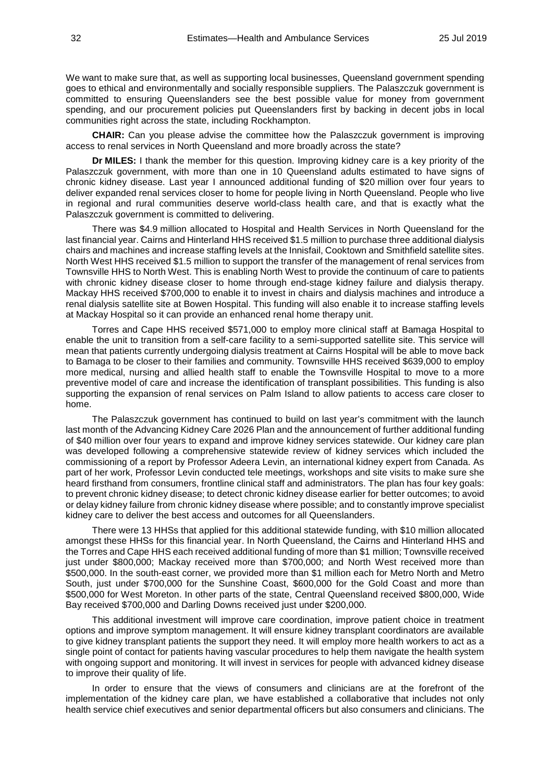We want to make sure that, as well as supporting local businesses. Queensland government spending goes to ethical and environmentally and socially responsible suppliers. The Palaszczuk government is committed to ensuring Queenslanders see the best possible value for money from government spending, and our procurement policies put Queenslanders first by backing in decent jobs in local communities right across the state, including Rockhampton.

**CHAIR:** Can you please advise the committee how the Palaszczuk government is improving access to renal services in North Queensland and more broadly across the state?

**Dr MILES:** I thank the member for this question. Improving kidney care is a key priority of the Palaszczuk government, with more than one in 10 Queensland adults estimated to have signs of chronic kidney disease. Last year I announced additional funding of \$20 million over four years to deliver expanded renal services closer to home for people living in North Queensland. People who live in regional and rural communities deserve world-class health care, and that is exactly what the Palaszczuk government is committed to delivering.

There was \$4.9 million allocated to Hospital and Health Services in North Queensland for the last financial year. Cairns and Hinterland HHS received \$1.5 million to purchase three additional dialysis chairs and machines and increase staffing levels at the Innisfail, Cooktown and Smithfield satellite sites. North West HHS received \$1.5 million to support the transfer of the management of renal services from Townsville HHS to North West. This is enabling North West to provide the continuum of care to patients with chronic kidney disease closer to home through end-stage kidney failure and dialysis therapy. Mackay HHS received \$700,000 to enable it to invest in chairs and dialysis machines and introduce a renal dialysis satellite site at Bowen Hospital. This funding will also enable it to increase staffing levels at Mackay Hospital so it can provide an enhanced renal home therapy unit.

Torres and Cape HHS received \$571,000 to employ more clinical staff at Bamaga Hospital to enable the unit to transition from a self-care facility to a semi-supported satellite site. This service will mean that patients currently undergoing dialysis treatment at Cairns Hospital will be able to move back to Bamaga to be closer to their families and community. Townsville HHS received \$639,000 to employ more medical, nursing and allied health staff to enable the Townsville Hospital to move to a more preventive model of care and increase the identification of transplant possibilities. This funding is also supporting the expansion of renal services on Palm Island to allow patients to access care closer to home.

The Palaszczuk government has continued to build on last year's commitment with the launch last month of the Advancing Kidney Care 2026 Plan and the announcement of further additional funding of \$40 million over four years to expand and improve kidney services statewide. Our kidney care plan was developed following a comprehensive statewide review of kidney services which included the commissioning of a report by Professor Adeera Levin, an international kidney expert from Canada. As part of her work, Professor Levin conducted tele meetings, workshops and site visits to make sure she heard firsthand from consumers, frontline clinical staff and administrators. The plan has four key goals: to prevent chronic kidney disease; to detect chronic kidney disease earlier for better outcomes; to avoid or delay kidney failure from chronic kidney disease where possible; and to constantly improve specialist kidney care to deliver the best access and outcomes for all Queenslanders.

There were 13 HHSs that applied for this additional statewide funding, with \$10 million allocated amongst these HHSs for this financial year. In North Queensland, the Cairns and Hinterland HHS and the Torres and Cape HHS each received additional funding of more than \$1 million; Townsville received just under \$800,000; Mackay received more than \$700,000; and North West received more than \$500,000. In the south-east corner, we provided more than \$1 million each for Metro North and Metro South, just under \$700,000 for the Sunshine Coast, \$600,000 for the Gold Coast and more than \$500,000 for West Moreton. In other parts of the state, Central Queensland received \$800,000, Wide Bay received \$700,000 and Darling Downs received just under \$200,000.

This additional investment will improve care coordination, improve patient choice in treatment options and improve symptom management. It will ensure kidney transplant coordinators are available to give kidney transplant patients the support they need. It will employ more health workers to act as a single point of contact for patients having vascular procedures to help them navigate the health system with ongoing support and monitoring. It will invest in services for people with advanced kidney disease to improve their quality of life.

In order to ensure that the views of consumers and clinicians are at the forefront of the implementation of the kidney care plan, we have established a collaborative that includes not only health service chief executives and senior departmental officers but also consumers and clinicians. The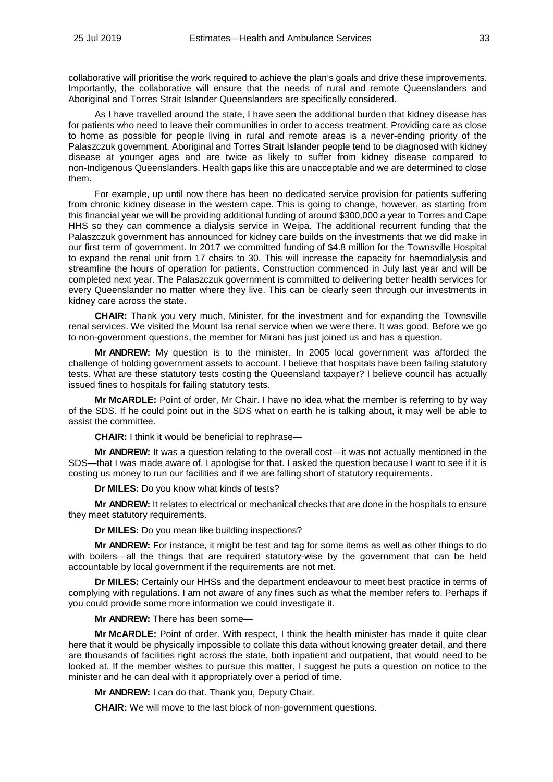collaborative will prioritise the work required to achieve the plan's goals and drive these improvements. Importantly, the collaborative will ensure that the needs of rural and remote Queenslanders and Aboriginal and Torres Strait Islander Queenslanders are specifically considered.

As I have travelled around the state, I have seen the additional burden that kidney disease has for patients who need to leave their communities in order to access treatment. Providing care as close to home as possible for people living in rural and remote areas is a never-ending priority of the Palaszczuk government. Aboriginal and Torres Strait Islander people tend to be diagnosed with kidney disease at younger ages and are twice as likely to suffer from kidney disease compared to non-Indigenous Queenslanders. Health gaps like this are unacceptable and we are determined to close them.

For example, up until now there has been no dedicated service provision for patients suffering from chronic kidney disease in the western cape. This is going to change, however, as starting from this financial year we will be providing additional funding of around \$300,000 a year to Torres and Cape HHS so they can commence a dialysis service in Weipa. The additional recurrent funding that the Palaszczuk government has announced for kidney care builds on the investments that we did make in our first term of government. In 2017 we committed funding of \$4.8 million for the Townsville Hospital to expand the renal unit from 17 chairs to 30. This will increase the capacity for haemodialysis and streamline the hours of operation for patients. Construction commenced in July last year and will be completed next year. The Palaszczuk government is committed to delivering better health services for every Queenslander no matter where they live. This can be clearly seen through our investments in kidney care across the state.

**CHAIR:** Thank you very much, Minister, for the investment and for expanding the Townsville renal services. We visited the Mount Isa renal service when we were there. It was good. Before we go to non-government questions, the member for Mirani has just joined us and has a question.

**Mr ANDREW:** My question is to the minister. In 2005 local government was afforded the challenge of holding government assets to account. I believe that hospitals have been failing statutory tests. What are these statutory tests costing the Queensland taxpayer? I believe council has actually issued fines to hospitals for failing statutory tests.

**Mr McARDLE:** Point of order, Mr Chair. I have no idea what the member is referring to by way of the SDS. If he could point out in the SDS what on earth he is talking about, it may well be able to assist the committee.

**CHAIR:** I think it would be beneficial to rephrase—

**Mr ANDREW:** It was a question relating to the overall cost—it was not actually mentioned in the SDS—that I was made aware of. I apologise for that. I asked the question because I want to see if it is costing us money to run our facilities and if we are falling short of statutory requirements.

**Dr MILES:** Do you know what kinds of tests?

**Mr ANDREW:** It relates to electrical or mechanical checks that are done in the hospitals to ensure they meet statutory requirements.

**Dr MILES:** Do you mean like building inspections?

**Mr ANDREW:** For instance, it might be test and tag for some items as well as other things to do with boilers—all the things that are required statutory-wise by the government that can be held accountable by local government if the requirements are not met.

**Dr MILES:** Certainly our HHSs and the department endeavour to meet best practice in terms of complying with regulations. I am not aware of any fines such as what the member refers to. Perhaps if you could provide some more information we could investigate it.

**Mr ANDREW:** There has been some—

**Mr McARDLE:** Point of order. With respect, I think the health minister has made it quite clear here that it would be physically impossible to collate this data without knowing greater detail, and there are thousands of facilities right across the state, both inpatient and outpatient, that would need to be looked at. If the member wishes to pursue this matter, I suggest he puts a question on notice to the minister and he can deal with it appropriately over a period of time.

**Mr ANDREW:** I can do that. Thank you, Deputy Chair.

**CHAIR:** We will move to the last block of non-government questions.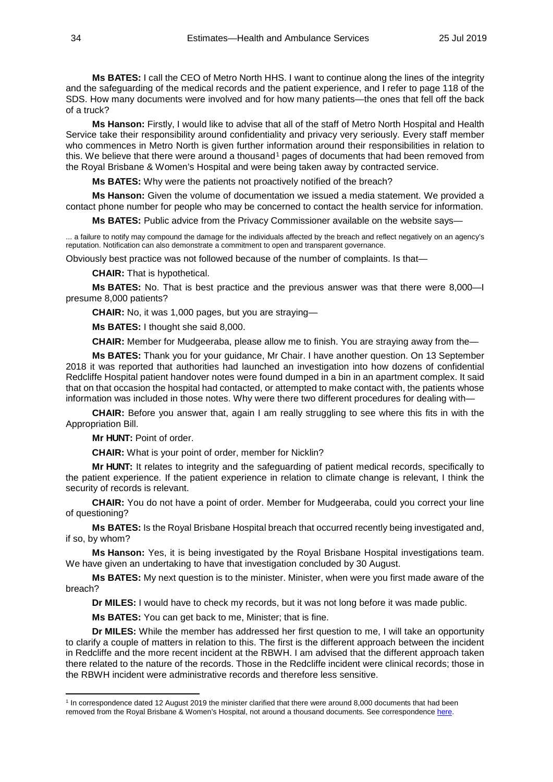**Ms BATES:** I call the CEO of Metro North HHS. I want to continue along the lines of the integrity and the safeguarding of the medical records and the patient experience, and I refer to page 118 of the SDS. How many documents were involved and for how many patients—the ones that fell off the back of a truck?

**Ms Hanson:** Firstly, I would like to advise that all of the staff of Metro North Hospital and Health Service take their responsibility around confidentiality and privacy very seriously. Every staff member who commences in Metro North is given further information around their responsibilities in relation to this. We believe that there were around a thousand<sup>[1](#page-33-0)</sup> pages of documents that had been removed from the Royal Brisbane & Women's Hospital and were being taken away by contracted service.

**Ms BATES:** Why were the patients not proactively notified of the breach?

**Ms Hanson:** Given the volume of documentation we issued a media statement. We provided a contact phone number for people who may be concerned to contact the health service for information.

**Ms BATES:** Public advice from the Privacy Commissioner available on the website says—

... a failure to notify may compound the damage for the individuals affected by the breach and reflect negatively on an agency's reputation. Notification can also demonstrate a commitment to open and transparent governance.

Obviously best practice was not followed because of the number of complaints. Is that—

**CHAIR:** That is hypothetical.

**Ms BATES:** No. That is best practice and the previous answer was that there were 8,000—I presume 8,000 patients?

**CHAIR:** No, it was 1,000 pages, but you are straying—

**Ms BATES:** I thought she said 8,000.

**CHAIR:** Member for Mudgeeraba, please allow me to finish. You are straying away from the—

**Ms BATES:** Thank you for your guidance, Mr Chair. I have another question. On 13 September 2018 it was reported that authorities had launched an investigation into how dozens of confidential Redcliffe Hospital patient handover notes were found dumped in a bin in an apartment complex. It said that on that occasion the hospital had contacted, or attempted to make contact with, the patients whose information was included in those notes. Why were there two different procedures for dealing with—

**CHAIR:** Before you answer that, again I am really struggling to see where this fits in with the Appropriation Bill.

**Mr HUNT:** Point of order.

-

**CHAIR:** What is your point of order, member for Nicklin?

**Mr HUNT:** It relates to integrity and the safeguarding of patient medical records, specifically to the patient experience. If the patient experience in relation to climate change is relevant, I think the security of records is relevant.

**CHAIR:** You do not have a point of order. Member for Mudgeeraba, could you correct your line of questioning?

**Ms BATES:** Is the Royal Brisbane Hospital breach that occurred recently being investigated and, if so, by whom?

**Ms Hanson:** Yes, it is being investigated by the Royal Brisbane Hospital investigations team. We have given an undertaking to have that investigation concluded by 30 August.

**Ms BATES:** My next question is to the minister. Minister, when were you first made aware of the breach?

**Dr MILES:** I would have to check my records, but it was not long before it was made public.

**Ms BATES:** You can get back to me, Minister; that is fine.

**Dr MILES:** While the member has addressed her first question to me, I will take an opportunity to clarify a couple of matters in relation to this. The first is the different approach between the incident in Redcliffe and the more recent incident at the RBWH. I am advised that the different approach taken there related to the nature of the records. Those in the Redcliffe incident were clinical records; those in the RBWH incident were administrative records and therefore less sensitive.

<span id="page-33-0"></span><sup>&</sup>lt;sup>1</sup> In correspondence dated 12 August 2019 the minister clarified that there were around 8,000 documents that had been removed from the Royal Brisbane & Women's Hospital, not around a thousand documents. See correspondenc[e here.](http://www.parliament.qld.gov.au/documents/committees/HCDSDFVPC/2019/Estimates2019/cor-12Aug2019.pdf)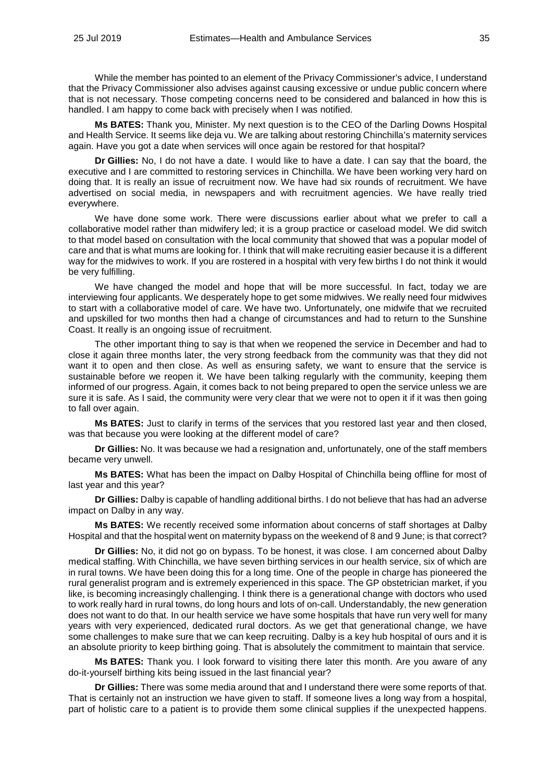While the member has pointed to an element of the Privacy Commissioner's advice, I understand that the Privacy Commissioner also advises against causing excessive or undue public concern where that is not necessary. Those competing concerns need to be considered and balanced in how this is handled. I am happy to come back with precisely when I was notified.

**Ms BATES:** Thank you, Minister. My next question is to the CEO of the Darling Downs Hospital and Health Service. It seems like deja vu. We are talking about restoring Chinchilla's maternity services again. Have you got a date when services will once again be restored for that hospital?

**Dr Gillies:** No, I do not have a date. I would like to have a date. I can say that the board, the executive and I are committed to restoring services in Chinchilla. We have been working very hard on doing that. It is really an issue of recruitment now. We have had six rounds of recruitment. We have advertised on social media, in newspapers and with recruitment agencies. We have really tried everywhere.

We have done some work. There were discussions earlier about what we prefer to call a collaborative model rather than midwifery led; it is a group practice or caseload model. We did switch to that model based on consultation with the local community that showed that was a popular model of care and that is what mums are looking for. I think that will make recruiting easier because it is a different way for the midwives to work. If you are rostered in a hospital with very few births I do not think it would be very fulfilling.

We have changed the model and hope that will be more successful. In fact, today we are interviewing four applicants. We desperately hope to get some midwives. We really need four midwives to start with a collaborative model of care. We have two. Unfortunately, one midwife that we recruited and upskilled for two months then had a change of circumstances and had to return to the Sunshine Coast. It really is an ongoing issue of recruitment.

The other important thing to say is that when we reopened the service in December and had to close it again three months later, the very strong feedback from the community was that they did not want it to open and then close. As well as ensuring safety, we want to ensure that the service is sustainable before we reopen it. We have been talking regularly with the community, keeping them informed of our progress. Again, it comes back to not being prepared to open the service unless we are sure it is safe. As I said, the community were very clear that we were not to open it if it was then going to fall over again.

**Ms BATES:** Just to clarify in terms of the services that you restored last year and then closed, was that because you were looking at the different model of care?

**Dr Gillies:** No. It was because we had a resignation and, unfortunately, one of the staff members became very unwell.

**Ms BATES:** What has been the impact on Dalby Hospital of Chinchilla being offline for most of last year and this year?

**Dr Gillies:** Dalby is capable of handling additional births. I do not believe that has had an adverse impact on Dalby in any way.

**Ms BATES:** We recently received some information about concerns of staff shortages at Dalby Hospital and that the hospital went on maternity bypass on the weekend of 8 and 9 June; is that correct?

**Dr Gillies:** No, it did not go on bypass. To be honest, it was close. I am concerned about Dalby medical staffing. With Chinchilla, we have seven birthing services in our health service, six of which are in rural towns. We have been doing this for a long time. One of the people in charge has pioneered the rural generalist program and is extremely experienced in this space. The GP obstetrician market, if you like, is becoming increasingly challenging. I think there is a generational change with doctors who used to work really hard in rural towns, do long hours and lots of on-call. Understandably, the new generation does not want to do that. In our health service we have some hospitals that have run very well for many years with very experienced, dedicated rural doctors. As we get that generational change, we have some challenges to make sure that we can keep recruiting. Dalby is a key hub hospital of ours and it is an absolute priority to keep birthing going. That is absolutely the commitment to maintain that service.

**Ms BATES:** Thank you. I look forward to visiting there later this month. Are you aware of any do-it-yourself birthing kits being issued in the last financial year?

**Dr Gillies:** There was some media around that and I understand there were some reports of that. That is certainly not an instruction we have given to staff. If someone lives a long way from a hospital, part of holistic care to a patient is to provide them some clinical supplies if the unexpected happens.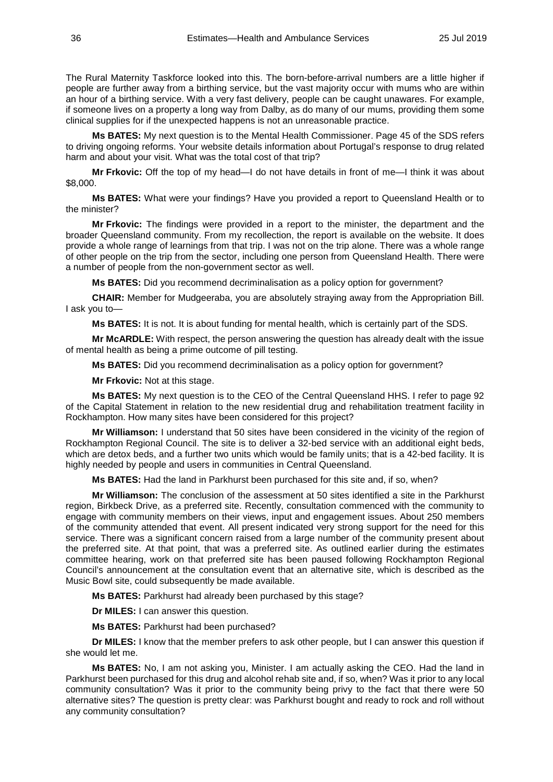The Rural Maternity Taskforce looked into this. The born-before-arrival numbers are a little higher if people are further away from a birthing service, but the vast majority occur with mums who are within an hour of a birthing service. With a very fast delivery, people can be caught unawares. For example, if someone lives on a property a long way from Dalby, as do many of our mums, providing them some clinical supplies for if the unexpected happens is not an unreasonable practice.

**Ms BATES:** My next question is to the Mental Health Commissioner. Page 45 of the SDS refers to driving ongoing reforms. Your website details information about Portugal's response to drug related harm and about your visit. What was the total cost of that trip?

**Mr Frkovic:** Off the top of my head—I do not have details in front of me—I think it was about \$8,000.

**Ms BATES:** What were your findings? Have you provided a report to Queensland Health or to the minister?

**Mr Frkovic:** The findings were provided in a report to the minister, the department and the broader Queensland community. From my recollection, the report is available on the website. It does provide a whole range of learnings from that trip. I was not on the trip alone. There was a whole range of other people on the trip from the sector, including one person from Queensland Health. There were a number of people from the non-government sector as well.

**Ms BATES:** Did you recommend decriminalisation as a policy option for government?

**CHAIR:** Member for Mudgeeraba, you are absolutely straying away from the Appropriation Bill. I ask you to—

**Ms BATES:** It is not. It is about funding for mental health, which is certainly part of the SDS.

**Mr McARDLE:** With respect, the person answering the question has already dealt with the issue of mental health as being a prime outcome of pill testing.

**Ms BATES:** Did you recommend decriminalisation as a policy option for government?

**Mr Frkovic:** Not at this stage.

**Ms BATES:** My next question is to the CEO of the Central Queensland HHS. I refer to page 92 of the Capital Statement in relation to the new residential drug and rehabilitation treatment facility in Rockhampton. How many sites have been considered for this project?

**Mr Williamson:** I understand that 50 sites have been considered in the vicinity of the region of Rockhampton Regional Council. The site is to deliver a 32-bed service with an additional eight beds, which are detox beds, and a further two units which would be family units; that is a 42-bed facility. It is highly needed by people and users in communities in Central Queensland.

**Ms BATES:** Had the land in Parkhurst been purchased for this site and, if so, when?

**Mr Williamson:** The conclusion of the assessment at 50 sites identified a site in the Parkhurst region, Birkbeck Drive, as a preferred site. Recently, consultation commenced with the community to engage with community members on their views, input and engagement issues. About 250 members of the community attended that event. All present indicated very strong support for the need for this service. There was a significant concern raised from a large number of the community present about the preferred site. At that point, that was a preferred site. As outlined earlier during the estimates committee hearing, work on that preferred site has been paused following Rockhampton Regional Council's announcement at the consultation event that an alternative site, which is described as the Music Bowl site, could subsequently be made available.

**Ms BATES:** Parkhurst had already been purchased by this stage?

**Dr MILES:** I can answer this question.

**Ms BATES:** Parkhurst had been purchased?

**Dr MILES:** I know that the member prefers to ask other people, but I can answer this question if she would let me.

**Ms BATES:** No, I am not asking you, Minister. I am actually asking the CEO. Had the land in Parkhurst been purchased for this drug and alcohol rehab site and, if so, when? Was it prior to any local community consultation? Was it prior to the community being privy to the fact that there were 50 alternative sites? The question is pretty clear: was Parkhurst bought and ready to rock and roll without any community consultation?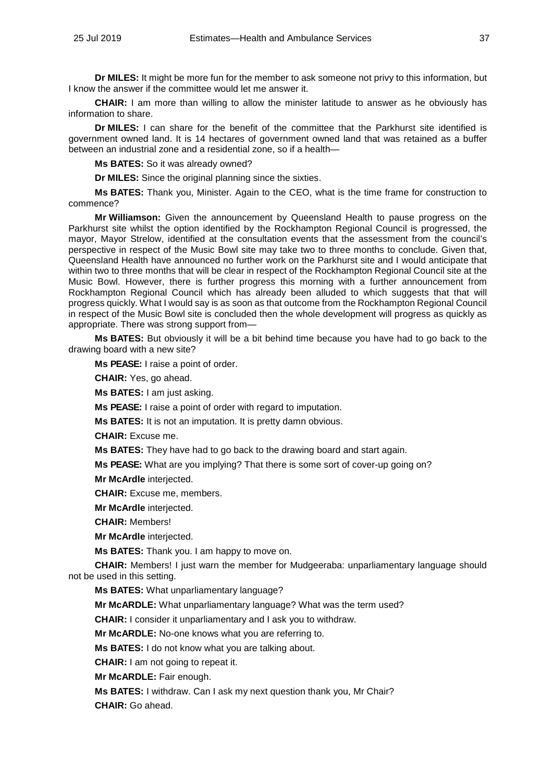**Dr MILES:** It might be more fun for the member to ask someone not privy to this information, but I know the answer if the committee would let me answer it.

**CHAIR:** I am more than willing to allow the minister latitude to answer as he obviously has information to share.

**Dr MILES:** I can share for the benefit of the committee that the Parkhurst site identified is government owned land. It is 14 hectares of government owned land that was retained as a buffer between an industrial zone and a residential zone, so if a health—

**Ms BATES:** So it was already owned?

**Dr MILES:** Since the original planning since the sixties.

**Ms BATES:** Thank you, Minister. Again to the CEO, what is the time frame for construction to commence?

**Mr Williamson:** Given the announcement by Queensland Health to pause progress on the Parkhurst site whilst the option identified by the Rockhampton Regional Council is progressed, the mayor, Mayor Strelow, identified at the consultation events that the assessment from the council's perspective in respect of the Music Bowl site may take two to three months to conclude. Given that, Queensland Health have announced no further work on the Parkhurst site and I would anticipate that within two to three months that will be clear in respect of the Rockhampton Regional Council site at the Music Bowl. However, there is further progress this morning with a further announcement from Rockhampton Regional Council which has already been alluded to which suggests that that will progress quickly. What I would say is as soon as that outcome from the Rockhampton Regional Council in respect of the Music Bowl site is concluded then the whole development will progress as quickly as appropriate. There was strong support from—

**Ms BATES:** But obviously it will be a bit behind time because you have had to go back to the drawing board with a new site?

**Ms PEASE:** I raise a point of order.

**CHAIR:** Yes, go ahead.

**Ms BATES:** I am just asking.

**Ms PEASE:** I raise a point of order with regard to imputation.

**Ms BATES:** It is not an imputation. It is pretty damn obvious.

**CHAIR:** Excuse me.

**Ms BATES:** They have had to go back to the drawing board and start again.

**Ms PEASE:** What are you implying? That there is some sort of cover-up going on?

**Mr McArdle** interjected.

**CHAIR:** Excuse me, members.

**Mr McArdle** interjected.

**CHAIR:** Members!

**Mr McArdle** interjected.

**Ms BATES:** Thank you. I am happy to move on.

**CHAIR:** Members! I just warn the member for Mudgeeraba: unparliamentary language should not be used in this setting.

**Ms BATES:** What unparliamentary language?

**Mr McARDLE:** What unparliamentary language? What was the term used?

**CHAIR:** I consider it unparliamentary and I ask you to withdraw.

**Mr McARDLE:** No-one knows what you are referring to.

**Ms BATES:** I do not know what you are talking about.

**CHAIR:** I am not going to repeat it.

**Mr McARDLE:** Fair enough.

**Ms BATES:** I withdraw. Can I ask my next question thank you, Mr Chair?

**CHAIR:** Go ahead.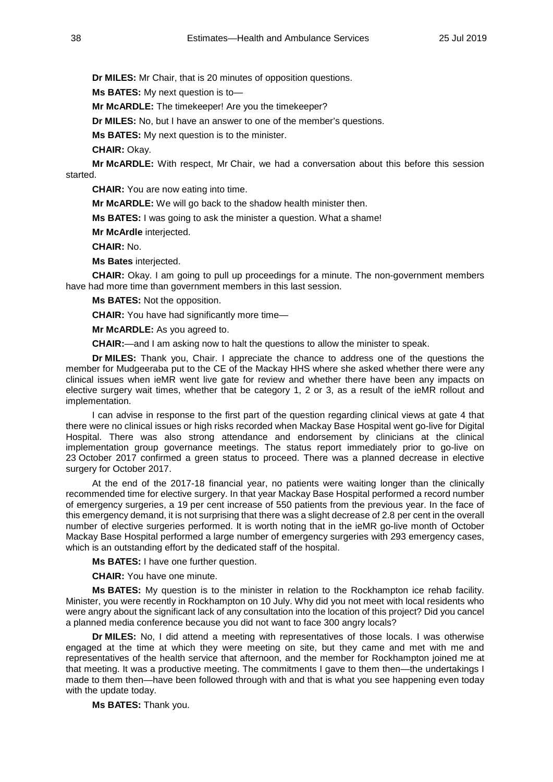**Dr MILES:** Mr Chair, that is 20 minutes of opposition questions.

**Ms BATES:** My next question is to—

**Mr McARDLE:** The timekeeper! Are you the timekeeper?

**Dr MILES:** No, but I have an answer to one of the member's questions.

**Ms BATES:** My next question is to the minister.

**CHAIR:** Okay.

**Mr McARDLE:** With respect, Mr Chair, we had a conversation about this before this session started.

**CHAIR:** You are now eating into time.

**Mr McARDLE:** We will go back to the shadow health minister then.

**Ms BATES:** I was going to ask the minister a question. What a shame!

**Mr McArdle** interjected.

**CHAIR:** No.

**Ms Bates** interjected.

**CHAIR:** Okay. I am going to pull up proceedings for a minute. The non-government members have had more time than government members in this last session.

**Ms BATES:** Not the opposition.

**CHAIR:** You have had significantly more time—

**Mr McARDLE:** As you agreed to.

**CHAIR:**—and I am asking now to halt the questions to allow the minister to speak.

**Dr MILES:** Thank you, Chair. I appreciate the chance to address one of the questions the member for Mudgeeraba put to the CE of the Mackay HHS where she asked whether there were any clinical issues when ieMR went live gate for review and whether there have been any impacts on elective surgery wait times, whether that be category 1, 2 or 3, as a result of the ieMR rollout and implementation.

I can advise in response to the first part of the question regarding clinical views at gate 4 that there were no clinical issues or high risks recorded when Mackay Base Hospital went go-live for Digital Hospital. There was also strong attendance and endorsement by clinicians at the clinical implementation group governance meetings. The status report immediately prior to go-live on 23 October 2017 confirmed a green status to proceed. There was a planned decrease in elective surgery for October 2017.

At the end of the 2017-18 financial year, no patients were waiting longer than the clinically recommended time for elective surgery. In that year Mackay Base Hospital performed a record number of emergency surgeries, a 19 per cent increase of 550 patients from the previous year. In the face of this emergency demand, it is not surprising that there was a slight decrease of 2.8 per cent in the overall number of elective surgeries performed. It is worth noting that in the ieMR go-live month of October Mackay Base Hospital performed a large number of emergency surgeries with 293 emergency cases, which is an outstanding effort by the dedicated staff of the hospital.

**Ms BATES:** I have one further question.

**CHAIR:** You have one minute.

**Ms BATES:** My question is to the minister in relation to the Rockhampton ice rehab facility. Minister, you were recently in Rockhampton on 10 July. Why did you not meet with local residents who were angry about the significant lack of any consultation into the location of this project? Did you cancel a planned media conference because you did not want to face 300 angry locals?

**Dr MILES:** No, I did attend a meeting with representatives of those locals. I was otherwise engaged at the time at which they were meeting on site, but they came and met with me and representatives of the health service that afternoon, and the member for Rockhampton joined me at that meeting. It was a productive meeting. The commitments I gave to them then—the undertakings I made to them then—have been followed through with and that is what you see happening even today with the update today.

**Ms BATES:** Thank you.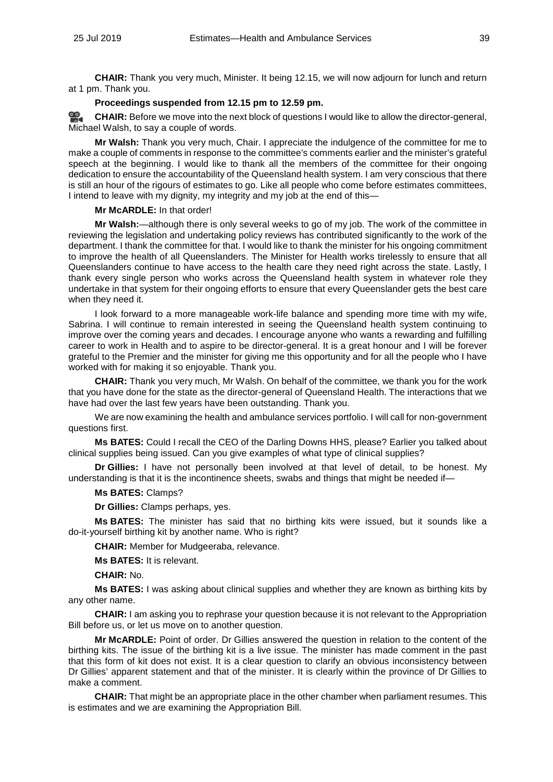**CHAIR:** Thank you very much, Minister. It being 12.15, we will now adjourn for lunch and return at 1 pm. Thank you.

#### **Proceedings suspended from 12.15 pm to 12.59 pm.**

≌. **[CHAIR:](http://www.parliament.qld.gov.au/docs/find.aspx?id=0Mba20190725_125914)** Before we move into the next block of questions I would like to allow the director-general, Michael Walsh, to say a couple of words.

**Mr Walsh:** Thank you very much, Chair. I appreciate the indulgence of the committee for me to make a couple of comments in response to the committee's comments earlier and the minister's grateful speech at the beginning. I would like to thank all the members of the committee for their ongoing dedication to ensure the accountability of the Queensland health system. I am very conscious that there is still an hour of the rigours of estimates to go. Like all people who come before estimates committees, I intend to leave with my dignity, my integrity and my job at the end of this—

### **Mr McARDLE:** In that order!

**Mr Walsh:**—although there is only several weeks to go of my job. The work of the committee in reviewing the legislation and undertaking policy reviews has contributed significantly to the work of the department. I thank the committee for that. I would like to thank the minister for his ongoing commitment to improve the health of all Queenslanders. The Minister for Health works tirelessly to ensure that all Queenslanders continue to have access to the health care they need right across the state. Lastly, I thank every single person who works across the Queensland health system in whatever role they undertake in that system for their ongoing efforts to ensure that every Queenslander gets the best care when they need it.

I look forward to a more manageable work-life balance and spending more time with my wife, Sabrina. I will continue to remain interested in seeing the Queensland health system continuing to improve over the coming years and decades. I encourage anyone who wants a rewarding and fulfilling career to work in Health and to aspire to be director-general. It is a great honour and I will be forever grateful to the Premier and the minister for giving me this opportunity and for all the people who I have worked with for making it so enjoyable. Thank you.

**CHAIR:** Thank you very much, Mr Walsh. On behalf of the committee, we thank you for the work that you have done for the state as the director-general of Queensland Health. The interactions that we have had over the last few years have been outstanding. Thank you.

We are now examining the health and ambulance services portfolio. I will call for non-government questions first.

**Ms BATES:** Could I recall the CEO of the Darling Downs HHS, please? Earlier you talked about clinical supplies being issued. Can you give examples of what type of clinical supplies?

**Dr Gillies:** I have not personally been involved at that level of detail, to be honest. My understanding is that it is the incontinence sheets, swabs and things that might be needed if—

## **Ms BATES:** Clamps?

**Dr Gillies:** Clamps perhaps, yes.

**Ms BATES:** The minister has said that no birthing kits were issued, but it sounds like a do-it-yourself birthing kit by another name. Who is right?

**CHAIR:** Member for Mudgeeraba, relevance.

**Ms BATES:** It is relevant.

**CHAIR:** No.

**Ms BATES:** I was asking about clinical supplies and whether they are known as birthing kits by any other name.

**CHAIR:** I am asking you to rephrase your question because it is not relevant to the Appropriation Bill before us, or let us move on to another question.

**Mr McARDLE:** Point of order. Dr Gillies answered the question in relation to the content of the birthing kits. The issue of the birthing kit is a live issue. The minister has made comment in the past that this form of kit does not exist. It is a clear question to clarify an obvious inconsistency between Dr Gillies' apparent statement and that of the minister. It is clearly within the province of Dr Gillies to make a comment.

**CHAIR:** That might be an appropriate place in the other chamber when parliament resumes. This is estimates and we are examining the Appropriation Bill.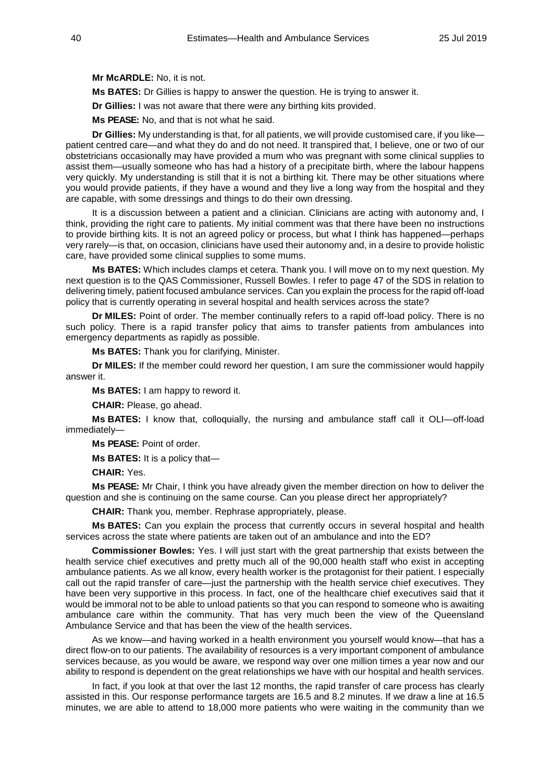**Mr McARDLE:** No, it is not.

**Ms BATES:** Dr Gillies is happy to answer the question. He is trying to answer it.

**Dr Gillies:** I was not aware that there were any birthing kits provided.

**Ms PEASE:** No, and that is not what he said.

**Dr Gillies:** My understanding is that, for all patients, we will provide customised care, if you like patient centred care—and what they do and do not need. It transpired that, I believe, one or two of our obstetricians occasionally may have provided a mum who was pregnant with some clinical supplies to assist them—usually someone who has had a history of a precipitate birth, where the labour happens very quickly. My understanding is still that it is not a birthing kit. There may be other situations where you would provide patients, if they have a wound and they live a long way from the hospital and they are capable, with some dressings and things to do their own dressing.

It is a discussion between a patient and a clinician. Clinicians are acting with autonomy and, I think, providing the right care to patients. My initial comment was that there have been no instructions to provide birthing kits. It is not an agreed policy or process, but what I think has happened—perhaps very rarely—is that, on occasion, clinicians have used their autonomy and, in a desire to provide holistic care, have provided some clinical supplies to some mums.

**Ms BATES:** Which includes clamps et cetera. Thank you. I will move on to my next question. My next question is to the QAS Commissioner, Russell Bowles. I refer to page 47 of the SDS in relation to delivering timely, patient focused ambulance services. Can you explain the process for the rapid off-load policy that is currently operating in several hospital and health services across the state?

**Dr MILES:** Point of order. The member continually refers to a rapid off-load policy. There is no such policy. There is a rapid transfer policy that aims to transfer patients from ambulances into emergency departments as rapidly as possible.

**Ms BATES:** Thank you for clarifying, Minister.

**Dr MILES:** If the member could reword her question, I am sure the commissioner would happily answer it.

**Ms BATES:** I am happy to reword it.

**CHAIR:** Please, go ahead.

**Ms BATES:** I know that, colloquially, the nursing and ambulance staff call it OLI—off-load immediately—

**Ms PEASE:** Point of order.

**Ms BATES:** It is a policy that—

**CHAIR:** Yes.

**Ms PEASE:** Mr Chair, I think you have already given the member direction on how to deliver the question and she is continuing on the same course. Can you please direct her appropriately?

**CHAIR:** Thank you, member. Rephrase appropriately, please.

**Ms BATES:** Can you explain the process that currently occurs in several hospital and health services across the state where patients are taken out of an ambulance and into the ED?

**Commissioner Bowles:** Yes. I will just start with the great partnership that exists between the health service chief executives and pretty much all of the 90,000 health staff who exist in accepting ambulance patients. As we all know, every health worker is the protagonist for their patient. I especially call out the rapid transfer of care—just the partnership with the health service chief executives. They have been very supportive in this process. In fact, one of the healthcare chief executives said that it would be immoral not to be able to unload patients so that you can respond to someone who is awaiting ambulance care within the community. That has very much been the view of the Queensland Ambulance Service and that has been the view of the health services.

As we know—and having worked in a health environment you yourself would know—that has a direct flow-on to our patients. The availability of resources is a very important component of ambulance services because, as you would be aware, we respond way over one million times a year now and our ability to respond is dependent on the great relationships we have with our hospital and health services.

In fact, if you look at that over the last 12 months, the rapid transfer of care process has clearly assisted in this. Our response performance targets are 16.5 and 8.2 minutes. If we draw a line at 16.5 minutes, we are able to attend to 18,000 more patients who were waiting in the community than we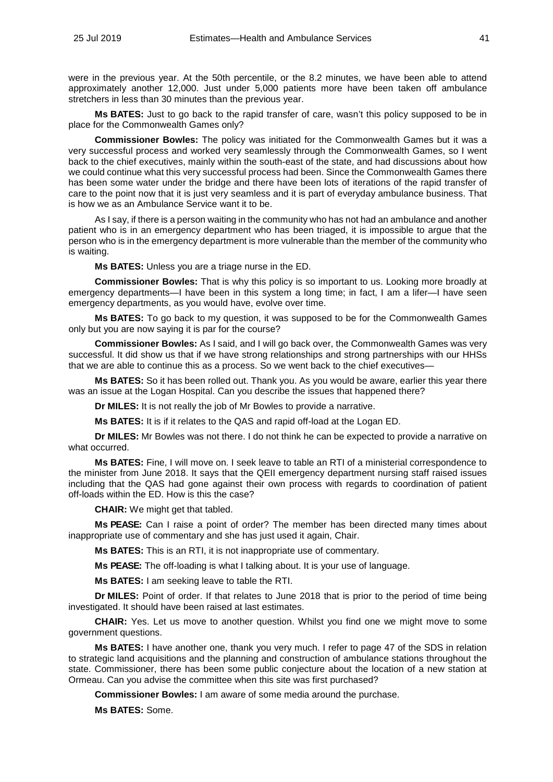were in the previous year. At the 50th percentile, or the 8.2 minutes, we have been able to attend approximately another 12,000. Just under 5,000 patients more have been taken off ambulance stretchers in less than 30 minutes than the previous year.

**Ms BATES:** Just to go back to the rapid transfer of care, wasn't this policy supposed to be in place for the Commonwealth Games only?

**Commissioner Bowles:** The policy was initiated for the Commonwealth Games but it was a very successful process and worked very seamlessly through the Commonwealth Games, so I went back to the chief executives, mainly within the south-east of the state, and had discussions about how we could continue what this very successful process had been. Since the Commonwealth Games there has been some water under the bridge and there have been lots of iterations of the rapid transfer of care to the point now that it is just very seamless and it is part of everyday ambulance business. That is how we as an Ambulance Service want it to be.

As I say, if there is a person waiting in the community who has not had an ambulance and another patient who is in an emergency department who has been triaged, it is impossible to argue that the person who is in the emergency department is more vulnerable than the member of the community who is waiting.

**Ms BATES:** Unless you are a triage nurse in the ED.

**Commissioner Bowles:** That is why this policy is so important to us. Looking more broadly at emergency departments—I have been in this system a long time; in fact, I am a lifer—I have seen emergency departments, as you would have, evolve over time.

**Ms BATES:** To go back to my question, it was supposed to be for the Commonwealth Games only but you are now saying it is par for the course?

**Commissioner Bowles:** As I said, and I will go back over, the Commonwealth Games was very successful. It did show us that if we have strong relationships and strong partnerships with our HHSs that we are able to continue this as a process. So we went back to the chief executives—

**Ms BATES:** So it has been rolled out. Thank you. As you would be aware, earlier this year there was an issue at the Logan Hospital. Can you describe the issues that happened there?

**Dr MILES:** It is not really the job of Mr Bowles to provide a narrative.

**Ms BATES:** It is if it relates to the QAS and rapid off-load at the Logan ED.

**Dr MILES:** Mr Bowles was not there. I do not think he can be expected to provide a narrative on what occurred.

**Ms BATES:** Fine, I will move on. I seek leave to table an RTI of a ministerial correspondence to the minister from June 2018. It says that the QEII emergency department nursing staff raised issues including that the QAS had gone against their own process with regards to coordination of patient off-loads within the ED. How is this the case?

**CHAIR:** We might get that tabled.

**Ms PEASE:** Can I raise a point of order? The member has been directed many times about inappropriate use of commentary and she has just used it again, Chair.

**Ms BATES:** This is an RTI, it is not inappropriate use of commentary.

**Ms PEASE:** The off-loading is what I talking about. It is your use of language.

**Ms BATES:** I am seeking leave to table the RTI.

**Dr MILES:** Point of order. If that relates to June 2018 that is prior to the period of time being investigated. It should have been raised at last estimates.

**CHAIR:** Yes. Let us move to another question. Whilst you find one we might move to some government questions.

**Ms BATES:** I have another one, thank you very much. I refer to page 47 of the SDS in relation to strategic land acquisitions and the planning and construction of ambulance stations throughout the state. Commissioner, there has been some public conjecture about the location of a new station at Ormeau. Can you advise the committee when this site was first purchased?

**Commissioner Bowles:** I am aware of some media around the purchase.

**Ms BATES:** Some.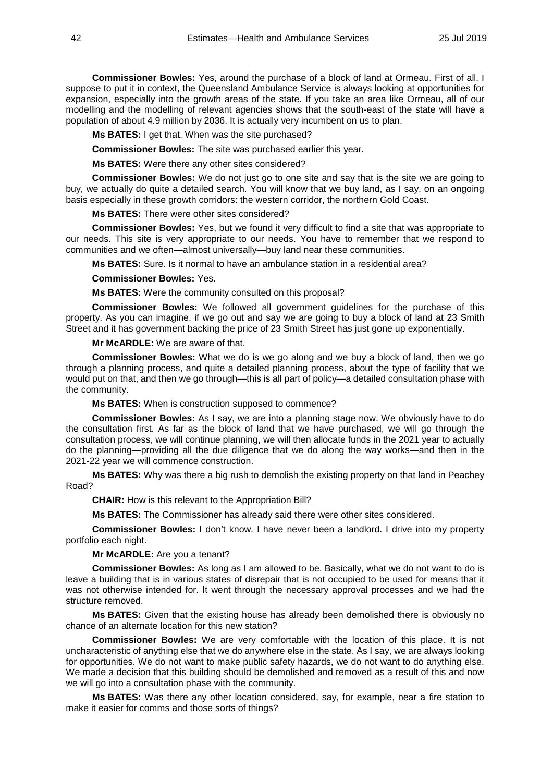**Commissioner Bowles:** Yes, around the purchase of a block of land at Ormeau. First of all, I suppose to put it in context, the Queensland Ambulance Service is always looking at opportunities for expansion, especially into the growth areas of the state. If you take an area like Ormeau, all of our modelling and the modelling of relevant agencies shows that the south-east of the state will have a population of about 4.9 million by 2036. It is actually very incumbent on us to plan.

**Ms BATES:** I get that. When was the site purchased?

**Commissioner Bowles:** The site was purchased earlier this year.

**Ms BATES:** Were there any other sites considered?

**Commissioner Bowles:** We do not just go to one site and say that is the site we are going to buy, we actually do quite a detailed search. You will know that we buy land, as I say, on an ongoing basis especially in these growth corridors: the western corridor, the northern Gold Coast.

**Ms BATES:** There were other sites considered?

**Commissioner Bowles:** Yes, but we found it very difficult to find a site that was appropriate to our needs. This site is very appropriate to our needs. You have to remember that we respond to communities and we often—almost universally—buy land near these communities.

**Ms BATES:** Sure. Is it normal to have an ambulance station in a residential area?

**Commissioner Bowles:** Yes.

**Ms BATES:** Were the community consulted on this proposal?

**Commissioner Bowles:** We followed all government guidelines for the purchase of this property. As you can imagine, if we go out and say we are going to buy a block of land at 23 Smith Street and it has government backing the price of 23 Smith Street has just gone up exponentially.

**Mr McARDLE:** We are aware of that.

**Commissioner Bowles:** What we do is we go along and we buy a block of land, then we go through a planning process, and quite a detailed planning process, about the type of facility that we would put on that, and then we go through—this is all part of policy—a detailed consultation phase with the community.

**Ms BATES:** When is construction supposed to commence?

**Commissioner Bowles:** As I say, we are into a planning stage now. We obviously have to do the consultation first. As far as the block of land that we have purchased, we will go through the consultation process, we will continue planning, we will then allocate funds in the 2021 year to actually do the planning—providing all the due diligence that we do along the way works—and then in the 2021-22 year we will commence construction.

**Ms BATES:** Why was there a big rush to demolish the existing property on that land in Peachey Road?

**CHAIR:** How is this relevant to the Appropriation Bill?

**Ms BATES:** The Commissioner has already said there were other sites considered.

**Commissioner Bowles:** I don't know. I have never been a landlord. I drive into my property portfolio each night.

**Mr McARDLE:** Are you a tenant?

**Commissioner Bowles:** As long as I am allowed to be. Basically, what we do not want to do is leave a building that is in various states of disrepair that is not occupied to be used for means that it was not otherwise intended for. It went through the necessary approval processes and we had the structure removed.

**Ms BATES:** Given that the existing house has already been demolished there is obviously no chance of an alternate location for this new station?

**Commissioner Bowles:** We are very comfortable with the location of this place. It is not uncharacteristic of anything else that we do anywhere else in the state. As I say, we are always looking for opportunities. We do not want to make public safety hazards, we do not want to do anything else. We made a decision that this building should be demolished and removed as a result of this and now we will go into a consultation phase with the community.

**Ms BATES:** Was there any other location considered, say, for example, near a fire station to make it easier for comms and those sorts of things?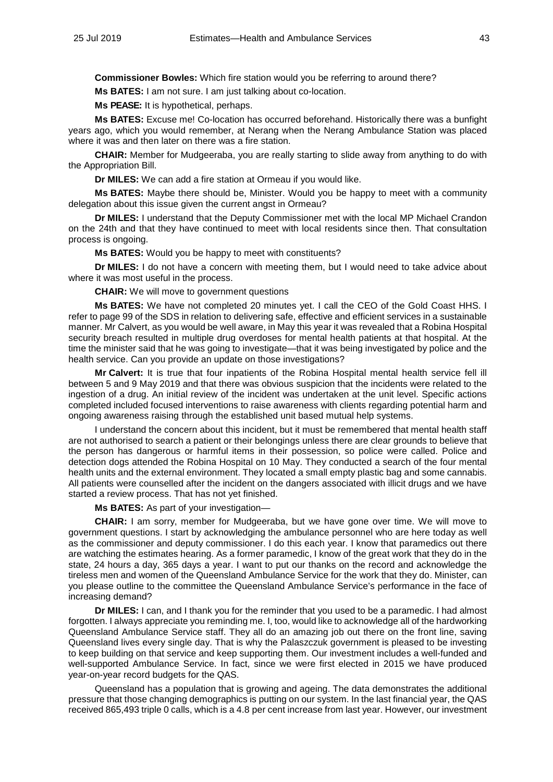**Commissioner Bowles:** Which fire station would you be referring to around there?

**Ms BATES:** I am not sure. I am just talking about co-location.

**Ms PEASE:** It is hypothetical, perhaps.

**Ms BATES:** Excuse me! Co-location has occurred beforehand. Historically there was a bunfight years ago, which you would remember, at Nerang when the Nerang Ambulance Station was placed where it was and then later on there was a fire station.

**CHAIR:** Member for Mudgeeraba, you are really starting to slide away from anything to do with the Appropriation Bill.

**Dr MILES:** We can add a fire station at Ormeau if you would like.

**Ms BATES:** Maybe there should be, Minister. Would you be happy to meet with a community delegation about this issue given the current angst in Ormeau?

**Dr MILES:** I understand that the Deputy Commissioner met with the local MP Michael Crandon on the 24th and that they have continued to meet with local residents since then. That consultation process is ongoing.

**Ms BATES:** Would you be happy to meet with constituents?

**Dr MILES:** I do not have a concern with meeting them, but I would need to take advice about where it was most useful in the process.

**CHAIR:** We will move to government questions

**Ms BATES:** We have not completed 20 minutes yet. I call the CEO of the Gold Coast HHS. I refer to page 99 of the SDS in relation to delivering safe, effective and efficient services in a sustainable manner. Mr Calvert, as you would be well aware, in May this year it was revealed that a Robina Hospital security breach resulted in multiple drug overdoses for mental health patients at that hospital. At the time the minister said that he was going to investigate—that it was being investigated by police and the health service. Can you provide an update on those investigations?

**Mr Calvert:** It is true that four inpatients of the Robina Hospital mental health service fell ill between 5 and 9 May 2019 and that there was obvious suspicion that the incidents were related to the ingestion of a drug. An initial review of the incident was undertaken at the unit level. Specific actions completed included focused interventions to raise awareness with clients regarding potential harm and ongoing awareness raising through the established unit based mutual help systems.

I understand the concern about this incident, but it must be remembered that mental health staff are not authorised to search a patient or their belongings unless there are clear grounds to believe that the person has dangerous or harmful items in their possession, so police were called. Police and detection dogs attended the Robina Hospital on 10 May. They conducted a search of the four mental health units and the external environment. They located a small empty plastic bag and some cannabis. All patients were counselled after the incident on the dangers associated with illicit drugs and we have started a review process. That has not yet finished.

**Ms BATES:** As part of your investigation—

**CHAIR:** I am sorry, member for Mudgeeraba, but we have gone over time. We will move to government questions. I start by acknowledging the ambulance personnel who are here today as well as the commissioner and deputy commissioner. I do this each year. I know that paramedics out there are watching the estimates hearing. As a former paramedic, I know of the great work that they do in the state, 24 hours a day, 365 days a year. I want to put our thanks on the record and acknowledge the tireless men and women of the Queensland Ambulance Service for the work that they do. Minister, can you please outline to the committee the Queensland Ambulance Service's performance in the face of increasing demand?

**Dr MILES:** I can, and I thank you for the reminder that you used to be a paramedic. I had almost forgotten. I always appreciate you reminding me. I, too, would like to acknowledge all of the hardworking Queensland Ambulance Service staff. They all do an amazing job out there on the front line, saving Queensland lives every single day. That is why the Palaszczuk government is pleased to be investing to keep building on that service and keep supporting them. Our investment includes a well-funded and well-supported Ambulance Service. In fact, since we were first elected in 2015 we have produced year-on-year record budgets for the QAS.

Queensland has a population that is growing and ageing. The data demonstrates the additional pressure that those changing demographics is putting on our system. In the last financial year, the QAS received 865,493 triple 0 calls, which is a 4.8 per cent increase from last year. However, our investment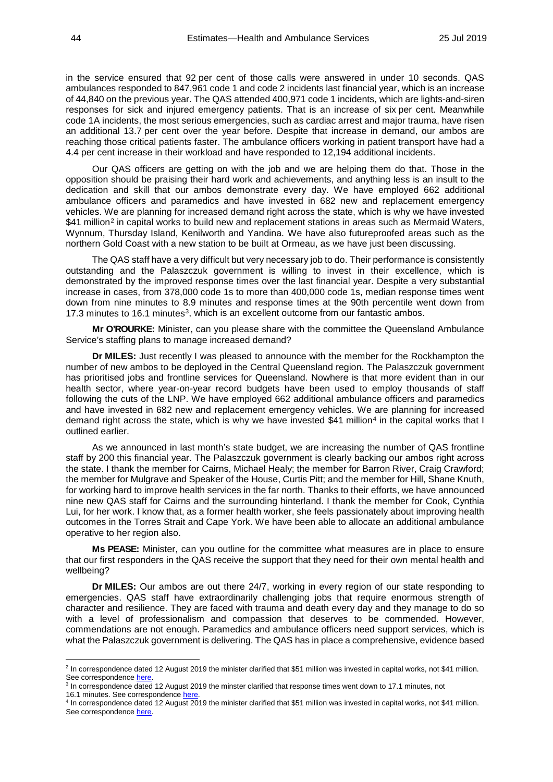in the service ensured that 92 per cent of those calls were answered in under 10 seconds. QAS ambulances responded to 847,961 code 1 and code 2 incidents last financial year, which is an increase of 44,840 on the previous year. The QAS attended 400,971 code 1 incidents, which are lights-and-siren responses for sick and injured emergency patients. That is an increase of six per cent. Meanwhile code 1A incidents, the most serious emergencies, such as cardiac arrest and major trauma, have risen an additional 13.7 per cent over the year before. Despite that increase in demand, our ambos are reaching those critical patients faster. The ambulance officers working in patient transport have had a 4.4 per cent increase in their workload and have responded to 12,194 additional incidents.

Our QAS officers are getting on with the job and we are helping them do that. Those in the opposition should be praising their hard work and achievements, and anything less is an insult to the dedication and skill that our ambos demonstrate every day. We have employed 662 additional ambulance officers and paramedics and have invested in 682 new and replacement emergency vehicles. We are planning for increased demand right across the state, which is why we have invested \$41 million<sup>[2](#page-43-0)</sup> in capital works to build new and replacement stations in areas such as Mermaid Waters, Wynnum, Thursday Island, Kenilworth and Yandina. We have also futureproofed areas such as the northern Gold Coast with a new station to be built at Ormeau, as we have just been discussing.

The QAS staff have a very difficult but very necessary job to do. Their performance is consistently outstanding and the Palaszczuk government is willing to invest in their excellence, which is demonstrated by the improved response times over the last financial year. Despite a very substantial increase in cases, from 378,000 code 1s to more than 400,000 code 1s, median response times went down from nine minutes to 8.9 minutes and response times at the 90th percentile went down from 17.[3](#page-43-1) minutes to 16.1 minutes<sup>3</sup>, which is an excellent outcome from our fantastic ambos.

**Mr O'ROURKE:** Minister, can you please share with the committee the Queensland Ambulance Service's staffing plans to manage increased demand?

**Dr MILES:** Just recently I was pleased to announce with the member for the Rockhampton the number of new ambos to be deployed in the Central Queensland region. The Palaszczuk government has prioritised jobs and frontline services for Queensland. Nowhere is that more evident than in our health sector, where year-on-year record budgets have been used to employ thousands of staff following the cuts of the LNP. We have employed 662 additional ambulance officers and paramedics and have invested in 682 new and replacement emergency vehicles. We are planning for increased demand right across the state, which is why we have invested \$[4](#page-43-2)1 million<sup>4</sup> in the capital works that I outlined earlier.

As we announced in last month's state budget, we are increasing the number of QAS frontline staff by 200 this financial year. The Palaszczuk government is clearly backing our ambos right across the state. I thank the member for Cairns, Michael Healy; the member for Barron River, Craig Crawford; the member for Mulgrave and Speaker of the House, Curtis Pitt; and the member for Hill, Shane Knuth, for working hard to improve health services in the far north. Thanks to their efforts, we have announced nine new QAS staff for Cairns and the surrounding hinterland. I thank the member for Cook, Cynthia Lui, for her work. I know that, as a former health worker, she feels passionately about improving health outcomes in the Torres Strait and Cape York. We have been able to allocate an additional ambulance operative to her region also.

**Ms PEASE:** Minister, can you outline for the committee what measures are in place to ensure that our first responders in the QAS receive the support that they need for their own mental health and wellbeing?

**Dr MILES:** Our ambos are out there 24/7, working in every region of our state responding to emergencies. QAS staff have extraordinarily challenging jobs that require enormous strength of character and resilience. They are faced with trauma and death every day and they manage to do so with a level of professionalism and compassion that deserves to be commended. However, commendations are not enough. Paramedics and ambulance officers need support services, which is what the Palaszczuk government is delivering. The QAS has in place a comprehensive, evidence based

16.1 minutes. See correspondenc[e here.](http://www.parliament.qld.gov.au/documents/committees/HCDSDFVPC/2019/Estimates2019/cor-12Aug2019.pdf)

<u>.</u>

<span id="page-43-0"></span><sup>&</sup>lt;sup>2</sup> In correspondence dated 12 August 2019 the minister clarified that \$51 million was invested in capital works, not \$41 million. See correspondence [here.](http://www.parliament.qld.gov.au/documents/committees/HCDSDFVPC/2019/Estimates2019/cor-12Aug2019.pdf)

<span id="page-43-1"></span><sup>3</sup> In correspondence dated 12 August 2019 the minster clarified that response times went down to 17.1 minutes, not

<span id="page-43-2"></span><sup>4</sup> In correspondence dated 12 August 2019 the minister clarified that \$51 million was invested in capital works, not \$41 million. See correspondence [here.](http://www.parliament.qld.gov.au/documents/committees/HCDSDFVPC/2019/Estimates2019/cor-12Aug2019.pdf)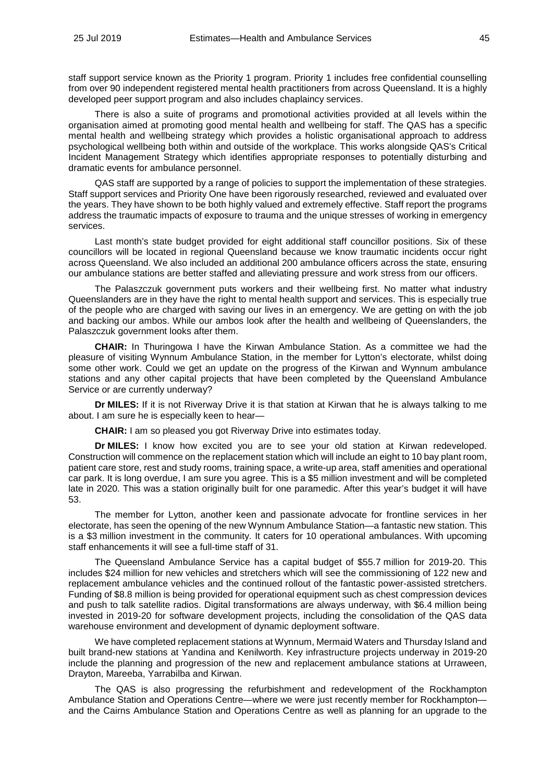staff support service known as the Priority 1 program. Priority 1 includes free confidential counselling from over 90 independent registered mental health practitioners from across Queensland. It is a highly developed peer support program and also includes chaplaincy services.

There is also a suite of programs and promotional activities provided at all levels within the organisation aimed at promoting good mental health and wellbeing for staff. The QAS has a specific mental health and wellbeing strategy which provides a holistic organisational approach to address psychological wellbeing both within and outside of the workplace. This works alongside QAS's Critical Incident Management Strategy which identifies appropriate responses to potentially disturbing and dramatic events for ambulance personnel.

QAS staff are supported by a range of policies to support the implementation of these strategies. Staff support services and Priority One have been rigorously researched, reviewed and evaluated over the years. They have shown to be both highly valued and extremely effective. Staff report the programs address the traumatic impacts of exposure to trauma and the unique stresses of working in emergency services.

Last month's state budget provided for eight additional staff councillor positions. Six of these councillors will be located in regional Queensland because we know traumatic incidents occur right across Queensland. We also included an additional 200 ambulance officers across the state, ensuring our ambulance stations are better staffed and alleviating pressure and work stress from our officers.

The Palaszczuk government puts workers and their wellbeing first. No matter what industry Queenslanders are in they have the right to mental health support and services. This is especially true of the people who are charged with saving our lives in an emergency. We are getting on with the job and backing our ambos. While our ambos look after the health and wellbeing of Queenslanders, the Palaszczuk government looks after them.

**CHAIR:** In Thuringowa I have the Kirwan Ambulance Station. As a committee we had the pleasure of visiting Wynnum Ambulance Station, in the member for Lytton's electorate, whilst doing some other work. Could we get an update on the progress of the Kirwan and Wynnum ambulance stations and any other capital projects that have been completed by the Queensland Ambulance Service or are currently underway?

**Dr MILES:** If it is not Riverway Drive it is that station at Kirwan that he is always talking to me about. I am sure he is especially keen to hear-

**CHAIR:** I am so pleased you got Riverway Drive into estimates today.

**Dr MILES:** I know how excited you are to see your old station at Kirwan redeveloped. Construction will commence on the replacement station which will include an eight to 10 bay plant room, patient care store, rest and study rooms, training space, a write-up area, staff amenities and operational car park. It is long overdue, I am sure you agree. This is a \$5 million investment and will be completed late in 2020. This was a station originally built for one paramedic. After this year's budget it will have 53.

The member for Lytton, another keen and passionate advocate for frontline services in her electorate, has seen the opening of the new Wynnum Ambulance Station—a fantastic new station. This is a \$3 million investment in the community. It caters for 10 operational ambulances. With upcoming staff enhancements it will see a full-time staff of 31.

The Queensland Ambulance Service has a capital budget of \$55.7 million for 2019-20. This includes \$24 million for new vehicles and stretchers which will see the commissioning of 122 new and replacement ambulance vehicles and the continued rollout of the fantastic power-assisted stretchers. Funding of \$8.8 million is being provided for operational equipment such as chest compression devices and push to talk satellite radios. Digital transformations are always underway, with \$6.4 million being invested in 2019-20 for software development projects, including the consolidation of the QAS data warehouse environment and development of dynamic deployment software.

We have completed replacement stations at Wynnum, Mermaid Waters and Thursday Island and built brand-new stations at Yandina and Kenilworth. Key infrastructure projects underway in 2019-20 include the planning and progression of the new and replacement ambulance stations at Urraween, Drayton, Mareeba, Yarrabilba and Kirwan.

The QAS is also progressing the refurbishment and redevelopment of the Rockhampton Ambulance Station and Operations Centre—where we were just recently member for Rockhampton and the Cairns Ambulance Station and Operations Centre as well as planning for an upgrade to the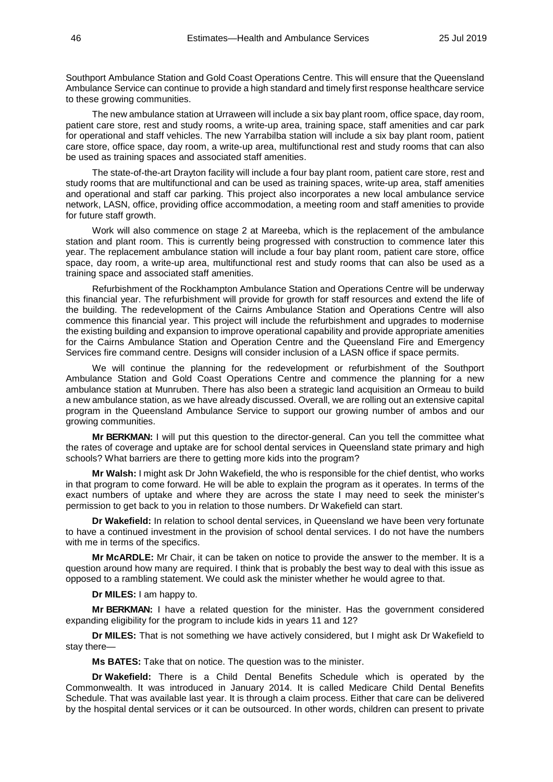Southport Ambulance Station and Gold Coast Operations Centre. This will ensure that the Queensland Ambulance Service can continue to provide a high standard and timely first response healthcare service to these growing communities.

The new ambulance station at Urraween will include a six bay plant room, office space, day room, patient care store, rest and study rooms, a write-up area, training space, staff amenities and car park for operational and staff vehicles. The new Yarrabilba station will include a six bay plant room, patient care store, office space, day room, a write-up area, multifunctional rest and study rooms that can also be used as training spaces and associated staff amenities.

The state-of-the-art Drayton facility will include a four bay plant room, patient care store, rest and study rooms that are multifunctional and can be used as training spaces, write-up area, staff amenities and operational and staff car parking. This project also incorporates a new local ambulance service network, LASN, office, providing office accommodation, a meeting room and staff amenities to provide for future staff growth.

Work will also commence on stage 2 at Mareeba, which is the replacement of the ambulance station and plant room. This is currently being progressed with construction to commence later this year. The replacement ambulance station will include a four bay plant room, patient care store, office space, day room, a write-up area, multifunctional rest and study rooms that can also be used as a training space and associated staff amenities.

Refurbishment of the Rockhampton Ambulance Station and Operations Centre will be underway this financial year. The refurbishment will provide for growth for staff resources and extend the life of the building. The redevelopment of the Cairns Ambulance Station and Operations Centre will also commence this financial year. This project will include the refurbishment and upgrades to modernise the existing building and expansion to improve operational capability and provide appropriate amenities for the Cairns Ambulance Station and Operation Centre and the Queensland Fire and Emergency Services fire command centre. Designs will consider inclusion of a LASN office if space permits.

We will continue the planning for the redevelopment or refurbishment of the Southport Ambulance Station and Gold Coast Operations Centre and commence the planning for a new ambulance station at Munruben. There has also been a strategic land acquisition an Ormeau to build a new ambulance station, as we have already discussed. Overall, we are rolling out an extensive capital program in the Queensland Ambulance Service to support our growing number of ambos and our growing communities.

**Mr BERKMAN:** I will put this question to the director-general. Can you tell the committee what the rates of coverage and uptake are for school dental services in Queensland state primary and high schools? What barriers are there to getting more kids into the program?

**Mr Walsh:** I might ask Dr John Wakefield, the who is responsible for the chief dentist, who works in that program to come forward. He will be able to explain the program as it operates. In terms of the exact numbers of uptake and where they are across the state I may need to seek the minister's permission to get back to you in relation to those numbers. Dr Wakefield can start.

**Dr Wakefield:** In relation to school dental services, in Queensland we have been very fortunate to have a continued investment in the provision of school dental services. I do not have the numbers with me in terms of the specifics.

**Mr McARDLE:** Mr Chair, it can be taken on notice to provide the answer to the member. It is a question around how many are required. I think that is probably the best way to deal with this issue as opposed to a rambling statement. We could ask the minister whether he would agree to that.

**Dr MILES:** I am happy to.

**Mr BERKMAN:** I have a related question for the minister. Has the government considered expanding eligibility for the program to include kids in years 11 and 12?

**Dr MILES:** That is not something we have actively considered, but I might ask Dr Wakefield to stay there—

**Ms BATES:** Take that on notice. The question was to the minister.

**Dr Wakefield:** There is a Child Dental Benefits Schedule which is operated by the Commonwealth. It was introduced in January 2014. It is called Medicare Child Dental Benefits Schedule. That was available last year. It is through a claim process. Either that care can be delivered by the hospital dental services or it can be outsourced. In other words, children can present to private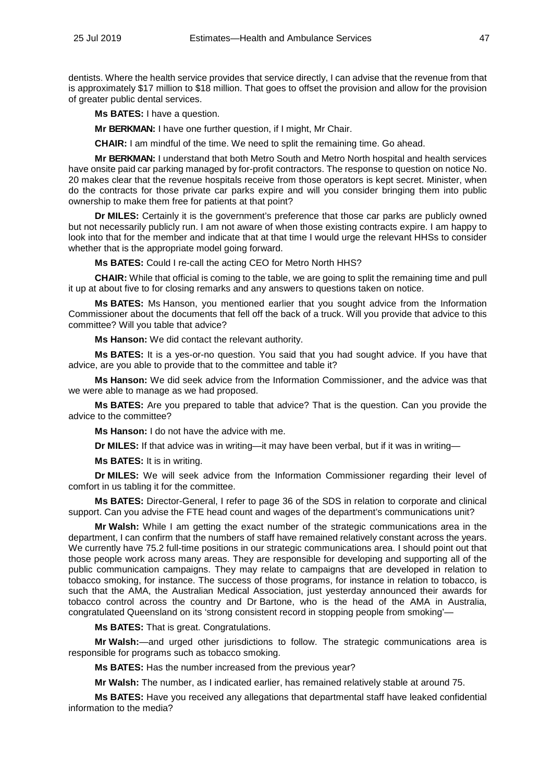dentists. Where the health service provides that service directly, I can advise that the revenue from that is approximately \$17 million to \$18 million. That goes to offset the provision and allow for the provision of greater public dental services.

**Ms BATES:** I have a question.

**Mr BERKMAN:** I have one further question, if I might, Mr Chair.

**CHAIR:** I am mindful of the time. We need to split the remaining time. Go ahead.

**Mr BERKMAN:** I understand that both Metro South and Metro North hospital and health services have onsite paid car parking managed by for-profit contractors. The response to question on notice No. 20 makes clear that the revenue hospitals receive from those operators is kept secret. Minister, when do the contracts for those private car parks expire and will you consider bringing them into public ownership to make them free for patients at that point?

**Dr MILES:** Certainly it is the government's preference that those car parks are publicly owned but not necessarily publicly run. I am not aware of when those existing contracts expire. I am happy to look into that for the member and indicate that at that time I would urge the relevant HHSs to consider whether that is the appropriate model going forward.

**Ms BATES:** Could I re-call the acting CEO for Metro North HHS?

**CHAIR:** While that official is coming to the table, we are going to split the remaining time and pull it up at about five to for closing remarks and any answers to questions taken on notice.

**Ms BATES:** Ms Hanson, you mentioned earlier that you sought advice from the Information Commissioner about the documents that fell off the back of a truck. Will you provide that advice to this committee? Will you table that advice?

**Ms Hanson:** We did contact the relevant authority.

**Ms BATES:** It is a yes-or-no question. You said that you had sought advice. If you have that advice, are you able to provide that to the committee and table it?

**Ms Hanson:** We did seek advice from the Information Commissioner, and the advice was that we were able to manage as we had proposed.

**Ms BATES:** Are you prepared to table that advice? That is the question. Can you provide the advice to the committee?

**Ms Hanson:** I do not have the advice with me.

**Dr MILES:** If that advice was in writing—it may have been verbal, but if it was in writing—

**Ms BATES:** It is in writing.

**Dr MILES:** We will seek advice from the Information Commissioner regarding their level of comfort in us tabling it for the committee.

**Ms BATES:** Director-General, I refer to page 36 of the SDS in relation to corporate and clinical support. Can you advise the FTE head count and wages of the department's communications unit?

**Mr Walsh:** While I am getting the exact number of the strategic communications area in the department, I can confirm that the numbers of staff have remained relatively constant across the years. We currently have 75.2 full-time positions in our strategic communications area. I should point out that those people work across many areas. They are responsible for developing and supporting all of the public communication campaigns. They may relate to campaigns that are developed in relation to tobacco smoking, for instance. The success of those programs, for instance in relation to tobacco, is such that the AMA, the Australian Medical Association, just yesterday announced their awards for tobacco control across the country and Dr Bartone, who is the head of the AMA in Australia, congratulated Queensland on its 'strong consistent record in stopping people from smoking'-

**Ms BATES:** That is great. Congratulations.

**Mr Walsh:**—and urged other jurisdictions to follow. The strategic communications area is responsible for programs such as tobacco smoking.

**Ms BATES:** Has the number increased from the previous year?

**Mr Walsh:** The number, as I indicated earlier, has remained relatively stable at around 75.

**Ms BATES:** Have you received any allegations that departmental staff have leaked confidential information to the media?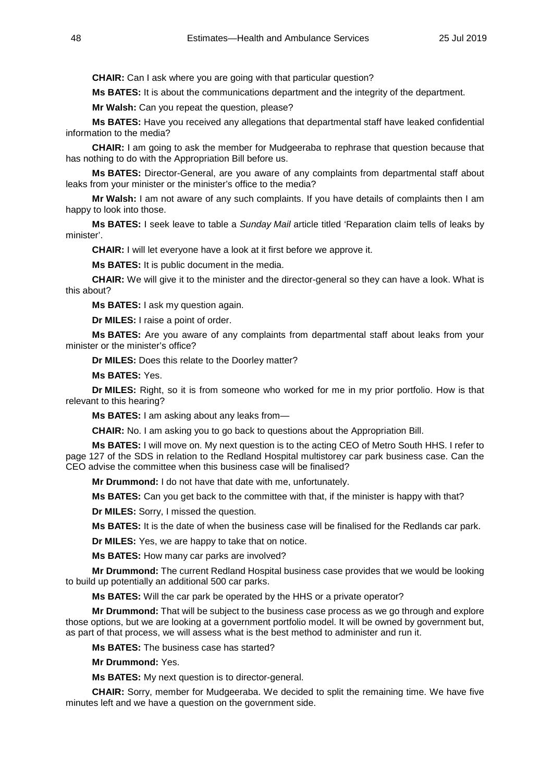**CHAIR:** Can I ask where you are going with that particular question?

**Ms BATES:** It is about the communications department and the integrity of the department.

**Mr Walsh:** Can you repeat the question, please?

**Ms BATES:** Have you received any allegations that departmental staff have leaked confidential information to the media?

**CHAIR:** I am going to ask the member for Mudgeeraba to rephrase that question because that has nothing to do with the Appropriation Bill before us.

**Ms BATES:** Director-General, are you aware of any complaints from departmental staff about leaks from your minister or the minister's office to the media?

**Mr Walsh:** I am not aware of any such complaints. If you have details of complaints then I am happy to look into those.

**Ms BATES:** I seek leave to table a *Sunday Mail* article titled 'Reparation claim tells of leaks by minister'.

**CHAIR:** I will let everyone have a look at it first before we approve it.

**Ms BATES:** It is public document in the media.

**CHAIR:** We will give it to the minister and the director-general so they can have a look. What is this about?

**Ms BATES:** I ask my question again.

**Dr MILES:** I raise a point of order.

**Ms BATES:** Are you aware of any complaints from departmental staff about leaks from your minister or the minister's office?

**Dr MILES:** Does this relate to the Doorley matter?

**Ms BATES:** Yes.

**Dr MILES:** Right, so it is from someone who worked for me in my prior portfolio. How is that relevant to this hearing?

**Ms BATES:** I am asking about any leaks from—

**CHAIR:** No. I am asking you to go back to questions about the Appropriation Bill.

**Ms BATES:** I will move on. My next question is to the acting CEO of Metro South HHS. I refer to page 127 of the SDS in relation to the Redland Hospital multistorey car park business case. Can the CEO advise the committee when this business case will be finalised?

**Mr Drummond:** I do not have that date with me, unfortunately.

**Ms BATES:** Can you get back to the committee with that, if the minister is happy with that?

**Dr MILES:** Sorry, I missed the question.

**Ms BATES:** It is the date of when the business case will be finalised for the Redlands car park.

**Dr MILES:** Yes, we are happy to take that on notice.

**Ms BATES:** How many car parks are involved?

**Mr Drummond:** The current Redland Hospital business case provides that we would be looking to build up potentially an additional 500 car parks.

**Ms BATES:** Will the car park be operated by the HHS or a private operator?

**Mr Drummond:** That will be subject to the business case process as we go through and explore those options, but we are looking at a government portfolio model. It will be owned by government but, as part of that process, we will assess what is the best method to administer and run it.

**Ms BATES:** The business case has started?

**Mr Drummond:** Yes.

**Ms BATES:** My next question is to director-general.

**CHAIR:** Sorry, member for Mudgeeraba. We decided to split the remaining time. We have five minutes left and we have a question on the government side.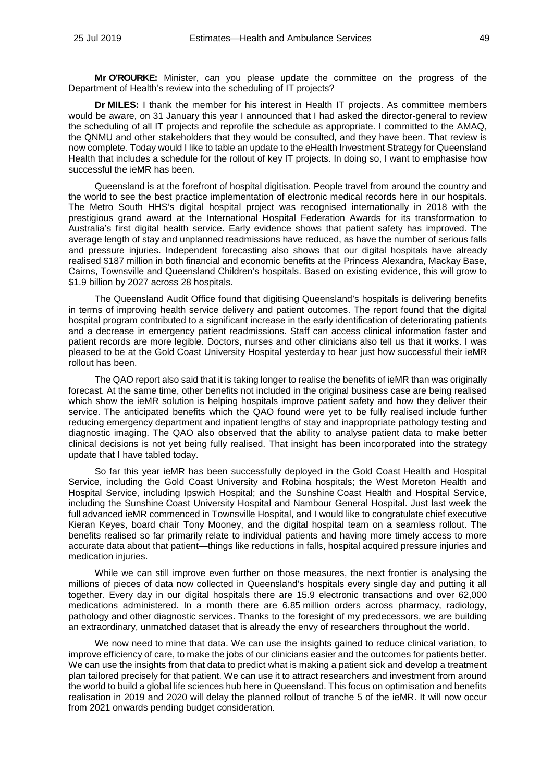**Mr O'ROURKE:** Minister, can you please update the committee on the progress of the Department of Health's review into the scheduling of IT projects?

**Dr MILES:** I thank the member for his interest in Health IT projects. As committee members would be aware, on 31 January this year I announced that I had asked the director-general to review the scheduling of all IT projects and reprofile the schedule as appropriate. I committed to the AMAQ, the QNMU and other stakeholders that they would be consulted, and they have been. That review is now complete. Today would I like to table an update to the eHealth Investment Strategy for Queensland Health that includes a schedule for the rollout of key IT projects. In doing so, I want to emphasise how successful the ieMR has been.

Queensland is at the forefront of hospital digitisation. People travel from around the country and the world to see the best practice implementation of electronic medical records here in our hospitals. The Metro South HHS's digital hospital project was recognised internationally in 2018 with the prestigious grand award at the International Hospital Federation Awards for its transformation to Australia's first digital health service. Early evidence shows that patient safety has improved. The average length of stay and unplanned readmissions have reduced, as have the number of serious falls and pressure injuries. Independent forecasting also shows that our digital hospitals have already realised \$187 million in both financial and economic benefits at the Princess Alexandra, Mackay Base, Cairns, Townsville and Queensland Children's hospitals. Based on existing evidence, this will grow to \$1.9 billion by 2027 across 28 hospitals.

The Queensland Audit Office found that digitising Queensland's hospitals is delivering benefits in terms of improving health service delivery and patient outcomes. The report found that the digital hospital program contributed to a significant increase in the early identification of deteriorating patients and a decrease in emergency patient readmissions. Staff can access clinical information faster and patient records are more legible. Doctors, nurses and other clinicians also tell us that it works. I was pleased to be at the Gold Coast University Hospital yesterday to hear just how successful their ieMR rollout has been.

The QAO report also said that it is taking longer to realise the benefits of ieMR than was originally forecast. At the same time, other benefits not included in the original business case are being realised which show the ieMR solution is helping hospitals improve patient safety and how they deliver their service. The anticipated benefits which the QAO found were yet to be fully realised include further reducing emergency department and inpatient lengths of stay and inappropriate pathology testing and diagnostic imaging. The QAO also observed that the ability to analyse patient data to make better clinical decisions is not yet being fully realised. That insight has been incorporated into the strategy update that I have tabled today.

So far this year ieMR has been successfully deployed in the Gold Coast Health and Hospital Service, including the Gold Coast University and Robina hospitals; the West Moreton Health and Hospital Service, including Ipswich Hospital; and the Sunshine Coast Health and Hospital Service, including the Sunshine Coast University Hospital and Nambour General Hospital. Just last week the full advanced ieMR commenced in Townsville Hospital, and I would like to congratulate chief executive Kieran Keyes, board chair Tony Mooney, and the digital hospital team on a seamless rollout. The benefits realised so far primarily relate to individual patients and having more timely access to more accurate data about that patient—things like reductions in falls, hospital acquired pressure injuries and medication injuries.

While we can still improve even further on those measures, the next frontier is analysing the millions of pieces of data now collected in Queensland's hospitals every single day and putting it all together. Every day in our digital hospitals there are 15.9 electronic transactions and over 62,000 medications administered. In a month there are 6.85 million orders across pharmacy, radiology, pathology and other diagnostic services. Thanks to the foresight of my predecessors, we are building an extraordinary, unmatched dataset that is already the envy of researchers throughout the world.

We now need to mine that data. We can use the insights gained to reduce clinical variation, to improve efficiency of care, to make the jobs of our clinicians easier and the outcomes for patients better. We can use the insights from that data to predict what is making a patient sick and develop a treatment plan tailored precisely for that patient. We can use it to attract researchers and investment from around the world to build a global life sciences hub here in Queensland. This focus on optimisation and benefits realisation in 2019 and 2020 will delay the planned rollout of tranche 5 of the ieMR. It will now occur from 2021 onwards pending budget consideration.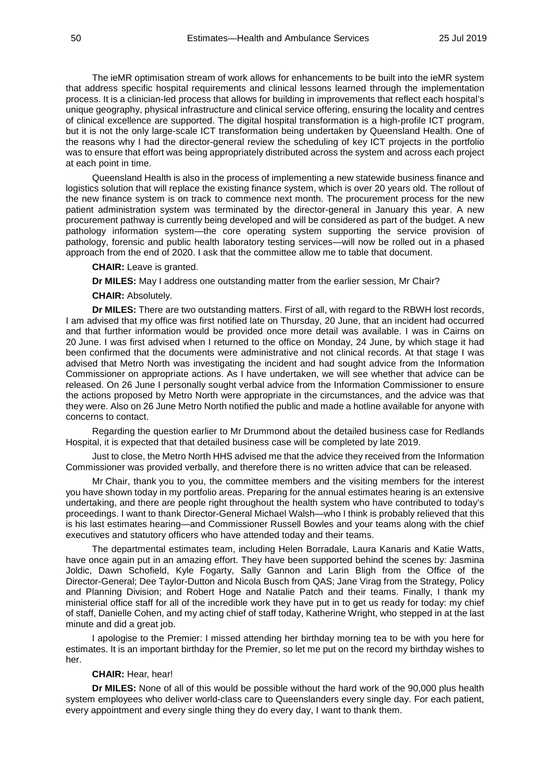The ieMR optimisation stream of work allows for enhancements to be built into the ieMR system that address specific hospital requirements and clinical lessons learned through the implementation process. It is a clinician-led process that allows for building in improvements that reflect each hospital's unique geography, physical infrastructure and clinical service offering, ensuring the locality and centres of clinical excellence are supported. The digital hospital transformation is a high-profile ICT program, but it is not the only large-scale ICT transformation being undertaken by Queensland Health. One of the reasons why I had the director-general review the scheduling of key ICT projects in the portfolio was to ensure that effort was being appropriately distributed across the system and across each project at each point in time.

Queensland Health is also in the process of implementing a new statewide business finance and logistics solution that will replace the existing finance system, which is over 20 years old. The rollout of the new finance system is on track to commence next month. The procurement process for the new patient administration system was terminated by the director-general in January this year. A new procurement pathway is currently being developed and will be considered as part of the budget. A new pathology information system—the core operating system supporting the service provision of pathology, forensic and public health laboratory testing services—will now be rolled out in a phased approach from the end of 2020. I ask that the committee allow me to table that document.

**CHAIR:** Leave is granted.

**Dr MILES:** May I address one outstanding matter from the earlier session, Mr Chair?

**CHAIR:** Absolutely.

**Dr MILES:** There are two outstanding matters. First of all, with regard to the RBWH lost records, I am advised that my office was first notified late on Thursday, 20 June, that an incident had occurred and that further information would be provided once more detail was available. I was in Cairns on 20 June. I was first advised when I returned to the office on Monday, 24 June, by which stage it had been confirmed that the documents were administrative and not clinical records. At that stage I was advised that Metro North was investigating the incident and had sought advice from the Information Commissioner on appropriate actions. As I have undertaken, we will see whether that advice can be released. On 26 June I personally sought verbal advice from the Information Commissioner to ensure the actions proposed by Metro North were appropriate in the circumstances, and the advice was that they were. Also on 26 June Metro North notified the public and made a hotline available for anyone with concerns to contact.

Regarding the question earlier to Mr Drummond about the detailed business case for Redlands Hospital, it is expected that that detailed business case will be completed by late 2019.

Just to close, the Metro North HHS advised me that the advice they received from the Information Commissioner was provided verbally, and therefore there is no written advice that can be released.

Mr Chair, thank you to you, the committee members and the visiting members for the interest you have shown today in my portfolio areas. Preparing for the annual estimates hearing is an extensive undertaking, and there are people right throughout the health system who have contributed to today's proceedings. I want to thank Director-General Michael Walsh—who I think is probably relieved that this is his last estimates hearing—and Commissioner Russell Bowles and your teams along with the chief executives and statutory officers who have attended today and their teams.

The departmental estimates team, including Helen Borradale, Laura Kanaris and Katie Watts, have once again put in an amazing effort. They have been supported behind the scenes by: Jasmina Joldic, Dawn Schofield, Kyle Fogarty, Sally Gannon and Larin Bligh from the Office of the Director-General; Dee Taylor-Dutton and Nicola Busch from QAS; Jane Virag from the Strategy, Policy and Planning Division; and Robert Hoge and Natalie Patch and their teams. Finally, I thank my ministerial office staff for all of the incredible work they have put in to get us ready for today: my chief of staff, Danielle Cohen, and my acting chief of staff today, Katherine Wright, who stepped in at the last minute and did a great job.

I apologise to the Premier: I missed attending her birthday morning tea to be with you here for estimates. It is an important birthday for the Premier, so let me put on the record my birthday wishes to her.

#### **CHAIR:** Hear, hear!

**Dr MILES:** None of all of this would be possible without the hard work of the 90,000 plus health system employees who deliver world-class care to Queenslanders every single day. For each patient, every appointment and every single thing they do every day, I want to thank them.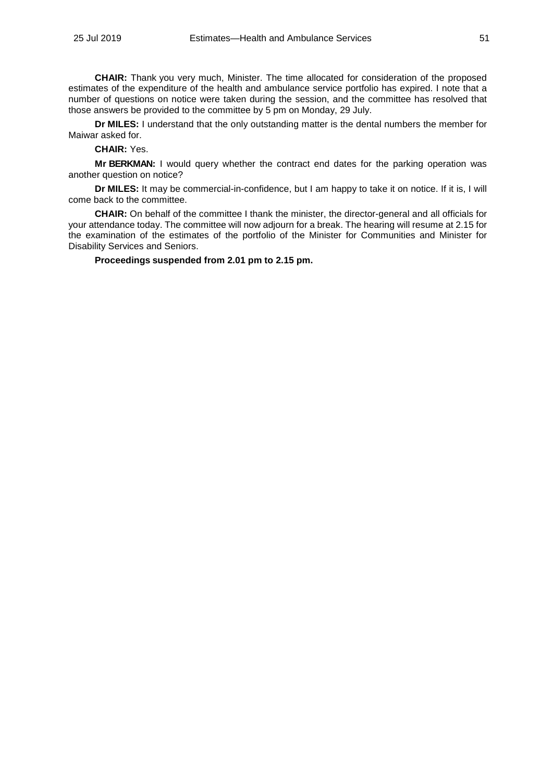**CHAIR:** Thank you very much, Minister. The time allocated for consideration of the proposed estimates of the expenditure of the health and ambulance service portfolio has expired. I note that a number of questions on notice were taken during the session, and the committee has resolved that those answers be provided to the committee by 5 pm on Monday, 29 July.

**Dr MILES:** I understand that the only outstanding matter is the dental numbers the member for Maiwar asked for.

**CHAIR:** Yes.

**Mr BERKMAN:** I would query whether the contract end dates for the parking operation was another question on notice?

**Dr MILES:** It may be commercial-in-confidence, but I am happy to take it on notice. If it is, I will come back to the committee.

**CHAIR:** On behalf of the committee I thank the minister, the director-general and all officials for your attendance today. The committee will now adjourn for a break. The hearing will resume at 2.15 for the examination of the estimates of the portfolio of the Minister for Communities and Minister for Disability Services and Seniors.

**Proceedings suspended from 2.01 pm to 2.15 pm.**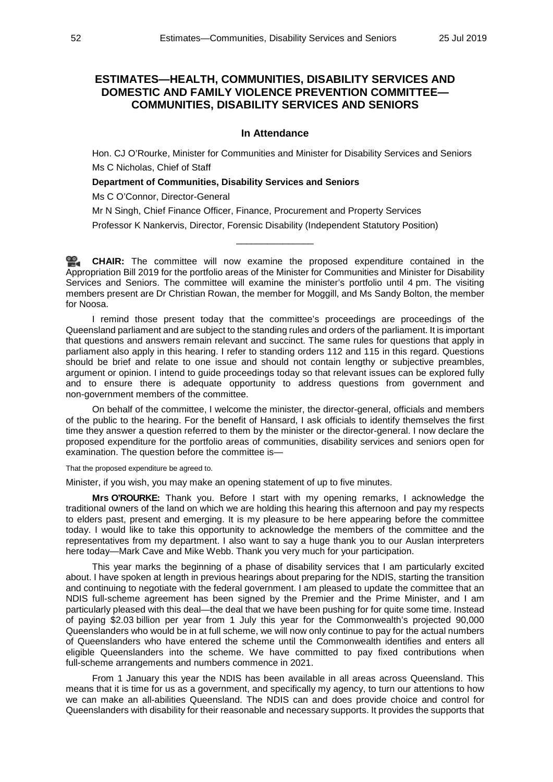# **ESTIMATES—HEALTH, COMMUNITIES, DISABILITY SERVICES AND DOMESTIC AND FAMILY VIOLENCE PREVENTION COMMITTEE— COMMUNITIES, DISABILITY SERVICES AND SENIORS**

#### **In Attendance**

Hon. CJ O'Rourke, Minister for Communities and Minister for Disability Services and Seniors Ms C Nicholas, Chief of Staff

#### **Department of Communities, Disability Services and Seniors**

Ms C O'Connor, Director-General

Mr N Singh, Chief Finance Officer, Finance, Procurement and Property Services

Professor K Nankervis, Director, Forensic Disability (Independent Statutory Position)

**[CHAIR:](http://www.parliament.qld.gov.au/docs/find.aspx?id=0Mba20190725_141504)** The committee will now examine the proposed expenditure contained in the Appropriation Bill 2019 for the portfolio areas of the Minister for Communities and Minister for Disability Services and Seniors. The committee will examine the minister's portfolio until 4 pm. The visiting members present are Dr Christian Rowan, the member for Moggill, and Ms Sandy Bolton, the member for Noosa.

\_\_\_\_\_\_\_\_\_\_\_\_\_\_\_

I remind those present today that the committee's proceedings are proceedings of the Queensland parliament and are subject to the standing rules and orders of the parliament. It is important that questions and answers remain relevant and succinct. The same rules for questions that apply in parliament also apply in this hearing. I refer to standing orders 112 and 115 in this regard. Questions should be brief and relate to one issue and should not contain lengthy or subjective preambles, argument or opinion. I intend to guide proceedings today so that relevant issues can be explored fully and to ensure there is adequate opportunity to address questions from government and non-government members of the committee.

On behalf of the committee, I welcome the minister, the director-general, officials and members of the public to the hearing. For the benefit of Hansard, I ask officials to identify themselves the first time they answer a question referred to them by the minister or the director-general. I now declare the proposed expenditure for the portfolio areas of communities, disability services and seniors open for examination. The question before the committee is—

That the proposed expenditure be agreed to.

Minister, if you wish, you may make an opening statement of up to five minutes.

**Mrs O'ROURKE:** Thank you. Before I start with my opening remarks, I acknowledge the traditional owners of the land on which we are holding this hearing this afternoon and pay my respects to elders past, present and emerging. It is my pleasure to be here appearing before the committee today. I would like to take this opportunity to acknowledge the members of the committee and the representatives from my department. I also want to say a huge thank you to our Auslan interpreters here today—Mark Cave and Mike Webb. Thank you very much for your participation.

This year marks the beginning of a phase of disability services that I am particularly excited about. I have spoken at length in previous hearings about preparing for the NDIS, starting the transition and continuing to negotiate with the federal government. I am pleased to update the committee that an NDIS full-scheme agreement has been signed by the Premier and the Prime Minister, and I am particularly pleased with this deal—the deal that we have been pushing for for quite some time. Instead of paying \$2.03 billion per year from 1 July this year for the Commonwealth's projected 90,000 Queenslanders who would be in at full scheme, we will now only continue to pay for the actual numbers of Queenslanders who have entered the scheme until the Commonwealth identifies and enters all eligible Queenslanders into the scheme. We have committed to pay fixed contributions when full-scheme arrangements and numbers commence in 2021.

From 1 January this year the NDIS has been available in all areas across Queensland. This means that it is time for us as a government, and specifically my agency, to turn our attentions to how we can make an all-abilities Queensland. The NDIS can and does provide choice and control for Queenslanders with disability for their reasonable and necessary supports. It provides the supports that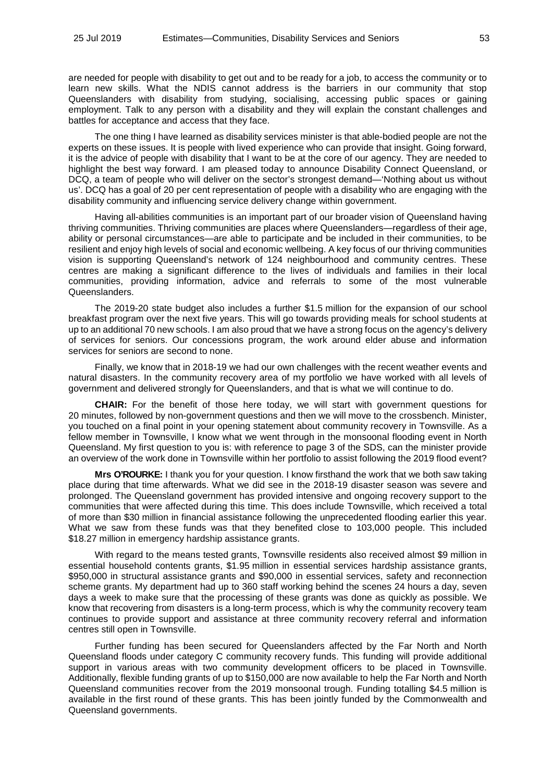are needed for people with disability to get out and to be ready for a job, to access the community or to learn new skills. What the NDIS cannot address is the barriers in our community that stop Queenslanders with disability from studying, socialising, accessing public spaces or gaining employment. Talk to any person with a disability and they will explain the constant challenges and battles for acceptance and access that they face.

The one thing I have learned as disability services minister is that able-bodied people are not the experts on these issues. It is people with lived experience who can provide that insight. Going forward, it is the advice of people with disability that I want to be at the core of our agency. They are needed to highlight the best way forward. I am pleased today to announce Disability Connect Queensland, or DCQ, a team of people who will deliver on the sector's strongest demand—'Nothing about us without us'. DCQ has a goal of 20 per cent representation of people with a disability who are engaging with the disability community and influencing service delivery change within government.

Having all-abilities communities is an important part of our broader vision of Queensland having thriving communities. Thriving communities are places where Queenslanders—regardless of their age, ability or personal circumstances—are able to participate and be included in their communities, to be resilient and enjoy high levels of social and economic wellbeing. A key focus of our thriving communities vision is supporting Queensland's network of 124 neighbourhood and community centres. These centres are making a significant difference to the lives of individuals and families in their local communities, providing information, advice and referrals to some of the most vulnerable Queenslanders.

The 2019-20 state budget also includes a further \$1.5 million for the expansion of our school breakfast program over the next five years. This will go towards providing meals for school students at up to an additional 70 new schools. I am also proud that we have a strong focus on the agency's delivery of services for seniors. Our concessions program, the work around elder abuse and information services for seniors are second to none.

Finally, we know that in 2018-19 we had our own challenges with the recent weather events and natural disasters. In the community recovery area of my portfolio we have worked with all levels of government and delivered strongly for Queenslanders, and that is what we will continue to do.

**CHAIR:** For the benefit of those here today, we will start with government questions for 20 minutes, followed by non-government questions and then we will move to the crossbench. Minister, you touched on a final point in your opening statement about community recovery in Townsville. As a fellow member in Townsville, I know what we went through in the monsoonal flooding event in North Queensland. My first question to you is: with reference to page 3 of the SDS, can the minister provide an overview of the work done in Townsville within her portfolio to assist following the 2019 flood event?

**Mrs O'ROURKE:** I thank you for your question. I know firsthand the work that we both saw taking place during that time afterwards. What we did see in the 2018-19 disaster season was severe and prolonged. The Queensland government has provided intensive and ongoing recovery support to the communities that were affected during this time. This does include Townsville, which received a total of more than \$30 million in financial assistance following the unprecedented flooding earlier this year. What we saw from these funds was that they benefited close to 103,000 people. This included \$18.27 million in emergency hardship assistance grants.

With regard to the means tested grants, Townsville residents also received almost \$9 million in essential household contents grants, \$1.95 million in essential services hardship assistance grants, \$950,000 in structural assistance grants and \$90,000 in essential services, safety and reconnection scheme grants. My department had up to 360 staff working behind the scenes 24 hours a day, seven days a week to make sure that the processing of these grants was done as quickly as possible. We know that recovering from disasters is a long-term process, which is why the community recovery team continues to provide support and assistance at three community recovery referral and information centres still open in Townsville.

Further funding has been secured for Queenslanders affected by the Far North and North Queensland floods under category C community recovery funds. This funding will provide additional support in various areas with two community development officers to be placed in Townsville. Additionally, flexible funding grants of up to \$150,000 are now available to help the Far North and North Queensland communities recover from the 2019 monsoonal trough. Funding totalling \$4.5 million is available in the first round of these grants. This has been jointly funded by the Commonwealth and Queensland governments.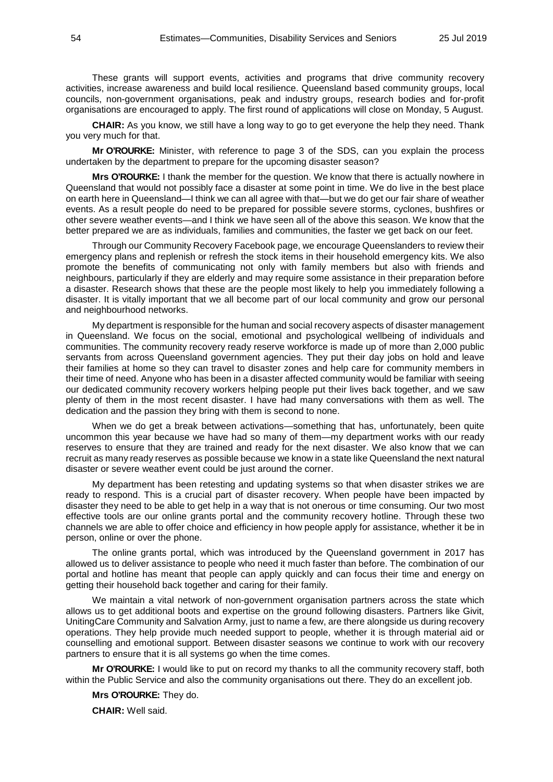These grants will support events, activities and programs that drive community recovery activities, increase awareness and build local resilience. Queensland based community groups, local councils, non-government organisations, peak and industry groups, research bodies and for-profit organisations are encouraged to apply. The first round of applications will close on Monday, 5 August.

**CHAIR:** As you know, we still have a long way to go to get everyone the help they need. Thank you very much for that.

**Mr O'ROURKE:** Minister, with reference to page 3 of the SDS, can you explain the process undertaken by the department to prepare for the upcoming disaster season?

**Mrs O'ROURKE:** I thank the member for the question. We know that there is actually nowhere in Queensland that would not possibly face a disaster at some point in time. We do live in the best place on earth here in Queensland—I think we can all agree with that—but we do get our fair share of weather events. As a result people do need to be prepared for possible severe storms, cyclones, bushfires or other severe weather events—and I think we have seen all of the above this season. We know that the better prepared we are as individuals, families and communities, the faster we get back on our feet.

Through our Community Recovery Facebook page, we encourage Queenslanders to review their emergency plans and replenish or refresh the stock items in their household emergency kits. We also promote the benefits of communicating not only with family members but also with friends and neighbours, particularly if they are elderly and may require some assistance in their preparation before a disaster. Research shows that these are the people most likely to help you immediately following a disaster. It is vitally important that we all become part of our local community and grow our personal and neighbourhood networks.

My department is responsible for the human and social recovery aspects of disaster management in Queensland. We focus on the social, emotional and psychological wellbeing of individuals and communities. The community recovery ready reserve workforce is made up of more than 2,000 public servants from across Queensland government agencies. They put their day jobs on hold and leave their families at home so they can travel to disaster zones and help care for community members in their time of need. Anyone who has been in a disaster affected community would be familiar with seeing our dedicated community recovery workers helping people put their lives back together, and we saw plenty of them in the most recent disaster. I have had many conversations with them as well. The dedication and the passion they bring with them is second to none.

When we do get a break between activations—something that has, unfortunately, been quite uncommon this year because we have had so many of them—my department works with our ready reserves to ensure that they are trained and ready for the next disaster. We also know that we can recruit as many ready reserves as possible because we know in a state like Queensland the next natural disaster or severe weather event could be just around the corner.

My department has been retesting and updating systems so that when disaster strikes we are ready to respond. This is a crucial part of disaster recovery. When people have been impacted by disaster they need to be able to get help in a way that is not onerous or time consuming. Our two most effective tools are our online grants portal and the community recovery hotline. Through these two channels we are able to offer choice and efficiency in how people apply for assistance, whether it be in person, online or over the phone.

The online grants portal, which was introduced by the Queensland government in 2017 has allowed us to deliver assistance to people who need it much faster than before. The combination of our portal and hotline has meant that people can apply quickly and can focus their time and energy on getting their household back together and caring for their family.

We maintain a vital network of non-government organisation partners across the state which allows us to get additional boots and expertise on the ground following disasters. Partners like Givit, UnitingCare Community and Salvation Army, just to name a few, are there alongside us during recovery operations. They help provide much needed support to people, whether it is through material aid or counselling and emotional support. Between disaster seasons we continue to work with our recovery partners to ensure that it is all systems go when the time comes.

**Mr O'ROURKE:** I would like to put on record my thanks to all the community recovery staff, both within the Public Service and also the community organisations out there. They do an excellent job.

**Mrs O'ROURKE:** They do.

**CHAIR:** Well said.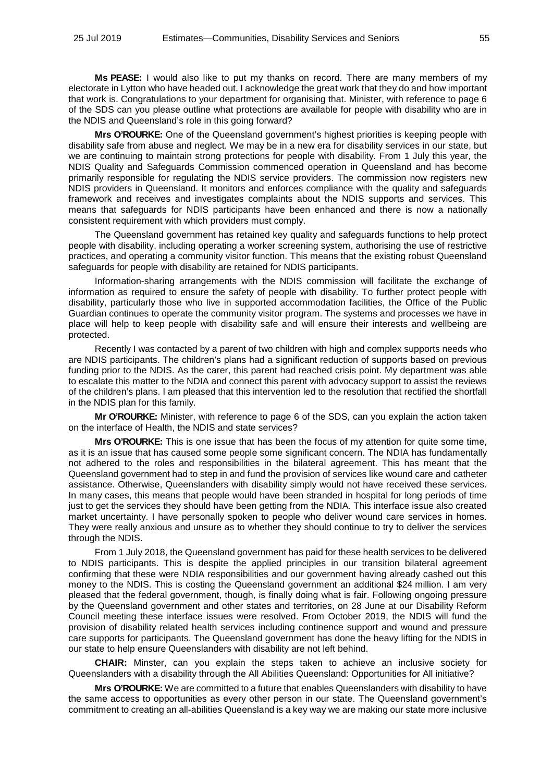**Ms PEASE:** I would also like to put my thanks on record. There are many members of my electorate in Lytton who have headed out. I acknowledge the great work that they do and how important that work is. Congratulations to your department for organising that. Minister, with reference to page 6 of the SDS can you please outline what protections are available for people with disability who are in the NDIS and Queensland's role in this going forward?

**Mrs O'ROURKE:** One of the Queensland government's highest priorities is keeping people with disability safe from abuse and neglect. We may be in a new era for disability services in our state, but we are continuing to maintain strong protections for people with disability. From 1 July this year, the NDIS Quality and Safeguards Commission commenced operation in Queensland and has become primarily responsible for regulating the NDIS service providers. The commission now registers new NDIS providers in Queensland. It monitors and enforces compliance with the quality and safeguards framework and receives and investigates complaints about the NDIS supports and services. This means that safeguards for NDIS participants have been enhanced and there is now a nationally consistent requirement with which providers must comply.

The Queensland government has retained key quality and safeguards functions to help protect people with disability, including operating a worker screening system, authorising the use of restrictive practices, and operating a community visitor function. This means that the existing robust Queensland safeguards for people with disability are retained for NDIS participants.

Information-sharing arrangements with the NDIS commission will facilitate the exchange of information as required to ensure the safety of people with disability. To further protect people with disability, particularly those who live in supported accommodation facilities, the Office of the Public Guardian continues to operate the community visitor program. The systems and processes we have in place will help to keep people with disability safe and will ensure their interests and wellbeing are protected.

Recently I was contacted by a parent of two children with high and complex supports needs who are NDIS participants. The children's plans had a significant reduction of supports based on previous funding prior to the NDIS. As the carer, this parent had reached crisis point. My department was able to escalate this matter to the NDIA and connect this parent with advocacy support to assist the reviews of the children's plans. I am pleased that this intervention led to the resolution that rectified the shortfall in the NDIS plan for this family.

**Mr O'ROURKE:** Minister, with reference to page 6 of the SDS, can you explain the action taken on the interface of Health, the NDIS and state services?

**Mrs O'ROURKE:** This is one issue that has been the focus of my attention for quite some time, as it is an issue that has caused some people some significant concern. The NDIA has fundamentally not adhered to the roles and responsibilities in the bilateral agreement. This has meant that the Queensland government had to step in and fund the provision of services like wound care and catheter assistance. Otherwise, Queenslanders with disability simply would not have received these services. In many cases, this means that people would have been stranded in hospital for long periods of time just to get the services they should have been getting from the NDIA. This interface issue also created market uncertainty. I have personally spoken to people who deliver wound care services in homes. They were really anxious and unsure as to whether they should continue to try to deliver the services through the NDIS.

From 1 July 2018, the Queensland government has paid for these health services to be delivered to NDIS participants. This is despite the applied principles in our transition bilateral agreement confirming that these were NDIA responsibilities and our government having already cashed out this money to the NDIS. This is costing the Queensland government an additional \$24 million. I am very pleased that the federal government, though, is finally doing what is fair. Following ongoing pressure by the Queensland government and other states and territories, on 28 June at our Disability Reform Council meeting these interface issues were resolved. From October 2019, the NDIS will fund the provision of disability related health services including continence support and wound and pressure care supports for participants. The Queensland government has done the heavy lifting for the NDIS in our state to help ensure Queenslanders with disability are not left behind.

**CHAIR:** Minster, can you explain the steps taken to achieve an inclusive society for Queenslanders with a disability through the All Abilities Queensland: Opportunities for All initiative?

**Mrs O'ROURKE:** We are committed to a future that enables Queenslanders with disability to have the same access to opportunities as every other person in our state. The Queensland government's commitment to creating an all-abilities Queensland is a key way we are making our state more inclusive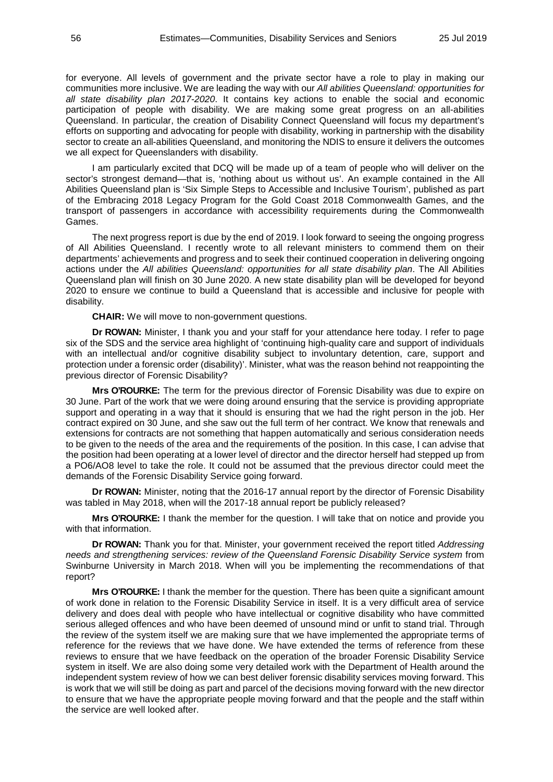for everyone. All levels of government and the private sector have a role to play in making our communities more inclusive. We are leading the way with our *All abilities Queensland: opportunities for all state disability plan 2017-2020*. It contains key actions to enable the social and economic participation of people with disability. We are making some great progress on an all-abilities Queensland. In particular, the creation of Disability Connect Queensland will focus my department's efforts on supporting and advocating for people with disability, working in partnership with the disability sector to create an all-abilities Queensland, and monitoring the NDIS to ensure it delivers the outcomes we all expect for Queenslanders with disability.

I am particularly excited that DCQ will be made up of a team of people who will deliver on the sector's strongest demand—that is, 'nothing about us without us'. An example contained in the All Abilities Queensland plan is 'Six Simple Steps to Accessible and Inclusive Tourism', published as part of the Embracing 2018 Legacy Program for the Gold Coast 2018 Commonwealth Games, and the transport of passengers in accordance with accessibility requirements during the Commonwealth Games.

The next progress report is due by the end of 2019. I look forward to seeing the ongoing progress of All Abilities Queensland. I recently wrote to all relevant ministers to commend them on their departments' achievements and progress and to seek their continued cooperation in delivering ongoing actions under the *All abilities Queensland: opportunities for all state disability plan*. The All Abilities Queensland plan will finish on 30 June 2020. A new state disability plan will be developed for beyond 2020 to ensure we continue to build a Queensland that is accessible and inclusive for people with disability.

**CHAIR:** We will move to non-government questions.

**Dr ROWAN:** Minister, I thank you and your staff for your attendance here today. I refer to page six of the SDS and the service area highlight of 'continuing high-quality care and support of individuals with an intellectual and/or cognitive disability subject to involuntary detention, care, support and protection under a forensic order (disability)'. Minister, what was the reason behind not reappointing the previous director of Forensic Disability?

**Mrs O'ROURKE:** The term for the previous director of Forensic Disability was due to expire on 30 June. Part of the work that we were doing around ensuring that the service is providing appropriate support and operating in a way that it should is ensuring that we had the right person in the job. Her contract expired on 30 June, and she saw out the full term of her contract. We know that renewals and extensions for contracts are not something that happen automatically and serious consideration needs to be given to the needs of the area and the requirements of the position. In this case, I can advise that the position had been operating at a lower level of director and the director herself had stepped up from a PO6/AO8 level to take the role. It could not be assumed that the previous director could meet the demands of the Forensic Disability Service going forward.

**Dr ROWAN:** Minister, noting that the 2016-17 annual report by the director of Forensic Disability was tabled in May 2018, when will the 2017-18 annual report be publicly released?

**Mrs O'ROURKE:** I thank the member for the question. I will take that on notice and provide you with that information.

**Dr ROWAN:** Thank you for that. Minister, your government received the report titled *Addressing needs and strengthening services: review of the Queensland Forensic Disability Service system* from Swinburne University in March 2018. When will you be implementing the recommendations of that report?

**Mrs O'ROURKE:** I thank the member for the question. There has been quite a significant amount of work done in relation to the Forensic Disability Service in itself. It is a very difficult area of service delivery and does deal with people who have intellectual or cognitive disability who have committed serious alleged offences and who have been deemed of unsound mind or unfit to stand trial. Through the review of the system itself we are making sure that we have implemented the appropriate terms of reference for the reviews that we have done. We have extended the terms of reference from these reviews to ensure that we have feedback on the operation of the broader Forensic Disability Service system in itself. We are also doing some very detailed work with the Department of Health around the independent system review of how we can best deliver forensic disability services moving forward. This is work that we will still be doing as part and parcel of the decisions moving forward with the new director to ensure that we have the appropriate people moving forward and that the people and the staff within the service are well looked after.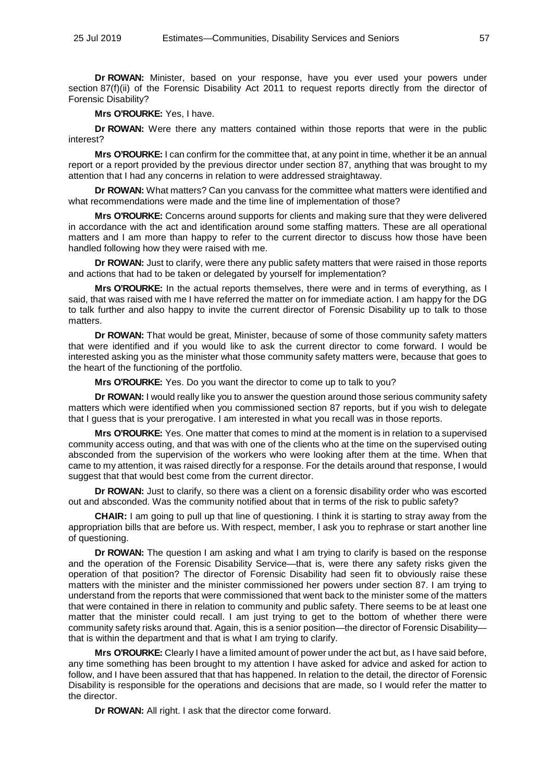**Dr ROWAN:** Minister, based on your response, have you ever used your powers under section 87(f)(ii) of the Forensic Disability Act 2011 to request reports directly from the director of Forensic Disability?

**Mrs O'ROURKE:** Yes, I have.

**Dr ROWAN:** Were there any matters contained within those reports that were in the public interest?

**Mrs O'ROURKE:** I can confirm for the committee that, at any point in time, whether it be an annual report or a report provided by the previous director under section 87, anything that was brought to my attention that I had any concerns in relation to were addressed straightaway.

**Dr ROWAN:** What matters? Can you canvass for the committee what matters were identified and what recommendations were made and the time line of implementation of those?

**Mrs O'ROURKE:** Concerns around supports for clients and making sure that they were delivered in accordance with the act and identification around some staffing matters. These are all operational matters and I am more than happy to refer to the current director to discuss how those have been handled following how they were raised with me.

**Dr ROWAN:** Just to clarify, were there any public safety matters that were raised in those reports and actions that had to be taken or delegated by yourself for implementation?

**Mrs O'ROURKE:** In the actual reports themselves, there were and in terms of everything, as I said, that was raised with me I have referred the matter on for immediate action. I am happy for the DG to talk further and also happy to invite the current director of Forensic Disability up to talk to those matters.

**Dr ROWAN:** That would be great, Minister, because of some of those community safety matters that were identified and if you would like to ask the current director to come forward. I would be interested asking you as the minister what those community safety matters were, because that goes to the heart of the functioning of the portfolio.

**Mrs O'ROURKE:** Yes. Do you want the director to come up to talk to you?

**Dr ROWAN:** I would really like you to answer the question around those serious community safety matters which were identified when you commissioned section 87 reports, but if you wish to delegate that I guess that is your prerogative. I am interested in what you recall was in those reports.

**Mrs O'ROURKE:** Yes. One matter that comes to mind at the moment is in relation to a supervised community access outing, and that was with one of the clients who at the time on the supervised outing absconded from the supervision of the workers who were looking after them at the time. When that came to my attention, it was raised directly for a response. For the details around that response, I would suggest that that would best come from the current director.

**Dr ROWAN:** Just to clarify, so there was a client on a forensic disability order who was escorted out and absconded. Was the community notified about that in terms of the risk to public safety?

**CHAIR:** I am going to pull up that line of questioning. I think it is starting to stray away from the appropriation bills that are before us. With respect, member, I ask you to rephrase or start another line of questioning.

**Dr ROWAN:** The question I am asking and what I am trying to clarify is based on the response and the operation of the Forensic Disability Service—that is, were there any safety risks given the operation of that position? The director of Forensic Disability had seen fit to obviously raise these matters with the minister and the minister commissioned her powers under section 87. I am trying to understand from the reports that were commissioned that went back to the minister some of the matters that were contained in there in relation to community and public safety. There seems to be at least one matter that the minister could recall. I am just trying to get to the bottom of whether there were community safety risks around that. Again, this is a senior position—the director of Forensic Disability that is within the department and that is what I am trying to clarify.

**Mrs O'ROURKE:** Clearly I have a limited amount of power under the act but, as I have said before, any time something has been brought to my attention I have asked for advice and asked for action to follow, and I have been assured that that has happened. In relation to the detail, the director of Forensic Disability is responsible for the operations and decisions that are made, so I would refer the matter to the director.

**Dr ROWAN:** All right. I ask that the director come forward.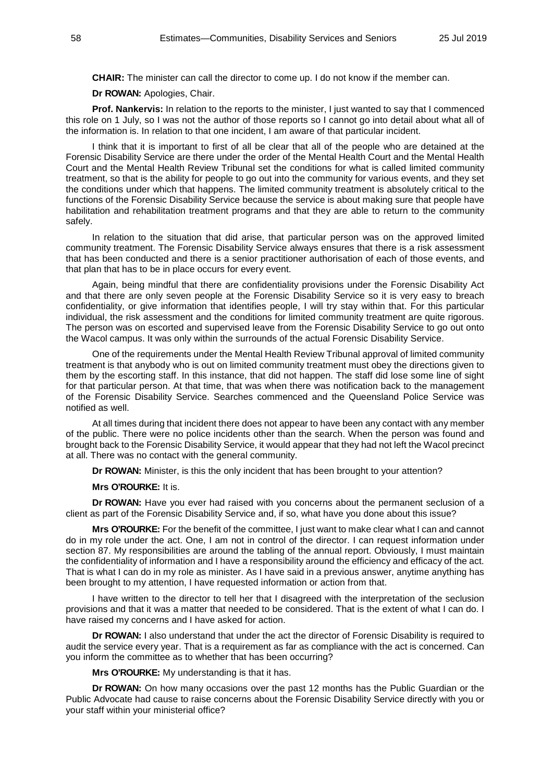**CHAIR:** The minister can call the director to come up. I do not know if the member can.

**Dr ROWAN:** Apologies, Chair.

**Prof. Nankervis:** In relation to the reports to the minister, I just wanted to say that I commenced this role on 1 July, so I was not the author of those reports so I cannot go into detail about what all of the information is. In relation to that one incident, I am aware of that particular incident.

I think that it is important to first of all be clear that all of the people who are detained at the Forensic Disability Service are there under the order of the Mental Health Court and the Mental Health Court and the Mental Health Review Tribunal set the conditions for what is called limited community treatment, so that is the ability for people to go out into the community for various events, and they set the conditions under which that happens. The limited community treatment is absolutely critical to the functions of the Forensic Disability Service because the service is about making sure that people have habilitation and rehabilitation treatment programs and that they are able to return to the community safely.

In relation to the situation that did arise, that particular person was on the approved limited community treatment. The Forensic Disability Service always ensures that there is a risk assessment that has been conducted and there is a senior practitioner authorisation of each of those events, and that plan that has to be in place occurs for every event.

Again, being mindful that there are confidentiality provisions under the Forensic Disability Act and that there are only seven people at the Forensic Disability Service so it is very easy to breach confidentiality, or give information that identifies people, I will try stay within that. For this particular individual, the risk assessment and the conditions for limited community treatment are quite rigorous. The person was on escorted and supervised leave from the Forensic Disability Service to go out onto the Wacol campus. It was only within the surrounds of the actual Forensic Disability Service.

One of the requirements under the Mental Health Review Tribunal approval of limited community treatment is that anybody who is out on limited community treatment must obey the directions given to them by the escorting staff. In this instance, that did not happen. The staff did lose some line of sight for that particular person. At that time, that was when there was notification back to the management of the Forensic Disability Service. Searches commenced and the Queensland Police Service was notified as well.

At all times during that incident there does not appear to have been any contact with any member of the public. There were no police incidents other than the search. When the person was found and brought back to the Forensic Disability Service, it would appear that they had not left the Wacol precinct at all. There was no contact with the general community.

**Dr ROWAN:** Minister, is this the only incident that has been brought to your attention?

**Mrs O'ROURKE:** It is.

**Dr ROWAN:** Have you ever had raised with you concerns about the permanent seclusion of a client as part of the Forensic Disability Service and, if so, what have you done about this issue?

**Mrs O'ROURKE:** For the benefit of the committee, I just want to make clear what I can and cannot do in my role under the act. One, I am not in control of the director. I can request information under section 87. My responsibilities are around the tabling of the annual report. Obviously, I must maintain the confidentiality of information and I have a responsibility around the efficiency and efficacy of the act. That is what I can do in my role as minister. As I have said in a previous answer, anytime anything has been brought to my attention, I have requested information or action from that.

I have written to the director to tell her that I disagreed with the interpretation of the seclusion provisions and that it was a matter that needed to be considered. That is the extent of what I can do. I have raised my concerns and I have asked for action.

**Dr ROWAN:** I also understand that under the act the director of Forensic Disability is required to audit the service every year. That is a requirement as far as compliance with the act is concerned. Can you inform the committee as to whether that has been occurring?

**Mrs O'ROURKE:** My understanding is that it has.

**Dr ROWAN:** On how many occasions over the past 12 months has the Public Guardian or the Public Advocate had cause to raise concerns about the Forensic Disability Service directly with you or your staff within your ministerial office?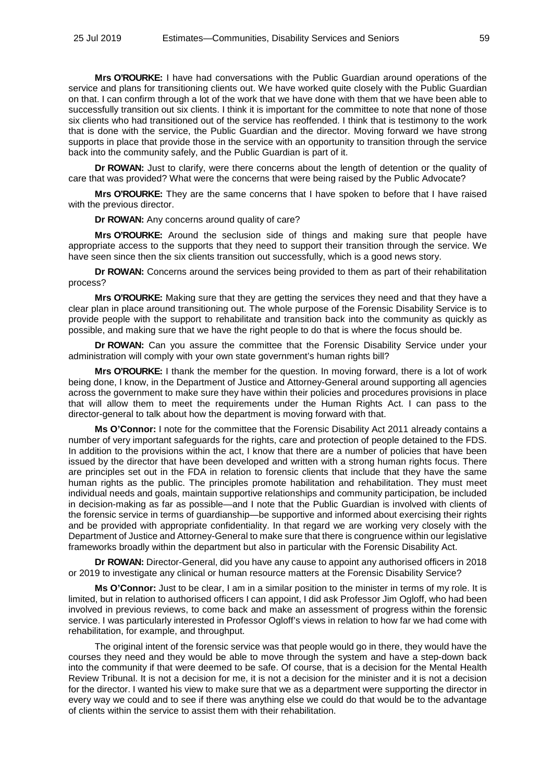**Mrs O'ROURKE:** I have had conversations with the Public Guardian around operations of the service and plans for transitioning clients out. We have worked quite closely with the Public Guardian on that. I can confirm through a lot of the work that we have done with them that we have been able to successfully transition out six clients. I think it is important for the committee to note that none of those six clients who had transitioned out of the service has reoffended. I think that is testimony to the work that is done with the service, the Public Guardian and the director. Moving forward we have strong supports in place that provide those in the service with an opportunity to transition through the service back into the community safely, and the Public Guardian is part of it.

**Dr ROWAN:** Just to clarify, were there concerns about the length of detention or the quality of care that was provided? What were the concerns that were being raised by the Public Advocate?

**Mrs O'ROURKE:** They are the same concerns that I have spoken to before that I have raised with the previous director.

**Dr ROWAN:** Any concerns around quality of care?

**Mrs O'ROURKE:** Around the seclusion side of things and making sure that people have appropriate access to the supports that they need to support their transition through the service. We have seen since then the six clients transition out successfully, which is a good news story.

**Dr ROWAN:** Concerns around the services being provided to them as part of their rehabilitation process?

**Mrs O'ROURKE:** Making sure that they are getting the services they need and that they have a clear plan in place around transitioning out. The whole purpose of the Forensic Disability Service is to provide people with the support to rehabilitate and transition back into the community as quickly as possible, and making sure that we have the right people to do that is where the focus should be.

**Dr ROWAN:** Can you assure the committee that the Forensic Disability Service under your administration will comply with your own state government's human rights bill?

**Mrs O'ROURKE:** I thank the member for the question. In moving forward, there is a lot of work being done, I know, in the Department of Justice and Attorney-General around supporting all agencies across the government to make sure they have within their policies and procedures provisions in place that will allow them to meet the requirements under the Human Rights Act. I can pass to the director-general to talk about how the department is moving forward with that.

**Ms O'Connor:** I note for the committee that the Forensic Disability Act 2011 already contains a number of very important safeguards for the rights, care and protection of people detained to the FDS. In addition to the provisions within the act, I know that there are a number of policies that have been issued by the director that have been developed and written with a strong human rights focus. There are principles set out in the FDA in relation to forensic clients that include that they have the same human rights as the public. The principles promote habilitation and rehabilitation. They must meet individual needs and goals, maintain supportive relationships and community participation, be included in decision-making as far as possible—and I note that the Public Guardian is involved with clients of the forensic service in terms of guardianship—be supportive and informed about exercising their rights and be provided with appropriate confidentiality. In that regard we are working very closely with the Department of Justice and Attorney-General to make sure that there is congruence within our legislative frameworks broadly within the department but also in particular with the Forensic Disability Act.

**Dr ROWAN:** Director-General, did you have any cause to appoint any authorised officers in 2018 or 2019 to investigate any clinical or human resource matters at the Forensic Disability Service?

**Ms O'Connor:** Just to be clear, I am in a similar position to the minister in terms of my role. It is limited, but in relation to authorised officers I can appoint, I did ask Professor Jim Ogloff, who had been involved in previous reviews, to come back and make an assessment of progress within the forensic service. I was particularly interested in Professor Ogloff's views in relation to how far we had come with rehabilitation, for example, and throughput.

The original intent of the forensic service was that people would go in there, they would have the courses they need and they would be able to move through the system and have a step-down back into the community if that were deemed to be safe. Of course, that is a decision for the Mental Health Review Tribunal. It is not a decision for me, it is not a decision for the minister and it is not a decision for the director. I wanted his view to make sure that we as a department were supporting the director in every way we could and to see if there was anything else we could do that would be to the advantage of clients within the service to assist them with their rehabilitation.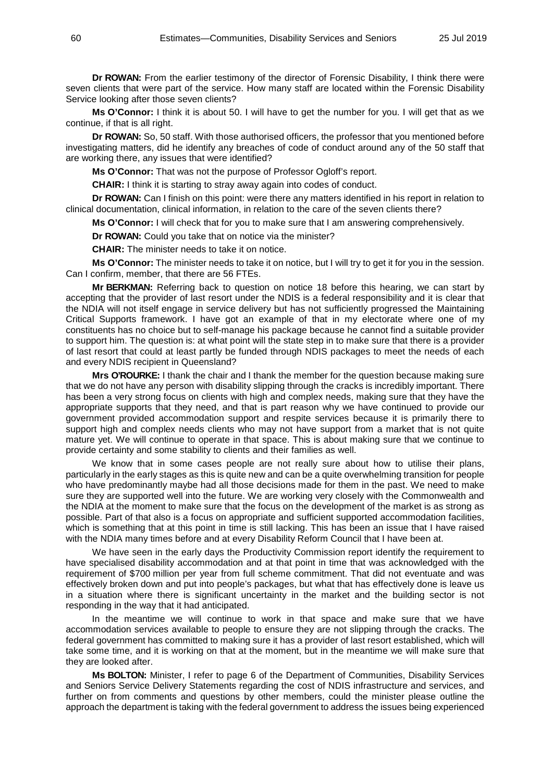**Dr ROWAN:** From the earlier testimony of the director of Forensic Disability, I think there were seven clients that were part of the service. How many staff are located within the Forensic Disability Service looking after those seven clients?

**Ms O'Connor:** I think it is about 50. I will have to get the number for you. I will get that as we continue, if that is all right.

**Dr ROWAN:** So, 50 staff. With those authorised officers, the professor that you mentioned before investigating matters, did he identify any breaches of code of conduct around any of the 50 staff that are working there, any issues that were identified?

**Ms O'Connor:** That was not the purpose of Professor Ogloff's report.

**CHAIR:** I think it is starting to stray away again into codes of conduct.

**Dr ROWAN:** Can I finish on this point: were there any matters identified in his report in relation to clinical documentation, clinical information, in relation to the care of the seven clients there?

**Ms O'Connor:** I will check that for you to make sure that I am answering comprehensively.

**Dr ROWAN:** Could you take that on notice via the minister?

**CHAIR:** The minister needs to take it on notice.

**Ms O'Connor:** The minister needs to take it on notice, but I will try to get it for you in the session. Can I confirm, member, that there are 56 FTEs.

**Mr BERKMAN:** Referring back to question on notice 18 before this hearing, we can start by accepting that the provider of last resort under the NDIS is a federal responsibility and it is clear that the NDIA will not itself engage in service delivery but has not sufficiently progressed the Maintaining Critical Supports framework. I have got an example of that in my electorate where one of my constituents has no choice but to self-manage his package because he cannot find a suitable provider to support him. The question is: at what point will the state step in to make sure that there is a provider of last resort that could at least partly be funded through NDIS packages to meet the needs of each and every NDIS recipient in Queensland?

**Mrs O'ROURKE:** I thank the chair and I thank the member for the question because making sure that we do not have any person with disability slipping through the cracks is incredibly important. There has been a very strong focus on clients with high and complex needs, making sure that they have the appropriate supports that they need, and that is part reason why we have continued to provide our government provided accommodation support and respite services because it is primarily there to support high and complex needs clients who may not have support from a market that is not quite mature yet. We will continue to operate in that space. This is about making sure that we continue to provide certainty and some stability to clients and their families as well.

We know that in some cases people are not really sure about how to utilise their plans, particularly in the early stages as this is quite new and can be a quite overwhelming transition for people who have predominantly maybe had all those decisions made for them in the past. We need to make sure they are supported well into the future. We are working very closely with the Commonwealth and the NDIA at the moment to make sure that the focus on the development of the market is as strong as possible. Part of that also is a focus on appropriate and sufficient supported accommodation facilities, which is something that at this point in time is still lacking. This has been an issue that I have raised with the NDIA many times before and at every Disability Reform Council that I have been at.

We have seen in the early days the Productivity Commission report identify the requirement to have specialised disability accommodation and at that point in time that was acknowledged with the requirement of \$700 million per year from full scheme commitment. That did not eventuate and was effectively broken down and put into people's packages, but what that has effectively done is leave us in a situation where there is significant uncertainty in the market and the building sector is not responding in the way that it had anticipated.

In the meantime we will continue to work in that space and make sure that we have accommodation services available to people to ensure they are not slipping through the cracks. The federal government has committed to making sure it has a provider of last resort established, which will take some time, and it is working on that at the moment, but in the meantime we will make sure that they are looked after.

**Ms BOLTON:** Minister, I refer to page 6 of the Department of Communities, Disability Services and Seniors Service Delivery Statements regarding the cost of NDIS infrastructure and services, and further on from comments and questions by other members, could the minister please outline the approach the department is taking with the federal government to address the issues being experienced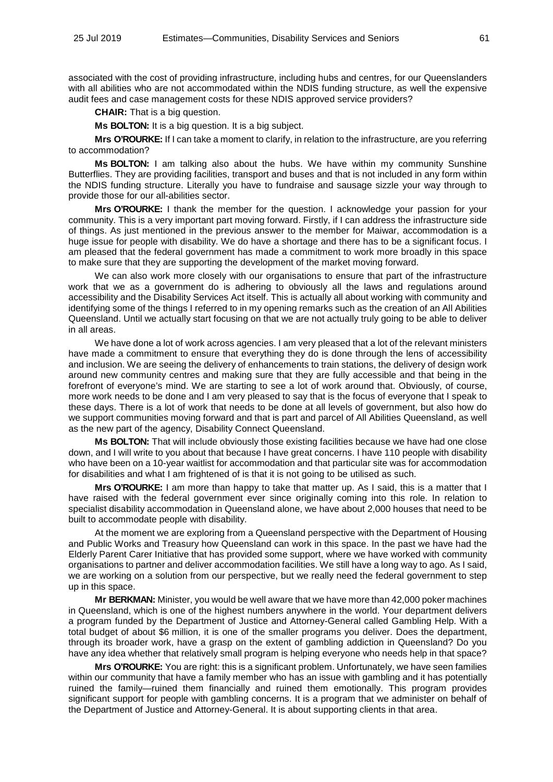associated with the cost of providing infrastructure, including hubs and centres, for our Queenslanders with all abilities who are not accommodated within the NDIS funding structure, as well the expensive audit fees and case management costs for these NDIS approved service providers?

**CHAIR:** That is a big question.

**Ms BOLTON:** It is a big question. It is a big subject.

**Mrs O'ROURKE:** If I can take a moment to clarify, in relation to the infrastructure, are you referring to accommodation?

**Ms BOLTON:** I am talking also about the hubs. We have within my community Sunshine Butterflies. They are providing facilities, transport and buses and that is not included in any form within the NDIS funding structure. Literally you have to fundraise and sausage sizzle your way through to provide those for our all-abilities sector.

**Mrs O'ROURKE:** I thank the member for the question. I acknowledge your passion for your community. This is a very important part moving forward. Firstly, if I can address the infrastructure side of things. As just mentioned in the previous answer to the member for Maiwar, accommodation is a huge issue for people with disability. We do have a shortage and there has to be a significant focus. I am pleased that the federal government has made a commitment to work more broadly in this space to make sure that they are supporting the development of the market moving forward.

We can also work more closely with our organisations to ensure that part of the infrastructure work that we as a government do is adhering to obviously all the laws and regulations around accessibility and the Disability Services Act itself. This is actually all about working with community and identifying some of the things I referred to in my opening remarks such as the creation of an All Abilities Queensland. Until we actually start focusing on that we are not actually truly going to be able to deliver in all areas.

We have done a lot of work across agencies. I am very pleased that a lot of the relevant ministers have made a commitment to ensure that everything they do is done through the lens of accessibility and inclusion. We are seeing the delivery of enhancements to train stations, the delivery of design work around new community centres and making sure that they are fully accessible and that being in the forefront of everyone's mind. We are starting to see a lot of work around that. Obviously, of course, more work needs to be done and I am very pleased to say that is the focus of everyone that I speak to these days. There is a lot of work that needs to be done at all levels of government, but also how do we support communities moving forward and that is part and parcel of All Abilities Queensland, as well as the new part of the agency, Disability Connect Queensland.

**Ms BOLTON:** That will include obviously those existing facilities because we have had one close down, and I will write to you about that because I have great concerns. I have 110 people with disability who have been on a 10-year waitlist for accommodation and that particular site was for accommodation for disabilities and what I am frightened of is that it is not going to be utilised as such.

**Mrs O'ROURKE:** I am more than happy to take that matter up. As I said, this is a matter that I have raised with the federal government ever since originally coming into this role. In relation to specialist disability accommodation in Queensland alone, we have about 2,000 houses that need to be built to accommodate people with disability.

At the moment we are exploring from a Queensland perspective with the Department of Housing and Public Works and Treasury how Queensland can work in this space. In the past we have had the Elderly Parent Carer Initiative that has provided some support, where we have worked with community organisations to partner and deliver accommodation facilities. We still have a long way to ago. As I said, we are working on a solution from our perspective, but we really need the federal government to step up in this space.

**Mr BERKMAN:** Minister, you would be well aware that we have more than 42,000 poker machines in Queensland, which is one of the highest numbers anywhere in the world. Your department delivers a program funded by the Department of Justice and Attorney-General called Gambling Help. With a total budget of about \$6 million, it is one of the smaller programs you deliver. Does the department, through its broader work, have a grasp on the extent of gambling addiction in Queensland? Do you have any idea whether that relatively small program is helping everyone who needs help in that space?

**Mrs O'ROURKE:** You are right: this is a significant problem. Unfortunately, we have seen families within our community that have a family member who has an issue with gambling and it has potentially ruined the family—ruined them financially and ruined them emotionally. This program provides significant support for people with gambling concerns. It is a program that we administer on behalf of the Department of Justice and Attorney-General. It is about supporting clients in that area.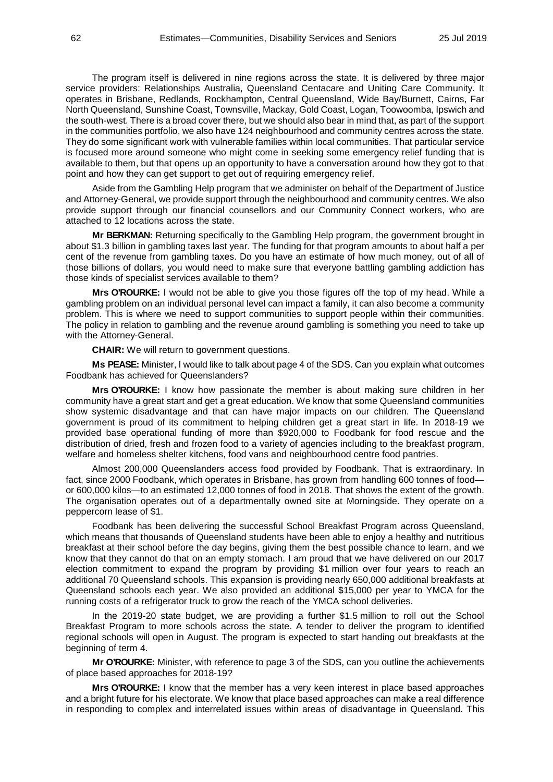The program itself is delivered in nine regions across the state. It is delivered by three major service providers: Relationships Australia, Queensland Centacare and Uniting Care Community. It operates in Brisbane, Redlands, Rockhampton, Central Queensland, Wide Bay/Burnett, Cairns, Far North Queensland, Sunshine Coast, Townsville, Mackay, Gold Coast, Logan, Toowoomba, Ipswich and the south-west. There is a broad cover there, but we should also bear in mind that, as part of the support in the communities portfolio, we also have 124 neighbourhood and community centres across the state. They do some significant work with vulnerable families within local communities. That particular service is focused more around someone who might come in seeking some emergency relief funding that is available to them, but that opens up an opportunity to have a conversation around how they got to that point and how they can get support to get out of requiring emergency relief.

Aside from the Gambling Help program that we administer on behalf of the Department of Justice and Attorney-General, we provide support through the neighbourhood and community centres. We also provide support through our financial counsellors and our Community Connect workers, who are attached to 12 locations across the state.

**Mr BERKMAN:** Returning specifically to the Gambling Help program, the government brought in about \$1.3 billion in gambling taxes last year. The funding for that program amounts to about half a per cent of the revenue from gambling taxes. Do you have an estimate of how much money, out of all of those billions of dollars, you would need to make sure that everyone battling gambling addiction has those kinds of specialist services available to them?

**Mrs O'ROURKE:** I would not be able to give you those figures off the top of my head. While a gambling problem on an individual personal level can impact a family, it can also become a community problem. This is where we need to support communities to support people within their communities. The policy in relation to gambling and the revenue around gambling is something you need to take up with the Attorney-General.

**CHAIR:** We will return to government questions.

**Ms PEASE:** Minister, I would like to talk about page 4 of the SDS. Can you explain what outcomes Foodbank has achieved for Queenslanders?

**Mrs O'ROURKE:** I know how passionate the member is about making sure children in her community have a great start and get a great education. We know that some Queensland communities show systemic disadvantage and that can have major impacts on our children. The Queensland government is proud of its commitment to helping children get a great start in life. In 2018-19 we provided base operational funding of more than \$920,000 to Foodbank for food rescue and the distribution of dried, fresh and frozen food to a variety of agencies including to the breakfast program, welfare and homeless shelter kitchens, food vans and neighbourhood centre food pantries.

Almost 200,000 Queenslanders access food provided by Foodbank. That is extraordinary. In fact, since 2000 Foodbank, which operates in Brisbane, has grown from handling 600 tonnes of food or 600,000 kilos—to an estimated 12,000 tonnes of food in 2018. That shows the extent of the growth. The organisation operates out of a departmentally owned site at Morningside. They operate on a peppercorn lease of \$1.

Foodbank has been delivering the successful School Breakfast Program across Queensland, which means that thousands of Queensland students have been able to enjoy a healthy and nutritious breakfast at their school before the day begins, giving them the best possible chance to learn, and we know that they cannot do that on an empty stomach. I am proud that we have delivered on our 2017 election commitment to expand the program by providing \$1 million over four years to reach an additional 70 Queensland schools. This expansion is providing nearly 650,000 additional breakfasts at Queensland schools each year. We also provided an additional \$15,000 per year to YMCA for the running costs of a refrigerator truck to grow the reach of the YMCA school deliveries.

In the 2019-20 state budget, we are providing a further \$1.5 million to roll out the School Breakfast Program to more schools across the state. A tender to deliver the program to identified regional schools will open in August. The program is expected to start handing out breakfasts at the beginning of term 4.

**Mr O'ROURKE:** Minister, with reference to page 3 of the SDS, can you outline the achievements of place based approaches for 2018-19?

**Mrs O'ROURKE:** I know that the member has a very keen interest in place based approaches and a bright future for his electorate. We know that place based approaches can make a real difference in responding to complex and interrelated issues within areas of disadvantage in Queensland. This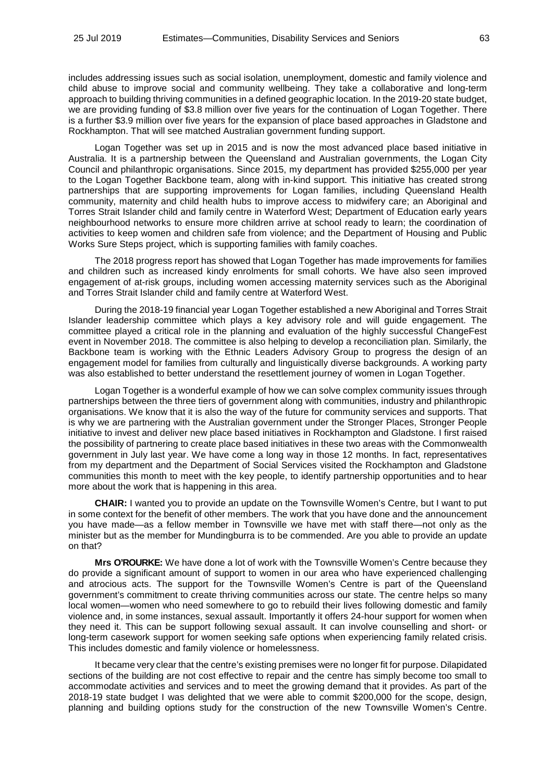includes addressing issues such as social isolation, unemployment, domestic and family violence and child abuse to improve social and community wellbeing. They take a collaborative and long-term approach to building thriving communities in a defined geographic location. In the 2019-20 state budget, we are providing funding of \$3.8 million over five years for the continuation of Logan Together. There is a further \$3.9 million over five years for the expansion of place based approaches in Gladstone and Rockhampton. That will see matched Australian government funding support.

Logan Together was set up in 2015 and is now the most advanced place based initiative in Australia. It is a partnership between the Queensland and Australian governments, the Logan City Council and philanthropic organisations. Since 2015, my department has provided \$255,000 per year to the Logan Together Backbone team, along with in-kind support. This initiative has created strong partnerships that are supporting improvements for Logan families, including Queensland Health community, maternity and child health hubs to improve access to midwifery care; an Aboriginal and Torres Strait Islander child and family centre in Waterford West; Department of Education early years neighbourhood networks to ensure more children arrive at school ready to learn; the coordination of activities to keep women and children safe from violence; and the Department of Housing and Public Works Sure Steps project, which is supporting families with family coaches.

The 2018 progress report has showed that Logan Together has made improvements for families and children such as increased kindy enrolments for small cohorts. We have also seen improved engagement of at-risk groups, including women accessing maternity services such as the Aboriginal and Torres Strait Islander child and family centre at Waterford West.

During the 2018-19 financial year Logan Together established a new Aboriginal and Torres Strait Islander leadership committee which plays a key advisory role and will guide engagement. The committee played a critical role in the planning and evaluation of the highly successful ChangeFest event in November 2018. The committee is also helping to develop a reconciliation plan. Similarly, the Backbone team is working with the Ethnic Leaders Advisory Group to progress the design of an engagement model for families from culturally and linguistically diverse backgrounds. A working party was also established to better understand the resettlement journey of women in Logan Together.

Logan Together is a wonderful example of how we can solve complex community issues through partnerships between the three tiers of government along with communities, industry and philanthropic organisations. We know that it is also the way of the future for community services and supports. That is why we are partnering with the Australian government under the Stronger Places, Stronger People initiative to invest and deliver new place based initiatives in Rockhampton and Gladstone. I first raised the possibility of partnering to create place based initiatives in these two areas with the Commonwealth government in July last year. We have come a long way in those 12 months. In fact, representatives from my department and the Department of Social Services visited the Rockhampton and Gladstone communities this month to meet with the key people, to identify partnership opportunities and to hear more about the work that is happening in this area.

**CHAIR:** I wanted you to provide an update on the Townsville Women's Centre, but I want to put in some context for the benefit of other members. The work that you have done and the announcement you have made—as a fellow member in Townsville we have met with staff there—not only as the minister but as the member for Mundingburra is to be commended. Are you able to provide an update on that?

**Mrs O'ROURKE:** We have done a lot of work with the Townsville Women's Centre because they do provide a significant amount of support to women in our area who have experienced challenging and atrocious acts. The support for the Townsville Women's Centre is part of the Queensland government's commitment to create thriving communities across our state. The centre helps so many local women—women who need somewhere to go to rebuild their lives following domestic and family violence and, in some instances, sexual assault. Importantly it offers 24-hour support for women when they need it. This can be support following sexual assault. It can involve counselling and short- or long-term casework support for women seeking safe options when experiencing family related crisis. This includes domestic and family violence or homelessness.

It became very clear that the centre's existing premises were no longer fit for purpose. Dilapidated sections of the building are not cost effective to repair and the centre has simply become too small to accommodate activities and services and to meet the growing demand that it provides. As part of the 2018-19 state budget I was delighted that we were able to commit \$200,000 for the scope, design, planning and building options study for the construction of the new Townsville Women's Centre.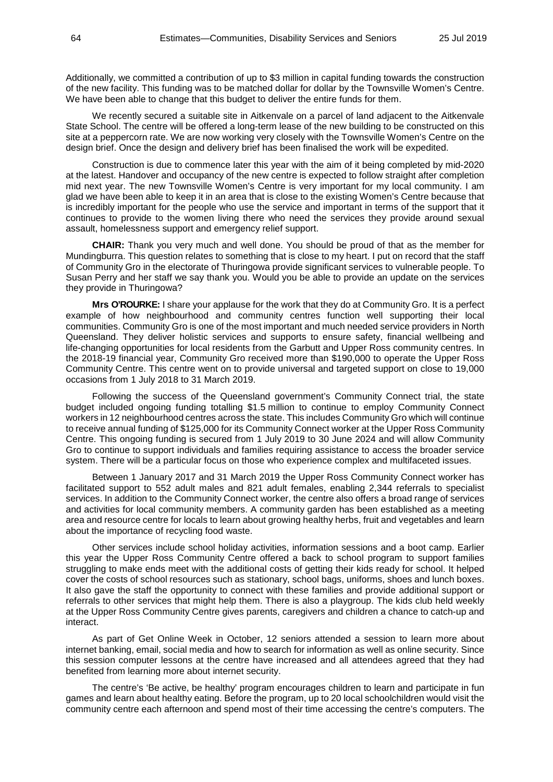Additionally, we committed a contribution of up to \$3 million in capital funding towards the construction of the new facility. This funding was to be matched dollar for dollar by the Townsville Women's Centre. We have been able to change that this budget to deliver the entire funds for them.

We recently secured a suitable site in Aitkenvale on a parcel of land adjacent to the Aitkenvale State School. The centre will be offered a long-term lease of the new building to be constructed on this site at a peppercorn rate. We are now working very closely with the Townsville Women's Centre on the design brief. Once the design and delivery brief has been finalised the work will be expedited.

Construction is due to commence later this year with the aim of it being completed by mid-2020 at the latest. Handover and occupancy of the new centre is expected to follow straight after completion mid next year. The new Townsville Women's Centre is very important for my local community. I am glad we have been able to keep it in an area that is close to the existing Women's Centre because that is incredibly important for the people who use the service and important in terms of the support that it continues to provide to the women living there who need the services they provide around sexual assault, homelessness support and emergency relief support.

**CHAIR:** Thank you very much and well done. You should be proud of that as the member for Mundingburra. This question relates to something that is close to my heart. I put on record that the staff of Community Gro in the electorate of Thuringowa provide significant services to vulnerable people. To Susan Perry and her staff we say thank you. Would you be able to provide an update on the services they provide in Thuringowa?

**Mrs O'ROURKE:** I share your applause for the work that they do at Community Gro. It is a perfect example of how neighbourhood and community centres function well supporting their local communities. Community Gro is one of the most important and much needed service providers in North Queensland. They deliver holistic services and supports to ensure safety, financial wellbeing and life-changing opportunities for local residents from the Garbutt and Upper Ross community centres. In the 2018-19 financial year, Community Gro received more than \$190,000 to operate the Upper Ross Community Centre. This centre went on to provide universal and targeted support on close to 19,000 occasions from 1 July 2018 to 31 March 2019.

Following the success of the Queensland government's Community Connect trial, the state budget included ongoing funding totalling \$1.5 million to continue to employ Community Connect workers in 12 neighbourhood centres across the state. This includes Community Gro which will continue to receive annual funding of \$125,000 for its Community Connect worker at the Upper Ross Community Centre. This ongoing funding is secured from 1 July 2019 to 30 June 2024 and will allow Community Gro to continue to support individuals and families requiring assistance to access the broader service system. There will be a particular focus on those who experience complex and multifaceted issues.

Between 1 January 2017 and 31 March 2019 the Upper Ross Community Connect worker has facilitated support to 552 adult males and 821 adult females, enabling 2,344 referrals to specialist services. In addition to the Community Connect worker, the centre also offers a broad range of services and activities for local community members. A community garden has been established as a meeting area and resource centre for locals to learn about growing healthy herbs, fruit and vegetables and learn about the importance of recycling food waste.

Other services include school holiday activities, information sessions and a boot camp. Earlier this year the Upper Ross Community Centre offered a back to school program to support families struggling to make ends meet with the additional costs of getting their kids ready for school. It helped cover the costs of school resources such as stationary, school bags, uniforms, shoes and lunch boxes. It also gave the staff the opportunity to connect with these families and provide additional support or referrals to other services that might help them. There is also a playgroup. The kids club held weekly at the Upper Ross Community Centre gives parents, caregivers and children a chance to catch-up and interact.

As part of Get Online Week in October, 12 seniors attended a session to learn more about internet banking, email, social media and how to search for information as well as online security. Since this session computer lessons at the centre have increased and all attendees agreed that they had benefited from learning more about internet security.

The centre's 'Be active, be healthy' program encourages children to learn and participate in fun games and learn about healthy eating. Before the program, up to 20 local schoolchildren would visit the community centre each afternoon and spend most of their time accessing the centre's computers. The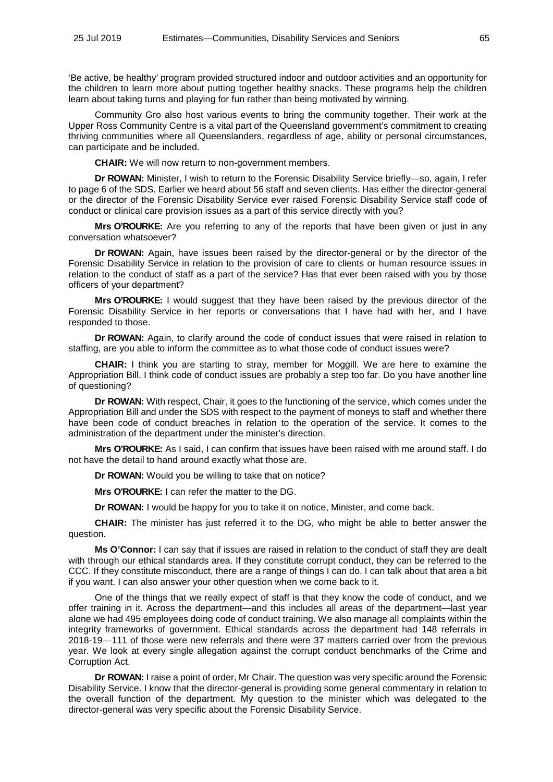'Be active, be healthy' program provided structured indoor and outdoor activities and an opportunity for the children to learn more about putting together healthy snacks. These programs help the children learn about taking turns and playing for fun rather than being motivated by winning.

Community Gro also host various events to bring the community together. Their work at the Upper Ross Community Centre is a vital part of the Queensland government's commitment to creating thriving communities where all Queenslanders, regardless of age, ability or personal circumstances, can participate and be included.

**CHAIR:** We will now return to non-government members.

**Dr ROWAN:** Minister, I wish to return to the Forensic Disability Service briefly—so, again, I refer to page 6 of the SDS. Earlier we heard about 56 staff and seven clients. Has either the director-general or the director of the Forensic Disability Service ever raised Forensic Disability Service staff code of conduct or clinical care provision issues as a part of this service directly with you?

**Mrs O'ROURKE:** Are you referring to any of the reports that have been given or just in any conversation whatsoever?

**Dr ROWAN:** Again, have issues been raised by the director-general or by the director of the Forensic Disability Service in relation to the provision of care to clients or human resource issues in relation to the conduct of staff as a part of the service? Has that ever been raised with you by those officers of your department?

**Mrs O'ROURKE:** I would suggest that they have been raised by the previous director of the Forensic Disability Service in her reports or conversations that I have had with her, and I have responded to those.

**Dr ROWAN:** Again, to clarify around the code of conduct issues that were raised in relation to staffing, are you able to inform the committee as to what those code of conduct issues were?

**CHAIR:** I think you are starting to stray, member for Moggill. We are here to examine the Appropriation Bill. I think code of conduct issues are probably a step too far. Do you have another line of questioning?

**Dr ROWAN:** With respect, Chair, it goes to the functioning of the service, which comes under the Appropriation Bill and under the SDS with respect to the payment of moneys to staff and whether there have been code of conduct breaches in relation to the operation of the service. It comes to the administration of the department under the minister's direction.

**Mrs O'ROURKE:** As I said, I can confirm that issues have been raised with me around staff. I do not have the detail to hand around exactly what those are.

**Dr ROWAN:** Would you be willing to take that on notice?

**Mrs O'ROURKE:** I can refer the matter to the DG.

**Dr ROWAN:** I would be happy for you to take it on notice, Minister, and come back.

**CHAIR:** The minister has just referred it to the DG, who might be able to better answer the question.

**Ms O'Connor:** I can say that if issues are raised in relation to the conduct of staff they are dealt with through our ethical standards area. If they constitute corrupt conduct, they can be referred to the CCC. If they constitute misconduct, there are a range of things I can do. I can talk about that area a bit if you want. I can also answer your other question when we come back to it.

One of the things that we really expect of staff is that they know the code of conduct, and we offer training in it. Across the department—and this includes all areas of the department—last year alone we had 495 employees doing code of conduct training. We also manage all complaints within the integrity frameworks of government. Ethical standards across the department had 148 referrals in 2018-19—111 of those were new referrals and there were 37 matters carried over from the previous year. We look at every single allegation against the corrupt conduct benchmarks of the Crime and Corruption Act.

**Dr ROWAN:** I raise a point of order, Mr Chair. The question was very specific around the Forensic Disability Service. I know that the director-general is providing some general commentary in relation to the overall function of the department. My question to the minister which was delegated to the director-general was very specific about the Forensic Disability Service.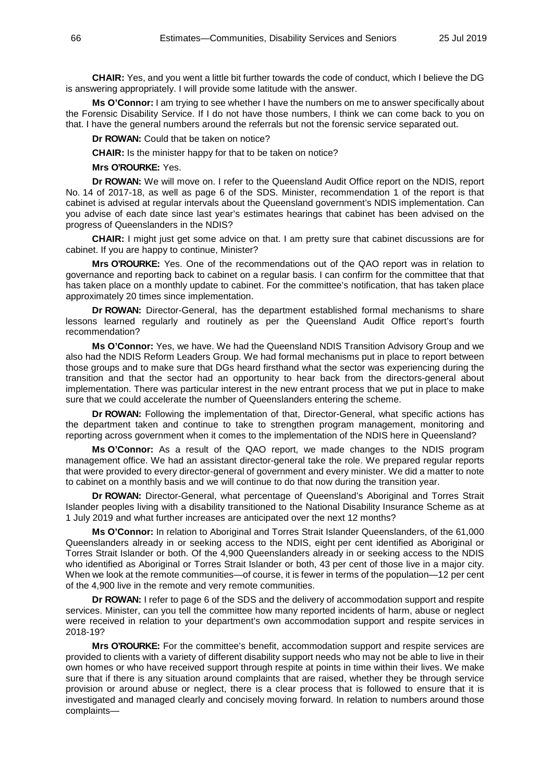**CHAIR:** Yes, and you went a little bit further towards the code of conduct, which I believe the DG is answering appropriately. I will provide some latitude with the answer.

**Ms O'Connor:** I am trying to see whether I have the numbers on me to answer specifically about the Forensic Disability Service. If I do not have those numbers, I think we can come back to you on that. I have the general numbers around the referrals but not the forensic service separated out.

**Dr ROWAN:** Could that be taken on notice?

**CHAIR:** Is the minister happy for that to be taken on notice?

**Mrs O'ROURKE:** Yes.

**Dr ROWAN:** We will move on. I refer to the Queensland Audit Office report on the NDIS, report No. 14 of 2017-18, as well as page 6 of the SDS. Minister, recommendation 1 of the report is that cabinet is advised at regular intervals about the Queensland government's NDIS implementation. Can you advise of each date since last year's estimates hearings that cabinet has been advised on the progress of Queenslanders in the NDIS?

**CHAIR:** I might just get some advice on that. I am pretty sure that cabinet discussions are for cabinet. If you are happy to continue, Minister?

**Mrs O'ROURKE:** Yes. One of the recommendations out of the QAO report was in relation to governance and reporting back to cabinet on a regular basis. I can confirm for the committee that that has taken place on a monthly update to cabinet. For the committee's notification, that has taken place approximately 20 times since implementation.

**Dr ROWAN:** Director-General, has the department established formal mechanisms to share lessons learned regularly and routinely as per the Queensland Audit Office report's fourth recommendation?

**Ms O'Connor:** Yes, we have. We had the Queensland NDIS Transition Advisory Group and we also had the NDIS Reform Leaders Group. We had formal mechanisms put in place to report between those groups and to make sure that DGs heard firsthand what the sector was experiencing during the transition and that the sector had an opportunity to hear back from the directors-general about implementation. There was particular interest in the new entrant process that we put in place to make sure that we could accelerate the number of Queenslanders entering the scheme.

**Dr ROWAN:** Following the implementation of that, Director-General, what specific actions has the department taken and continue to take to strengthen program management, monitoring and reporting across government when it comes to the implementation of the NDIS here in Queensland?

**Ms O'Connor:** As a result of the QAO report, we made changes to the NDIS program management office. We had an assistant director-general take the role. We prepared regular reports that were provided to every director-general of government and every minister. We did a matter to note to cabinet on a monthly basis and we will continue to do that now during the transition year.

**Dr ROWAN:** Director-General, what percentage of Queensland's Aboriginal and Torres Strait Islander peoples living with a disability transitioned to the National Disability Insurance Scheme as at 1 July 2019 and what further increases are anticipated over the next 12 months?

**Ms O'Connor:** In relation to Aboriginal and Torres Strait Islander Queenslanders, of the 61,000 Queenslanders already in or seeking access to the NDIS, eight per cent identified as Aboriginal or Torres Strait Islander or both. Of the 4,900 Queenslanders already in or seeking access to the NDIS who identified as Aboriginal or Torres Strait Islander or both, 43 per cent of those live in a major city. When we look at the remote communities—of course, it is fewer in terms of the population—12 per cent of the 4,900 live in the remote and very remote communities.

**Dr ROWAN:** I refer to page 6 of the SDS and the delivery of accommodation support and respite services. Minister, can you tell the committee how many reported incidents of harm, abuse or neglect were received in relation to your department's own accommodation support and respite services in 2018-19?

**Mrs O'ROURKE:** For the committee's benefit, accommodation support and respite services are provided to clients with a variety of different disability support needs who may not be able to live in their own homes or who have received support through respite at points in time within their lives. We make sure that if there is any situation around complaints that are raised, whether they be through service provision or around abuse or neglect, there is a clear process that is followed to ensure that it is investigated and managed clearly and concisely moving forward. In relation to numbers around those complaints—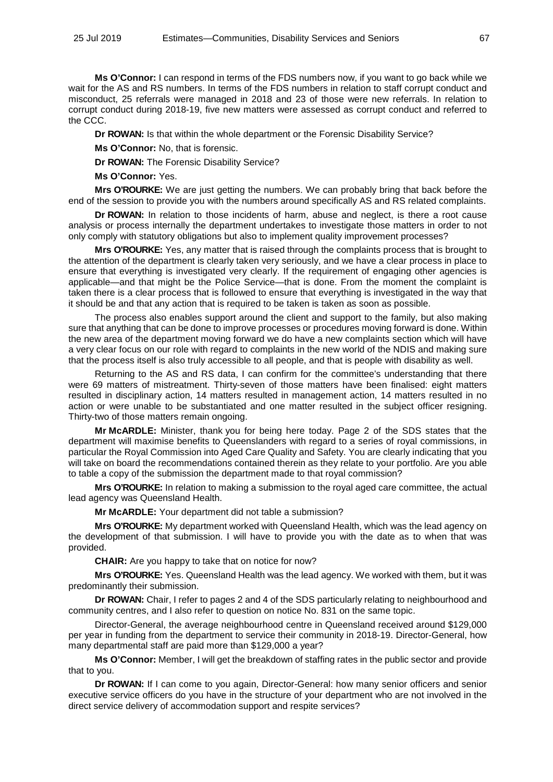**Ms O'Connor:** I can respond in terms of the FDS numbers now, if you want to go back while we wait for the AS and RS numbers. In terms of the FDS numbers in relation to staff corrupt conduct and misconduct, 25 referrals were managed in 2018 and 23 of those were new referrals. In relation to corrupt conduct during 2018-19, five new matters were assessed as corrupt conduct and referred to the CCC.

**Dr ROWAN:** Is that within the whole department or the Forensic Disability Service?

**Ms O'Connor:** No, that is forensic.

**Dr ROWAN:** The Forensic Disability Service?

**Ms O'Connor:** Yes.

**Mrs O'ROURKE:** We are just getting the numbers. We can probably bring that back before the end of the session to provide you with the numbers around specifically AS and RS related complaints.

**Dr ROWAN:** In relation to those incidents of harm, abuse and neglect, is there a root cause analysis or process internally the department undertakes to investigate those matters in order to not only comply with statutory obligations but also to implement quality improvement processes?

**Mrs O'ROURKE:** Yes, any matter that is raised through the complaints process that is brought to the attention of the department is clearly taken very seriously, and we have a clear process in place to ensure that everything is investigated very clearly. If the requirement of engaging other agencies is applicable—and that might be the Police Service—that is done. From the moment the complaint is taken there is a clear process that is followed to ensure that everything is investigated in the way that it should be and that any action that is required to be taken is taken as soon as possible.

The process also enables support around the client and support to the family, but also making sure that anything that can be done to improve processes or procedures moving forward is done. Within the new area of the department moving forward we do have a new complaints section which will have a very clear focus on our role with regard to complaints in the new world of the NDIS and making sure that the process itself is also truly accessible to all people, and that is people with disability as well.

Returning to the AS and RS data, I can confirm for the committee's understanding that there were 69 matters of mistreatment. Thirty-seven of those matters have been finalised: eight matters resulted in disciplinary action, 14 matters resulted in management action, 14 matters resulted in no action or were unable to be substantiated and one matter resulted in the subject officer resigning. Thirty-two of those matters remain ongoing.

**Mr McARDLE:** Minister, thank you for being here today. Page 2 of the SDS states that the department will maximise benefits to Queenslanders with regard to a series of royal commissions, in particular the Royal Commission into Aged Care Quality and Safety. You are clearly indicating that you will take on board the recommendations contained therein as they relate to your portfolio. Are you able to table a copy of the submission the department made to that royal commission?

**Mrs O'ROURKE:** In relation to making a submission to the royal aged care committee, the actual lead agency was Queensland Health.

**Mr McARDLE:** Your department did not table a submission?

**Mrs O'ROURKE:** My department worked with Queensland Health, which was the lead agency on the development of that submission. I will have to provide you with the date as to when that was provided.

**CHAIR:** Are you happy to take that on notice for now?

**Mrs O'ROURKE:** Yes. Queensland Health was the lead agency. We worked with them, but it was predominantly their submission.

**Dr ROWAN:** Chair, I refer to pages 2 and 4 of the SDS particularly relating to neighbourhood and community centres, and I also refer to question on notice No. 831 on the same topic.

Director-General, the average neighbourhood centre in Queensland received around \$129,000 per year in funding from the department to service their community in 2018-19. Director-General, how many departmental staff are paid more than \$129,000 a year?

**Ms O'Connor:** Member, I will get the breakdown of staffing rates in the public sector and provide that to you.

**Dr ROWAN:** If I can come to you again, Director-General: how many senior officers and senior executive service officers do you have in the structure of your department who are not involved in the direct service delivery of accommodation support and respite services?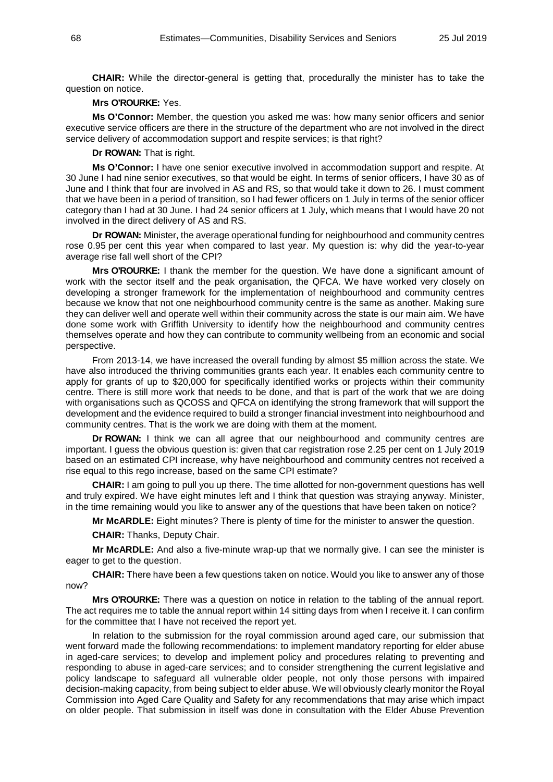**CHAIR:** While the director-general is getting that, procedurally the minister has to take the question on notice.

### **Mrs O'ROURKE:** Yes.

**Ms O'Connor:** Member, the question you asked me was: how many senior officers and senior executive service officers are there in the structure of the department who are not involved in the direct service delivery of accommodation support and respite services; is that right?

**Dr ROWAN:** That is right.

**Ms O'Connor:** I have one senior executive involved in accommodation support and respite. At 30 June I had nine senior executives, so that would be eight. In terms of senior officers, I have 30 as of June and I think that four are involved in AS and RS, so that would take it down to 26. I must comment that we have been in a period of transition, so I had fewer officers on 1 July in terms of the senior officer category than I had at 30 June. I had 24 senior officers at 1 July, which means that I would have 20 not involved in the direct delivery of AS and RS.

**Dr ROWAN:** Minister, the average operational funding for neighbourhood and community centres rose 0.95 per cent this year when compared to last year. My question is: why did the year-to-year average rise fall well short of the CPI?

**Mrs O'ROURKE:** I thank the member for the question. We have done a significant amount of work with the sector itself and the peak organisation, the QFCA. We have worked very closely on developing a stronger framework for the implementation of neighbourhood and community centres because we know that not one neighbourhood community centre is the same as another. Making sure they can deliver well and operate well within their community across the state is our main aim. We have done some work with Griffith University to identify how the neighbourhood and community centres themselves operate and how they can contribute to community wellbeing from an economic and social perspective.

From 2013-14, we have increased the overall funding by almost \$5 million across the state. We have also introduced the thriving communities grants each year. It enables each community centre to apply for grants of up to \$20,000 for specifically identified works or projects within their community centre. There is still more work that needs to be done, and that is part of the work that we are doing with organisations such as QCOSS and QFCA on identifying the strong framework that will support the development and the evidence required to build a stronger financial investment into neighbourhood and community centres. That is the work we are doing with them at the moment.

**Dr ROWAN:** I think we can all agree that our neighbourhood and community centres are important. I guess the obvious question is: given that car registration rose 2.25 per cent on 1 July 2019 based on an estimated CPI increase, why have neighbourhood and community centres not received a rise equal to this rego increase, based on the same CPI estimate?

**CHAIR:** I am going to pull you up there. The time allotted for non-government questions has well and truly expired. We have eight minutes left and I think that question was straying anyway. Minister, in the time remaining would you like to answer any of the questions that have been taken on notice?

**Mr McARDLE:** Eight minutes? There is plenty of time for the minister to answer the question.

**CHAIR:** Thanks, Deputy Chair.

**Mr McARDLE:** And also a five-minute wrap-up that we normally give. I can see the minister is eager to get to the question.

**CHAIR:** There have been a few questions taken on notice. Would you like to answer any of those now?

**Mrs O'ROURKE:** There was a question on notice in relation to the tabling of the annual report. The act requires me to table the annual report within 14 sitting days from when I receive it. I can confirm for the committee that I have not received the report yet.

In relation to the submission for the royal commission around aged care, our submission that went forward made the following recommendations: to implement mandatory reporting for elder abuse in aged-care services; to develop and implement policy and procedures relating to preventing and responding to abuse in aged-care services; and to consider strengthening the current legislative and policy landscape to safeguard all vulnerable older people, not only those persons with impaired decision-making capacity, from being subject to elder abuse. We will obviously clearly monitor the Royal Commission into Aged Care Quality and Safety for any recommendations that may arise which impact on older people. That submission in itself was done in consultation with the Elder Abuse Prevention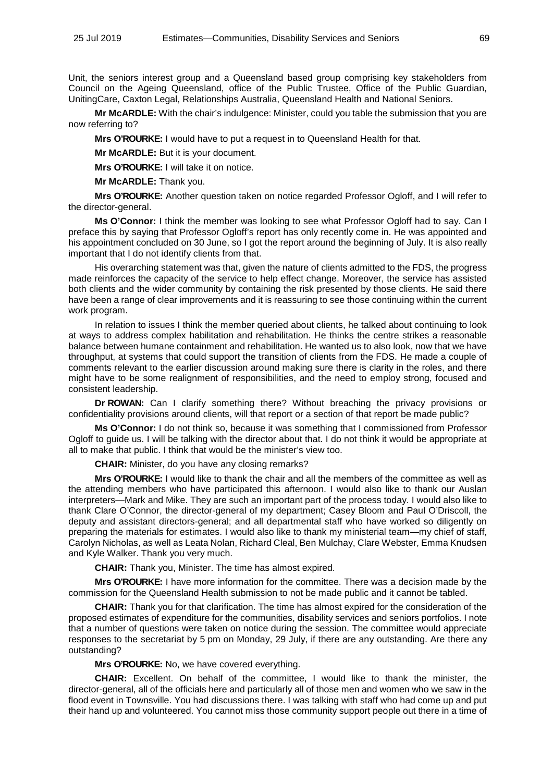Unit, the seniors interest group and a Queensland based group comprising key stakeholders from Council on the Ageing Queensland, office of the Public Trustee, Office of the Public Guardian, UnitingCare, Caxton Legal, Relationships Australia, Queensland Health and National Seniors.

**Mr McARDLE:** With the chair's indulgence: Minister, could you table the submission that you are now referring to?

**Mrs O'ROURKE:** I would have to put a request in to Queensland Health for that.

**Mr McARDLE:** But it is your document.

**Mrs O'ROURKE:** I will take it on notice.

**Mr McARDLE:** Thank you.

**Mrs O'ROURKE:** Another question taken on notice regarded Professor Ogloff, and I will refer to the director-general.

**Ms O'Connor:** I think the member was looking to see what Professor Ogloff had to say. Can I preface this by saying that Professor Ogloff's report has only recently come in. He was appointed and his appointment concluded on 30 June, so I got the report around the beginning of July. It is also really important that I do not identify clients from that.

His overarching statement was that, given the nature of clients admitted to the FDS, the progress made reinforces the capacity of the service to help effect change. Moreover, the service has assisted both clients and the wider community by containing the risk presented by those clients. He said there have been a range of clear improvements and it is reassuring to see those continuing within the current work program.

In relation to issues I think the member queried about clients, he talked about continuing to look at ways to address complex habilitation and rehabilitation. He thinks the centre strikes a reasonable balance between humane containment and rehabilitation. He wanted us to also look, now that we have throughput, at systems that could support the transition of clients from the FDS. He made a couple of comments relevant to the earlier discussion around making sure there is clarity in the roles, and there might have to be some realignment of responsibilities, and the need to employ strong, focused and consistent leadership.

**Dr ROWAN:** Can I clarify something there? Without breaching the privacy provisions or confidentiality provisions around clients, will that report or a section of that report be made public?

**Ms O'Connor:** I do not think so, because it was something that I commissioned from Professor Ogloff to guide us. I will be talking with the director about that. I do not think it would be appropriate at all to make that public. I think that would be the minister's view too.

**CHAIR:** Minister, do you have any closing remarks?

**Mrs O'ROURKE:** I would like to thank the chair and all the members of the committee as well as the attending members who have participated this afternoon. I would also like to thank our Auslan interpreters—Mark and Mike. They are such an important part of the process today. I would also like to thank Clare O'Connor, the director-general of my department; Casey Bloom and Paul O'Driscoll, the deputy and assistant directors-general; and all departmental staff who have worked so diligently on preparing the materials for estimates. I would also like to thank my ministerial team—my chief of staff, Carolyn Nicholas, as well as Leata Nolan, Richard Cleal, Ben Mulchay, Clare Webster, Emma Knudsen and Kyle Walker. Thank you very much.

**CHAIR:** Thank you, Minister. The time has almost expired.

**Mrs O'ROURKE:** I have more information for the committee. There was a decision made by the commission for the Queensland Health submission to not be made public and it cannot be tabled.

**CHAIR:** Thank you for that clarification. The time has almost expired for the consideration of the proposed estimates of expenditure for the communities, disability services and seniors portfolios. I note that a number of questions were taken on notice during the session. The committee would appreciate responses to the secretariat by 5 pm on Monday, 29 July, if there are any outstanding. Are there any outstanding?

**Mrs O'ROURKE:** No, we have covered everything.

**CHAIR:** Excellent. On behalf of the committee, I would like to thank the minister, the director-general, all of the officials here and particularly all of those men and women who we saw in the flood event in Townsville. You had discussions there. I was talking with staff who had come up and put their hand up and volunteered. You cannot miss those community support people out there in a time of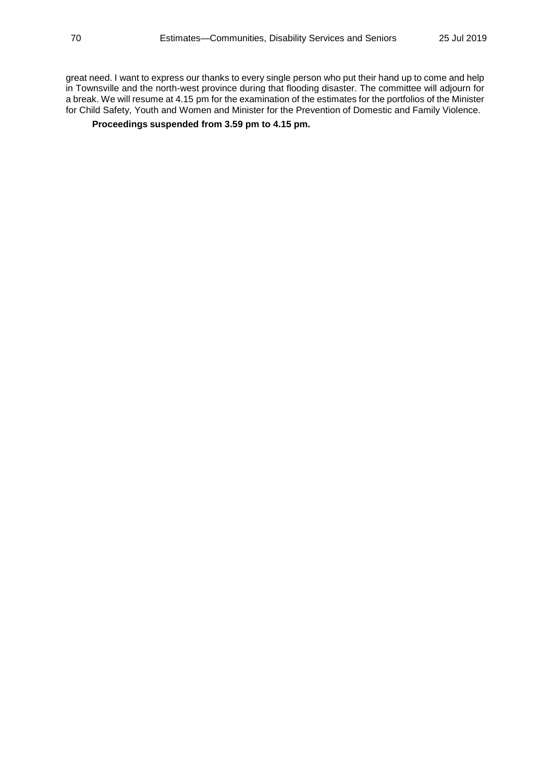great need. I want to express our thanks to every single person who put their hand up to come and help in Townsville and the north-west province during that flooding disaster. The committee will adjourn for a break. We will resume at 4.15 pm for the examination of the estimates for the portfolios of the Minister for Child Safety, Youth and Women and Minister for the Prevention of Domestic and Family Violence.

# **Proceedings suspended from 3.59 pm to 4.15 pm.**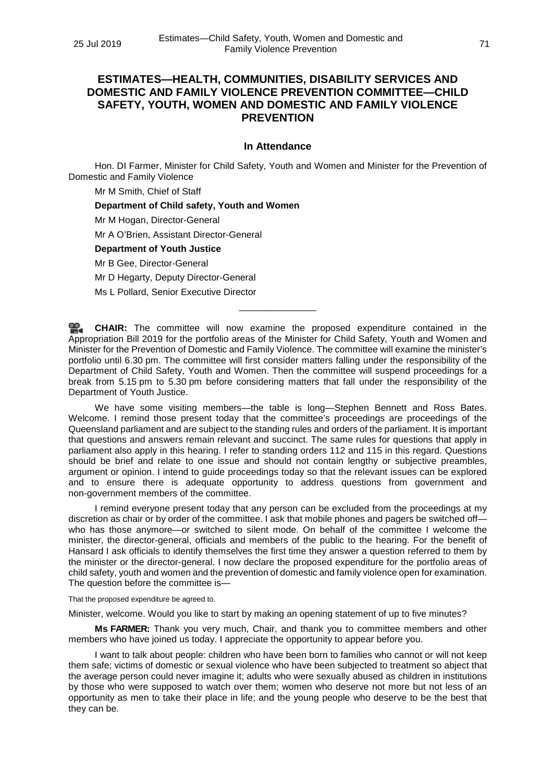# **ESTIMATES—HEALTH, COMMUNITIES, DISABILITY SERVICES AND DOMESTIC AND FAMILY VIOLENCE PREVENTION COMMITTEE—CHILD SAFETY, YOUTH, WOMEN AND DOMESTIC AND FAMILY VIOLENCE PREVENTION**

#### **In Attendance**

Hon. DI Farmer, Minister for Child Safety, Youth and Women and Minister for the Prevention of Domestic and Family Violence

Mr M Smith, Chief of Staff

**Department of Child safety, Youth and Women**

Mr M Hogan, Director-General

Mr A O'Brien, Assistant Director-General

**Department of Youth Justice**

Mr B Gee, Director-General

Mr D Hegarty, Deputy Director-General

Ms L Pollard, Senior Executive Director

**[CHAIR:](http://www.parliament.qld.gov.au/docs/find.aspx?id=0Mba20190725_161549)** The committee will now examine the proposed expenditure contained in the Appropriation Bill 2019 for the portfolio areas of the Minister for Child Safety, Youth and Women and Minister for the Prevention of Domestic and Family Violence. The committee will examine the minister's portfolio until 6.30 pm. The committee will first consider matters falling under the responsibility of the Department of Child Safety, Youth and Women. Then the committee will suspend proceedings for a break from 5.15 pm to 5.30 pm before considering matters that fall under the responsibility of the Department of Youth Justice.

\_\_\_\_\_\_\_\_\_\_\_\_\_\_\_

We have some visiting members—the table is long—Stephen Bennett and Ross Bates. Welcome. I remind those present today that the committee's proceedings are proceedings of the Queensland parliament and are subject to the standing rules and orders of the parliament. It is important that questions and answers remain relevant and succinct. The same rules for questions that apply in parliament also apply in this hearing. I refer to standing orders 112 and 115 in this regard. Questions should be brief and relate to one issue and should not contain lengthy or subjective preambles, argument or opinion. I intend to guide proceedings today so that the relevant issues can be explored and to ensure there is adequate opportunity to address questions from government and non-government members of the committee.

I remind everyone present today that any person can be excluded from the proceedings at my discretion as chair or by order of the committee. I ask that mobile phones and pagers be switched off who has those anymore—or switched to silent mode. On behalf of the committee I welcome the minister, the director-general, officials and members of the public to the hearing. For the benefit of Hansard I ask officials to identify themselves the first time they answer a question referred to them by the minister or the director-general. I now declare the proposed expenditure for the portfolio areas of child safety, youth and women and the prevention of domestic and family violence open for examination. The question before the committee is—

That the proposed expenditure be agreed to.

Minister, welcome. Would you like to start by making an opening statement of up to five minutes?

**Ms FARMER:** Thank you very much, Chair, and thank you to committee members and other members who have joined us today. I appreciate the opportunity to appear before you.

I want to talk about people: children who have been born to families who cannot or will not keep them safe; victims of domestic or sexual violence who have been subjected to treatment so abject that the average person could never imagine it; adults who were sexually abused as children in institutions by those who were supposed to watch over them; women who deserve not more but not less of an opportunity as men to take their place in life; and the young people who deserve to be the best that they can be.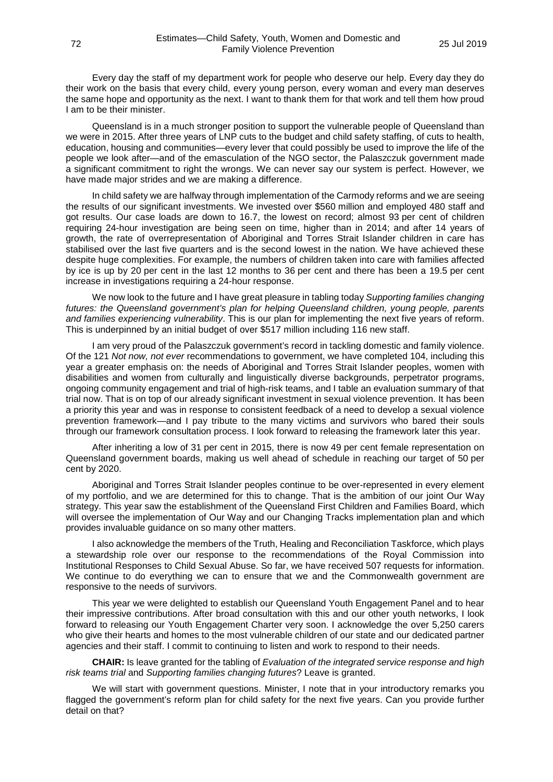Every day the staff of my department work for people who deserve our help. Every day they do their work on the basis that every child, every young person, every woman and every man deserves the same hope and opportunity as the next. I want to thank them for that work and tell them how proud I am to be their minister.

Queensland is in a much stronger position to support the vulnerable people of Queensland than we were in 2015. After three years of LNP cuts to the budget and child safety staffing, of cuts to health, education, housing and communities—every lever that could possibly be used to improve the life of the people we look after—and of the emasculation of the NGO sector, the Palaszczuk government made a significant commitment to right the wrongs. We can never say our system is perfect. However, we have made major strides and we are making a difference.

In child safety we are halfway through implementation of the Carmody reforms and we are seeing the results of our significant investments. We invested over \$560 million and employed 480 staff and got results. Our case loads are down to 16.7, the lowest on record; almost 93 per cent of children requiring 24-hour investigation are being seen on time, higher than in 2014; and after 14 years of growth, the rate of overrepresentation of Aboriginal and Torres Strait Islander children in care has stabilised over the last five quarters and is the second lowest in the nation. We have achieved these despite huge complexities. For example, the numbers of children taken into care with families affected by ice is up by 20 per cent in the last 12 months to 36 per cent and there has been a 19.5 per cent increase in investigations requiring a 24-hour response.

We now look to the future and I have great pleasure in tabling today *Supporting families changing futures: the Queensland government's plan for helping Queensland children, young people, parents and families experiencing vulnerability*. This is our plan for implementing the next five years of reform. This is underpinned by an initial budget of over \$517 million including 116 new staff.

I am very proud of the Palaszczuk government's record in tackling domestic and family violence. Of the 121 *Not now, not ever* recommendations to government, we have completed 104, including this year a greater emphasis on: the needs of Aboriginal and Torres Strait Islander peoples, women with disabilities and women from culturally and linguistically diverse backgrounds, perpetrator programs, ongoing community engagement and trial of high-risk teams, and I table an evaluation summary of that trial now. That is on top of our already significant investment in sexual violence prevention. It has been a priority this year and was in response to consistent feedback of a need to develop a sexual violence prevention framework—and I pay tribute to the many victims and survivors who bared their souls through our framework consultation process. I look forward to releasing the framework later this year.

After inheriting a low of 31 per cent in 2015, there is now 49 per cent female representation on Queensland government boards, making us well ahead of schedule in reaching our target of 50 per cent by 2020.

Aboriginal and Torres Strait Islander peoples continue to be over-represented in every element of my portfolio, and we are determined for this to change. That is the ambition of our joint Our Way strategy. This year saw the establishment of the Queensland First Children and Families Board, which will oversee the implementation of Our Way and our Changing Tracks implementation plan and which provides invaluable guidance on so many other matters.

I also acknowledge the members of the Truth, Healing and Reconciliation Taskforce, which plays a stewardship role over our response to the recommendations of the Royal Commission into Institutional Responses to Child Sexual Abuse. So far, we have received 507 requests for information. We continue to do everything we can to ensure that we and the Commonwealth government are responsive to the needs of survivors.

This year we were delighted to establish our Queensland Youth Engagement Panel and to hear their impressive contributions. After broad consultation with this and our other youth networks, I look forward to releasing our Youth Engagement Charter very soon. I acknowledge the over 5,250 carers who give their hearts and homes to the most vulnerable children of our state and our dedicated partner agencies and their staff. I commit to continuing to listen and work to respond to their needs.

**CHAIR:** Is leave granted for the tabling of *Evaluation of the integrated service response and high risk teams trial* and *Supporting families changing futures*? Leave is granted.

We will start with government questions. Minister, I note that in your introductory remarks you flagged the government's reform plan for child safety for the next five years. Can you provide further detail on that?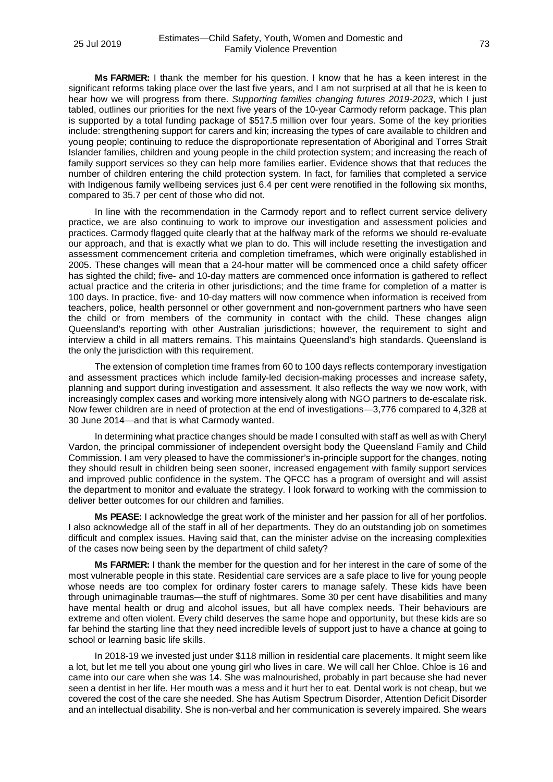**Ms FARMER:** I thank the member for his question. I know that he has a keen interest in the significant reforms taking place over the last five years, and I am not surprised at all that he is keen to hear how we will progress from there. *Supporting families changing futures 2019-2023*, which I just tabled, outlines our priorities for the next five years of the 10-year Carmody reform package. This plan is supported by a total funding package of \$517.5 million over four years. Some of the key priorities include: strengthening support for carers and kin; increasing the types of care available to children and young people; continuing to reduce the disproportionate representation of Aboriginal and Torres Strait Islander families, children and young people in the child protection system; and increasing the reach of family support services so they can help more families earlier. Evidence shows that that reduces the number of children entering the child protection system. In fact, for families that completed a service with Indigenous family wellbeing services just 6.4 per cent were renotified in the following six months, compared to 35.7 per cent of those who did not.

In line with the recommendation in the Carmody report and to reflect current service delivery practice, we are also continuing to work to improve our investigation and assessment policies and practices. Carmody flagged quite clearly that at the halfway mark of the reforms we should re-evaluate our approach, and that is exactly what we plan to do. This will include resetting the investigation and assessment commencement criteria and completion timeframes, which were originally established in 2005. These changes will mean that a 24-hour matter will be commenced once a child safety officer has sighted the child; five- and 10-day matters are commenced once information is gathered to reflect actual practice and the criteria in other jurisdictions; and the time frame for completion of a matter is 100 days. In practice, five- and 10-day matters will now commence when information is received from teachers, police, health personnel or other government and non-government partners who have seen the child or from members of the community in contact with the child. These changes align Queensland's reporting with other Australian jurisdictions; however, the requirement to sight and interview a child in all matters remains. This maintains Queensland's high standards. Queensland is the only the jurisdiction with this requirement.

The extension of completion time frames from 60 to 100 days reflects contemporary investigation and assessment practices which include family-led decision-making processes and increase safety, planning and support during investigation and assessment. It also reflects the way we now work, with increasingly complex cases and working more intensively along with NGO partners to de-escalate risk. Now fewer children are in need of protection at the end of investigations—3,776 compared to 4,328 at 30 June 2014—and that is what Carmody wanted.

In determining what practice changes should be made I consulted with staff as well as with Cheryl Vardon, the principal commissioner of independent oversight body the Queensland Family and Child Commission. I am very pleased to have the commissioner's in-principle support for the changes, noting they should result in children being seen sooner, increased engagement with family support services and improved public confidence in the system. The QFCC has a program of oversight and will assist the department to monitor and evaluate the strategy. I look forward to working with the commission to deliver better outcomes for our children and families.

**Ms PEASE:** I acknowledge the great work of the minister and her passion for all of her portfolios. I also acknowledge all of the staff in all of her departments. They do an outstanding job on sometimes difficult and complex issues. Having said that, can the minister advise on the increasing complexities of the cases now being seen by the department of child safety?

**Ms FARMER:** I thank the member for the question and for her interest in the care of some of the most vulnerable people in this state. Residential care services are a safe place to live for young people whose needs are too complex for ordinary foster carers to manage safely. These kids have been through unimaginable traumas—the stuff of nightmares. Some 30 per cent have disabilities and many have mental health or drug and alcohol issues, but all have complex needs. Their behaviours are extreme and often violent. Every child deserves the same hope and opportunity, but these kids are so far behind the starting line that they need incredible levels of support just to have a chance at going to school or learning basic life skills.

In 2018-19 we invested just under \$118 million in residential care placements. It might seem like a lot, but let me tell you about one young girl who lives in care. We will call her Chloe. Chloe is 16 and came into our care when she was 14. She was malnourished, probably in part because she had never seen a dentist in her life. Her mouth was a mess and it hurt her to eat. Dental work is not cheap, but we covered the cost of the care she needed. She has Autism Spectrum Disorder, Attention Deficit Disorder and an intellectual disability. She is non-verbal and her communication is severely impaired. She wears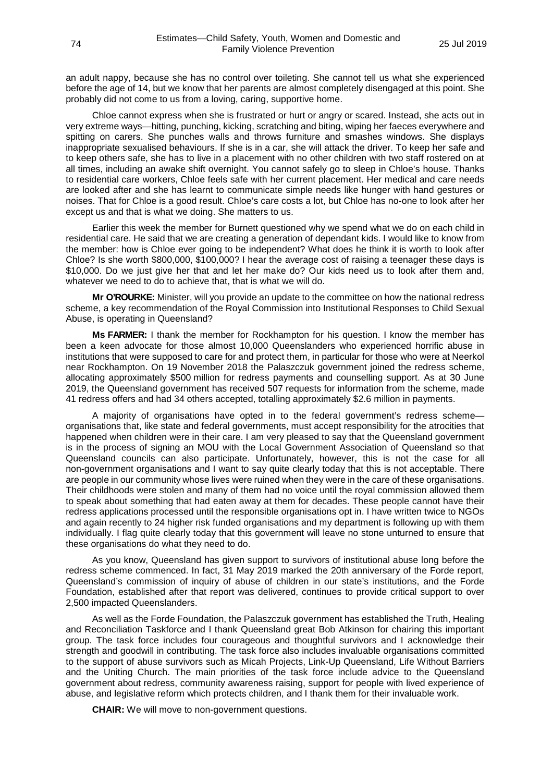an adult nappy, because she has no control over toileting. She cannot tell us what she experienced before the age of 14, but we know that her parents are almost completely disengaged at this point. She probably did not come to us from a loving, caring, supportive home.

Chloe cannot express when she is frustrated or hurt or angry or scared. Instead, she acts out in very extreme ways—hitting, punching, kicking, scratching and biting, wiping her faeces everywhere and spitting on carers. She punches walls and throws furniture and smashes windows. She displays inappropriate sexualised behaviours. If she is in a car, she will attack the driver. To keep her safe and to keep others safe, she has to live in a placement with no other children with two staff rostered on at all times, including an awake shift overnight. You cannot safely go to sleep in Chloe's house. Thanks to residential care workers, Chloe feels safe with her current placement. Her medical and care needs are looked after and she has learnt to communicate simple needs like hunger with hand gestures or noises. That for Chloe is a good result. Chloe's care costs a lot, but Chloe has no-one to look after her except us and that is what we doing. She matters to us.

Earlier this week the member for Burnett questioned why we spend what we do on each child in residential care. He said that we are creating a generation of dependant kids. I would like to know from the member: how is Chloe ever going to be independent? What does he think it is worth to look after Chloe? Is she worth \$800,000, \$100,000? I hear the average cost of raising a teenager these days is \$10,000. Do we just give her that and let her make do? Our kids need us to look after them and, whatever we need to do to achieve that, that is what we will do.

**Mr O'ROURKE:** Minister, will you provide an update to the committee on how the national redress scheme, a key recommendation of the Royal Commission into Institutional Responses to Child Sexual Abuse, is operating in Queensland?

**Ms FARMER:** I thank the member for Rockhampton for his question. I know the member has been a keen advocate for those almost 10,000 Queenslanders who experienced horrific abuse in institutions that were supposed to care for and protect them, in particular for those who were at Neerkol near Rockhampton. On 19 November 2018 the Palaszczuk government joined the redress scheme, allocating approximately \$500 million for redress payments and counselling support. As at 30 June 2019, the Queensland government has received 507 requests for information from the scheme, made 41 redress offers and had 34 others accepted, totalling approximately \$2.6 million in payments.

A majority of organisations have opted in to the federal government's redress scheme organisations that, like state and federal governments, must accept responsibility for the atrocities that happened when children were in their care. I am very pleased to say that the Queensland government is in the process of signing an MOU with the Local Government Association of Queensland so that Queensland councils can also participate. Unfortunately, however, this is not the case for all non-government organisations and I want to say quite clearly today that this is not acceptable. There are people in our community whose lives were ruined when they were in the care of these organisations. Their childhoods were stolen and many of them had no voice until the royal commission allowed them to speak about something that had eaten away at them for decades. These people cannot have their redress applications processed until the responsible organisations opt in. I have written twice to NGOs and again recently to 24 higher risk funded organisations and my department is following up with them individually. I flag quite clearly today that this government will leave no stone unturned to ensure that these organisations do what they need to do.

As you know, Queensland has given support to survivors of institutional abuse long before the redress scheme commenced. In fact, 31 May 2019 marked the 20th anniversary of the Forde report, Queensland's commission of inquiry of abuse of children in our state's institutions, and the Forde Foundation, established after that report was delivered, continues to provide critical support to over 2,500 impacted Queenslanders.

As well as the Forde Foundation, the Palaszczuk government has established the Truth, Healing and Reconciliation Taskforce and I thank Queensland great Bob Atkinson for chairing this important group. The task force includes four courageous and thoughtful survivors and I acknowledge their strength and goodwill in contributing. The task force also includes invaluable organisations committed to the support of abuse survivors such as Micah Projects, Link-Up Queensland, Life Without Barriers and the Uniting Church. The main priorities of the task force include advice to the Queensland government about redress, community awareness raising, support for people with lived experience of abuse, and legislative reform which protects children, and I thank them for their invaluable work.

**CHAIR:** We will move to non-government questions.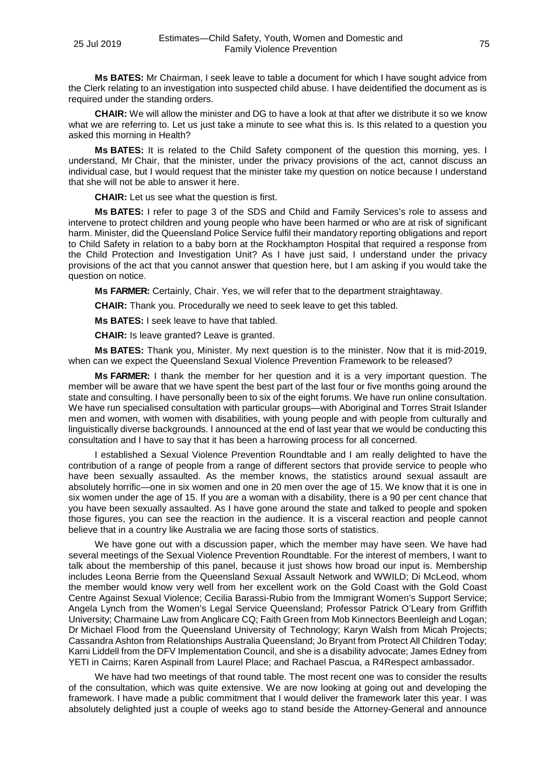**Ms BATES:** Mr Chairman, I seek leave to table a document for which I have sought advice from the Clerk relating to an investigation into suspected child abuse. I have deidentified the document as is required under the standing orders.

**CHAIR:** We will allow the minister and DG to have a look at that after we distribute it so we know what we are referring to. Let us just take a minute to see what this is. Is this related to a question you asked this morning in Health?

**Ms BATES:** It is related to the Child Safety component of the question this morning, yes. I understand, Mr Chair, that the minister, under the privacy provisions of the act, cannot discuss an individual case, but I would request that the minister take my question on notice because I understand that she will not be able to answer it here.

**CHAIR:** Let us see what the question is first.

**Ms BATES:** I refer to page 3 of the SDS and Child and Family Services's role to assess and intervene to protect children and young people who have been harmed or who are at risk of significant harm. Minister, did the Queensland Police Service fulfil their mandatory reporting obligations and report to Child Safety in relation to a baby born at the Rockhampton Hospital that required a response from the Child Protection and Investigation Unit? As I have just said, I understand under the privacy provisions of the act that you cannot answer that question here, but I am asking if you would take the question on notice.

**Ms FARMER:** Certainly, Chair. Yes, we will refer that to the department straightaway.

**CHAIR:** Thank you. Procedurally we need to seek leave to get this tabled.

**Ms BATES:** I seek leave to have that tabled.

**CHAIR:** Is leave granted? Leave is granted.

**Ms BATES:** Thank you, Minister. My next question is to the minister. Now that it is mid-2019, when can we expect the Queensland Sexual Violence Prevention Framework to be released?

**Ms FARMER:** I thank the member for her question and it is a very important question. The member will be aware that we have spent the best part of the last four or five months going around the state and consulting. I have personally been to six of the eight forums. We have run online consultation. We have run specialised consultation with particular groups—with Aboriginal and Torres Strait Islander men and women, with women with disabilities, with young people and with people from culturally and linguistically diverse backgrounds. I announced at the end of last year that we would be conducting this consultation and I have to say that it has been a harrowing process for all concerned.

I established a Sexual Violence Prevention Roundtable and I am really delighted to have the contribution of a range of people from a range of different sectors that provide service to people who have been sexually assaulted. As the member knows, the statistics around sexual assault are absolutely horrific—one in six women and one in 20 men over the age of 15. We know that it is one in six women under the age of 15. If you are a woman with a disability, there is a 90 per cent chance that you have been sexually assaulted. As I have gone around the state and talked to people and spoken those figures, you can see the reaction in the audience. It is a visceral reaction and people cannot believe that in a country like Australia we are facing those sorts of statistics.

We have gone out with a discussion paper, which the member may have seen. We have had several meetings of the Sexual Violence Prevention Roundtable. For the interest of members, I want to talk about the membership of this panel, because it just shows how broad our input is. Membership includes Leona Berrie from the Queensland Sexual Assault Network and WWILD; Di McLeod, whom the member would know very well from her excellent work on the Gold Coast with the Gold Coast Centre Against Sexual Violence; Cecilia Barassi-Rubio from the Immigrant Women's Support Service; Angela Lynch from the Women's Legal Service Queensland; Professor Patrick O'Leary from Griffith University; Charmaine Law from Anglicare CQ; Faith Green from Mob Kinnectors Beenleigh and Logan; Dr Michael Flood from the Queensland University of Technology; Karyn Walsh from Micah Projects; Cassandra Ashton from Relationships Australia Queensland; Jo Bryant from Protect All Children Today; Karni Liddell from the DFV Implementation Council, and she is a disability advocate; James Edney from YETI in Cairns; Karen Aspinall from Laurel Place; and Rachael Pascua, a R4Respect ambassador.

We have had two meetings of that round table. The most recent one was to consider the results of the consultation, which was quite extensive. We are now looking at going out and developing the framework. I have made a public commitment that I would deliver the framework later this year. I was absolutely delighted just a couple of weeks ago to stand beside the Attorney-General and announce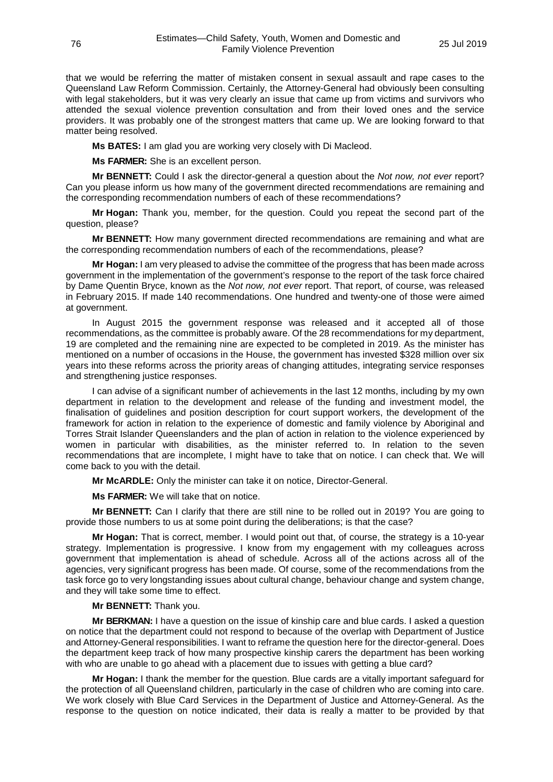that we would be referring the matter of mistaken consent in sexual assault and rape cases to the Queensland Law Reform Commission. Certainly, the Attorney-General had obviously been consulting with legal stakeholders, but it was very clearly an issue that came up from victims and survivors who attended the sexual violence prevention consultation and from their loved ones and the service providers. It was probably one of the strongest matters that came up. We are looking forward to that matter being resolved.

**Ms BATES:** I am glad you are working very closely with Di Macleod.

**Ms FARMER:** She is an excellent person.

**Mr BENNETT:** Could I ask the director-general a question about the *Not now, not ever* report? Can you please inform us how many of the government directed recommendations are remaining and the corresponding recommendation numbers of each of these recommendations?

**Mr Hogan:** Thank you, member, for the question. Could you repeat the second part of the question, please?

**Mr BENNETT:** How many government directed recommendations are remaining and what are the corresponding recommendation numbers of each of the recommendations, please?

**Mr Hogan:** I am very pleased to advise the committee of the progress that has been made across government in the implementation of the government's response to the report of the task force chaired by Dame Quentin Bryce, known as the *Not now, not ever* report. That report, of course, was released in February 2015. If made 140 recommendations. One hundred and twenty-one of those were aimed at government.

In August 2015 the government response was released and it accepted all of those recommendations, as the committee is probably aware. Of the 28 recommendations for my department, 19 are completed and the remaining nine are expected to be completed in 2019. As the minister has mentioned on a number of occasions in the House, the government has invested \$328 million over six years into these reforms across the priority areas of changing attitudes, integrating service responses and strengthening justice responses.

I can advise of a significant number of achievements in the last 12 months, including by my own department in relation to the development and release of the funding and investment model, the finalisation of guidelines and position description for court support workers, the development of the framework for action in relation to the experience of domestic and family violence by Aboriginal and Torres Strait Islander Queenslanders and the plan of action in relation to the violence experienced by women in particular with disabilities, as the minister referred to. In relation to the seven recommendations that are incomplete, I might have to take that on notice. I can check that. We will come back to you with the detail.

**Mr McARDLE:** Only the minister can take it on notice, Director-General.

**Ms FARMER:** We will take that on notice.

**Mr BENNETT:** Can I clarify that there are still nine to be rolled out in 2019? You are going to provide those numbers to us at some point during the deliberations; is that the case?

**Mr Hogan:** That is correct, member. I would point out that, of course, the strategy is a 10-year strategy. Implementation is progressive. I know from my engagement with my colleagues across government that implementation is ahead of schedule. Across all of the actions across all of the agencies, very significant progress has been made. Of course, some of the recommendations from the task force go to very longstanding issues about cultural change, behaviour change and system change, and they will take some time to effect.

## **Mr BENNETT:** Thank you.

**Mr BERKMAN:** I have a question on the issue of kinship care and blue cards. I asked a question on notice that the department could not respond to because of the overlap with Department of Justice and Attorney-General responsibilities. I want to reframe the question here for the director-general. Does the department keep track of how many prospective kinship carers the department has been working with who are unable to go ahead with a placement due to issues with getting a blue card?

**Mr Hogan:** I thank the member for the question. Blue cards are a vitally important safeguard for the protection of all Queensland children, particularly in the case of children who are coming into care. We work closely with Blue Card Services in the Department of Justice and Attorney-General. As the response to the question on notice indicated, their data is really a matter to be provided by that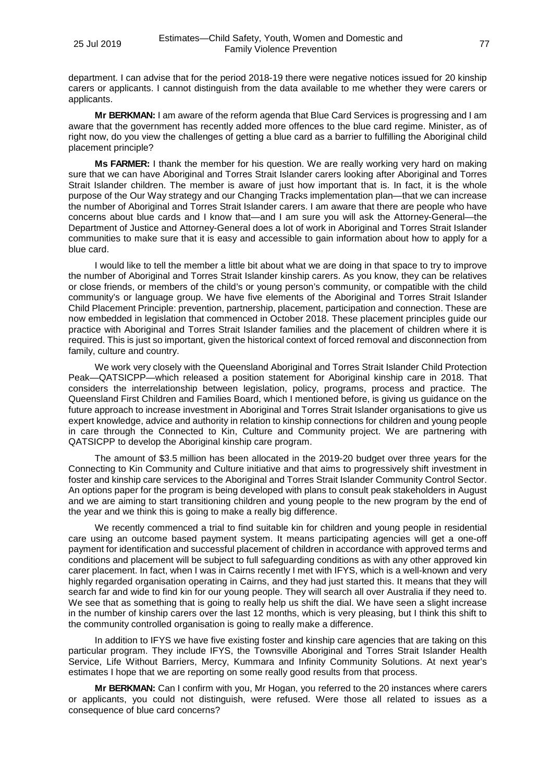department. I can advise that for the period 2018-19 there were negative notices issued for 20 kinship carers or applicants. I cannot distinguish from the data available to me whether they were carers or applicants.

**Mr BERKMAN:** I am aware of the reform agenda that Blue Card Services is progressing and I am aware that the government has recently added more offences to the blue card regime. Minister, as of right now, do you view the challenges of getting a blue card as a barrier to fulfilling the Aboriginal child placement principle?

**Ms FARMER:** I thank the member for his question. We are really working very hard on making sure that we can have Aboriginal and Torres Strait Islander carers looking after Aboriginal and Torres Strait Islander children. The member is aware of just how important that is. In fact, it is the whole purpose of the Our Way strategy and our Changing Tracks implementation plan—that we can increase the number of Aboriginal and Torres Strait Islander carers. I am aware that there are people who have concerns about blue cards and I know that—and I am sure you will ask the Attorney-General—the Department of Justice and Attorney-General does a lot of work in Aboriginal and Torres Strait Islander communities to make sure that it is easy and accessible to gain information about how to apply for a blue card.

I would like to tell the member a little bit about what we are doing in that space to try to improve the number of Aboriginal and Torres Strait Islander kinship carers. As you know, they can be relatives or close friends, or members of the child's or young person's community, or compatible with the child community's or language group. We have five elements of the Aboriginal and Torres Strait Islander Child Placement Principle: prevention, partnership, placement, participation and connection. These are now embedded in legislation that commenced in October 2018. These placement principles guide our practice with Aboriginal and Torres Strait Islander families and the placement of children where it is required. This is just so important, given the historical context of forced removal and disconnection from family, culture and country.

We work very closely with the Queensland Aboriginal and Torres Strait Islander Child Protection Peak—QATSICPP—which released a position statement for Aboriginal kinship care in 2018. That considers the interrelationship between legislation, policy, programs, process and practice. The Queensland First Children and Families Board, which I mentioned before, is giving us guidance on the future approach to increase investment in Aboriginal and Torres Strait Islander organisations to give us expert knowledge, advice and authority in relation to kinship connections for children and young people in care through the Connected to Kin, Culture and Community project. We are partnering with QATSICPP to develop the Aboriginal kinship care program.

The amount of \$3.5 million has been allocated in the 2019-20 budget over three years for the Connecting to Kin Community and Culture initiative and that aims to progressively shift investment in foster and kinship care services to the Aboriginal and Torres Strait Islander Community Control Sector. An options paper for the program is being developed with plans to consult peak stakeholders in August and we are aiming to start transitioning children and young people to the new program by the end of the year and we think this is going to make a really big difference.

We recently commenced a trial to find suitable kin for children and young people in residential care using an outcome based payment system. It means participating agencies will get a one-off payment for identification and successful placement of children in accordance with approved terms and conditions and placement will be subject to full safeguarding conditions as with any other approved kin carer placement. In fact, when I was in Cairns recently I met with IFYS, which is a well-known and very highly regarded organisation operating in Cairns, and they had just started this. It means that they will search far and wide to find kin for our young people. They will search all over Australia if they need to. We see that as something that is going to really help us shift the dial. We have seen a slight increase in the number of kinship carers over the last 12 months, which is very pleasing, but I think this shift to the community controlled organisation is going to really make a difference.

In addition to IFYS we have five existing foster and kinship care agencies that are taking on this particular program. They include IFYS, the Townsville Aboriginal and Torres Strait Islander Health Service, Life Without Barriers, Mercy, Kummara and Infinity Community Solutions. At next year's estimates I hope that we are reporting on some really good results from that process.

**Mr BERKMAN:** Can I confirm with you, Mr Hogan, you referred to the 20 instances where carers or applicants, you could not distinguish, were refused. Were those all related to issues as a consequence of blue card concerns?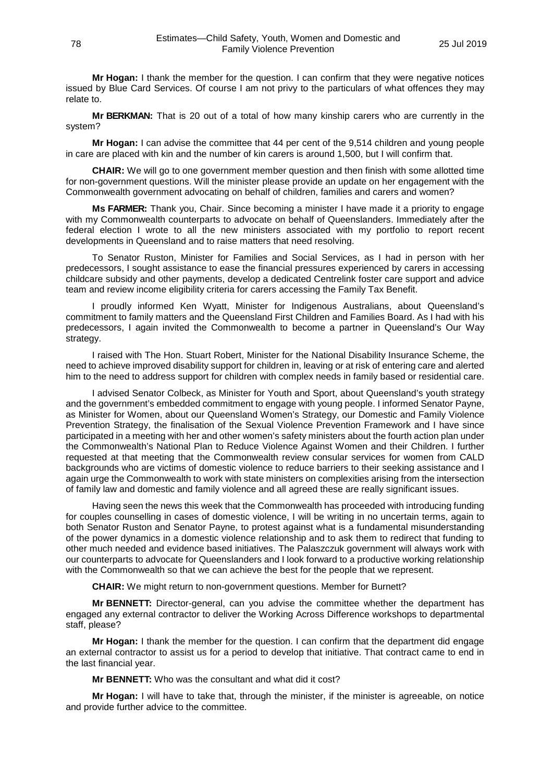**Mr Hogan:** I thank the member for the question. I can confirm that they were negative notices issued by Blue Card Services. Of course I am not privy to the particulars of what offences they may relate to.

**Mr BERKMAN:** That is 20 out of a total of how many kinship carers who are currently in the system?

**Mr Hogan:** I can advise the committee that 44 per cent of the 9,514 children and young people in care are placed with kin and the number of kin carers is around 1,500, but I will confirm that.

**CHAIR:** We will go to one government member question and then finish with some allotted time for non-government questions. Will the minister please provide an update on her engagement with the Commonwealth government advocating on behalf of children, families and carers and women?

**Ms FARMER:** Thank you, Chair. Since becoming a minister I have made it a priority to engage with my Commonwealth counterparts to advocate on behalf of Queenslanders. Immediately after the federal election I wrote to all the new ministers associated with my portfolio to report recent developments in Queensland and to raise matters that need resolving.

To Senator Ruston, Minister for Families and Social Services, as I had in person with her predecessors, I sought assistance to ease the financial pressures experienced by carers in accessing childcare subsidy and other payments, develop a dedicated Centrelink foster care support and advice team and review income eligibility criteria for carers accessing the Family Tax Benefit.

I proudly informed Ken Wyatt, Minister for Indigenous Australians, about Queensland's commitment to family matters and the Queensland First Children and Families Board. As I had with his predecessors, I again invited the Commonwealth to become a partner in Queensland's Our Way strategy.

I raised with The Hon. Stuart Robert, Minister for the National Disability Insurance Scheme, the need to achieve improved disability support for children in, leaving or at risk of entering care and alerted him to the need to address support for children with complex needs in family based or residential care.

I advised Senator Colbeck, as Minister for Youth and Sport, about Queensland's youth strategy and the government's embedded commitment to engage with young people. I informed Senator Payne, as Minister for Women, about our Queensland Women's Strategy, our Domestic and Family Violence Prevention Strategy, the finalisation of the Sexual Violence Prevention Framework and I have since participated in a meeting with her and other women's safety ministers about the fourth action plan under the Commonwealth's National Plan to Reduce Violence Against Women and their Children. I further requested at that meeting that the Commonwealth review consular services for women from CALD backgrounds who are victims of domestic violence to reduce barriers to their seeking assistance and I again urge the Commonwealth to work with state ministers on complexities arising from the intersection of family law and domestic and family violence and all agreed these are really significant issues.

Having seen the news this week that the Commonwealth has proceeded with introducing funding for couples counselling in cases of domestic violence, I will be writing in no uncertain terms, again to both Senator Ruston and Senator Payne, to protest against what is a fundamental misunderstanding of the power dynamics in a domestic violence relationship and to ask them to redirect that funding to other much needed and evidence based initiatives. The Palaszczuk government will always work with our counterparts to advocate for Queenslanders and I look forward to a productive working relationship with the Commonwealth so that we can achieve the best for the people that we represent.

**CHAIR:** We might return to non-government questions. Member for Burnett?

**Mr BENNETT:** Director-general, can you advise the committee whether the department has engaged any external contractor to deliver the Working Across Difference workshops to departmental staff, please?

**Mr Hogan:** I thank the member for the question. I can confirm that the department did engage an external contractor to assist us for a period to develop that initiative. That contract came to end in the last financial year.

**Mr BENNETT:** Who was the consultant and what did it cost?

**Mr Hogan:** I will have to take that, through the minister, if the minister is agreeable, on notice and provide further advice to the committee.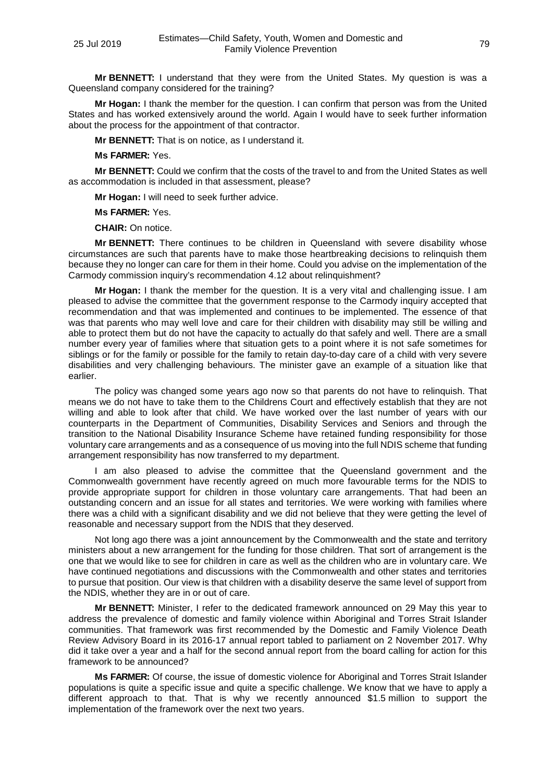**Mr BENNETT:** I understand that they were from the United States. My question is was a Queensland company considered for the training?

**Mr Hogan:** I thank the member for the question. I can confirm that person was from the United States and has worked extensively around the world. Again I would have to seek further information about the process for the appointment of that contractor.

**Mr BENNETT:** That is on notice, as I understand it.

**Ms FARMER:** Yes.

**Mr BENNETT:** Could we confirm that the costs of the travel to and from the United States as well as accommodation is included in that assessment, please?

**Mr Hogan:** I will need to seek further advice.

**Ms FARMER:** Yes.

**CHAIR:** On notice.

**Mr BENNETT:** There continues to be children in Queensland with severe disability whose circumstances are such that parents have to make those heartbreaking decisions to relinquish them because they no longer can care for them in their home. Could you advise on the implementation of the Carmody commission inquiry's recommendation 4.12 about relinquishment?

**Mr Hogan:** I thank the member for the question. It is a very vital and challenging issue. I am pleased to advise the committee that the government response to the Carmody inquiry accepted that recommendation and that was implemented and continues to be implemented. The essence of that was that parents who may well love and care for their children with disability may still be willing and able to protect them but do not have the capacity to actually do that safely and well. There are a small number every year of families where that situation gets to a point where it is not safe sometimes for siblings or for the family or possible for the family to retain day-to-day care of a child with very severe disabilities and very challenging behaviours. The minister gave an example of a situation like that earlier.

The policy was changed some years ago now so that parents do not have to relinquish. That means we do not have to take them to the Childrens Court and effectively establish that they are not willing and able to look after that child. We have worked over the last number of years with our counterparts in the Department of Communities, Disability Services and Seniors and through the transition to the National Disability Insurance Scheme have retained funding responsibility for those voluntary care arrangements and as a consequence of us moving into the full NDIS scheme that funding arrangement responsibility has now transferred to my department.

I am also pleased to advise the committee that the Queensland government and the Commonwealth government have recently agreed on much more favourable terms for the NDIS to provide appropriate support for children in those voluntary care arrangements. That had been an outstanding concern and an issue for all states and territories. We were working with families where there was a child with a significant disability and we did not believe that they were getting the level of reasonable and necessary support from the NDIS that they deserved.

Not long ago there was a joint announcement by the Commonwealth and the state and territory ministers about a new arrangement for the funding for those children. That sort of arrangement is the one that we would like to see for children in care as well as the children who are in voluntary care. We have continued negotiations and discussions with the Commonwealth and other states and territories to pursue that position. Our view is that children with a disability deserve the same level of support from the NDIS, whether they are in or out of care.

**Mr BENNETT:** Minister, I refer to the dedicated framework announced on 29 May this year to address the prevalence of domestic and family violence within Aboriginal and Torres Strait Islander communities. That framework was first recommended by the Domestic and Family Violence Death Review Advisory Board in its 2016-17 annual report tabled to parliament on 2 November 2017. Why did it take over a year and a half for the second annual report from the board calling for action for this framework to be announced?

**Ms FARMER:** Of course, the issue of domestic violence for Aboriginal and Torres Strait Islander populations is quite a specific issue and quite a specific challenge. We know that we have to apply a different approach to that. That is why we recently announced \$1.5 million to support the implementation of the framework over the next two years.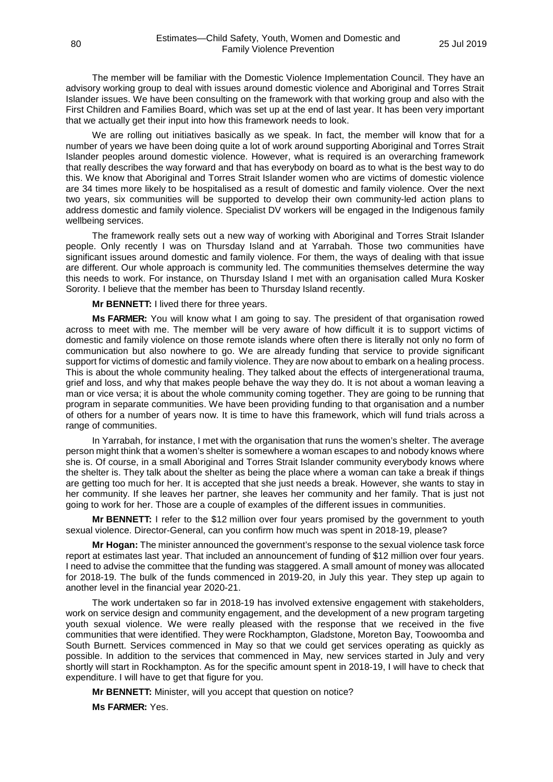The member will be familiar with the Domestic Violence Implementation Council. They have an advisory working group to deal with issues around domestic violence and Aboriginal and Torres Strait Islander issues. We have been consulting on the framework with that working group and also with the First Children and Families Board, which was set up at the end of last year. It has been very important that we actually get their input into how this framework needs to look.

We are rolling out initiatives basically as we speak. In fact, the member will know that for a number of years we have been doing quite a lot of work around supporting Aboriginal and Torres Strait Islander peoples around domestic violence. However, what is required is an overarching framework that really describes the way forward and that has everybody on board as to what is the best way to do this. We know that Aboriginal and Torres Strait Islander women who are victims of domestic violence are 34 times more likely to be hospitalised as a result of domestic and family violence. Over the next two years, six communities will be supported to develop their own community-led action plans to address domestic and family violence. Specialist DV workers will be engaged in the Indigenous family wellbeing services.

The framework really sets out a new way of working with Aboriginal and Torres Strait Islander people. Only recently I was on Thursday Island and at Yarrabah. Those two communities have significant issues around domestic and family violence. For them, the ways of dealing with that issue are different. Our whole approach is community led. The communities themselves determine the way this needs to work. For instance, on Thursday Island I met with an organisation called Mura Kosker Sorority. I believe that the member has been to Thursday Island recently.

**Mr BENNETT:** I lived there for three years.

**Ms FARMER:** You will know what I am going to say. The president of that organisation rowed across to meet with me. The member will be very aware of how difficult it is to support victims of domestic and family violence on those remote islands where often there is literally not only no form of communication but also nowhere to go. We are already funding that service to provide significant support for victims of domestic and family violence. They are now about to embark on a healing process. This is about the whole community healing. They talked about the effects of intergenerational trauma, grief and loss, and why that makes people behave the way they do. It is not about a woman leaving a man or vice versa; it is about the whole community coming together. They are going to be running that program in separate communities. We have been providing funding to that organisation and a number of others for a number of years now. It is time to have this framework, which will fund trials across a range of communities.

In Yarrabah, for instance, I met with the organisation that runs the women's shelter. The average person might think that a women's shelter is somewhere a woman escapes to and nobody knows where she is. Of course, in a small Aboriginal and Torres Strait Islander community everybody knows where the shelter is. They talk about the shelter as being the place where a woman can take a break if things are getting too much for her. It is accepted that she just needs a break. However, she wants to stay in her community. If she leaves her partner, she leaves her community and her family. That is just not going to work for her. Those are a couple of examples of the different issues in communities.

**Mr BENNETT:** I refer to the \$12 million over four years promised by the government to youth sexual violence. Director-General, can you confirm how much was spent in 2018-19, please?

**Mr Hogan:** The minister announced the government's response to the sexual violence task force report at estimates last year. That included an announcement of funding of \$12 million over four years. I need to advise the committee that the funding was staggered. A small amount of money was allocated for 2018-19. The bulk of the funds commenced in 2019-20, in July this year. They step up again to another level in the financial year 2020-21.

The work undertaken so far in 2018-19 has involved extensive engagement with stakeholders, work on service design and community engagement, and the development of a new program targeting youth sexual violence. We were really pleased with the response that we received in the five communities that were identified. They were Rockhampton, Gladstone, Moreton Bay, Toowoomba and South Burnett. Services commenced in May so that we could get services operating as quickly as possible. In addition to the services that commenced in May, new services started in July and very shortly will start in Rockhampton. As for the specific amount spent in 2018-19, I will have to check that expenditure. I will have to get that figure for you.

**Mr BENNETT:** Minister, will you accept that question on notice?

**Ms FARMER:** Yes.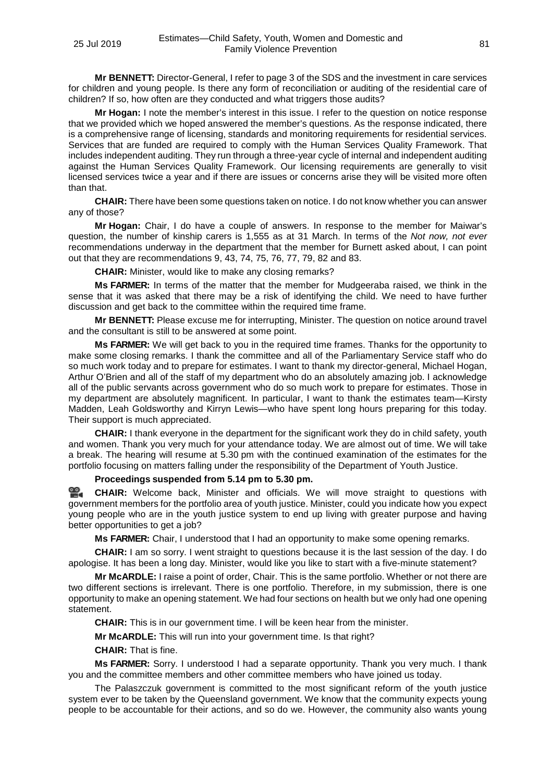**Mr BENNETT:** Director-General, I refer to page 3 of the SDS and the investment in care services for children and young people. Is there any form of reconciliation or auditing of the residential care of children? If so, how often are they conducted and what triggers those audits?

**Mr Hogan:** I note the member's interest in this issue. I refer to the question on notice response that we provided which we hoped answered the member's questions. As the response indicated, there is a comprehensive range of licensing, standards and monitoring requirements for residential services. Services that are funded are required to comply with the Human Services Quality Framework. That includes independent auditing. They run through a three-year cycle of internal and independent auditing against the Human Services Quality Framework. Our licensing requirements are generally to visit licensed services twice a year and if there are issues or concerns arise they will be visited more often than that.

**CHAIR:** There have been some questions taken on notice. I do not know whether you can answer any of those?

**Mr Hogan:** Chair, I do have a couple of answers. In response to the member for Maiwar's question, the number of kinship carers is 1,555 as at 31 March. In terms of the *Not now, not ever* recommendations underway in the department that the member for Burnett asked about, I can point out that they are recommendations 9, 43, 74, 75, 76, 77, 79, 82 and 83.

**CHAIR:** Minister, would like to make any closing remarks?

**Ms FARMER:** In terms of the matter that the member for Mudgeeraba raised, we think in the sense that it was asked that there may be a risk of identifying the child. We need to have further discussion and get back to the committee within the required time frame.

**Mr BENNETT:** Please excuse me for interrupting, Minister. The question on notice around travel and the consultant is still to be answered at some point.

**Ms FARMER:** We will get back to you in the required time frames. Thanks for the opportunity to make some closing remarks. I thank the committee and all of the Parliamentary Service staff who do so much work today and to prepare for estimates. I want to thank my director-general, Michael Hogan, Arthur O'Brien and all of the staff of my department who do an absolutely amazing job. I acknowledge all of the public servants across government who do so much work to prepare for estimates. Those in my department are absolutely magnificent. In particular, I want to thank the estimates team—Kirsty Madden, Leah Goldsworthy and Kirryn Lewis—who have spent long hours preparing for this today. Their support is much appreciated.

**CHAIR:** I thank everyone in the department for the significant work they do in child safety, youth and women. Thank you very much for your attendance today. We are almost out of time. We will take a break. The hearing will resume at 5.30 pm with the continued examination of the estimates for the portfolio focusing on matters falling under the responsibility of the Department of Youth Justice.

## **Proceedings suspended from 5.14 pm to 5.30 pm.**

옆. **[CHAIR:](http://www.parliament.qld.gov.au/docs/find.aspx?id=0Mba20190725_172942)** Welcome back, Minister and officials. We will move straight to questions with government members for the portfolio area of youth justice. Minister, could you indicate how you expect young people who are in the youth justice system to end up living with greater purpose and having better opportunities to get a job?

**Ms FARMER:** Chair, I understood that I had an opportunity to make some opening remarks.

**CHAIR:** I am so sorry. I went straight to questions because it is the last session of the day. I do apologise. It has been a long day. Minister, would like you like to start with a five-minute statement?

**Mr McARDLE:** I raise a point of order, Chair. This is the same portfolio. Whether or not there are two different sections is irrelevant. There is one portfolio. Therefore, in my submission, there is one opportunity to make an opening statement. We had four sections on health but we only had one opening statement.

**CHAIR:** This is in our government time. I will be keen hear from the minister.

**Mr McARDLE:** This will run into your government time. Is that right?

**CHAIR:** That is fine.

**Ms FARMER:** Sorry. I understood I had a separate opportunity. Thank you very much. I thank you and the committee members and other committee members who have joined us today.

The Palaszczuk government is committed to the most significant reform of the youth justice system ever to be taken by the Queensland government. We know that the community expects young people to be accountable for their actions, and so do we. However, the community also wants young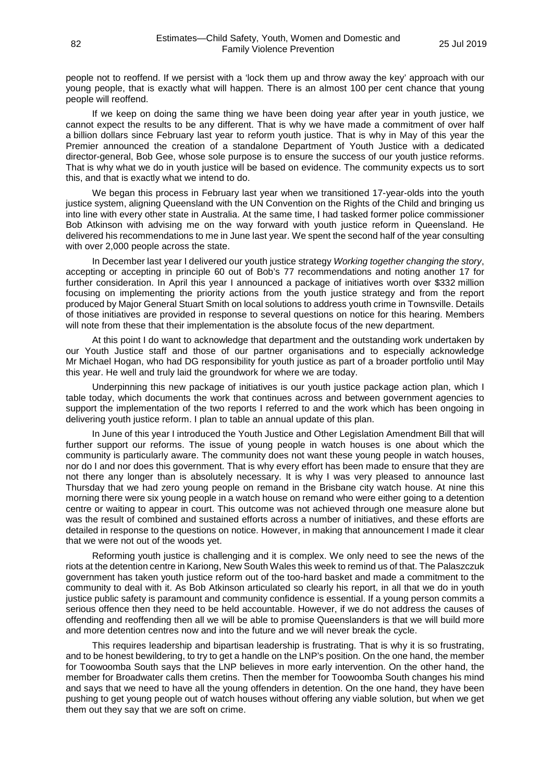people not to reoffend. If we persist with a 'lock them up and throw away the key' approach with our young people, that is exactly what will happen. There is an almost 100 per cent chance that young people will reoffend.

If we keep on doing the same thing we have been doing year after year in youth justice, we cannot expect the results to be any different. That is why we have made a commitment of over half a billion dollars since February last year to reform youth justice. That is why in May of this year the Premier announced the creation of a standalone Department of Youth Justice with a dedicated director-general, Bob Gee, whose sole purpose is to ensure the success of our youth justice reforms. That is why what we do in youth justice will be based on evidence. The community expects us to sort this, and that is exactly what we intend to do.

We began this process in February last year when we transitioned 17-year-olds into the youth justice system, aligning Queensland with the UN Convention on the Rights of the Child and bringing us into line with every other state in Australia. At the same time, I had tasked former police commissioner Bob Atkinson with advising me on the way forward with youth justice reform in Queensland. He delivered his recommendations to me in June last year. We spent the second half of the year consulting with over 2,000 people across the state.

In December last year I delivered our youth justice strategy *Working together changing the story*, accepting or accepting in principle 60 out of Bob's 77 recommendations and noting another 17 for further consideration. In April this year I announced a package of initiatives worth over \$332 million focusing on implementing the priority actions from the youth justice strategy and from the report produced by Major General Stuart Smith on local solutions to address youth crime in Townsville. Details of those initiatives are provided in response to several questions on notice for this hearing. Members will note from these that their implementation is the absolute focus of the new department.

At this point I do want to acknowledge that department and the outstanding work undertaken by our Youth Justice staff and those of our partner organisations and to especially acknowledge Mr Michael Hogan, who had DG responsibility for youth justice as part of a broader portfolio until May this year. He well and truly laid the groundwork for where we are today.

Underpinning this new package of initiatives is our youth justice package action plan, which I table today, which documents the work that continues across and between government agencies to support the implementation of the two reports I referred to and the work which has been ongoing in delivering youth justice reform. I plan to table an annual update of this plan.

In June of this year I introduced the Youth Justice and Other Legislation Amendment Bill that will further support our reforms. The issue of young people in watch houses is one about which the community is particularly aware. The community does not want these young people in watch houses, nor do I and nor does this government. That is why every effort has been made to ensure that they are not there any longer than is absolutely necessary. It is why I was very pleased to announce last Thursday that we had zero young people on remand in the Brisbane city watch house. At nine this morning there were six young people in a watch house on remand who were either going to a detention centre or waiting to appear in court. This outcome was not achieved through one measure alone but was the result of combined and sustained efforts across a number of initiatives, and these efforts are detailed in response to the questions on notice. However, in making that announcement I made it clear that we were not out of the woods yet.

Reforming youth justice is challenging and it is complex. We only need to see the news of the riots at the detention centre in Kariong, New South Wales this week to remind us of that. The Palaszczuk government has taken youth justice reform out of the too-hard basket and made a commitment to the community to deal with it. As Bob Atkinson articulated so clearly his report, in all that we do in youth justice public safety is paramount and community confidence is essential. If a young person commits a serious offence then they need to be held accountable. However, if we do not address the causes of offending and reoffending then all we will be able to promise Queenslanders is that we will build more and more detention centres now and into the future and we will never break the cycle.

This requires leadership and bipartisan leadership is frustrating. That is why it is so frustrating, and to be honest bewildering, to try to get a handle on the LNP's position. On the one hand, the member for Toowoomba South says that the LNP believes in more early intervention. On the other hand, the member for Broadwater calls them cretins. Then the member for Toowoomba South changes his mind and says that we need to have all the young offenders in detention. On the one hand, they have been pushing to get young people out of watch houses without offering any viable solution, but when we get them out they say that we are soft on crime.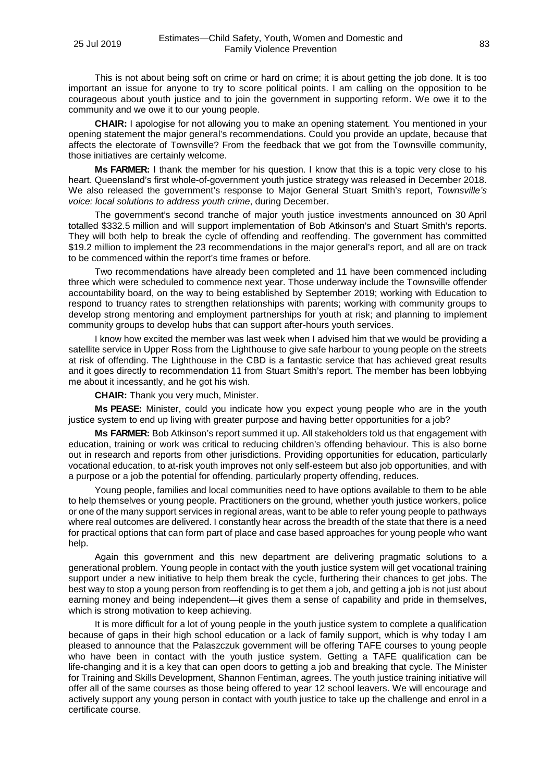This is not about being soft on crime or hard on crime; it is about getting the job done. It is too important an issue for anyone to try to score political points. I am calling on the opposition to be courageous about youth justice and to join the government in supporting reform. We owe it to the community and we owe it to our young people.

**CHAIR:** I apologise for not allowing you to make an opening statement. You mentioned in your opening statement the major general's recommendations. Could you provide an update, because that affects the electorate of Townsville? From the feedback that we got from the Townsville community, those initiatives are certainly welcome.

**Ms FARMER:** I thank the member for his question. I know that this is a topic very close to his heart. Queensland's first whole-of-government youth justice strategy was released in December 2018. We also released the government's response to Major General Stuart Smith's report, *Townsville's voice: local solutions to address youth crime*, during December.

The government's second tranche of major youth justice investments announced on 30 April totalled \$332.5 million and will support implementation of Bob Atkinson's and Stuart Smith's reports. They will both help to break the cycle of offending and reoffending. The government has committed \$19.2 million to implement the 23 recommendations in the major general's report, and all are on track to be commenced within the report's time frames or before.

Two recommendations have already been completed and 11 have been commenced including three which were scheduled to commence next year. Those underway include the Townsville offender accountability board, on the way to being established by September 2019; working with Education to respond to truancy rates to strengthen relationships with parents; working with community groups to develop strong mentoring and employment partnerships for youth at risk; and planning to implement community groups to develop hubs that can support after-hours youth services.

I know how excited the member was last week when I advised him that we would be providing a satellite service in Upper Ross from the Lighthouse to give safe harbour to young people on the streets at risk of offending. The Lighthouse in the CBD is a fantastic service that has achieved great results and it goes directly to recommendation 11 from Stuart Smith's report. The member has been lobbying me about it incessantly, and he got his wish.

**CHAIR:** Thank you very much, Minister.

**Ms PEASE:** Minister, could you indicate how you expect young people who are in the youth justice system to end up living with greater purpose and having better opportunities for a job?

**Ms FARMER:** Bob Atkinson's report summed it up. All stakeholders told us that engagement with education, training or work was critical to reducing children's offending behaviour. This is also borne out in research and reports from other jurisdictions. Providing opportunities for education, particularly vocational education, to at-risk youth improves not only self-esteem but also job opportunities, and with a purpose or a job the potential for offending, particularly property offending, reduces.

Young people, families and local communities need to have options available to them to be able to help themselves or young people. Practitioners on the ground, whether youth justice workers, police or one of the many support services in regional areas, want to be able to refer young people to pathways where real outcomes are delivered. I constantly hear across the breadth of the state that there is a need for practical options that can form part of place and case based approaches for young people who want help.

Again this government and this new department are delivering pragmatic solutions to a generational problem. Young people in contact with the youth justice system will get vocational training support under a new initiative to help them break the cycle, furthering their chances to get jobs. The best way to stop a young person from reoffending is to get them a job, and getting a job is not just about earning money and being independent—it gives them a sense of capability and pride in themselves, which is strong motivation to keep achieving.

It is more difficult for a lot of young people in the youth justice system to complete a qualification because of gaps in their high school education or a lack of family support, which is why today I am pleased to announce that the Palaszczuk government will be offering TAFE courses to young people who have been in contact with the youth justice system. Getting a TAFE qualification can be life-changing and it is a key that can open doors to getting a job and breaking that cycle. The Minister for Training and Skills Development, Shannon Fentiman, agrees. The youth justice training initiative will offer all of the same courses as those being offered to year 12 school leavers. We will encourage and actively support any young person in contact with youth justice to take up the challenge and enrol in a certificate course.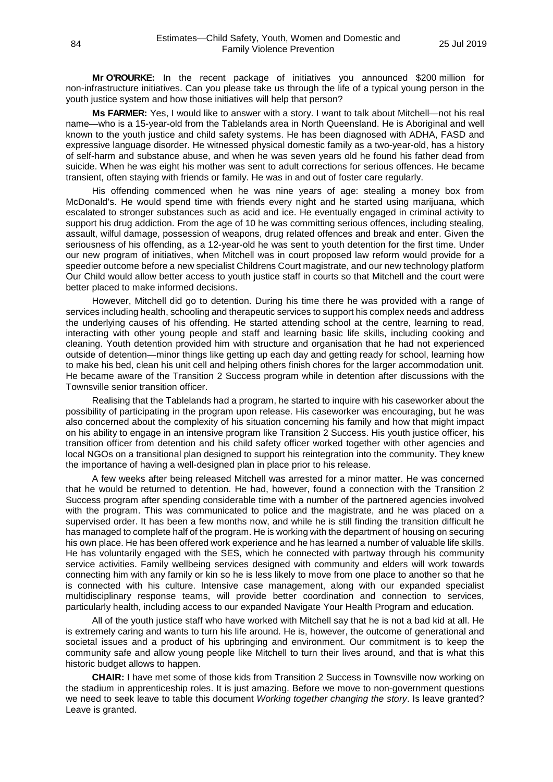**Mr O'ROURKE:** In the recent package of initiatives you announced \$200 million for non-infrastructure initiatives. Can you please take us through the life of a typical young person in the youth justice system and how those initiatives will help that person?

**Ms FARMER:** Yes, I would like to answer with a story. I want to talk about Mitchell—not his real name—who is a 15-year-old from the Tablelands area in North Queensland. He is Aboriginal and well known to the youth justice and child safety systems. He has been diagnosed with ADHA, FASD and expressive language disorder. He witnessed physical domestic family as a two-year-old, has a history of self-harm and substance abuse, and when he was seven years old he found his father dead from suicide. When he was eight his mother was sent to adult corrections for serious offences. He became transient, often staying with friends or family. He was in and out of foster care regularly.

His offending commenced when he was nine years of age: stealing a money box from McDonald's. He would spend time with friends every night and he started using marijuana, which escalated to stronger substances such as acid and ice. He eventually engaged in criminal activity to support his drug addiction. From the age of 10 he was committing serious offences, including stealing, assault, wilful damage, possession of weapons, drug related offences and break and enter. Given the seriousness of his offending, as a 12-year-old he was sent to youth detention for the first time. Under our new program of initiatives, when Mitchell was in court proposed law reform would provide for a speedier outcome before a new specialist Childrens Court magistrate, and our new technology platform Our Child would allow better access to youth justice staff in courts so that Mitchell and the court were better placed to make informed decisions.

However, Mitchell did go to detention. During his time there he was provided with a range of services including health, schooling and therapeutic services to support his complex needs and address the underlying causes of his offending. He started attending school at the centre, learning to read, interacting with other young people and staff and learning basic life skills, including cooking and cleaning. Youth detention provided him with structure and organisation that he had not experienced outside of detention—minor things like getting up each day and getting ready for school, learning how to make his bed, clean his unit cell and helping others finish chores for the larger accommodation unit. He became aware of the Transition 2 Success program while in detention after discussions with the Townsville senior transition officer.

Realising that the Tablelands had a program, he started to inquire with his caseworker about the possibility of participating in the program upon release. His caseworker was encouraging, but he was also concerned about the complexity of his situation concerning his family and how that might impact on his ability to engage in an intensive program like Transition 2 Success. His youth justice officer, his transition officer from detention and his child safety officer worked together with other agencies and local NGOs on a transitional plan designed to support his reintegration into the community. They knew the importance of having a well-designed plan in place prior to his release.

A few weeks after being released Mitchell was arrested for a minor matter. He was concerned that he would be returned to detention. He had, however, found a connection with the Transition 2 Success program after spending considerable time with a number of the partnered agencies involved with the program. This was communicated to police and the magistrate, and he was placed on a supervised order. It has been a few months now, and while he is still finding the transition difficult he has managed to complete half of the program. He is working with the department of housing on securing his own place. He has been offered work experience and he has learned a number of valuable life skills. He has voluntarily engaged with the SES, which he connected with partway through his community service activities. Family wellbeing services designed with community and elders will work towards connecting him with any family or kin so he is less likely to move from one place to another so that he is connected with his culture. Intensive case management, along with our expanded specialist multidisciplinary response teams, will provide better coordination and connection to services, particularly health, including access to our expanded Navigate Your Health Program and education.

All of the youth justice staff who have worked with Mitchell say that he is not a bad kid at all. He is extremely caring and wants to turn his life around. He is, however, the outcome of generational and societal issues and a product of his upbringing and environment. Our commitment is to keep the community safe and allow young people like Mitchell to turn their lives around, and that is what this historic budget allows to happen.

**CHAIR:** I have met some of those kids from Transition 2 Success in Townsville now working on the stadium in apprenticeship roles. It is just amazing. Before we move to non-government questions we need to seek leave to table this document *Working together changing the story*. Is leave granted? Leave is granted.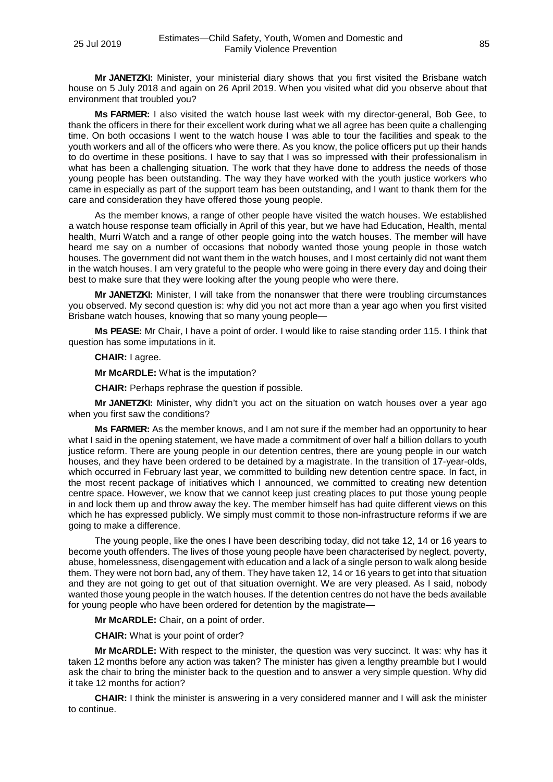**Mr JANETZKI:** Minister, your ministerial diary shows that you first visited the Brisbane watch house on 5 July 2018 and again on 26 April 2019. When you visited what did you observe about that environment that troubled you?

**Ms FARMER:** I also visited the watch house last week with my director-general, Bob Gee, to thank the officers in there for their excellent work during what we all agree has been quite a challenging time. On both occasions I went to the watch house I was able to tour the facilities and speak to the youth workers and all of the officers who were there. As you know, the police officers put up their hands to do overtime in these positions. I have to say that I was so impressed with their professionalism in what has been a challenging situation. The work that they have done to address the needs of those young people has been outstanding. The way they have worked with the youth justice workers who came in especially as part of the support team has been outstanding, and I want to thank them for the care and consideration they have offered those young people.

As the member knows, a range of other people have visited the watch houses. We established a watch house response team officially in April of this year, but we have had Education, Health, mental health, Murri Watch and a range of other people going into the watch houses. The member will have heard me say on a number of occasions that nobody wanted those young people in those watch houses. The government did not want them in the watch houses, and I most certainly did not want them in the watch houses. I am very grateful to the people who were going in there every day and doing their best to make sure that they were looking after the young people who were there.

**Mr JANETZKI:** Minister, I will take from the nonanswer that there were troubling circumstances you observed. My second question is: why did you not act more than a year ago when you first visited Brisbane watch houses, knowing that so many young people—

**Ms PEASE:** Mr Chair, I have a point of order. I would like to raise standing order 115. I think that question has some imputations in it.

## **CHAIR:** I agree.

**Mr McARDLE:** What is the imputation?

**CHAIR:** Perhaps rephrase the question if possible.

**Mr JANETZKI:** Minister, why didn't you act on the situation on watch houses over a year ago when you first saw the conditions?

**Ms FARMER:** As the member knows, and I am not sure if the member had an opportunity to hear what I said in the opening statement, we have made a commitment of over half a billion dollars to youth justice reform. There are young people in our detention centres, there are young people in our watch houses, and they have been ordered to be detained by a magistrate. In the transition of 17-year-olds, which occurred in February last year, we committed to building new detention centre space. In fact, in the most recent package of initiatives which I announced, we committed to creating new detention centre space. However, we know that we cannot keep just creating places to put those young people in and lock them up and throw away the key. The member himself has had quite different views on this which he has expressed publicly. We simply must commit to those non-infrastructure reforms if we are going to make a difference.

The young people, like the ones I have been describing today, did not take 12, 14 or 16 years to become youth offenders. The lives of those young people have been characterised by neglect, poverty, abuse, homelessness, disengagement with education and a lack of a single person to walk along beside them. They were not born bad, any of them. They have taken 12, 14 or 16 years to get into that situation and they are not going to get out of that situation overnight. We are very pleased. As I said, nobody wanted those young people in the watch houses. If the detention centres do not have the beds available for young people who have been ordered for detention by the magistrate—

**Mr McARDLE:** Chair, on a point of order.

**CHAIR:** What is your point of order?

**Mr McARDLE:** With respect to the minister, the question was very succinct. It was: why has it taken 12 months before any action was taken? The minister has given a lengthy preamble but I would ask the chair to bring the minister back to the question and to answer a very simple question. Why did it take 12 months for action?

**CHAIR:** I think the minister is answering in a very considered manner and I will ask the minister to continue.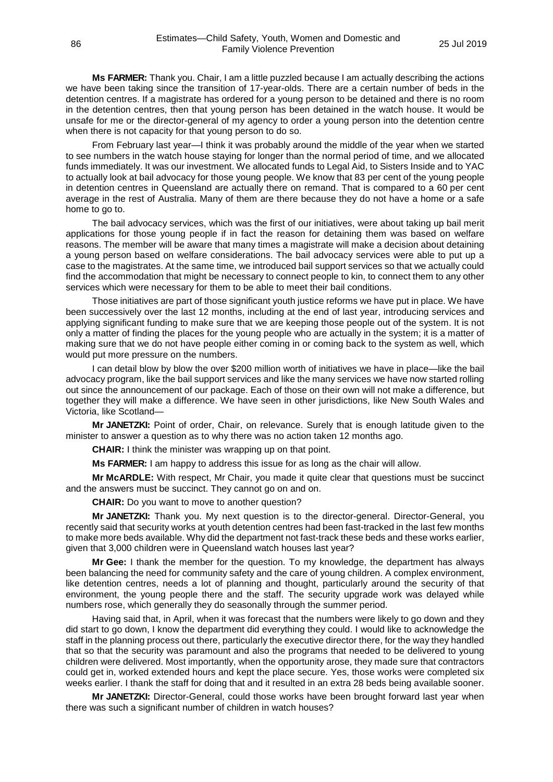**Ms FARMER:** Thank you. Chair, I am a little puzzled because I am actually describing the actions we have been taking since the transition of 17-year-olds. There are a certain number of beds in the detention centres. If a magistrate has ordered for a young person to be detained and there is no room in the detention centres, then that young person has been detained in the watch house. It would be unsafe for me or the director-general of my agency to order a young person into the detention centre when there is not capacity for that young person to do so.

From February last year—I think it was probably around the middle of the year when we started to see numbers in the watch house staying for longer than the normal period of time, and we allocated funds immediately. It was our investment. We allocated funds to Legal Aid, to Sisters Inside and to YAC to actually look at bail advocacy for those young people. We know that 83 per cent of the young people in detention centres in Queensland are actually there on remand. That is compared to a 60 per cent average in the rest of Australia. Many of them are there because they do not have a home or a safe home to go to.

The bail advocacy services, which was the first of our initiatives, were about taking up bail merit applications for those young people if in fact the reason for detaining them was based on welfare reasons. The member will be aware that many times a magistrate will make a decision about detaining a young person based on welfare considerations. The bail advocacy services were able to put up a case to the magistrates. At the same time, we introduced bail support services so that we actually could find the accommodation that might be necessary to connect people to kin, to connect them to any other services which were necessary for them to be able to meet their bail conditions.

Those initiatives are part of those significant youth justice reforms we have put in place. We have been successively over the last 12 months, including at the end of last year, introducing services and applying significant funding to make sure that we are keeping those people out of the system. It is not only a matter of finding the places for the young people who are actually in the system; it is a matter of making sure that we do not have people either coming in or coming back to the system as well, which would put more pressure on the numbers.

I can detail blow by blow the over \$200 million worth of initiatives we have in place—like the bail advocacy program, like the bail support services and like the many services we have now started rolling out since the announcement of our package. Each of those on their own will not make a difference, but together they will make a difference. We have seen in other jurisdictions, like New South Wales and Victoria, like Scotland—

**Mr JANETZKI:** Point of order, Chair, on relevance. Surely that is enough latitude given to the minister to answer a question as to why there was no action taken 12 months ago.

**CHAIR:** I think the minister was wrapping up on that point.

**Ms FARMER:** I am happy to address this issue for as long as the chair will allow.

**Mr McARDLE:** With respect, Mr Chair, you made it quite clear that questions must be succinct and the answers must be succinct. They cannot go on and on.

**CHAIR:** Do you want to move to another question?

**Mr JANETZKI:** Thank you. My next question is to the director-general. Director-General, you recently said that security works at youth detention centres had been fast-tracked in the last few months to make more beds available. Why did the department not fast-track these beds and these works earlier, given that 3,000 children were in Queensland watch houses last year?

**Mr Gee:** I thank the member for the question. To my knowledge, the department has always been balancing the need for community safety and the care of young children. A complex environment, like detention centres, needs a lot of planning and thought, particularly around the security of that environment, the young people there and the staff. The security upgrade work was delayed while numbers rose, which generally they do seasonally through the summer period.

Having said that, in April, when it was forecast that the numbers were likely to go down and they did start to go down, I know the department did everything they could. I would like to acknowledge the staff in the planning process out there, particularly the executive director there, for the way they handled that so that the security was paramount and also the programs that needed to be delivered to young children were delivered. Most importantly, when the opportunity arose, they made sure that contractors could get in, worked extended hours and kept the place secure. Yes, those works were completed six weeks earlier. I thank the staff for doing that and it resulted in an extra 28 beds being available sooner.

**Mr JANETZKI:** Director-General, could those works have been brought forward last year when there was such a significant number of children in watch houses?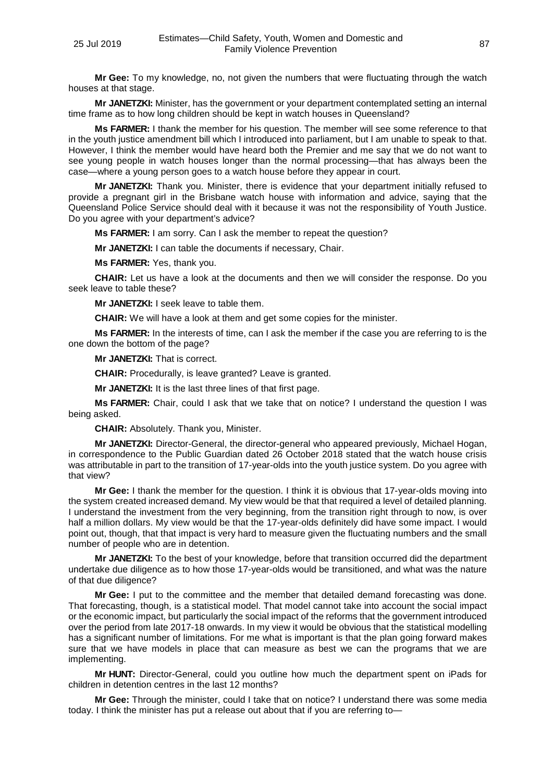**Mr Gee:** To my knowledge, no, not given the numbers that were fluctuating through the watch houses at that stage.

**Mr JANETZKI:** Minister, has the government or your department contemplated setting an internal time frame as to how long children should be kept in watch houses in Queensland?

**Ms FARMER:** I thank the member for his question. The member will see some reference to that in the youth justice amendment bill which I introduced into parliament, but I am unable to speak to that. However, I think the member would have heard both the Premier and me say that we do not want to see young people in watch houses longer than the normal processing—that has always been the case—where a young person goes to a watch house before they appear in court.

**Mr JANETZKI:** Thank you. Minister, there is evidence that your department initially refused to provide a pregnant girl in the Brisbane watch house with information and advice, saying that the Queensland Police Service should deal with it because it was not the responsibility of Youth Justice. Do you agree with your department's advice?

**Ms FARMER:** I am sorry. Can I ask the member to repeat the question?

**Mr JANETZKI:** I can table the documents if necessary, Chair.

**Ms FARMER:** Yes, thank you.

**CHAIR:** Let us have a look at the documents and then we will consider the response. Do you seek leave to table these?

**Mr JANETZKI:** I seek leave to table them.

**CHAIR:** We will have a look at them and get some copies for the minister.

**Ms FARMER:** In the interests of time, can I ask the member if the case you are referring to is the one down the bottom of the page?

**Mr JANETZKI:** That is correct.

**CHAIR:** Procedurally, is leave granted? Leave is granted.

**Mr JANETZKI:** It is the last three lines of that first page.

**Ms FARMER:** Chair, could I ask that we take that on notice? I understand the question I was being asked.

**CHAIR:** Absolutely. Thank you, Minister.

**Mr JANETZKI:** Director-General, the director-general who appeared previously, Michael Hogan, in correspondence to the Public Guardian dated 26 October 2018 stated that the watch house crisis was attributable in part to the transition of 17-year-olds into the youth justice system. Do you agree with that view?

**Mr Gee:** I thank the member for the question. I think it is obvious that 17-year-olds moving into the system created increased demand. My view would be that that required a level of detailed planning. I understand the investment from the very beginning, from the transition right through to now, is over half a million dollars. My view would be that the 17-year-olds definitely did have some impact. I would point out, though, that that impact is very hard to measure given the fluctuating numbers and the small number of people who are in detention.

**Mr JANETZKI:** To the best of your knowledge, before that transition occurred did the department undertake due diligence as to how those 17-year-olds would be transitioned, and what was the nature of that due diligence?

**Mr Gee:** I put to the committee and the member that detailed demand forecasting was done. That forecasting, though, is a statistical model. That model cannot take into account the social impact or the economic impact, but particularly the social impact of the reforms that the government introduced over the period from late 2017-18 onwards. In my view it would be obvious that the statistical modelling has a significant number of limitations. For me what is important is that the plan going forward makes sure that we have models in place that can measure as best we can the programs that we are implementing.

**Mr HUNT:** Director-General, could you outline how much the department spent on iPads for children in detention centres in the last 12 months?

**Mr Gee:** Through the minister, could I take that on notice? I understand there was some media today. I think the minister has put a release out about that if you are referring to-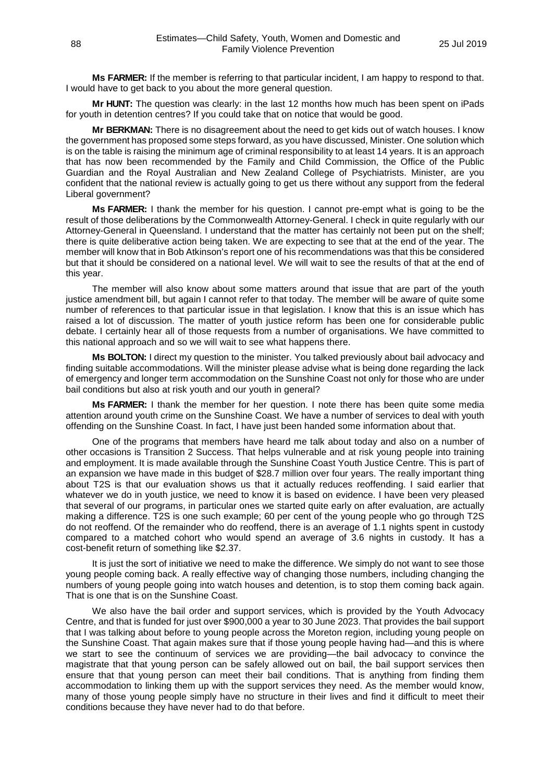**Ms FARMER:** If the member is referring to that particular incident, I am happy to respond to that. I would have to get back to you about the more general question.

**Mr HUNT:** The question was clearly: in the last 12 months how much has been spent on iPads for youth in detention centres? If you could take that on notice that would be good.

**Mr BERKMAN:** There is no disagreement about the need to get kids out of watch houses. I know the government has proposed some steps forward, as you have discussed, Minister. One solution which is on the table is raising the minimum age of criminal responsibility to at least 14 years. It is an approach that has now been recommended by the Family and Child Commission, the Office of the Public Guardian and the Royal Australian and New Zealand College of Psychiatrists. Minister, are you confident that the national review is actually going to get us there without any support from the federal Liberal government?

**Ms FARMER:** I thank the member for his question. I cannot pre-empt what is going to be the result of those deliberations by the Commonwealth Attorney-General. I check in quite regularly with our Attorney-General in Queensland. I understand that the matter has certainly not been put on the shelf; there is quite deliberative action being taken. We are expecting to see that at the end of the year. The member will know that in Bob Atkinson's report one of his recommendations was that this be considered but that it should be considered on a national level. We will wait to see the results of that at the end of this year.

The member will also know about some matters around that issue that are part of the youth justice amendment bill, but again I cannot refer to that today. The member will be aware of quite some number of references to that particular issue in that legislation. I know that this is an issue which has raised a lot of discussion. The matter of youth justice reform has been one for considerable public debate. I certainly hear all of those requests from a number of organisations. We have committed to this national approach and so we will wait to see what happens there.

**Ms BOLTON:** I direct my question to the minister. You talked previously about bail advocacy and finding suitable accommodations. Will the minister please advise what is being done regarding the lack of emergency and longer term accommodation on the Sunshine Coast not only for those who are under bail conditions but also at risk youth and our youth in general?

**Ms FARMER:** I thank the member for her question. I note there has been quite some media attention around youth crime on the Sunshine Coast. We have a number of services to deal with youth offending on the Sunshine Coast. In fact, I have just been handed some information about that.

One of the programs that members have heard me talk about today and also on a number of other occasions is Transition 2 Success. That helps vulnerable and at risk young people into training and employment. It is made available through the Sunshine Coast Youth Justice Centre. This is part of an expansion we have made in this budget of \$28.7 million over four years. The really important thing about T2S is that our evaluation shows us that it actually reduces reoffending. I said earlier that whatever we do in youth justice, we need to know it is based on evidence. I have been very pleased that several of our programs, in particular ones we started quite early on after evaluation, are actually making a difference. T2S is one such example; 60 per cent of the young people who go through T2S do not reoffend. Of the remainder who do reoffend, there is an average of 1.1 nights spent in custody compared to a matched cohort who would spend an average of 3.6 nights in custody. It has a cost-benefit return of something like \$2.37.

It is just the sort of initiative we need to make the difference. We simply do not want to see those young people coming back. A really effective way of changing those numbers, including changing the numbers of young people going into watch houses and detention, is to stop them coming back again. That is one that is on the Sunshine Coast.

We also have the bail order and support services, which is provided by the Youth Advocacy Centre, and that is funded for just over \$900,000 a year to 30 June 2023. That provides the bail support that I was talking about before to young people across the Moreton region, including young people on the Sunshine Coast. That again makes sure that if those young people having had—and this is where we start to see the continuum of services we are providing—the bail advocacy to convince the magistrate that that young person can be safely allowed out on bail, the bail support services then ensure that that young person can meet their bail conditions. That is anything from finding them accommodation to linking them up with the support services they need. As the member would know, many of those young people simply have no structure in their lives and find it difficult to meet their conditions because they have never had to do that before.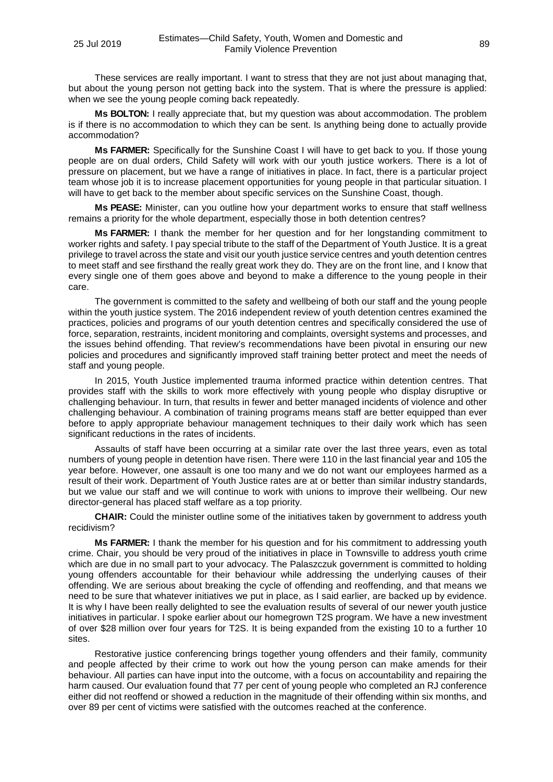These services are really important. I want to stress that they are not just about managing that, but about the young person not getting back into the system. That is where the pressure is applied: when we see the young people coming back repeatedly.

**Ms BOLTON:** I really appreciate that, but my question was about accommodation. The problem is if there is no accommodation to which they can be sent. Is anything being done to actually provide accommodation?

**Ms FARMER:** Specifically for the Sunshine Coast I will have to get back to you. If those young people are on dual orders, Child Safety will work with our youth justice workers. There is a lot of pressure on placement, but we have a range of initiatives in place. In fact, there is a particular project team whose job it is to increase placement opportunities for young people in that particular situation. I will have to get back to the member about specific services on the Sunshine Coast, though.

**Ms PEASE:** Minister, can you outline how your department works to ensure that staff wellness remains a priority for the whole department, especially those in both detention centres?

**Ms FARMER:** I thank the member for her question and for her longstanding commitment to worker rights and safety. I pay special tribute to the staff of the Department of Youth Justice. It is a great privilege to travel across the state and visit our youth justice service centres and youth detention centres to meet staff and see firsthand the really great work they do. They are on the front line, and I know that every single one of them goes above and beyond to make a difference to the young people in their care.

The government is committed to the safety and wellbeing of both our staff and the young people within the youth justice system. The 2016 independent review of youth detention centres examined the practices, policies and programs of our youth detention centres and specifically considered the use of force, separation, restraints, incident monitoring and complaints, oversight systems and processes, and the issues behind offending. That review's recommendations have been pivotal in ensuring our new policies and procedures and significantly improved staff training better protect and meet the needs of staff and young people.

In 2015, Youth Justice implemented trauma informed practice within detention centres. That provides staff with the skills to work more effectively with young people who display disruptive or challenging behaviour. In turn, that results in fewer and better managed incidents of violence and other challenging behaviour. A combination of training programs means staff are better equipped than ever before to apply appropriate behaviour management techniques to their daily work which has seen significant reductions in the rates of incidents.

Assaults of staff have been occurring at a similar rate over the last three years, even as total numbers of young people in detention have risen. There were 110 in the last financial year and 105 the year before. However, one assault is one too many and we do not want our employees harmed as a result of their work. Department of Youth Justice rates are at or better than similar industry standards, but we value our staff and we will continue to work with unions to improve their wellbeing. Our new director-general has placed staff welfare as a top priority.

**CHAIR:** Could the minister outline some of the initiatives taken by government to address youth recidivism?

**Ms FARMER:** I thank the member for his question and for his commitment to addressing youth crime. Chair, you should be very proud of the initiatives in place in Townsville to address youth crime which are due in no small part to your advocacy. The Palaszczuk government is committed to holding young offenders accountable for their behaviour while addressing the underlying causes of their offending. We are serious about breaking the cycle of offending and reoffending, and that means we need to be sure that whatever initiatives we put in place, as I said earlier, are backed up by evidence. It is why I have been really delighted to see the evaluation results of several of our newer youth justice initiatives in particular. I spoke earlier about our homegrown T2S program. We have a new investment of over \$28 million over four years for T2S. It is being expanded from the existing 10 to a further 10 sites.

Restorative justice conferencing brings together young offenders and their family, community and people affected by their crime to work out how the young person can make amends for their behaviour. All parties can have input into the outcome, with a focus on accountability and repairing the harm caused. Our evaluation found that 77 per cent of young people who completed an RJ conference either did not reoffend or showed a reduction in the magnitude of their offending within six months, and over 89 per cent of victims were satisfied with the outcomes reached at the conference.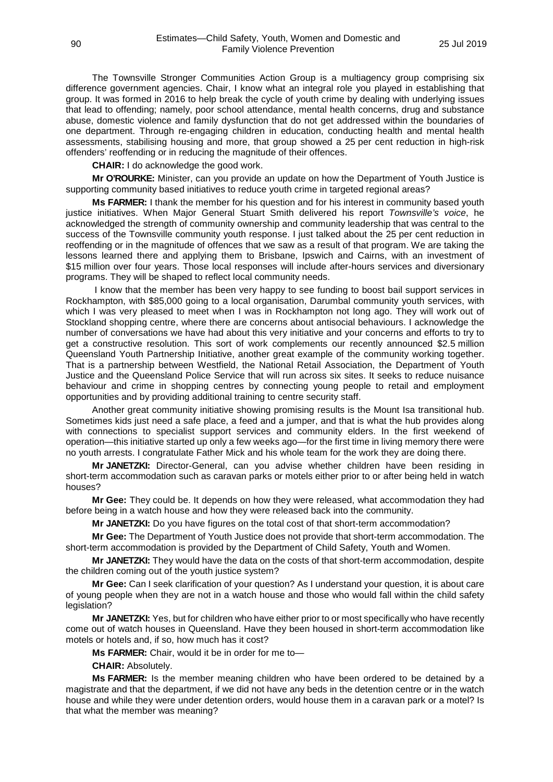The Townsville Stronger Communities Action Group is a multiagency group comprising six difference government agencies. Chair, I know what an integral role you played in establishing that group. It was formed in 2016 to help break the cycle of youth crime by dealing with underlying issues that lead to offending; namely, poor school attendance, mental health concerns, drug and substance abuse, domestic violence and family dysfunction that do not get addressed within the boundaries of one department. Through re-engaging children in education, conducting health and mental health assessments, stabilising housing and more, that group showed a 25 per cent reduction in high-risk offenders' reoffending or in reducing the magnitude of their offences.

**CHAIR:** I do acknowledge the good work.

**Mr O'ROURKE:** Minister, can you provide an update on how the Department of Youth Justice is supporting community based initiatives to reduce youth crime in targeted regional areas?

**Ms FARMER:** I thank the member for his question and for his interest in community based youth justice initiatives. When Major General Stuart Smith delivered his report *Townsville's voice*, he acknowledged the strength of community ownership and community leadership that was central to the success of the Townsville community youth response. I just talked about the 25 per cent reduction in reoffending or in the magnitude of offences that we saw as a result of that program. We are taking the lessons learned there and applying them to Brisbane, Ipswich and Cairns, with an investment of \$15 million over four years. Those local responses will include after-hours services and diversionary programs. They will be shaped to reflect local community needs.

I know that the member has been very happy to see funding to boost bail support services in Rockhampton, with \$85,000 going to a local organisation, Darumbal community youth services, with which I was very pleased to meet when I was in Rockhampton not long ago. They will work out of Stockland shopping centre, where there are concerns about antisocial behaviours. I acknowledge the number of conversations we have had about this very initiative and your concerns and efforts to try to get a constructive resolution. This sort of work complements our recently announced \$2.5 million Queensland Youth Partnership Initiative, another great example of the community working together. That is a partnership between Westfield, the National Retail Association, the Department of Youth Justice and the Queensland Police Service that will run across six sites. It seeks to reduce nuisance behaviour and crime in shopping centres by connecting young people to retail and employment opportunities and by providing additional training to centre security staff.

Another great community initiative showing promising results is the Mount Isa transitional hub. Sometimes kids just need a safe place, a feed and a jumper, and that is what the hub provides along with connections to specialist support services and community elders. In the first weekend of operation—this initiative started up only a few weeks ago—for the first time in living memory there were no youth arrests. I congratulate Father Mick and his whole team for the work they are doing there.

**Mr JANETZKI:** Director-General, can you advise whether children have been residing in short-term accommodation such as caravan parks or motels either prior to or after being held in watch houses?

**Mr Gee:** They could be. It depends on how they were released, what accommodation they had before being in a watch house and how they were released back into the community.

**Mr JANETZKI:** Do you have figures on the total cost of that short-term accommodation?

**Mr Gee:** The Department of Youth Justice does not provide that short-term accommodation. The short-term accommodation is provided by the Department of Child Safety, Youth and Women.

**Mr JANETZKI:** They would have the data on the costs of that short-term accommodation, despite the children coming out of the youth justice system?

**Mr Gee:** Can I seek clarification of your question? As I understand your question, it is about care of young people when they are not in a watch house and those who would fall within the child safety legislation?

**Mr JANETZKI:** Yes, but for children who have either prior to or most specifically who have recently come out of watch houses in Queensland. Have they been housed in short-term accommodation like motels or hotels and, if so, how much has it cost?

**Ms FARMER:** Chair, would it be in order for me to—

**CHAIR:** Absolutely.

**Ms FARMER:** Is the member meaning children who have been ordered to be detained by a magistrate and that the department, if we did not have any beds in the detention centre or in the watch house and while they were under detention orders, would house them in a caravan park or a motel? Is that what the member was meaning?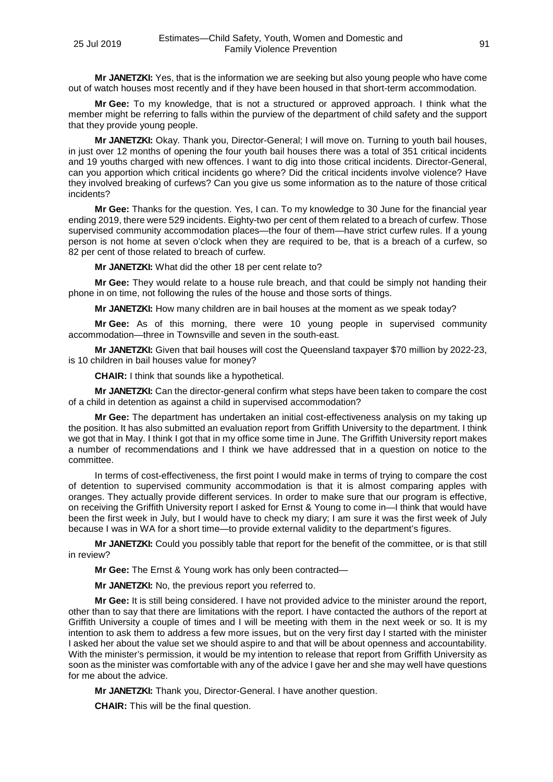**Mr JANETZKI:** Yes, that is the information we are seeking but also young people who have come out of watch houses most recently and if they have been housed in that short-term accommodation.

**Mr Gee:** To my knowledge, that is not a structured or approved approach. I think what the member might be referring to falls within the purview of the department of child safety and the support that they provide young people.

**Mr JANETZKI:** Okay. Thank you, Director-General; I will move on. Turning to youth bail houses, in just over 12 months of opening the four youth bail houses there was a total of 351 critical incidents and 19 youths charged with new offences. I want to dig into those critical incidents. Director-General, can you apportion which critical incidents go where? Did the critical incidents involve violence? Have they involved breaking of curfews? Can you give us some information as to the nature of those critical incidents?

**Mr Gee:** Thanks for the question. Yes, I can. To my knowledge to 30 June for the financial year ending 2019, there were 529 incidents. Eighty-two per cent of them related to a breach of curfew. Those supervised community accommodation places—the four of them—have strict curfew rules. If a young person is not home at seven o'clock when they are required to be, that is a breach of a curfew, so 82 per cent of those related to breach of curfew.

**Mr JANETZKI:** What did the other 18 per cent relate to?

**Mr Gee:** They would relate to a house rule breach, and that could be simply not handing their phone in on time, not following the rules of the house and those sorts of things.

**Mr JANETZKI:** How many children are in bail houses at the moment as we speak today?

**Mr Gee:** As of this morning, there were 10 young people in supervised community accommodation—three in Townsville and seven in the south-east.

**Mr JANETZKI:** Given that bail houses will cost the Queensland taxpayer \$70 million by 2022-23, is 10 children in bail houses value for money?

**CHAIR:** I think that sounds like a hypothetical.

**Mr JANETZKI:** Can the director-general confirm what steps have been taken to compare the cost of a child in detention as against a child in supervised accommodation?

**Mr Gee:** The department has undertaken an initial cost-effectiveness analysis on my taking up the position. It has also submitted an evaluation report from Griffith University to the department. I think we got that in May. I think I got that in my office some time in June. The Griffith University report makes a number of recommendations and I think we have addressed that in a question on notice to the committee.

In terms of cost-effectiveness, the first point I would make in terms of trying to compare the cost of detention to supervised community accommodation is that it is almost comparing apples with oranges. They actually provide different services. In order to make sure that our program is effective, on receiving the Griffith University report I asked for Ernst & Young to come in—I think that would have been the first week in July, but I would have to check my diary; I am sure it was the first week of July because I was in WA for a short time—to provide external validity to the department's figures.

**Mr JANETZKI:** Could you possibly table that report for the benefit of the committee, or is that still in review?

**Mr Gee:** The Ernst & Young work has only been contracted—

**Mr JANETZKI:** No, the previous report you referred to.

**Mr Gee:** It is still being considered. I have not provided advice to the minister around the report, other than to say that there are limitations with the report. I have contacted the authors of the report at Griffith University a couple of times and I will be meeting with them in the next week or so. It is my intention to ask them to address a few more issues, but on the very first day I started with the minister I asked her about the value set we should aspire to and that will be about openness and accountability. With the minister's permission, it would be my intention to release that report from Griffith University as soon as the minister was comfortable with any of the advice I gave her and she may well have questions for me about the advice.

**Mr JANETZKI:** Thank you, Director-General. I have another question.

**CHAIR:** This will be the final question.